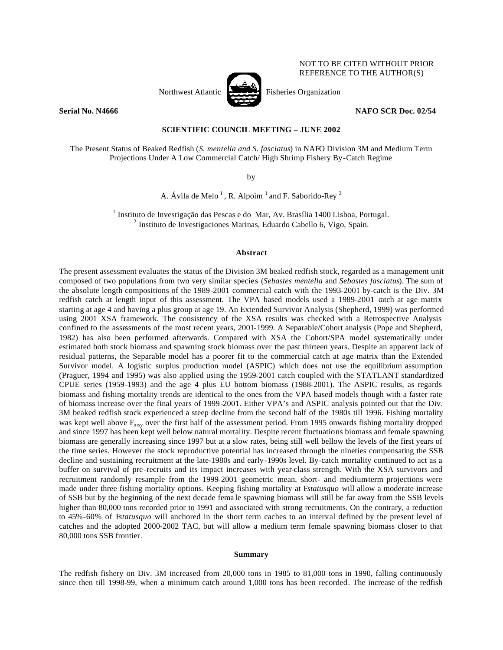

NOT TO BE CITED WITHOUT PRIOR REFERENCE TO THE AUTHOR(S)

# **Serial No. N4666 NAFO SCR Doc. 02/54**

# **SCIENTIFIC COUNCIL MEETING – JUNE 2002**

The Present Status of Beaked Redfish (*S. mentella and S. fasciatus*) in NAFO Division 3M and Medium Term Projections Under A Low Commercial Catch/ High Shrimp Fishery By-Catch Regime

by

A. Ávila de Melo<sup>1</sup>, R. Alpoim<sup>1</sup> and F. Saborido-Rey<sup>2</sup>

<sup>1</sup> Instituto de Investigação das Pescas e do Mar, Av. Brasília 1400 Lisboa, Portugal. <sup>2</sup> Instituto de Investigaciones Marinas, Eduardo Cabello 6, Vigo, Spain.

#### **Abstract**

The present assessment evaluates the status of the Division 3M beaked redfish stock, regarded as a management unit composed of two populations from two very similar species (*Sebastes mentella* and *Sebastes fasciatus*). The sum of the absolute length compositions of the 1989-2001 commercial catch with the 1993-2001 by-catch is the Div. 3M redfish catch at length input of this assessment. The VPA based models used a 1989-2001 catch at age matrix starting at age 4 and having a plus group at age 19. An Extended Survivor Analysis (Shepherd, 1999) was performed using 2001 XSA framework. The consistency of the XSA results was checked with a Retrospective Analysis confined to the assessments of the most recent years, 2001-1999. A Separable/Cohort analysis (Pope and Shepherd, 1982) has also been performed afterwards. Compared with XSA the Cohort/SPA model systematically under estimated both stock biomass and spawning stock biomass over the past thirteen years. Despite an apparent lack of residual patterns, the Separable model has a poorer fit to the commercial catch at age matrix than the Extended Survivor model. A logistic surplus production model (ASPIC) which does not use the equilibrium assumption (Praguer, 1994 and 1995) was also applied using the 1959-2001 catch coupled with the STATLANT standardized CPUE series (1959-1993) and the age 4 plus EU bottom biomass (1988-2001). The ASPIC results, as regards biomass and fishing mortality trends are identical to the ones from the VPA based models though with a faster rate of biomass increase over the final years of 1999-2001. Either VPA's and ASPIC analysis pointed out that the Div. 3M beaked redfish stock experienced a steep decline from the second half of the 1980s till 1996. Fishing mortality was kept well above F<sub>msy</sub> over the first half of the assessment period. From 1995 onwards fishing mortality dropped and since 1997 has been kept well below natural mortality. Despite recent fluctuations biomass and female spawning biomass are generally increasing since 1997 but at a slow rates, being still well bellow the levels of the first years of the time series. However the stock reproductive potential has increased through the nineties compensating the SSB decline and sustaining recruitment at the late-1980s and early-1990s level. By-catch mortality continued to act as a buffer on survival of pre-recruits and its impact increases with year-class strength. With the XSA survivors and recruitment randomly resample from the 1999-2001 geometric mean, short- and medium-term projections were made under three fishing mortality options. Keeping fishing mortality at F*statusquo* will allow a moderate increase of SSB but by the beginning of the next decade fema le spawning biomass will still be far away from the SSB levels higher than 80,000 tons recorded prior to 1991 and associated with strong recruitments. On the contrary, a reduction to 45%-60% of F*statusquo* will anchored in the short term caches to an interval defined by the present level of catches and the adopted 2000-2002 TAC, but will allow a medium term female spawning biomass closer to that 80,000 tons SSB frontier.

#### **Summary**

The redfish fishery on Div. 3M increased from 20,000 tons in 1985 to 81,000 tons in 1990, falling continuously since then till 1998-99, when a minimum catch around 1,000 tons has been recorded. The increase of the redfish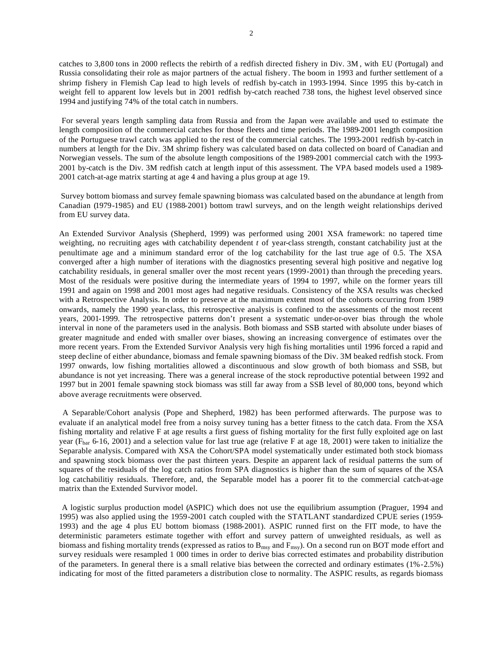catches to 3,800 tons in 2000 reflects the rebirth of a redfish directed fishery in Div. 3M , with EU (Portugal) and Russia consolidating their role as major partners of the actual fishery. The boom in 1993 and further settlement of a shrimp fishery in Flemish Cap lead to high levels of redfish by-catch in 1993-1994. Since 1995 this by-catch in weight fell to apparent low levels but in 2001 redfish by-catch reached 738 tons, the highest level observed since 1994 and justifying 74% of the total catch in numbers.

 For several years length sampling data from Russia and from the Japan were available and used to estimate the length composition of the commercial catches for those fleets and time periods. The 1989-2001 length composition of the Portuguese trawl catch was applied to the rest of the commercial catches. The 1993-2001 redfish by-catch in numbers at length for the Div. 3M shrimp fishery was calculated based on data collected on board of Canadian and Norwegian vessels. The sum of the absolute length compositions of the 1989-2001 commercial catch with the 1993- 2001 by-catch is the Div. 3M redfish catch at length input of this assessment. The VPA based models used a 1989- 2001 catch-at-age matrix starting at age 4 and having a plus group at age 19.

 Survey bottom biomass and survey female spawning biomass was calculated based on the abundance at length from Canadian (1979-1985) and EU (1988-2001) bottom trawl surveys, and on the length weight relationships derived from EU survey data.

An Extended Survivor Analysis (Shepherd, 1999) was performed using 2001 XSA framework: no tapered time weighting, no recruiting ages with catchability dependent *t* of year-class strength, constant catchability just at the penultimate age and a minimum standard error of the log catchability for the last true age of 0.5. The XSA converged after a high number of iterations with the diagnostics presenting several high positive and negative log catchability residuals, in general smaller over the most recent years (1999-2001) than through the preceding years. Most of the residuals were positive during the intermediate years of 1994 to 1997, while on the former years till 1991 and again on 1998 and 2001 most ages had negative residuals. Consistency of the XSA results was checked with a Retrospective Analysis. In order to preserve at the maximum extent most of the cohorts occurring from 1989 onwards, namely the 1990 year-class, this retrospective analysis is confined to the assessments of the most recent years, 2001-1999. The retrospective patterns don't present a systematic under-or-over bias through the whole interval in none of the parameters used in the analysis. Both biomass and SSB started with absolute under biases of greater magnitude and ended with smaller over biases, showing an increasing convergence of estimates over the more recent years. From the Extended Survivor Analysis very high fis hing mortalities until 1996 forced a rapid and steep decline of either abundance, biomass and female spawning biomass of the Div. 3M beaked redfish stock. From 1997 onwards, low fishing mortalities allowed a discontinuous and slow growth of both biomass and SSB, but abundance is not yet increasing. There was a general increase of the stock reproductive potential between 1992 and 1997 but in 2001 female spawning stock biomass was still far away from a SSB level of 80,000 tons, beyond which above average recruitments were observed.

 A Separable/Cohort analysis (Pope and Shepherd, 1982) has been performed afterwards. The purpose was to evaluate if an analytical model free from a noisy survey tuning has a better fitness to the catch data. From the XSA fishing mortality and relative F at age results a first guess of fishing mortality for the first fully exploited age on last year ( $F<sub>bar</sub>$  6-16, 2001) and a selection value for last true age (relative F at age 18, 2001) were taken to initialize the Separable analysis. Compared with XSA the Cohort/SPA model systematically under estimated both stock biomass and spawning stock biomass over the past thirteen years. Despite an apparent lack of residual patterns the sum of squares of the residuals of the log catch ratios from SPA diagnostics is higher than the sum of squares of the XSA log catchabilitiy residuals. Therefore, and, the Separable model has a poorer fit to the commercial catch-at-age matrix than the Extended Survivor model.

 A logistic surplus production model (ASPIC) which does not use the equilibrium assumption (Praguer, 1994 and 1995) was also applied using the 1959-2001 catch coupled with the STATLANT standardized CPUE series (1959- 1993) and the age 4 plus EU bottom biomass (1988-2001). ASPIC runned first on the FIT mode, to have the deterministic parameters estimate together with effort and survey pattern of unweighted residuals, as well as biomass and fishing mortality trends (expressed as ratios to  $B_{\text{msy}}$  and  $F_{\text{msy}}$ ). On a second run on BOT mode effort and survey residuals were resampled 1 000 times in order to derive bias corrected estimates and probability distribution of the parameters. In general there is a small relative bias between the corrected and ordinary estimates (1%-2.5%) indicating for most of the fitted parameters a distribution close to normality. The ASPIC results, as regards biomass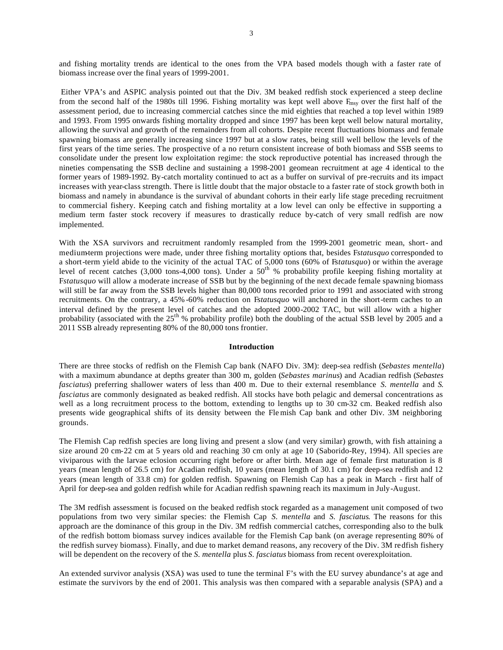and fishing mortality trends are identical to the ones from the VPA based models though with a faster rate of biomass increase over the final years of 1999-2001.

 Either VPA's and ASPIC analysis pointed out that the Div. 3M beaked redfish stock experienced a steep decline from the second half of the 1980s till 1996. Fishing mortality was kept well above  $F_{\text{msy}}$  over the first half of the assessment period, due to increasing commercial catches since the mid eighties that reached a top level within 1989 and 1993. From 1995 onwards fishing mortality dropped and since 1997 has been kept well below natural mortality, allowing the survival and growth of the remainders from all cohorts. Despite recent fluctuations biomass and female spawning biomass are generally increasing since 1997 but at a slow rates, being still well bellow the levels of the first years of the time series. The prospective of a no return consistent increase of both biomass and SSB seems to consolidate under the present low exploitation regime: the stock reproductive potential has increased through the nineties compensating the SSB decline and sustaining a 1998-2001 geomean recruitment at age 4 identical to the former years of 1989-1992. By-catch mortality continued to act as a buffer on survival of pre-recruits and its impact increases with year-class strength. There is little doubt that the major obstacle to a faster rate of stock growth both in biomass and namely in abundance is the survival of abundant cohorts in their early life stage preceding recruitment to commercial fishery. Keeping catch and fishing mortality at a low level can only be effective in supporting a medium term faster stock recovery if measures to drastically reduce by-catch of very small redfish are now implemented.

With the XSA survivors and recruitment randomly resampled from the 1999-2001 geometric mean, short- and medium-term projections were made, under three fishing mortality options that, besides F*statusquo* corresponded to a short-term yield abide to the vicinity of the actual TAC of 5,000 tons (60% of F*statusquo*) or within the average level of recent catches (3,000 tons-4,000 tons). Under a 50<sup>th</sup> % probability profile keeping fishing mortality at F*statusquo* will allow a moderate increase of SSB but by the beginning of the next decade female spawning biomass will still be far away from the SSB levels higher than 80,000 tons recorded prior to 1991 and associated with strong recruitments. On the contrary, a 45% -60% reduction on F*statusquo* will anchored in the short-term caches to an interval defined by the present level of catches and the adopted 2000-2002 TAC, but will allow with a higher probability (associated with the  $25<sup>th</sup>$ % probability profile) both the doubling of the actual SSB level by 2005 and a 2011 SSB already representing 80% of the 80,000 tons frontier.

## **Introduction**

There are three stocks of redfish on the Flemish Cap bank (NAFO Div. 3M): deep-sea redfish (*Sebastes mentella*) with a maximum abundance at depths greater than 300 m, golden (*Sebastes marinus*) and Acadian redfish (*Sebastes fasciatus*) preferring shallower waters of less than 400 m. Due to their external resemblance *S. mentella* and *S. fasciatus* are commonly designated as beaked redfish. All stocks have both pelagic and demersal concentrations as well as a long recruitment process to the bottom, extending to lengths up to 30 cm-32 cm. Beaked redfish also presents wide geographical shifts of its density between the Fle mish Cap bank and other Div. 3M neighboring grounds.

The Flemish Cap redfish species are long living and present a slow (and very similar) growth, with fish attaining a size around 20 cm-22 cm at 5 years old and reaching 30 cm only at age 10 (Saborido-Rey, 1994). All species are viviparous with the larvae eclosion occurring right before or after birth. Mean age of female first maturation is 8 years (mean length of 26.5 cm) for Acadian redfish, 10 years (mean length of 30.1 cm) for deep-sea redfish and 12 years (mean length of 33.8 cm) for golden redfish. Spawning on Flemish Cap has a peak in March - first half of April for deep-sea and golden redfish while for Acadian redfish spawning reach its maximum in July-August.

The 3M redfish assessment is focused on the beaked redfish stock regarded as a management unit composed of two populations from two very similar species: the Flemish Cap *S. mentella* and *S. fasciatus*. The reasons for this approach are the dominance of this group in the Div. 3M redfish commercial catches, corresponding also to the bulk of the redfish bottom biomass survey indices available for the Flemish Cap bank (on average representing 80% of the redfish survey biomass). Finally, and due to market demand reasons, any recovery of the Div. 3M redfish fishery will be dependent on the recovery of the *S. mentella* plus *S. fasciatus* biomass from recent overexploitation.

An extended survivor analysis (XSA) was used to tune the terminal F's with the EU survey abundance's at age and estimate the survivors by the end of 2001. This analysis was then compared with a separable analysis (SPA) and a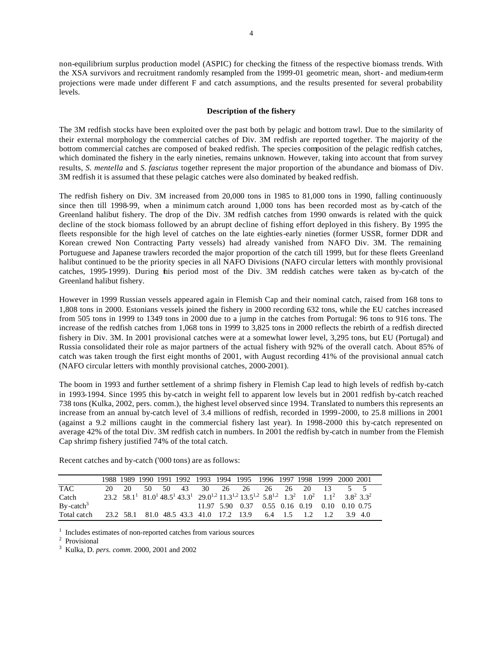non-equilibrium surplus production model (ASPIC) for checking the fitness of the respective biomass trends. With the XSA survivors and recruitment randomly resampled from the 1999-01 geometric mean, short- and medium-term projections were made under different F and catch assumptions, and the results presented for several probability levels.

## **Description of the fishery**

The 3M redfish stocks have been exploited over the past both by pelagic and bottom trawl. Due to the similarity of their external morphology the commercial catches of Div. 3M redfish are reported together. The majority of the bottom commercial catches are composed of beaked redfish. The species composition of the pelagic redfish catches, which dominated the fishery in the early nineties, remains unknown. However, taking into account that from survey results, *S. mentella* and *S. fasciatus* together represent the major proportion of the abundance and biomass of Div. 3M redfish it is assumed that these pelagic catches were also dominated by beaked redfish.

The redfish fishery on Div. 3M increased from 20,000 tons in 1985 to 81,000 tons in 1990, falling continuously since then till 1998-99, when a minimum catch around 1,000 tons has been recorded most as by-catch of the Greenland halibut fishery. The drop of the Div. 3M redfish catches from 1990 onwards is related with the quick decline of the stock biomass followed by an abrupt decline of fishing effort deployed in this fishery. By 1995 the fleets responsible for the high level of catches on the late eighties-early nineties (former USSR, former DDR and Korean crewed Non Contracting Party vessels) had already vanished from NAFO Div. 3M. The remaining Portuguese and Japanese trawlers recorded the major proportion of the catch till 1999, but for these fleets Greenland halibut continued to be the priority species in all NAFO Divisions (NAFO circular letters with monthly provisional catches, 1995-1999). During this period most of the Div. 3M reddish catches were taken as by-catch of the Greenland halibut fishery.

However in 1999 Russian vessels appeared again in Flemish Cap and their nominal catch, raised from 168 tons to 1,808 tons in 2000. Estonians vessels joined the fishery in 2000 recording 632 tons, while the EU catches increased from 505 tons in 1999 to 1349 tons in 2000 due to a jump in the catches from Portugal: 96 tons to 916 tons. The increase of the redfish catches from 1,068 tons in 1999 to 3,825 tons in 2000 reflects the rebirth of a redfish directed fishery in Div. 3M. In 2001 provisional catches were at a somewhat lower level, 3,295 tons, but EU (Portugal) and Russia consolidated their role as major partners of the actual fishery with 92% of the overall catch. About 85% of catch was taken trough the first eight months of 2001, with August recording 41% of the provisional annual catch (NAFO circular letters with monthly provisional catches, 2000-2001).

The boom in 1993 and further settlement of a shrimp fishery in Flemish Cap lead to high levels of redfish by-catch in 1993-1994. Since 1995 this by-catch in weight fell to apparent low levels but in 2001 redfish by-catch reached 738 tons (Kulka, 2002, pers. comm.), the highest level observed since 1994. Translated to numbers this represents an increase from an annual by-catch level of 3.4 millions of redfish, recorded in 1999-2000, to 25.8 millions in 2001 (against a 9.2 millions caught in the commercial fishery last year). In 1998-2000 this by-catch represented on average 42% of the total Div. 3M redfish catch in numbers. In 2001 the redfish by-catch in number from the Flemish Cap shrimp fishery justified 74% of the total catch.

Recent catches and by-catch ('000 tons) are as follows:

|               |       |  |  |  |                                                     |  |     | 1988 1989 1990 1991 1992 1993 1994 1995 1996 1997 1998 1999 2000 2001                                                                                                                                                                            |  |
|---------------|-------|--|--|--|-----------------------------------------------------|--|-----|--------------------------------------------------------------------------------------------------------------------------------------------------------------------------------------------------------------------------------------------------|--|
| <b>TAC</b>    | 20 20 |  |  |  | 50 50 43 30 26 26 26 26 20                          |  |     | $\begin{array}{cccc} 13 & 5 & 5 \end{array}$                                                                                                                                                                                                     |  |
| Catch         |       |  |  |  |                                                     |  |     | 23.2 58.1 <sup>1</sup> 81.0 <sup>1</sup> 48.5 <sup>1</sup> 43.3 <sup>1</sup> 29.0 <sup>1,2</sup> 11.3 <sup>1,2</sup> 13.5 <sup>1,2</sup> 5.8 <sup>1,2</sup> 1.3 <sup>2</sup> 1.0 <sup>2</sup> 1.1 <sup>2</sup> 3.8 <sup>2</sup> 3.3 <sup>2</sup> |  |
| $By - catch3$ |       |  |  |  |                                                     |  |     | 11.97 5.90 0.37 0.55 0.16 0.19 0.10 0.10 0.75                                                                                                                                                                                                    |  |
| Total catch   |       |  |  |  | 23.2 58.1 81.0 48.5 43.3 41.0 17.2 13.9 6.4 1.5 1.2 |  | 1.2 | 3.9 4.0                                                                                                                                                                                                                                          |  |

<sup>1</sup> Includes estimates of non-reported catches from various sources

2 Provisional

3 Kulka, D. *pers. comm*. 2000, 2001 and 2002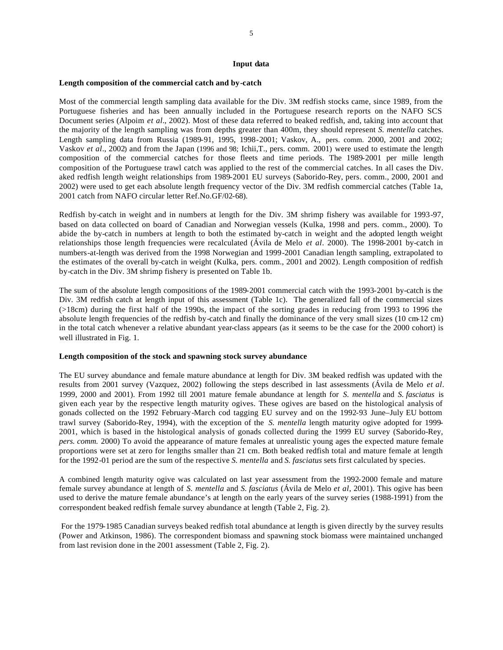#### **Input data**

#### **Length composition of the commercial catch and by-catch**

Most of the commercial length sampling data available for the Div. 3M redfish stocks came, since 1989, from the Portuguese fisheries and has been annually included in the Portuguese research reports on the NAFO SCS Document series (Alpoim *et al.*, 2002). Most of these data referred to beaked redfish, and, taking into account that the majority of the length sampling was from depths greater than 400m, they should represent *S. mentella* catches. Length sampling data from Russia (1989-91, 1995, 1998-2001; Vaskov, A., pers. comm. 2000, 2001 and 2002; Vaskov *et al*., 2002) and from the Japan (1996 and 98; Ichii,T., pers. comm. 2001) were used to estimate the length composition of the commercial catches for those fleets and time periods. The 1989-2001 per mille length composition of the Portuguese trawl catch was applied to the rest of the commercial catches. In all cases the Div. aked redfish length weight relationships from 1989-2001 EU surveys (Saborido-Rey, pers. comm., 2000, 2001 and 2002) were used to get each absolute length frequency vector of the Div. 3M redfish commercial catches (Table 1a, 2001 catch from NAFO circular letter Ref.No.GF/02-68).

Redfish by-catch in weight and in numbers at length for the Div. 3M shrimp fishery was available for 1993-97, based on data collected on board of Canadian and Norwegian vessels (Kulka, 1998 and pers. comm., 2000). To abide the by-catch in numbers at length to both the estimated by-catch in weight and the adopted length weight relationships those length frequencies were recalculated (Ávila de Melo *et al*. 2000). The 1998-2001 by-catch in numbers-at-length was derived from the 1998 Norwegian and 1999-2001 Canadian length sampling, extrapolated to the estimates of the overall by-catch in weight (Kulka, pers. comm., 2001 and 2002). Length composition of redfish by-catch in the Div. 3M shrimp fishery is presented on Table 1b.

The sum of the absolute length compositions of the 1989-2001 commercial catch with the 1993-2001 by-catch is the Div. 3M redfish catch at length input of this assessment (Table 1c). The generalized fall of the commercial sizes (>18cm) during the first half of the 1990s, the impact of the sorting grades in reducing from 1993 to 1996 the absolute length frequencies of the redfish by-catch and finally the dominance of the very small sizes (10 cm-12 cm) in the total catch whenever a relative abundant year-class appears (as it seems to be the case for the 2000 cohort) is well illustrated in Fig. 1.

## **Length composition of the stock and spawning stock survey abundance**

The EU survey abundance and female mature abundance at length for Div. 3M beaked redfish was updated with the results from 2001 survey (Vazquez, 2002) following the steps described in last assessments (Ávila de Melo *et al*. 1999, 2000 and 2001). From 1992 till 2001 mature female abundance at length for *S. mentella* and *S. fasciatus* is given each year by the respective length maturity ogives. These ogives are based on the histological analysis of gonads collected on the 1992 February-March cod tagging EU survey and on the 1992-93 June–July EU bottom trawl survey (Saborido-Rey, 1994), with the exception of the *S. mentella* length maturity ogive adopted for 1999- 2001, which is based in the histological analysis of gonads collected during the 1999 EU survey (Saborido-Rey*, pers. comm.* 2000) To avoid the appearance of mature females at unrealistic young ages the expected mature female proportions were set at zero for lengths smaller than 21 cm. Both beaked redfish total and mature female at length for the 1992-01 period are the sum of the respective *S. mentella* and *S. fasciatus* sets first calculated by species.

A combined length maturity ogive was calculated on last year assessment from the 1992-2000 female and mature female survey abundance at length of *S. mentella* and *S. fasciatus* (Ávila de Melo *et al*, 2001). This ogive has been used to derive the mature female abundance's at length on the early years of the survey series (1988-1991) from the correspondent beaked redfish female survey abundance at length (Table 2, Fig. 2).

 For the 1979-1985 Canadian surveys beaked redfish total abundance at length is given directly by the survey results (Power and Atkinson, 1986). The correspondent biomass and spawning stock biomass were maintained unchanged from last revision done in the 2001 assessment (Table 2, Fig. 2).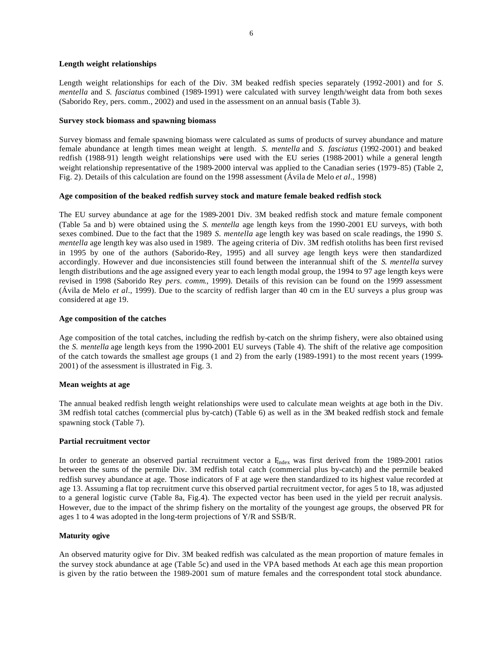## **Length weight relationships**

Length weight relationships for each of the Div. 3M beaked redfish species separately (1992-2001) and for *S. mentella* and *S. fasciatus* combined (1989-1991) were calculated with survey length/weight data from both sexes (Saborido Rey, pers. comm., 2002) and used in the assessment on an annual basis (Table 3).

## **Survey stock biomass and spawning biomass**

Survey biomass and female spawning biomass were calculated as sums of products of survey abundance and mature female abundance at length times mean weight at length. *S. mentella* and *S. fasciatus* (1992-2001) and beaked redfish (1988-91) length weight relationships were used with the EU series (1988-2001) while a general length weight relationship representative of the 1989-2000 interval was applied to the Canadian series (1979-85) (Table 2, Fig. 2). Details of this calculation are found on the 1998 assessment (Ávila de Melo *et al*., 1998)

## **Age composition of the beaked redfish survey stock and mature female beaked redfish stock**

The EU survey abundance at age for the 1989-2001 Div. 3M beaked redfish stock and mature female component (Table 5a and b) were obtained using the *S. mentella* age length keys from the 1990-2001 EU surveys, with both sexes combined. Due to the fact that the 1989 *S. mentella* age length key was based on scale readings, the 1990 *S. mentella* age length key was also used in 1989. The ageing criteria of Div. 3M redfish otoliths has been first revised in 1995 by one of the authors (Saborido-Rey, 1995) and all survey age length keys were then standardized accordingly. However and due inconsistencies still found between the interannual shift of the *S. mentella* survey length distributions and the age assigned every year to each length modal group, the 1994 to 97 age length keys were revised in 1998 (Saborido Rey *pers. comm*., 1999). Details of this revision can be found on the 1999 assessment (Ávila de Melo *et al*., 1999). Due to the scarcity of redfish larger than 40 cm in the EU surveys a plus group was considered at age 19.

## **Age composition of the catches**

Age composition of the total catches, including the redfish by-catch on the shrimp fishery, were also obtained using the *S. mentella* age length keys from the 1990-2001 EU surveys (Table 4). The shift of the relative age composition of the catch towards the smallest age groups (1 and 2) from the early (1989-1991) to the most recent years (1999- 2001) of the assessment is illustrated in Fig. 3.

# **Mean weights at age**

The annual beaked redfish length weight relationships were used to calculate mean weights at age both in the Div. 3M redfish total catches (commercial plus by-catch) (Table 6) as well as in the 3M beaked redfish stock and female spawning stock (Table 7).

#### **Partial recruitment vector**

In order to generate an observed partial recruitment vector a F<sub>index</sub> was first derived from the 1989-2001 ratios between the sums of the permile Div. 3M redfish total catch (commercial plus by-catch) and the permile beaked redfish survey abundance at age. Those indicators of F at age were then standardized to its highest value recorded at age 13. Assuming a flat top recruitment curve this observed partial recruitment vector, for ages 5 to 18, was adjusted to a general logistic curve (Table 8a, Fig.4). The expected vector has been used in the yield per recruit analysis. However, due to the impact of the shrimp fishery on the mortality of the youngest age groups, the observed PR for ages 1 to 4 was adopted in the long-term projections of Y/R and SSB/R.

# **Maturity ogive**

An observed maturity ogive for Div. 3M beaked redfish was calculated as the mean proportion of mature females in the survey stock abundance at age (Table 5c) and used in the VPA based methods At each age this mean proportion is given by the ratio between the 1989-2001 sum of mature females and the correspondent total stock abundance.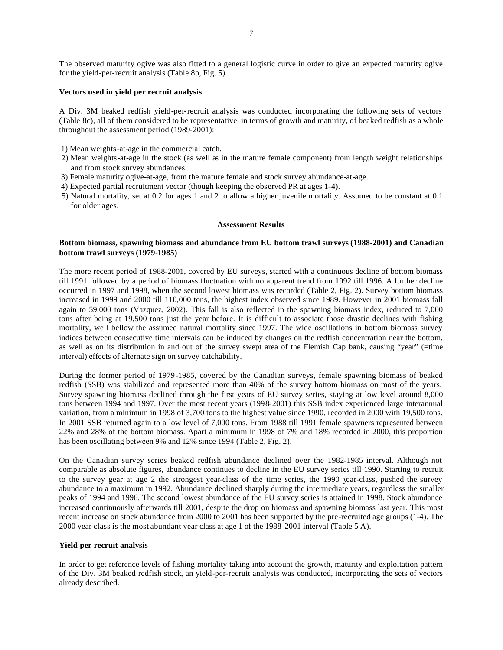The observed maturity ogive was also fitted to a general logistic curve in order to give an expected maturity ogive for the yield-per-recruit analysis (Table 8b, Fig. 5).

## **Vectors used in yield per recruit analysis**

A Div. 3M beaked redfish yield-per-recruit analysis was conducted incorporating the following sets of vectors (Table 8c), all of them considered to be representative, in terms of growth and maturity, of beaked redfish as a whole throughout the assessment period (1989-2001):

- 1) Mean weights-at-age in the commercial catch.
- 2) Mean weights-at-age in the stock (as well as in the mature female component) from length weight relationships and from stock survey abundances.
- 3) Female maturity ogive-at-age, from the mature female and stock survey abundance-at-age.
- 4) Expected partial recruitment vector (though keeping the observed PR at ages 1-4).
- 5) Natural mortality, set at 0.2 for ages 1 and 2 to allow a higher juvenile mortality. Assumed to be constant at 0.1 for older ages.

#### **Assessment Results**

# **Bottom biomass, spawning biomass and abundance from EU bottom trawl surveys (1988-2001) and Canadian bottom trawl surveys (1979-1985)**

The more recent period of 1988-2001, covered by EU surveys, started with a continuous decline of bottom biomass till 1991 followed by a period of biomass fluctuation with no apparent trend from 1992 till 1996. A further decline occurred in 1997 and 1998, when the second lowest biomass was recorded (Table 2, Fig. 2). Survey bottom biomass increased in 1999 and 2000 till 110,000 tons, the highest index observed since 1989. However in 2001 biomass fall again to 59,000 tons (Vazquez, 2002). This fall is also reflected in the spawning biomass index, reduced to 7,000 tons after being at 19,500 tons just the year before. It is difficult to associate those drastic declines with fishing mortality, well bellow the assumed natural mortality since 1997. The wide oscillations in bottom biomass survey indices between consecutive time intervals can be induced by changes on the redfish concentration near the bottom, as well as on its distribution in and out of the survey swept area of the Flemish Cap bank, causing "year" (=time interval) effects of alternate sign on survey catchability.

During the former period of 1979-1985, covered by the Canadian surveys, female spawning biomass of beaked redfish (SSB) was stabilized and represented more than 40% of the survey bottom biomass on most of the years. Survey spawning biomass declined through the first years of EU survey series, staying at low level around 8,000 tons between 1994 and 1997. Over the most recent years (1998-2001) this SSB index experienced large interannual variation, from a minimum in 1998 of 3,700 tons to the highest value since 1990, recorded in 2000 with 19,500 tons. In 2001 SSB returned again to a low level of 7,000 tons. From 1988 till 1991 female spawners represented between 22% and 28% of the bottom biomass. Apart a minimum in 1998 of 7% and 18% recorded in 2000, this proportion has been oscillating between 9% and 12% since 1994 (Table 2, Fig. 2).

On the Canadian survey series beaked redfish abundance declined over the 1982-1985 interval. Although not comparable as absolute figures, abundance continues to decline in the EU survey series till 1990. Starting to recruit to the survey gear at age 2 the strongest year-class of the time series, the 1990 year-class, pushed the survey abundance to a maximum in 1992. Abundance declined sharply during the intermediate years, regardless the smaller peaks of 1994 and 1996. The second lowest abundance of the EU survey series is attained in 1998. Stock abundance increased continuously afterwards till 2001, despite the drop on biomass and spawning biomass last year. This most recent increase on stock abundance from 2000 to 2001 has been supported by the pre-recruited age groups (1-4). The 2000 year-class is the most abundant year-class at age 1 of the 1988-2001 interval (Table 5-A).

#### **Yield per recruit analysis**

In order to get reference levels of fishing mortality taking into account the growth, maturity and exploitation pattern of the Div. 3M beaked redfish stock, an yield-per-recruit analysis was conducted, incorporating the sets of vectors already described.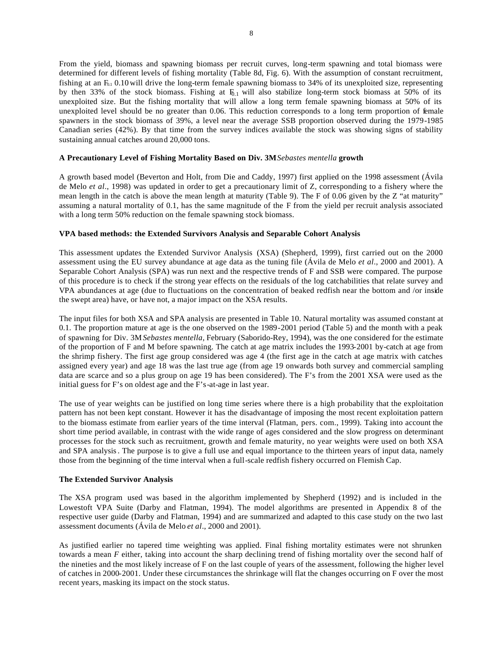From the yield, biomass and spawning biomass per recruit curves, long-term spawning and total biomass were determined for different levels of fishing mortality (Table 8d, Fig. 6). With the assumption of constant recruitment, fishing at an  $F_{0.1}$  0.10 will drive the long-term female spawning biomass to 34% of its unexploited size, representing by then 33% of the stock biomass. Fishing at  $F_{0.1}$  will also stabilize long-term stock biomass at 50% of its unexploited size. But the fishing mortality that will allow a long term female spawning biomass at 50% of its unexploited level should be no greater than 0.06. This reduction corresponds to a long term proportion of female spawners in the stock biomass of 39%, a level near the average SSB proportion observed during the 1979-1985 Canadian series (42%). By that time from the survey indices available the stock was showing signs of stability sustaining annual catches around 20,000 tons.

# **A Precautionary Level of Fishing Mortality Based on Div. 3M***Sebastes mentella* **growth**

A growth based model (Beverton and Holt, from Die and Caddy, 1997) first applied on the 1998 assessment (Ávila de Melo *et al*., 1998) was updated in order to get a precautionary limit of Z, corresponding to a fishery where the mean length in the catch is above the mean length at maturity (Table 9). The F of 0.06 given by the Z "at maturity" assuming a natural mortality of 0.1, has the same magnitude of the F from the yield per recruit analysis associated with a long term 50% reduction on the female spawning stock biomass.

## **VPA based methods: the Extended Survivors Analysis and Separable Cohort Analysis**

This assessment updates the Extended Survivor Analysis (XSA) (Shepherd, 1999), first carried out on the 2000 assessment using the EU survey abundance at age data as the tuning file (Ávila de Melo *et al*., 2000 and 2001). A Separable Cohort Analysis (SPA) was run next and the respective trends of F and SSB were compared. The purpose of this procedure is to check if the strong year effects on the residuals of the log catchabilities that relate survey and VPA abundances at age (due to fluctuations on the concentration of beaked redfish near the bottom and /or inside the swept area) have, or have not, a major impact on the XSA results.

The input files for both XSA and SPA analysis are presented in Table 10. Natural mortality was assumed constant at 0.1. The proportion mature at age is the one observed on the 1989-2001 period (Table 5) and the month with a peak of spawning for Div. 3M *Sebastes mentella*, February (Saborido-Rey, 1994), was the one considered for the estimate of the proportion of F and M before spawning. The catch at age matrix includes the 1993-2001 by-catch at age from the shrimp fishery. The first age group considered was age 4 (the first age in the catch at age matrix with catches assigned every year) and age 18 was the last true age (from age 19 onwards both survey and commercial sampling data are scarce and so a plus group on age 19 has been considered). The F's from the 2001 XSA were used as the initial guess for F's on oldest age and the F's-at-age in last year.

The use of year weights can be justified on long time series where there is a high probability that the exploitation pattern has not been kept constant. However it has the disadvantage of imposing the most recent exploitation pattern to the biomass estimate from earlier years of the time interval (Flatman, pers. com., 1999). Taking into account the short time period available, in contrast with the wide range of ages considered and the slow progress on determinant processes for the stock such as recruitment, growth and female maturity, no year weights were used on both XSA and SPA analysis. The purpose is to give a full use and equal importance to the thirteen years of input data, namely those from the beginning of the time interval when a full-scale redfish fishery occurred on Flemish Cap.

#### **The Extended Survivor Analysis**

The XSA program used was based in the algorithm implemented by Shepherd (1992) and is included in the Lowestoft VPA Suite (Darby and Flatman, 1994). The model algorithms are presented in Appendix 8 of the respective user guide (Darby and Flatman, 1994) and are summarized and adapted to this case study on the two last assessment documents (Ávila de Melo *et al*., 2000 and 2001).

As justified earlier no tapered time weighting was applied. Final fishing mortality estimates were not shrunken towards a mean *F* either, taking into account the sharp declining trend of fishing mortality over the second half of the nineties and the most likely increase of F on the last couple of years of the assessment, following the higher level of catches in 2000-2001. Under these circumstances the shrinkage will flat the changes occurring on F over the most recent years, masking its impact on the stock status.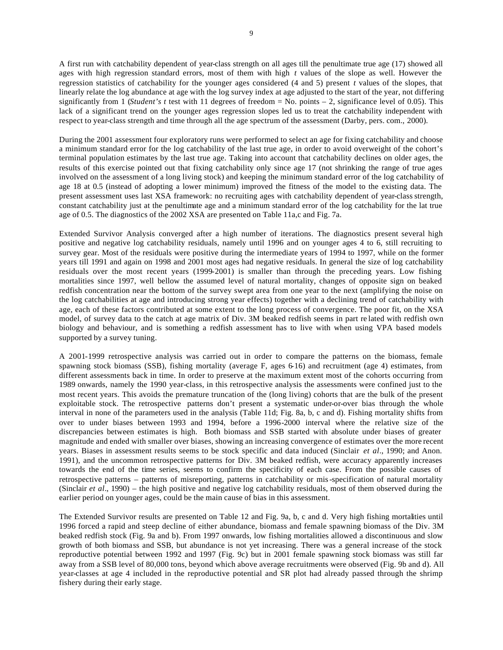A first run with catchability dependent of year-class strength on all ages till the penultimate true age (17) showed all ages with high regression standard errors, most of them with high *t* values of the slope as well. However the regression statistics of catchability for the younger ages considered (4 and 5) present *t* values of the slopes, that linearly relate the log abundance at age with the log survey index at age adjusted to the start of the year, not differing significantly from 1 (*Student's t* test with 11 degrees of freedom = No. points – 2, significance level of 0.05). This lack of a significant trend on the younger ages regression slopes led us to treat the catchability independent with respect to year-class strength and time through all the age spectrum of the assessment (Darby, pers. com., 2000).

During the 2001 assessment four exploratory runs were performed to select an age for fixing catchability and choose a minimum standard error for the log catchability of the last true age, in order to avoid overweight of the cohort's terminal population estimates by the last true age. Taking into account that catchability declines on older ages, the results of this exercise pointed out that fixing catchability only since age 17 (not shrinking the range of true ages involved on the assessment of a long living stock) and keeping the minimum standard error of the log catchability of age 18 at 0.5 (instead of adopting a lower minimum) improved the fitness of the model to the existing data. The present assessment uses last XSA framework: no recruiting ages with catchability dependent of year-class strength, constant catchability just at the penultimate age and a minimum standard error of the log catchability for the lat true age of 0.5. The diagnostics of the 2002 XSA are presented on Table 11a,c and Fig. 7a.

Extended Survivor Analysis converged after a high number of iterations. The diagnostics present several high positive and negative log catchability residuals, namely until 1996 and on younger ages 4 to 6, still recruiting to survey gear. Most of the residuals were positive during the intermediate years of 1994 to 1997, while on the former years till 1991 and again on 1998 and 2001 most ages had negative residuals. In general the size of log catchability residuals over the most recent years (1999-2001) is smaller than through the preceding years. Low fishing mortalities since 1997, well bellow the assumed level of natural mortality, changes of opposite sign on beaked redfish concentration near the bottom of the survey swept area from one year to the next (amplifying the noise on the log catchabilities at age and introducing strong year effects) together with a declining trend of catchability with age, each of these factors contributed at some extent to the long process of convergence. The poor fit, on the XSA model, of survey data to the catch at age matrix of Div. 3M beaked redfish seems in part re lated with redfish own biology and behaviour, and is something a redfish assessment has to live with when using VPA based models supported by a survey tuning.

A 2001-1999 retrospective analysis was carried out in order to compare the patterns on the biomass, female spawning stock biomass (SSB), fishing mortality (average F, ages 6-16) and recruitment (age 4) estimates, from different assessments back in time. In order to preserve at the maximum extent most of the cohorts occurring from 1989 onwards, namely the 1990 year-class, in this retrospective analysis the assessments were confined just to the most recent years. This avoids the premature truncation of the (long living) cohorts that are the bulk of the present exploitable stock. The retrospective patterns don't present a systematic under-or-over bias through the whole interval in none of the parameters used in the analysis (Table 11d; Fig. 8a, b, c and d). Fishing mortality shifts from over to under biases between 1993 and 1994, before a 1996-2000 interval where the relative size of the discrepancies between estimates is high. Both biomass and SSB started with absolute under biases of greater magnitude and ended with smaller over biases, showing an increasing convergence of estimates over the more recent years. Biases in assessment results seems to be stock specific and data induced (Sinclair *et al*., 1990; and Anon. 1991), and the uncommon retrospective patterns for Div. 3M beaked redfish, were accuracy apparently increases towards the end of the time series, seems to confirm the specificity of each case. From the possible causes of retrospective patterns – patterns of misreporting, patterns in catchability or mis-specification of natural mortality (Sinclair *et al*., 1990) – the high positive and negative log catchability residuals, most of them observed during the earlier period on younger ages, could be the main cause of bias in this assessment.

The Extended Survivor results are presented on Table 12 and Fig. 9a, b, c and d. Very high fishing mortalities until 1996 forced a rapid and steep decline of either abundance, biomass and female spawning biomass of the Div. 3M beaked redfish stock (Fig. 9a and b). From 1997 onwards, low fishing mortalities allowed a discontinuous and slow growth of both biomass and SSB, but abundance is not yet increasing. There was a general increase of the stock reproductive potential between 1992 and 1997 (Fig. 9c) but in 2001 female spawning stock biomass was still far away from a SSB level of 80,000 tons, beyond which above average recruitments were observed (Fig. 9b and d). All year-classes at age 4 included in the reproductive potential and SR plot had already passed through the shrimp fishery during their early stage.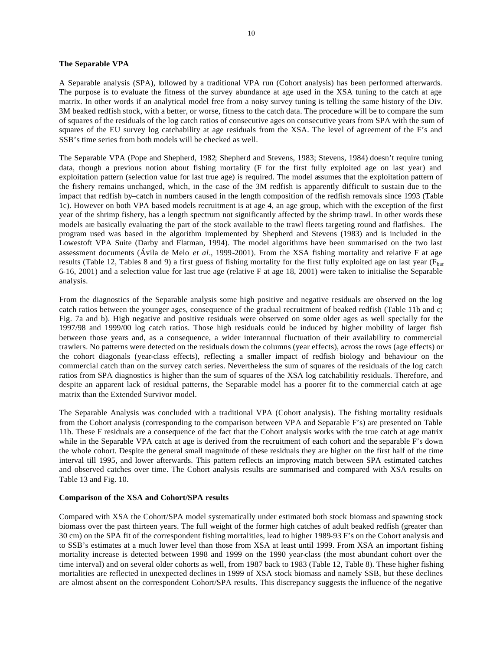## **The Separable VPA**

A Separable analysis (SPA), followed by a traditional VPA run (Cohort analysis) has been performed afterwards. The purpose is to evaluate the fitness of the survey abundance at age used in the XSA tuning to the catch at age matrix. In other words if an analytical model free from a noisy survey tuning is telling the same history of the Div. 3M beaked redfish stock, with a better, or worse, fitness to the catch data. The procedure will be to compare the sum of squares of the residuals of the log catch ratios of consecutive ages on consecutive years from SPA with the sum of squares of the EU survey log catchability at age residuals from the XSA. The level of agreement of the F's and SSB's time series from both models will be checked as well.

The Separable VPA (Pope and Shepherd, 1982; Shepherd and Stevens, 1983; Stevens, 1984) doesn't require tuning data, though a previous notion about fishing mortality (F for the first fully exploited age on last year) and exploitation pattern (selection value for last true age) is required. The model assumes that the exploitation pattern of the fishery remains unchanged, which, in the case of the 3M redfish is apparently difficult to sustain due to the impact that redfish by–catch in numbers caused in the length composition of the redfish removals since 1993 (Table 1c). However on both VPA based models recruitment is at age 4, an age group, which with the exception of the first year of the shrimp fishery, has a length spectrum not significantly affected by the shrimp trawl. In other words these models are basically evaluating the part of the stock available to the trawl fleets targeting round and flatfishes. The program used was based in the algorithm implemented by Shepherd and Stevens (1983) and is included in the Lowestoft VPA Suite (Darby and Flatman, 1994). The model algorithms have been summarised on the two last assessment documents (Ávila de Melo *et al*., 1999-2001). From the XSA fishing mortality and relative F at age results (Table 12, Tables 8 and 9) a first guess of fishing mortality for the first fully exploited age on last year ( $F<sub>bar</sub>$ ) 6-16, 2001) and a selection value for last true age (relative F at age 18, 2001) were taken to initialise the Separable analysis.

From the diagnostics of the Separable analysis some high positive and negative residuals are observed on the log catch ratios between the younger ages, consequence of the gradual recruitment of beaked redfish (Table 11b and c; Fig. 7a and b). High negative and positive residuals were observed on some older ages as well specially for the 1997/98 and 1999/00 log catch ratios. Those high residuals could be induced by higher mobility of larger fish between those years and, as a consequence, a wider interannual fluctuation of their availability to commercial trawlers. No patterns were detected on the residuals down the columns (year effects), across the rows (age effects) or the cohort diagonals (year-class effects), reflecting a smaller impact of redfish biology and behaviour on the commercial catch than on the survey catch series. Nevertheless the sum of squares of the residuals of the log catch ratios from SPA diagnostics is higher than the sum of squares of the XSA log catchabilitiy residuals. Therefore, and despite an apparent lack of residual patterns, the Separable model has a poorer fit to the commercial catch at age matrix than the Extended Survivor model.

The Separable Analysis was concluded with a traditional VPA (Cohort analysis). The fishing mortality residuals from the Cohort analysis (corresponding to the comparison between VPA and Separable F's) are presented on Table 11b. These F residuals are a consequence of the fact that the Cohort analysis works with the true catch at age matrix while in the Separable VPA catch at age is derived from the recruitment of each cohort and the separable F's down the whole cohort. Despite the general small magnitude of these residuals they are higher on the first half of the time interval till 1995, and lower afterwards. This pattern reflects an improving match between SPA estimated catches and observed catches over time. The Cohort analysis results are summarised and compared with XSA results on Table 13 and Fig. 10.

#### **Comparison of the XSA and Cohort/SPA results**

Compared with XSA the Cohort/SPA model systematically under estimated both stock biomass and spawning stock biomass over the past thirteen years. The full weight of the former high catches of adult beaked redfish (greater than 30 cm) on the SPA fit of the correspondent fishing mortalities, lead to higher 1989-93 F's on the Cohort analysis and to SSB's estimates at a much lower level than those from XSA at least until 1999. From XSA an important fishing mortality increase is detected between 1998 and 1999 on the 1990 year-class (the most abundant cohort over the time interval) and on several older cohorts as well, from 1987 back to 1983 (Table 12, Table 8). These higher fishing mortalities are reflected in unexpected declines in 1999 of XSA stock biomass and namely SSB, but these declines are almost absent on the correspondent Cohort/SPA results. This discrepancy suggests the influence of the negative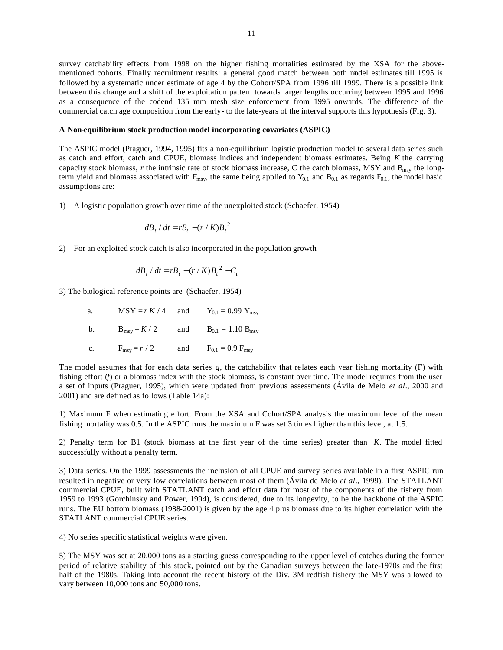survey catchability effects from 1998 on the higher fishing mortalities estimated by the XSA for the abovementioned cohorts. Finally recruitment results: a general good match between both model estimates till 1995 is followed by a systematic under estimate of age 4 by the Cohort/SPA from 1996 till 1999. There is a possible link between this change and a shift of the exploitation pattern towards larger lengths occurring between 1995 and 1996 as a consequence of the codend 135 mm mesh size enforcement from 1995 onwards. The difference of the commercial catch age composition from the early- to the late-years of the interval supports this hypothesis (Fig. 3).

#### **A Non-equilibrium stock production model incorporating covariates (ASPIC)**

The ASPIC model (Praguer, 1994, 1995) fits a non-equilibrium logistic production model to several data series such as catch and effort, catch and CPUE, biomass indices and independent biomass estimates. Being *K* the carrying capacity stock biomass, *r* the intrinsic rate of stock biomass increase, C the catch biomass, MSY and B<sub>msy</sub> the longterm yield and biomass associated with  $F_{\text{msy}}$ , the same being applied to  $Y_{0.1}$  and  $B_{0.1}$  as regards  $F_{0.1}$ , the model basic assumptions are:

1) A logistic population growth over time of the unexploited stock (Schaefer, 1954)

$$
dB_t / dt = rB_t - (r / K)B_t^2
$$

2) For an exploited stock catch is also incorporated in the population growth

$$
dB_t / dt = rB_t - (r / K)B_t^2 - C_t
$$

3) The biological reference points are (Schaefer, 1954)

| a.             |  | MSY = $r K / 4$ and Y <sub>0.1</sub> = 0.99 Y <sub>msy</sub> |
|----------------|--|--------------------------------------------------------------|
| $\mathbf{b}$ . |  | $B_{msy} = K / 2$ and $B_{0.1} = 1.10 B_{msy}$               |
| c.             |  | $F_{\text{msy}} = r / 2$ and $F_{0.1} = 0.9 F_{\text{msy}}$  |

The model assumes that for each data series *q*, the catchability that relates each year fishing mortality (F) with fishing effort (*f*) or a biomass index with the stock biomass, is constant over time. The model requires from the user a set of inputs (Praguer, 1995), which were updated from previous assessments (Ávila de Melo *et al*., 2000 and 2001) and are defined as follows (Table 14a):

1) Maximum F when estimating effort. From the XSA and Cohort/SPA analysis the maximum level of the mean fishing mortality was 0.5. In the ASPIC runs the maximum F was set 3 times higher than this level, at 1.5.

2) Penalty term for B1 (stock biomass at the first year of the time series) greater than *K*. The model fitted successfully without a penalty term.

3) Data series. On the 1999 assessments the inclusion of all CPUE and survey series available in a first ASPIC run resulted in negative or very low correlations between most of them (Ávila de Melo *et al*., 1999). The STATLANT commercial CPUE, built with STATLANT catch and effort data for most of the components of the fishery from 1959 to 1993 (Gorchinsky and Power, 1994), is considered, due to its longevity, to be the backbone of the ASPIC runs. The EU bottom biomass (1988-2001) is given by the age 4 plus biomass due to its higher correlation with the STATLANT commercial CPUE series.

4) No series specific statistical weights were given.

5) The MSY was set at 20,000 tons as a starting guess corresponding to the upper level of catches during the former period of relative stability of this stock, pointed out by the Canadian surveys between the late-1970s and the first half of the 1980s. Taking into account the recent history of the Div. 3M redfish fishery the MSY was allowed to vary between 10,000 tons and 50,000 tons.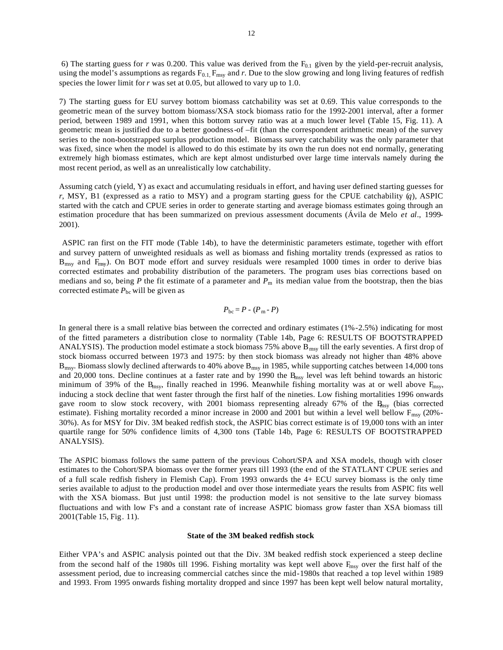6) The starting guess for *r* was 0.200. This value was derived from the  $F_{0,1}$  given by the yield-per-recruit analysis, using the model's assumptions as regards  $F_{0.1}$ ,  $F_{\text{msy}}$  and r. Due to the slow growing and long living features of redfish species the lower limit for *r* was set at 0.05, but allowed to vary up to 1.0.

7) The starting guess for EU survey bottom biomass catchability was set at 0.69. This value corresponds to the geometric mean of the survey bottom biomass/XSA stock biomass ratio for the 1992-2001 interval, after a former period, between 1989 and 1991, when this bottom survey ratio was at a much lower level (Table 15, Fig. 11). A geometric mean is justified due to a better goodness-of –fit (than the correspondent arithmetic mean) of the survey series to the non-bootstrapped surplus production model. Biomass survey catchability was the only parameter that was fixed, since when the model is allowed to do this estimate by its own the run does not end normally, generating extremely high biomass estimates, which are kept almost undisturbed over large time intervals namely during the most recent period, as well as an unrealistically low catchability.

Assuming catch (yield, Y) as exact and accumulating residuals in effort, and having user defined starting guesses for *r*, MSY, B1 (expressed as a ratio to MSY) and a program starting guess for the CPUE catchability (*q*), ASPIC started with the catch and CPUE series in order to generate starting and average biomass estimates going through an estimation procedure that has been summarized on previous assessment documents (Ávila de Melo *et al*., 1999- 2001).

 ASPIC ran first on the FIT mode (Table 14b), to have the deterministic parameters estimate, together with effort and survey pattern of unweighted residuals as well as biomass and fishing mortality trends (expressed as ratios to  $B_{\text{msv}}$  and  $F_{\text{msv}}$ ). On BOT mode effort and survey residuals were resampled 1000 times in order to derive bias corrected estimates and probability distribution of the parameters. The program uses bias corrections based on medians and so, being *P* the fit estimate of a parameter and  $P<sub>m</sub>$  its median value from the bootstrap, then the bias corrected estimate  $P_{bc}$  will be given as

$$
P_{\text{bc}} = P - (P_{\text{m}} - P)
$$

In general there is a small relative bias between the corrected and ordinary estimates (1%-2.5%) indicating for most of the fitted parameters a distribution close to normality (Table 14b, Page 6: RESULTS OF BOOTSTRAPPED ANALYSIS). The production model estimate a stock biomass 75% above  $B_{msy}$  till the early seventies. A first drop of stock biomass occurred between 1973 and 1975: by then stock biomass was already not higher than 48% above  $B_{\text{msy}}$ . Biomass slowly declined afterwards to 40% above  $B_{\text{msy}}$  in 1985, while supporting catches between 14,000 tons and 20,000 tons. Decline continues at a faster rate and by 1990 the  $B<sub>msy</sub>$  level was left behind towards an historic minimum of 39% of the B<sub>msy</sub>, finally reached in 1996. Meanwhile fishing mortality was at or well above  $F_{\text{msy}}$ inducing a stock decline that went faster through the first half of the nineties. Low fishing mortalities 1996 onwards gave room to slow stock recovery, with 2001 biomass representing already 67% of the  $R_{\text{msy}}$  (bias corrected estimate). Fishing mortality recorded a minor increase in 2000 and 2001 but within a level well bellow  $F_{\text{msy}}$  (20%-30%). As for MSY for Div. 3M beaked redfish stock, the ASPIC bias correct estimate is of 19,000 tons with an inter quartile range for 50% confidence limits of 4,300 tons (Table 14b, Page 6: RESULTS OF BOOTSTRAPPED ANALYSIS).

The ASPIC biomass follows the same pattern of the previous Cohort/SPA and XSA models, though with closer estimates to the Cohort/SPA biomass over the former years till 1993 (the end of the STATLANT CPUE series and of a full scale redfish fishery in Flemish Cap). From 1993 onwards the 4+ ECU survey biomass is the only time series available to adjust to the production model and over those intermediate years the results from ASPIC fits well with the XSA biomass. But just until 1998: the production model is not sensitive to the late survey biomass fluctuations and with low F's and a constant rate of increase ASPIC biomass grow faster than XSA biomass till 2001(Table 15, Fig. 11).

#### **State of the 3M beaked redfish stock**

Either VPA's and ASPIC analysis pointed out that the Div. 3M beaked redfish stock experienced a steep decline from the second half of the 1980s till 1996. Fishing mortality was kept well above  $F_{\text{msy}}$  over the first half of the assessment period, due to increasing commercial catches since the mid-1980s that reached a top level within 1989 and 1993. From 1995 onwards fishing mortality dropped and since 1997 has been kept well below natural mortality,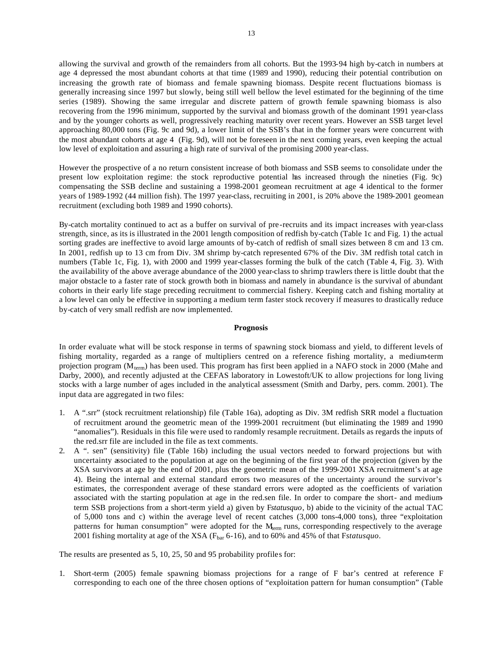allowing the survival and growth of the remainders from all cohorts. But the 1993-94 high by-catch in numbers at age 4 depressed the most abundant cohorts at that time (1989 and 1990), reducing their potential contribution on increasing the growth rate of biomass and female spawning biomass. Despite recent fluctuations biomass is generally increasing since 1997 but slowly, being still well bellow the level estimated for the beginning of the time series (1989). Showing the same irregular and discrete pattern of growth female spawning biomass is also recovering from the 1996 minimum, supported by the survival and biomass growth of the dominant 1991 year-class and by the younger cohorts as well, progressively reaching maturity over recent years. However an SSB target level approaching 80,000 tons (Fig. 9c and 9d), a lower limit of the SSB's that in the former years were concurrent with the most abundant cohorts at age 4 (Fig. 9d), will not be foreseen in the next coming years, even keeping the actual low level of exploitation and assuring a high rate of survival of the promising 2000 year-class.

However the prospective of a no return consistent increase of both biomass and SSB seems to consolidate under the present low exploitation regime: the stock reproductive potential has increased through the nineties (Fig. 9c) compensating the SSB decline and sustaining a 1998-2001 geomean recruitment at age 4 identical to the former years of 1989-1992 (44 million fish). The 1997 year-class, recruiting in 2001, is 20% above the 1989-2001 geomean recruitment (excluding both 1989 and 1990 cohorts).

By-catch mortality continued to act as a buffer on survival of pre-recruits and its impact increases with year-class strength, since, as its is illustrated in the 2001 length composition of redfish by-catch (Table 1c and Fig. 1) the actual sorting grades are ineffective to avoid large amounts of by-catch of redfish of small sizes between 8 cm and 13 cm. In 2001, redfish up to 13 cm from Div. 3M shrimp by-catch represented 67% of the Div. 3M redfish total catch in numbers (Table 1c, Fig. 1), with 2000 and 1999 year-classes forming the bulk of the catch (Table 4, Fig. 3). With the availability of the above average abundance of the 2000 year-class to shrimp trawlers there is little doubt that the major obstacle to a faster rate of stock growth both in biomass and namely in abundance is the survival of abundant cohorts in their early life stage preceding recruitment to commercial fishery. Keeping catch and fishing mortality at a low level can only be effective in supporting a medium term faster stock recovery if measures to drastically reduce by-catch of very small redfish are now implemented.

## **Prognosis**

In order evaluate what will be stock response in terms of spawning stock biomass and yield, to different levels of fishing mortality, regarded as a range of multipliers centred on a reference fishing mortality, a medium-term projection program (M<sub>term</sub>) has been used. This program has first been applied in a NAFO stock in 2000 (Mahe and Darby, 2000), and recently adjusted at the CEFAS laboratory in Lowestoft/UK to allow projections for long living stocks with a large number of ages included in the analytical assessment (Smith and Darby, pers. comm. 2001). The input data are aggregated in two files:

- 1. A ".srr" (stock recruitment relationship) file (Table 16a), adopting as Div. 3M redfish SRR model a fluctuation of recruitment around the geometric mean of the 1999-2001 recruitment (but eliminating the 1989 and 1990 "anomalies"). Residuals in this file were used to randomly resample recruitment. Details as regards the inputs of the red.srr file are included in the file as text comments.
- 2. A ". sen" (sensitivity) file (Table 16b) including the usual vectors needed to forward projections but with uncertainty associated to the population at age on the beginning of the first year of the projection (given by the XSA survivors at age by the end of 2001, plus the geometric mean of the 1999-2001 XSA recruitment's at age 4). Being the internal and external standard errors two measures of the uncertainty around the survivor's estimates, the correspondent average of these standard errors were adopted as the coefficients of variation associated with the starting population at age in the red.sen file. In order to compare the short- and mediumterm SSB projections from a short-term yield a) given by F*statusquo*, b) abide to the vicinity of the actual TAC of 5,000 tons and c) within the average level of recent catches (3,000 tons-4,000 tons), three "exploitation patterns for human consumption" were adopted for the  $M_{term}$  runs, corresponding respectively to the average 2001 fishing mortality at age of the XSA (F<sub>bar</sub> 6-16), and to 60% and 45% of that Fstatusquo.

The results are presented as 5, 10, 25, 50 and 95 probability profiles for:

1. Short-term (2005) female spawning biomass projections for a range of F bar's centred at reference F corresponding to each one of the three chosen options of "exploitation pattern for human consumption" (Table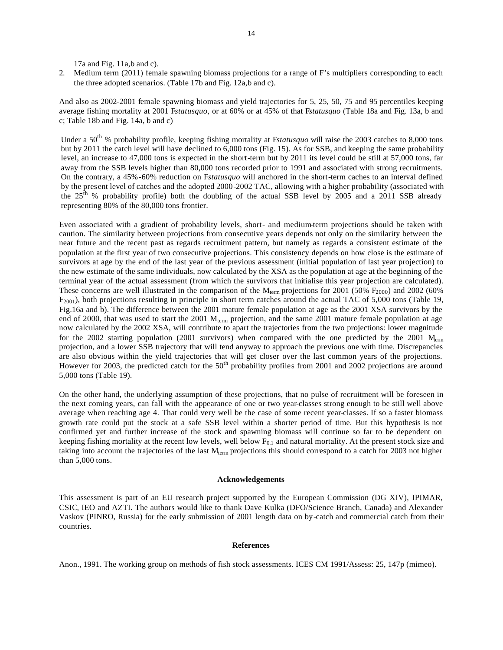17a and Fig. 11a,b and c).

2. Medium term (2011) female spawning biomass projections for a range of F's multipliers corresponding to each the three adopted scenarios. (Table 17b and Fig. 12a,b and c).

And also as 2002-2001 female spawning biomass and yield trajectories for 5, 25, 50, 75 and 95 percentiles keeping average fishing mortality at 2001 F*statusquo*, or at 60% or at 45% of that F*statusquo* (Table 18a and Fig. 13a, b and c; Table 18b and Fig. 14a, b and c)

Under a 50<sup>th</sup> % probability profile, keeping fishing mortality at Fstatusquo will raise the 2003 catches to 8,000 tons but by 2011 the catch level will have declined to 6,000 tons (Fig. 15). As for SSB, and keeping the same probability level, an increase to 47,000 tons is expected in the short-term but by 2011 its level could be still at 57,000 tons, far away from the SSB levels higher than 80,000 tons recorded prior to 1991 and associated with strong recruitments. On the contrary, a 45%-60% reduction on F*statusquo* will anchored in the short-term caches to an interval defined by the present level of catches and the adopted 2000-2002 TAC, allowing with a higher probability (associated with the  $25<sup>th</sup>$ % probability profile) both the doubling of the actual SSB level by 2005 and a 2011 SSB already representing 80% of the 80,000 tons frontier.

Even associated with a gradient of probability levels, short- and medium-term projections should be taken with caution. The similarity between projections from consecutive years depends not only on the similarity between the near future and the recent past as regards recruitment pattern, but namely as regards a consistent estimate of the population at the first year of two consecutive projections. This consistency depends on how close is the estimate of survivors at age by the end of the last year of the previous assessment (initial population of last year projection) to the new estimate of the same individuals, now calculated by the XSA as the population at age at the beginning of the terminal year of the actual assessment (from which the survivors that initialise this year projection are calculated). These concerns are well illustrated in the comparison of the  $M_{term}$  projections for 2001 (50%  $F_{2000}$ ) and 2002 (60%  $F_{2001}$ ), both projections resulting in principle in short term catches around the actual TAC of 5,000 tons (Table 19, Fig.16a and b). The difference between the 2001 mature female population at age as the 2001 XSA survivors by the end of 2000, that was used to start the 2001  $M_{term}$  projection, and the same 2001 mature female population at age now calculated by the 2002 XSA, will contribute to apart the trajectories from the two projections: lower magnitude for the 2002 starting population (2001 survivors) when compared with the one predicted by the 2001  $M_{\text{erm}}$ projection, and a lower SSB trajectory that will tend anyway to approach the previous one with time. Discrepancies are also obvious within the yield trajectories that will get closer over the last common years of the projections. However for 2003, the predicted catch for the 50<sup>th</sup> probability profiles from 2001 and 2002 projections are around 5,000 tons (Table 19).

On the other hand, the underlying assumption of these projections, that no pulse of recruitment will be foreseen in the next coming years, can fall with the appearance of one or two year-classes strong enough to be still well above average when reaching age 4. That could very well be the case of some recent year-classes. If so a faster biomass growth rate could put the stock at a safe SSB level within a shorter period of time. But this hypothesis is not confirmed yet and further increase of the stock and spawning biomass will continue so far to be dependent on keeping fishing mortality at the recent low levels, well below  $F_{0,1}$  and natural mortality. At the present stock size and taking into account the trajectories of the last M<sub>term</sub> projections this should correspond to a catch for 2003 not higher than 5,000 tons.

## **Acknowledgements**

This assessment is part of an EU research project supported by the European Commission (DG XIV), IPIMAR, CSIC, IEO and AZTI. The authors would like to thank Dave Kulka (DFO/Science Branch, Canada) and Alexander Vaskov (PINRO, Russia) for the early submission of 2001 length data on by-catch and commercial catch from their countries.

#### **References**

Anon., 1991. The working group on methods of fish stock assessments. ICES CM 1991/Assess: 25, 147p (mimeo).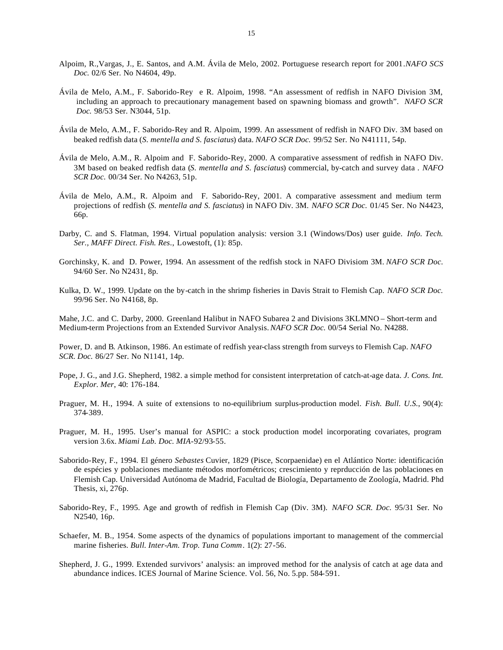- Alpoim, R.,Vargas, J., E. Santos, and A.M. Ávila de Melo, 2002. Portuguese research report for 2001*.NAFO SCS Doc.* 02/6 Ser. No N4604, 49p.
- Ávila de Melo, A.M., F. Saborido-Rey e R. Alpoim, 1998. "An assessment of redfish in NAFO Division 3M, including an approach to precautionary management based on spawning biomass and growth". *NAFO SCR Doc.* 98/53 Ser. N3044, 51p.
- Ávila de Melo, A.M., F. Saborido-Rey and R. Alpoim, 1999. An assessment of redfish in NAFO Div. 3M based on beaked redfish data (*S. mentella and S. fasciatus*) data. *NAFO SCR Doc.* 99/52 Ser. No N41111, 54p.
- Ávila de Melo, A.M., R. Alpoim and F. Saborido-Rey, 2000. A comparative assessment of redfish in NAFO Div. 3M based on beaked redfish data (*S. mentella and S. fasciatus*) commercial, by-catch and survey data . *NAFO SCR Doc.* 00/34 Ser. No N4263, 51p.
- Ávila de Melo, A.M., R. Alpoim and F. Saborido-Rey, 2001. A comparative assessment and medium term projections of redfish (*S. mentella and S. fasciatus*) in NAFO Div. 3M. *NAFO SCR Doc.* 01/45 Ser. No N4423, 66p.
- Darby, C. and S. Flatman, 1994. Virtual population analysis: version 3.1 (Windows/Dos) user guide. *Info. Tech. Ser., MAFF Direct. Fish. Res*., Lowestoft, (1): 85p.
- Gorchinsky, K. and D. Power, 1994. An assessment of the redfish stock in NAFO Divisiom 3M. *NAFO SCR Doc.*  94/60 Ser. No N2431, 8p.
- Kulka, D. W., 1999. Update on the by-catch in the shrimp fisheries in Davis Strait to Flemish Cap. *NAFO SCR Doc.*  99/96 Ser. No N4168, 8p.

Mahe, J.C. and C. Darby, 2000. Greenland Halibut in NAFO Subarea 2 and Divisions 3KLMNO – Short-term and Medium-term Projections from an Extended Survivor Analysis. *NAFO SCR Doc.* 00/54 Serial No. N4288.

Power, D. and B. Atkinson, 1986. An estimate of redfish year-class strength from surveys to Flemish Cap. *NAFO SCR. Doc.* 86/27 Ser. No N1141, 14p.

- Pope, J. G., and J.G. Shepherd, 1982. a simple method for consistent interpretation of catch-at-age data*. J. Cons. Int. Explor. Mer*, 40: 176-184.
- Praguer, M. H., 1994. A suite of extensions to no-equilibrium surplus-production model. *Fish. Bull. U.S.*, 90(4): 374-389.
- Praguer, M. H., 1995. User's manual for ASPIC: a stock production model incorporating covariates, program version 3.6x. *Miami Lab. Doc. MIA*-92/93-55.
- Saborido-Rey, F., 1994. El género *Sebastes* Cuvier, 1829 (Pisce, Scorpaenidae) en el Atlántico Norte: identificación de espécies y poblaciones mediante métodos morfométricos; crescimiento y reprducción de las poblaciones en Flemish Cap. Universidad Autónoma de Madrid, Facultad de Biología, Departamento de Zoología, Madrid. Phd Thesis, xi, 276p.
- Saborido-Rey, F., 1995. Age and growth of redfish in Flemish Cap (Div. 3M). *NAFO SCR. Doc.* 95/31 Ser. No N2540, 16p.
- Schaefer, M. B., 1954. Some aspects of the dynamics of populations important to management of the commercial marine fisheries. *Bull. Inter-Am. Trop. Tuna Comm*. 1(2): 27-56.
- Shepherd, J. G., 1999. Extended survivors' analysis: an improved method for the analysis of catch at age data and abundance indices. ICES Journal of Marine Science. Vol. 56, No. 5.pp. 584-591.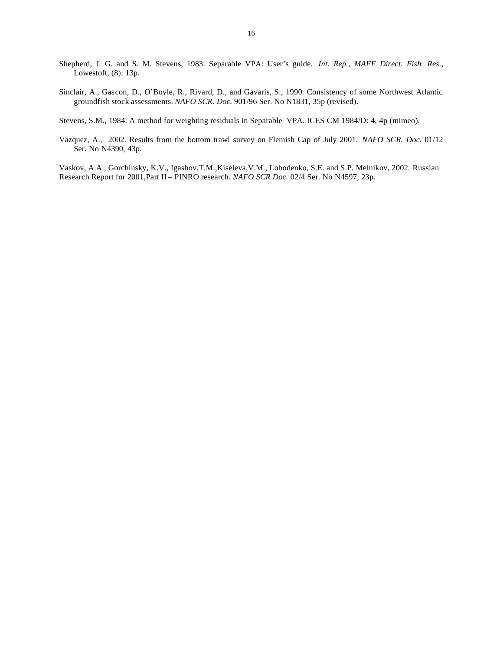- Shepherd, J. G. and S. M. Stevens, 1983. Separable VPA: User's guide. *Int. Rep., MAFF Direct. Fish. Res*., Lowestoft, (8): 13p.
- Sinclair, A., Gascon, D., O'Boyle, R., Rivard, D., and Gavaris, S., 1990. Consistency of some Northwest Atlantic groundfish stock assessments. *NAFO SCR. Doc.* 901/96 Ser. No N1831, 35p (revised).
- Stevens, S.M., 1984. A method for weighting residuals in Separable VPA. ICES CM 1984/D: 4, 4p (mimeo).
- Vazquez, A., 2002. Results from the bottom trawl survey on Flemish Cap of July 2001. *NAFO SCR. Doc.* 01/12 Ser. No N4390, 43p.

Vaskov, A.A., Gorchinsky, K.V., Igashov,T.M.,Kiseleva,V.M., Lobodenko, S.E. and S.P. Melnikov, 2002. Russian Research Report for 2001,Part II – PINRO research. *NAFO SCR Doc.* 02/4 Ser. No N4597, 23p.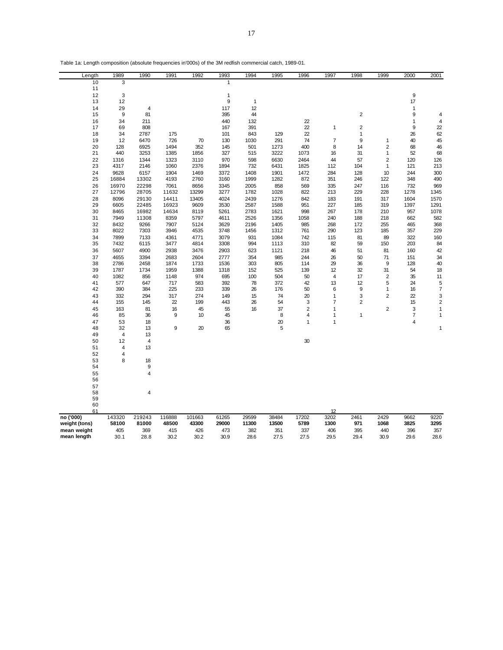| Table 1a: Length composition (absolute frequencies in'000s) of the 3M redfish commercial catch, 1989-01. |  |
|----------------------------------------------------------------------------------------------------------|--|
|----------------------------------------------------------------------------------------------------------|--|

| Length        | 1989   | 1990           | 1991   | 1992   | 1993  | 1994  | 1995  | 1996           | 1997                    | 1998           | 1999           | 2000 | 2001                     |
|---------------|--------|----------------|--------|--------|-------|-------|-------|----------------|-------------------------|----------------|----------------|------|--------------------------|
| 10            | 3      |                |        |        | 1     |       |       |                |                         |                |                |      |                          |
| 11            |        |                |        |        |       |       |       |                |                         |                |                |      |                          |
| 12            | 3      |                |        |        | 1     |       |       |                |                         |                |                | 9    |                          |
| 13            | 12     |                |        |        | 9     | 1     |       |                |                         |                |                | 17   |                          |
| 14            | 29     | 4              |        |        | 117   | 12    |       |                |                         |                |                | 1    |                          |
| 15            | 9      | 81             |        |        | 395   | 44    |       |                |                         | $\overline{c}$ |                | 9    | 4                        |
| 16            | 34     | 211            |        |        | 440   | 132   |       | 22             |                         |                |                | 1    | $\overline{4}$           |
| 17            | 69     | 808            |        |        | 167   | 391   |       | 22             | 1                       | $\overline{c}$ |                | 9    | 22                       |
| 18            | 34     | 2787           | 175    |        | 101   | 843   | 129   | 22             |                         | 1              |                | 26   | 62                       |
| 19            | 12     | 6470           | 726    | 70     | 130   | 1030  | 291   | 74             | $\overline{\mathbf{7}}$ | 9              | 1              | 40   | 45                       |
| 20            | 128    | 6925           | 1494   | 352    | 145   | 501   | 1273  | 400            | 8                       | 14             | $\mathbf 2$    | 68   | 46                       |
| 21            | 440    | 3253           | 1385   | 1856   | 327   | 515   | 3222  | 1073           | 16                      | 31             | $\mathbf{1}$   | 52   | 68                       |
| 22            | 1316   | 1344           | 1323   | 3110   | 970   | 598   | 6630  | 2464           | 44                      | 57             | $\mathbf 2$    | 120  | 126                      |
| 23            | 4317   | 2146           | 1060   | 2376   | 1894  | 732   | 6431  | 1825           | 112                     | 104            | $\mathbf{1}$   | 121  | 213                      |
| 24            | 9628   | 6157           | 1904   | 1469   | 3372  | 1408  | 1901  | 1472           | 284                     | 128            | 10             | 244  | 300                      |
| 25            | 16884  | 13302          | 4193   | 2760   | 3160  | 1999  | 1282  | 872            | 351                     | 246            | 122            | 348  | 490                      |
| 26            | 16970  | 22298          | 7061   | 8656   | 3345  | 2005  | 858   | 569            | 335                     | 247            | 116            | 732  | 969                      |
| 27            | 12796  | 28705          | 11632  | 13299  | 3277  | 1782  | 1028  | 822            | 213                     | 229            | 228            | 1278 | 1345                     |
|               |        |                |        |        |       |       |       |                |                         |                |                |      |                          |
| 28            | 8096   | 29130          | 14411  | 13405  | 4024  | 2439  | 1276  | 842            | 183                     | 191            | 317            | 1604 | 1570                     |
| 29            | 6605   | 22485          | 16923  | 9609   | 3530  | 2587  | 1588  | 951            | 227                     | 185            | 319            | 1397 | 1291                     |
| 30            | 8465   | 16982          | 14634  | 8119   | 5261  | 2783  | 1621  | 998            | 267                     | 178            | 210            | 957  | 1078                     |
| 31            | 7949   | 11308          | 8359   | 5797   | 4611  | 2526  | 1356  | 1058           | 240                     | 188            | 218            | 662  | 582                      |
| 32            | 8432   | 9266           | 7907   | 5124   | 3629  | 2196  | 1405  | 985            | 268                     | 172            | 255            | 465  | 368                      |
| 33            | 8022   | 7303           | 3946   | 4535   | 3748  | 1456  | 1312  | 761            | 290                     | 123            | 185            | 357  | 229                      |
| 34            | 7899   | 7133           | 4361   | 4771   | 3079  | 931   | 1084  | 742            | 115                     | 81             | 89             | 322  | 160                      |
| 35            | 7432   | 6115           | 3477   | 4814   | 3308  | 994   | 1113  | 310            | 82                      | 59             | 150            | 203  | 84                       |
| 36            | 5607   | 4900           | 2938   | 3476   | 2903  | 623   | 1121  | 218            | 46                      | 51             | 81             | 160  | 42                       |
| 37            | 4655   | 3394           | 2683   | 2604   | 2777  | 354   | 985   | 244            | 26                      | 50             | 71             | 151  | 34                       |
| 38            | 2786   | 2458           | 1874   | 1733   | 1536  | 303   | 805   | 114            | 29                      | 36             | 9              | 128  | 40                       |
| 39            | 1787   | 1734           | 1959   | 1388   | 1318  | 152   | 525   | 139            | 12                      | 32             | 31             | 54   | 18                       |
| 40            | 1082   | 856            | 1148   | 974    | 695   | 100   | 504   | 50             | $\overline{\mathbf{4}}$ | 17             | $\mathbf 2$    | 35   | 11                       |
| 41            | 577    | 647            | 717    | 583    | 392   | 78    | 372   | 42             | 13                      | 12             | 5              | 24   | 5                        |
| 42            | 390    | 384            | 225    | 233    | 339   | 26    | 176   | 50             | 6                       | 9              | $\mathbf{1}$   | 16   | $\overline{\mathcal{I}}$ |
| 43            | 332    | 294            | 317    | 274    | 149   | 15    | 74    | 20             | $\mathbf{1}$            | 3              | $\overline{2}$ | 22   | 3                        |
| 44            | 155    | 145            | 22     | 199    | 443   | 26    | 54    | 3              | $\overline{7}$          | $\overline{2}$ |                | 15   | $\overline{c}$           |
| 45            | 163    | 81             | 16     | 45     | 55    | 16    | 37    | $\overline{2}$ | 1                       |                | $\overline{2}$ | 3    | $\mathbf{1}$             |
| 46            | 85     | 36             | 9      | 10     | 45    |       | 8     | 4              | $\mathbf{1}$            | 1              |                | 7    | $\mathbf{1}$             |
| 47            | 53     | 18             |        |        | 36    |       | 20    | 1              | 1                       |                |                | 4    |                          |
| 48            | 32     | 13             | 9      | 20     | 65    |       | 5     |                |                         |                |                |      | 1                        |
| 49            | 4      | 13             |        |        |       |       |       |                |                         |                |                |      |                          |
| 50            | 12     | 4              |        |        |       |       |       | 30             |                         |                |                |      |                          |
| 51            | 4      | 13             |        |        |       |       |       |                |                         |                |                |      |                          |
| 52            | 4      |                |        |        |       |       |       |                |                         |                |                |      |                          |
| 53            | 8      | 18             |        |        |       |       |       |                |                         |                |                |      |                          |
| 54            |        | 9              |        |        |       |       |       |                |                         |                |                |      |                          |
| 55            |        | 4              |        |        |       |       |       |                |                         |                |                |      |                          |
| 56            |        |                |        |        |       |       |       |                |                         |                |                |      |                          |
| 57            |        |                |        |        |       |       |       |                |                         |                |                |      |                          |
| 58            |        | $\overline{4}$ |        |        |       |       |       |                |                         |                |                |      |                          |
| 59            |        |                |        |        |       |       |       |                |                         |                |                |      |                          |
| 60            |        |                |        |        |       |       |       |                |                         |                |                |      |                          |
| 61            |        |                |        |        |       |       |       |                | 12                      |                |                |      |                          |
| no ('000)     | 143320 | 219243         | 116888 | 101663 | 61265 | 29599 | 38484 | 17202          | 3202                    | 2461           | 2429           | 9662 | 9220                     |
| weight (tons) | 58100  | 81000          | 48500  | 43300  | 29000 | 11300 | 13500 | 5789           | 1300                    | 971            | 1068           | 3825 | 3295                     |
| mean weight   | 405    | 369            | 415    | 426    | 473   | 382   | 351   | 337            | 406                     | 395            | 440            | 396  | 357                      |
| mean length   | 30.1   | 28.8           | 30.2   | 30.2   | 30.9  | 28.6  | 27.5  | 27.5           | 29.5                    | 29.4           | 30.9           | 29.6 | 28.6                     |
|               |        |                |        |        |       |       |       |                |                         |                |                |      |                          |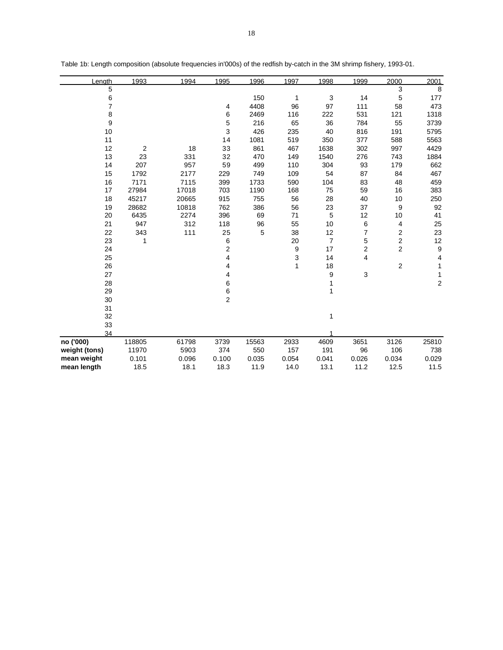| Length        | 1993   | 1994  | 1995           | 1996  | 1997  | 1998           | 1999           | 2000                    | 2001  |
|---------------|--------|-------|----------------|-------|-------|----------------|----------------|-------------------------|-------|
| 5             |        |       |                |       |       |                |                | 3                       | 8     |
| 6             |        |       |                | 150   | 1     | 3              | 14             | 5                       | 177   |
| 7             |        |       | 4              | 4408  | 96    | 97             | 111            | 58                      | 473   |
| 8             |        |       | 6              | 2469  | 116   | 222            | 531            | 121                     | 1318  |
| 9             |        |       | 5              | 216   | 65    | 36             | 784            | 55                      | 3739  |
| 10            |        |       | 3              | 426   | 235   | 40             | 816            | 191                     | 5795  |
| 11            |        |       | 14             | 1081  | 519   | 350            | 377            | 588                     | 5563  |
| 12            | 2      | 18    | 33             | 861   | 467   | 1638           | 302            | 997                     | 4429  |
| 13            | 23     | 331   | 32             | 470   | 149   | 1540           | 276            | 743                     | 1884  |
| 14            | 207    | 957   | 59             | 499   | 110   | 304            | 93             | 179                     | 662   |
| 15            | 1792   | 2177  | 229            | 749   | 109   | 54             | 87             | 84                      | 467   |
| 16            | 7171   | 7115  | 399            | 1733  | 590   | 104            | 83             | 48                      | 459   |
| 17            | 27984  | 17018 | 703            | 1190  | 168   | 75             | 59             | 16                      | 383   |
| 18            | 45217  | 20665 | 915            | 755   | 56    | 28             | 40             | 10                      | 250   |
| 19            | 28682  | 10818 | 762            | 386   | 56    | 23             | 37             | 9                       | 92    |
| 20            | 6435   | 2274  | 396            | 69    | 71    | 5              | 12             | 10                      | 41    |
| 21            | 947    | 312   | 118            | 96    | 55    | 10             | 6              | 4                       | 25    |
| 22            | 343    | 111   | 25             | 5     | 38    | 12             | 7              | $\overline{\mathbf{c}}$ | 23    |
| 23            | 1      |       | 6              |       | 20    | $\overline{7}$ | 5              | $\mathbf 2$             | 12    |
| 24            |        |       | 2              |       | 9     | 17             | $\overline{c}$ | $\overline{c}$          | 9     |
| 25            |        |       | 4              |       | 3     | 14             | 4              |                         | 4     |
| 26            |        |       | 4              |       | 1     | 18             |                | $\overline{\mathbf{c}}$ | 1     |
| 27            |        |       | 4              |       |       | 9              | 3              |                         | 1     |
| 28            |        |       | 6              |       |       | 1              |                |                         | 2     |
| 29            |        |       | 6              |       |       | 1              |                |                         |       |
| 30            |        |       | $\overline{2}$ |       |       |                |                |                         |       |
| 31            |        |       |                |       |       |                |                |                         |       |
| 32            |        |       |                |       |       | 1              |                |                         |       |
| 33            |        |       |                |       |       |                |                |                         |       |
| 34            |        |       |                |       |       |                |                |                         |       |
| no ('000)     | 118805 | 61798 | 3739           | 15563 | 2933  | 4609           | 3651           | 3126                    | 25810 |
| weight (tons) | 11970  | 5903  | 374            | 550   | 157   | 191            | 96             | 106                     | 738   |
| mean weight   | 0.101  | 0.096 | 0.100          | 0.035 | 0.054 | 0.041          | 0.026          | 0.034                   | 0.029 |
| mean length   | 18.5   | 18.1  | 18.3           | 11.9  | 14.0  | 13.1           | 11.2           | 12.5                    | 11.5  |

Table 1b: Length composition (absolute frequencies in'000s) of the redfish by-catch in the 3M shrimp fishery, 1993-01.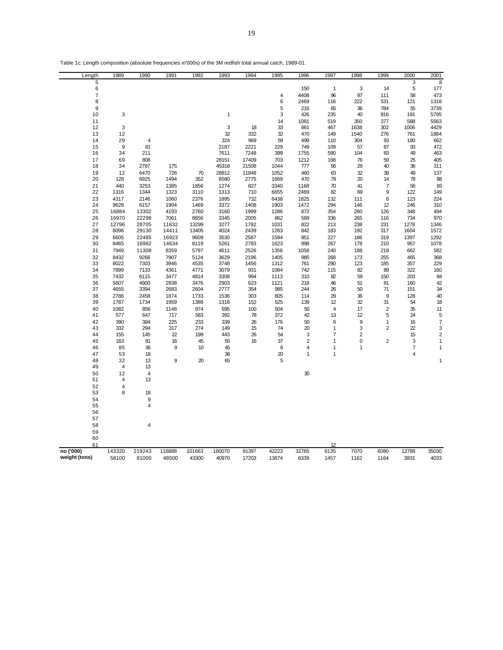| Table 1c: Length composition (absolute frequencies in'000s) of the 3M redfish total annual catch, 1989-01. |
|------------------------------------------------------------------------------------------------------------|
|------------------------------------------------------------------------------------------------------------|

| Length        | 1989         | 1990                          | 1991         | 1992         | 1993         | 1994        | 1995         | 1996           | 1997           | 1998           | 1999                    | 2000           | 2001           |
|---------------|--------------|-------------------------------|--------------|--------------|--------------|-------------|--------------|----------------|----------------|----------------|-------------------------|----------------|----------------|
| 5             |              |                               |              |              |              |             |              |                |                |                |                         | 3              | 8              |
| 6             |              |                               |              |              |              |             |              | 150            | $\mathbf{1}$   | 3              | 14                      | $\sqrt{5}$     | 177            |
| 7             |              |                               |              |              |              |             | 4            | 4408           | 96             | 97             | 111                     | 58             | 473            |
| 8             |              |                               |              |              |              |             | 6            | 2469           | 116            | 222            | 531                     | 121            | 1318           |
| 9<br>10       | 3            |                               |              |              | $\mathbf{1}$ |             | 5<br>3       | 216<br>426     | 65<br>235      | 36<br>40       | 784<br>816              | 55<br>191      | 3739<br>5795   |
| 11            |              |                               |              |              |              |             | 14           | 1081           | 519            | 350            | 377                     | 588            | 5563           |
| 12            | 3            |                               |              |              | 3            | 18          | 33           | 861            | 467            | 1638           | 302                     | 1006           | 4429           |
| 13            | 12           |                               |              |              | 32           | 332         | 32           | 470            | 149            | 1540           | 276                     | 761            | 1884           |
| 14            | 29           | 4                             |              |              | 324          | 969         | 59           | 499            | 110            | 304            | 93                      | 180            | 662            |
| 15            | 9            | 81                            |              |              | 2187         | 2221        | 229          | 749            | 109            | 57             | 87                      | 93             | 472            |
| 16            | 34           | 211                           |              |              | 7611         | 7248        | 399          | 1755           | 590            | 104            | 83                      | 49             | 463            |
| 17            | 69           | 808                           |              |              | 28151        | 17409       | 703          | 1212           | 168            | 76             | 59                      | 25             | 405            |
| 18            | 34           | 2787                          | 175          |              | 45318        | 21508       | 1044         | 777            | 56             | 29             | 40                      | 36             | 311            |
| 19            | 12           | 6470                          | 726          | 70           | 28812        | 11848       | 1052         | 460            | 63             | 32             | 38                      | 49             | 137            |
| 20            | 128          | 6925                          | 1494         | 352          | 6580         | 2775        | 1669         | 470            | 79             | 20             | 14                      | 78             | 88             |
| 21            | 440          | 3253                          | 1385         | 1856         | 1274         | 827         | 3340         | 1168           | 70             | 41             | $\overline{7}$          | 56             | 93             |
| 22            | 1316         | 1344                          | 1323         | 3110         | 1313         | 710         | 6655         | 2469           | 82             | 69             | 9                       | 122            | 149            |
| 23<br>24      | 4317<br>9628 | 2146<br>6157                  | 1060<br>1904 | 2376<br>1469 | 1895<br>3372 | 732<br>1408 | 6438<br>1903 | 1825<br>1472   | 132<br>294     | 111<br>146     | 6<br>12                 | 123<br>246     | 224<br>310     |
| 25            | 16884        | 13302                         | 4193         | 2760         | 3160         | 1999        | 1286         | 872            | 354            | 260            | 126                     | 348            | 494            |
| 26            | 16970        | 22298                         | 7061         | 8656         | 3345         | 2005        | 862          | 569            | 336            | 265            | 116                     | 734            | 970            |
| 27            | 12796        | 28705                         | 11632        | 13299        | 3277         | 1782        | 1031         | 822            | 213            | 238            | 231                     | 1278           | 1346           |
| 28            | 8096         | 29130                         | 14411        | 13405        | 4024         | 2439        | 1283         | 842            | 183            | 192            | 317                     | 1604           | 1572           |
| 29            | 6605         | 22485                         | 16923        | 9609         | 3530         | 2587        | 1594         | 951            | 227            | 186            | 319                     | 1397           | 1292           |
| 30            | 8465         | 16982                         | 14634        | 8119         | 5261         | 2783        | 1623         | 998            | 267            | 178            | 210                     | 957            | 1078           |
| 31            | 7949         | 11308                         | 8359         | 5797         | 4611         | 2526        | 1356         | 1058           | 240            | 188            | 218                     | 662            | 582            |
| 32            | 8432         | 9266                          | 7907         | 5124         | 3629         | 2196        | 1405         | 985            | 268            | 173            | 255                     | 465            | 368            |
| 33            | 8022         | 7303                          | 3946         | 4535         | 3748         | 1456        | 1312         | 761            | 290            | 123            | 185                     | 357            | 229            |
| 34            | 7899         | 7133                          | 4361         | 4771         | 3079         | 931         | 1084         | 742            | 115            | 82             | 89                      | 322            | 160            |
| 35            | 7432         | 6115                          | 3477         | 4814         | 3308         | 994         | 1113         | 310            | 82             | 59             | 150                     | 203            | 84             |
| 36            | 5607         | 4900                          | 2938         | 3476         | 2903         | 623         | 1121         | 218            | 46             | 51             | 81                      | 160            | 42             |
| 37<br>38      | 4655<br>2786 | 3394<br>2458                  | 2683<br>1874 | 2604<br>1733 | 2777<br>1536 | 354<br>303  | 985<br>805   | 244<br>114     | 26<br>29       | 50<br>36       | 71<br>9                 | 151<br>128     | 34<br>40       |
| 39            | 1787         | 1734                          | 1959         | 1388         | 1318         | 152         | 525          | 139            | 12             | 32             | 31                      | 54             | 18             |
| 40            | 1082         | 856                           | 1148         | 974          | 695          | 100         | 504          | 50             | $\overline{4}$ | 17             | $\overline{2}$          | 35             | 11             |
| 41            | 577          | 647                           | 717          | 583          | 392          | 78          | 372          | 42             | 13             | 12             | 5                       | 24             | 5              |
| 42            | 390          | 384                           | 225          | 233          | 339          | 26          | 176          | 50             | 6              | 9              | $\mathbf{1}$            | 16             | $\overline{7}$ |
| 43            | 332          | 294                           | 317          | 274          | 149          | 15          | 74           | 20             | 1              | 3              | $\overline{2}$          | 22             | 3              |
| 44            | 155          | 145                           | 22           | 199          | 443          | 26          | 54           | 3              | $\overline{7}$ | $\overline{2}$ |                         | 15             | $\overline{c}$ |
| 45            | 163          | 81                            | 16           | 45           | 55           | 16          | 37           | $\mathbf 2$    | 1              | 0              | $\overline{\mathbf{c}}$ | 3              | 1              |
| 46            | 85           | 36                            | 9            | 10           | 45           |             | 8            | $\overline{4}$ | 1              | 1              |                         | $\overline{7}$ | 1              |
| 47            | 53           | 18                            |              |              | 36           |             | 20           | $\mathbf{1}$   | 1              |                |                         | 4              |                |
| 48            | 32           | 13                            | 9            | 20           | 65           |             | 5            |                |                |                |                         |                | 1              |
| 49<br>50      | 4<br>12      | 13<br>$\overline{\mathbf{4}}$ |              |              |              |             |              |                |                |                |                         |                |                |
| 51            | 4            | 13                            |              |              |              |             |              | 30             |                |                |                         |                |                |
| 52            | 4            |                               |              |              |              |             |              |                |                |                |                         |                |                |
| 53            | 8            | 18                            |              |              |              |             |              |                |                |                |                         |                |                |
| 54            |              | 9                             |              |              |              |             |              |                |                |                |                         |                |                |
| 55            |              | $\overline{4}$                |              |              |              |             |              |                |                |                |                         |                |                |
| 56            |              |                               |              |              |              |             |              |                |                |                |                         |                |                |
| 57            |              |                               |              |              |              |             |              |                |                |                |                         |                |                |
| 58            |              | 4                             |              |              |              |             |              |                |                |                |                         |                |                |
| 59            |              |                               |              |              |              |             |              |                |                |                |                         |                |                |
| 60            |              |                               |              |              |              |             |              |                |                |                |                         |                |                |
| 61            |              |                               |              |              |              |             |              |                | 12             |                |                         |                |                |
| no ('000)     | 143320       | 219243                        | 116888       | 101663       | 180070       | 91397       | 42223        | 32765          | 6135           | 7070           | 6080                    | 12788          | 35030          |
| weight (tons) | 58100        | 81000                         | 48500        | 43300        | 40970        | 17203       | 13874        | 6339           | 1457           | 1162           | 1164                    | 3931           | 4033           |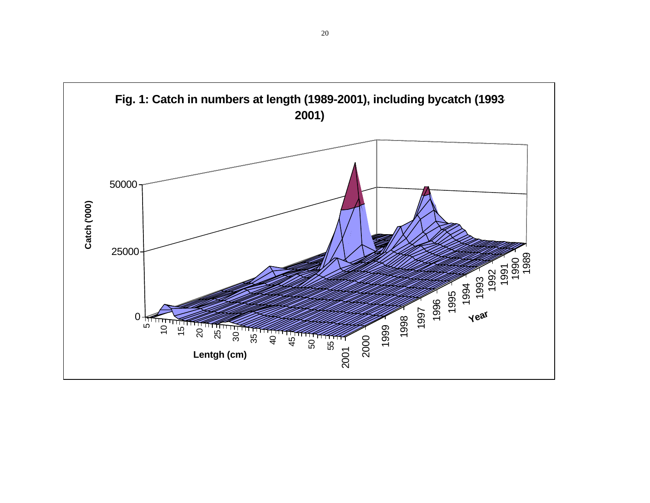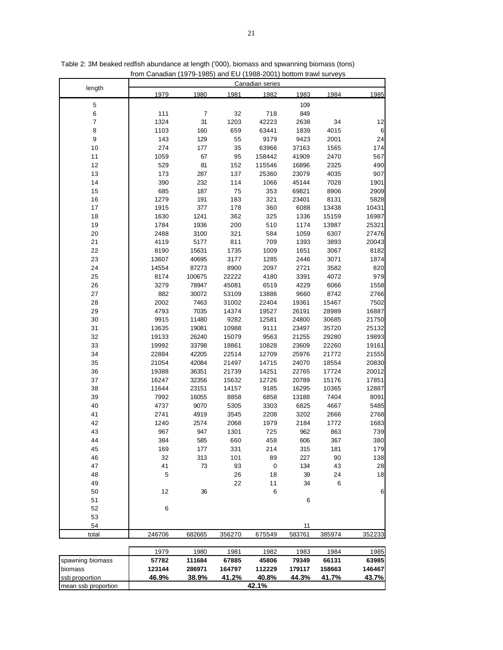| length<br>1979<br>1980<br>1981<br>1982<br>1983<br>1984<br>1985<br>5<br>109<br>6<br>111<br>7<br>32<br>718<br>849<br>$\boldsymbol{7}$<br>1324<br>1203<br>34<br>31<br>42223<br>2638<br>12<br>8<br>1103<br>160<br>659<br>63441<br>1839<br>4015<br>6<br>9<br>143<br>24<br>129<br>55<br>9179<br>9423<br>2001<br>10<br>274<br>177<br>35<br>63966<br>37163<br>1565<br>174<br>11<br>1059<br>67<br>95<br>158442<br>41909<br>2470<br>567<br>12<br>81<br>529<br>152<br>115546<br>2325<br>490<br>16896<br>13<br>173<br>287<br>137<br>25360<br>23079<br>4035<br>907<br>14<br>390<br>232<br>114<br>1066<br>45144<br>7028<br>1901<br>15<br>685<br>187<br>75<br>353<br>69821<br>8906<br>2909<br>16<br>1279<br>191<br>183<br>321<br>23401<br>8131<br>5828<br>17<br>1915<br>377<br>178<br>360<br>6088<br>13438<br>10431<br>18<br>1630<br>1241<br>362<br>325<br>1336<br>15159<br>16987<br>19<br>1784<br>1936<br>200<br>510<br>1174<br>13987<br>25321<br>20<br>2488<br>3100<br>321<br>584<br>1059<br>6307<br>27476<br>21<br>4119<br>5177<br>811<br>709<br>1393<br>3893<br>20043<br>22<br>8190<br>15631<br>1735<br>1009<br>1651<br>3067<br>8182<br>23<br>13607<br>40695<br>3177<br>1285<br>2446<br>3071<br>1874<br>24<br>14554<br>87273<br>8900<br>2097<br>2721<br>3582<br>820<br>979<br>25<br>8174<br>100675<br>22222<br>4180<br>3391<br>4072<br>3279<br>4229<br>26<br>78947<br>45081<br>6519<br>6066<br>1558<br>27<br>882<br>30072<br>53109<br>13886<br>9660<br>8742<br>2766<br>28<br>2002<br>7463<br>31002<br>22404<br>19361<br>15467<br>7502<br>29<br>4793<br>7035<br>14374<br>28989<br>16887<br>19527<br>26191<br>30<br>9915<br>11480<br>9282<br>12581<br>24800<br>30685<br>21750<br>31<br>13635<br>19081<br>10988<br>9111<br>23497<br>35720<br>25132<br>32<br>19133<br>26240<br>15079<br>9563<br>21255<br>29280<br>19893<br>33<br>19992<br>33798<br>18861<br>10828<br>23609<br>22260<br>19161<br>34<br>22884<br>42205<br>22514<br>12709<br>25976<br>21772<br>21555<br>35<br>21054<br>42084<br>21497<br>14715<br>24070<br>18554<br>20830<br>36<br>36351<br>21739<br>14251<br>22765<br>20012<br>19388<br>17724<br>37<br>16247<br>32356<br>12726<br>17851<br>15632<br>20789<br>15176<br>38<br>11644<br>23151<br>14157<br>9185<br>16295<br>10365<br>12887<br>39<br>7992<br>16055<br>8858<br>6858<br>13188<br>7404<br>8091<br>40<br>4737<br>9070<br>5305<br>3303<br>6825<br>4667<br>5485<br>41<br>2741<br>4919<br>3545<br>2208<br>3202<br>2666<br>2768<br>42<br>1240<br>2574<br>2068<br>1979<br>2184<br>1772<br>1683<br>967<br>43<br>947<br>1301<br>725<br>962<br>863<br>739<br>44<br>384<br>606<br>367<br>380<br>585<br>660<br>458<br>45<br>331<br>214<br>315<br>181<br>179<br>169<br>177<br>138<br>46<br>32<br>313<br>101<br>89<br>227<br>90<br>41<br>47<br>93<br>$\pmb{0}$<br>134<br>28<br>73<br>43<br>48<br>5<br>26<br>18<br>39<br>18<br>24<br>22<br>49<br>11<br>34<br>6<br>12<br>36<br>6<br>6<br>50<br>51<br>6<br>$\,6$<br>52<br>53<br>54<br>11<br>246706<br>682665<br>356270<br>675549<br>583761<br>385974<br>352233<br>total<br>1979<br>1980<br>1981<br>1982<br>1983<br>1984<br>1985<br>spawning biomass<br>57782<br>79349<br>63985<br>111684<br>67885<br>45806<br>66131<br>123144<br>158663<br>146467<br>biomass<br>286971<br>164797<br>112229<br>179117<br>46.9%<br>38.9%<br>41.2%<br>40.8%<br>44.3%<br>41.7%<br>43.7%<br>ssb proportion<br>42.1%<br>mean ssb proportion |  |  | <b>Canadian series</b> |  |  |
|--------------------------------------------------------------------------------------------------------------------------------------------------------------------------------------------------------------------------------------------------------------------------------------------------------------------------------------------------------------------------------------------------------------------------------------------------------------------------------------------------------------------------------------------------------------------------------------------------------------------------------------------------------------------------------------------------------------------------------------------------------------------------------------------------------------------------------------------------------------------------------------------------------------------------------------------------------------------------------------------------------------------------------------------------------------------------------------------------------------------------------------------------------------------------------------------------------------------------------------------------------------------------------------------------------------------------------------------------------------------------------------------------------------------------------------------------------------------------------------------------------------------------------------------------------------------------------------------------------------------------------------------------------------------------------------------------------------------------------------------------------------------------------------------------------------------------------------------------------------------------------------------------------------------------------------------------------------------------------------------------------------------------------------------------------------------------------------------------------------------------------------------------------------------------------------------------------------------------------------------------------------------------------------------------------------------------------------------------------------------------------------------------------------------------------------------------------------------------------------------------------------------------------------------------------------------------------------------------------------------------------------------------------------------------------------------------------------------------------------------------------------------------------------------------------------------------------------------------------------------------------------------------------------------------------------------------------------------------------------------------------------------------------------------------------------------------------------------------------------------------------------------------------------------------------------------------------------------------------------------------------------------------------------------------------------------------------------------------------------|--|--|------------------------|--|--|
|                                                                                                                                                                                                                                                                                                                                                                                                                                                                                                                                                                                                                                                                                                                                                                                                                                                                                                                                                                                                                                                                                                                                                                                                                                                                                                                                                                                                                                                                                                                                                                                                                                                                                                                                                                                                                                                                                                                                                                                                                                                                                                                                                                                                                                                                                                                                                                                                                                                                                                                                                                                                                                                                                                                                                                                                                                                                                                                                                                                                                                                                                                                                                                                                                                                                                                                                                              |  |  |                        |  |  |
|                                                                                                                                                                                                                                                                                                                                                                                                                                                                                                                                                                                                                                                                                                                                                                                                                                                                                                                                                                                                                                                                                                                                                                                                                                                                                                                                                                                                                                                                                                                                                                                                                                                                                                                                                                                                                                                                                                                                                                                                                                                                                                                                                                                                                                                                                                                                                                                                                                                                                                                                                                                                                                                                                                                                                                                                                                                                                                                                                                                                                                                                                                                                                                                                                                                                                                                                                              |  |  |                        |  |  |
|                                                                                                                                                                                                                                                                                                                                                                                                                                                                                                                                                                                                                                                                                                                                                                                                                                                                                                                                                                                                                                                                                                                                                                                                                                                                                                                                                                                                                                                                                                                                                                                                                                                                                                                                                                                                                                                                                                                                                                                                                                                                                                                                                                                                                                                                                                                                                                                                                                                                                                                                                                                                                                                                                                                                                                                                                                                                                                                                                                                                                                                                                                                                                                                                                                                                                                                                                              |  |  |                        |  |  |
|                                                                                                                                                                                                                                                                                                                                                                                                                                                                                                                                                                                                                                                                                                                                                                                                                                                                                                                                                                                                                                                                                                                                                                                                                                                                                                                                                                                                                                                                                                                                                                                                                                                                                                                                                                                                                                                                                                                                                                                                                                                                                                                                                                                                                                                                                                                                                                                                                                                                                                                                                                                                                                                                                                                                                                                                                                                                                                                                                                                                                                                                                                                                                                                                                                                                                                                                                              |  |  |                        |  |  |
|                                                                                                                                                                                                                                                                                                                                                                                                                                                                                                                                                                                                                                                                                                                                                                                                                                                                                                                                                                                                                                                                                                                                                                                                                                                                                                                                                                                                                                                                                                                                                                                                                                                                                                                                                                                                                                                                                                                                                                                                                                                                                                                                                                                                                                                                                                                                                                                                                                                                                                                                                                                                                                                                                                                                                                                                                                                                                                                                                                                                                                                                                                                                                                                                                                                                                                                                                              |  |  |                        |  |  |
|                                                                                                                                                                                                                                                                                                                                                                                                                                                                                                                                                                                                                                                                                                                                                                                                                                                                                                                                                                                                                                                                                                                                                                                                                                                                                                                                                                                                                                                                                                                                                                                                                                                                                                                                                                                                                                                                                                                                                                                                                                                                                                                                                                                                                                                                                                                                                                                                                                                                                                                                                                                                                                                                                                                                                                                                                                                                                                                                                                                                                                                                                                                                                                                                                                                                                                                                                              |  |  |                        |  |  |
|                                                                                                                                                                                                                                                                                                                                                                                                                                                                                                                                                                                                                                                                                                                                                                                                                                                                                                                                                                                                                                                                                                                                                                                                                                                                                                                                                                                                                                                                                                                                                                                                                                                                                                                                                                                                                                                                                                                                                                                                                                                                                                                                                                                                                                                                                                                                                                                                                                                                                                                                                                                                                                                                                                                                                                                                                                                                                                                                                                                                                                                                                                                                                                                                                                                                                                                                                              |  |  |                        |  |  |
|                                                                                                                                                                                                                                                                                                                                                                                                                                                                                                                                                                                                                                                                                                                                                                                                                                                                                                                                                                                                                                                                                                                                                                                                                                                                                                                                                                                                                                                                                                                                                                                                                                                                                                                                                                                                                                                                                                                                                                                                                                                                                                                                                                                                                                                                                                                                                                                                                                                                                                                                                                                                                                                                                                                                                                                                                                                                                                                                                                                                                                                                                                                                                                                                                                                                                                                                                              |  |  |                        |  |  |
|                                                                                                                                                                                                                                                                                                                                                                                                                                                                                                                                                                                                                                                                                                                                                                                                                                                                                                                                                                                                                                                                                                                                                                                                                                                                                                                                                                                                                                                                                                                                                                                                                                                                                                                                                                                                                                                                                                                                                                                                                                                                                                                                                                                                                                                                                                                                                                                                                                                                                                                                                                                                                                                                                                                                                                                                                                                                                                                                                                                                                                                                                                                                                                                                                                                                                                                                                              |  |  |                        |  |  |
|                                                                                                                                                                                                                                                                                                                                                                                                                                                                                                                                                                                                                                                                                                                                                                                                                                                                                                                                                                                                                                                                                                                                                                                                                                                                                                                                                                                                                                                                                                                                                                                                                                                                                                                                                                                                                                                                                                                                                                                                                                                                                                                                                                                                                                                                                                                                                                                                                                                                                                                                                                                                                                                                                                                                                                                                                                                                                                                                                                                                                                                                                                                                                                                                                                                                                                                                                              |  |  |                        |  |  |
|                                                                                                                                                                                                                                                                                                                                                                                                                                                                                                                                                                                                                                                                                                                                                                                                                                                                                                                                                                                                                                                                                                                                                                                                                                                                                                                                                                                                                                                                                                                                                                                                                                                                                                                                                                                                                                                                                                                                                                                                                                                                                                                                                                                                                                                                                                                                                                                                                                                                                                                                                                                                                                                                                                                                                                                                                                                                                                                                                                                                                                                                                                                                                                                                                                                                                                                                                              |  |  |                        |  |  |
|                                                                                                                                                                                                                                                                                                                                                                                                                                                                                                                                                                                                                                                                                                                                                                                                                                                                                                                                                                                                                                                                                                                                                                                                                                                                                                                                                                                                                                                                                                                                                                                                                                                                                                                                                                                                                                                                                                                                                                                                                                                                                                                                                                                                                                                                                                                                                                                                                                                                                                                                                                                                                                                                                                                                                                                                                                                                                                                                                                                                                                                                                                                                                                                                                                                                                                                                                              |  |  |                        |  |  |
|                                                                                                                                                                                                                                                                                                                                                                                                                                                                                                                                                                                                                                                                                                                                                                                                                                                                                                                                                                                                                                                                                                                                                                                                                                                                                                                                                                                                                                                                                                                                                                                                                                                                                                                                                                                                                                                                                                                                                                                                                                                                                                                                                                                                                                                                                                                                                                                                                                                                                                                                                                                                                                                                                                                                                                                                                                                                                                                                                                                                                                                                                                                                                                                                                                                                                                                                                              |  |  |                        |  |  |
|                                                                                                                                                                                                                                                                                                                                                                                                                                                                                                                                                                                                                                                                                                                                                                                                                                                                                                                                                                                                                                                                                                                                                                                                                                                                                                                                                                                                                                                                                                                                                                                                                                                                                                                                                                                                                                                                                                                                                                                                                                                                                                                                                                                                                                                                                                                                                                                                                                                                                                                                                                                                                                                                                                                                                                                                                                                                                                                                                                                                                                                                                                                                                                                                                                                                                                                                                              |  |  |                        |  |  |
|                                                                                                                                                                                                                                                                                                                                                                                                                                                                                                                                                                                                                                                                                                                                                                                                                                                                                                                                                                                                                                                                                                                                                                                                                                                                                                                                                                                                                                                                                                                                                                                                                                                                                                                                                                                                                                                                                                                                                                                                                                                                                                                                                                                                                                                                                                                                                                                                                                                                                                                                                                                                                                                                                                                                                                                                                                                                                                                                                                                                                                                                                                                                                                                                                                                                                                                                                              |  |  |                        |  |  |
|                                                                                                                                                                                                                                                                                                                                                                                                                                                                                                                                                                                                                                                                                                                                                                                                                                                                                                                                                                                                                                                                                                                                                                                                                                                                                                                                                                                                                                                                                                                                                                                                                                                                                                                                                                                                                                                                                                                                                                                                                                                                                                                                                                                                                                                                                                                                                                                                                                                                                                                                                                                                                                                                                                                                                                                                                                                                                                                                                                                                                                                                                                                                                                                                                                                                                                                                                              |  |  |                        |  |  |
|                                                                                                                                                                                                                                                                                                                                                                                                                                                                                                                                                                                                                                                                                                                                                                                                                                                                                                                                                                                                                                                                                                                                                                                                                                                                                                                                                                                                                                                                                                                                                                                                                                                                                                                                                                                                                                                                                                                                                                                                                                                                                                                                                                                                                                                                                                                                                                                                                                                                                                                                                                                                                                                                                                                                                                                                                                                                                                                                                                                                                                                                                                                                                                                                                                                                                                                                                              |  |  |                        |  |  |
|                                                                                                                                                                                                                                                                                                                                                                                                                                                                                                                                                                                                                                                                                                                                                                                                                                                                                                                                                                                                                                                                                                                                                                                                                                                                                                                                                                                                                                                                                                                                                                                                                                                                                                                                                                                                                                                                                                                                                                                                                                                                                                                                                                                                                                                                                                                                                                                                                                                                                                                                                                                                                                                                                                                                                                                                                                                                                                                                                                                                                                                                                                                                                                                                                                                                                                                                                              |  |  |                        |  |  |
|                                                                                                                                                                                                                                                                                                                                                                                                                                                                                                                                                                                                                                                                                                                                                                                                                                                                                                                                                                                                                                                                                                                                                                                                                                                                                                                                                                                                                                                                                                                                                                                                                                                                                                                                                                                                                                                                                                                                                                                                                                                                                                                                                                                                                                                                                                                                                                                                                                                                                                                                                                                                                                                                                                                                                                                                                                                                                                                                                                                                                                                                                                                                                                                                                                                                                                                                                              |  |  |                        |  |  |
|                                                                                                                                                                                                                                                                                                                                                                                                                                                                                                                                                                                                                                                                                                                                                                                                                                                                                                                                                                                                                                                                                                                                                                                                                                                                                                                                                                                                                                                                                                                                                                                                                                                                                                                                                                                                                                                                                                                                                                                                                                                                                                                                                                                                                                                                                                                                                                                                                                                                                                                                                                                                                                                                                                                                                                                                                                                                                                                                                                                                                                                                                                                                                                                                                                                                                                                                                              |  |  |                        |  |  |
|                                                                                                                                                                                                                                                                                                                                                                                                                                                                                                                                                                                                                                                                                                                                                                                                                                                                                                                                                                                                                                                                                                                                                                                                                                                                                                                                                                                                                                                                                                                                                                                                                                                                                                                                                                                                                                                                                                                                                                                                                                                                                                                                                                                                                                                                                                                                                                                                                                                                                                                                                                                                                                                                                                                                                                                                                                                                                                                                                                                                                                                                                                                                                                                                                                                                                                                                                              |  |  |                        |  |  |
|                                                                                                                                                                                                                                                                                                                                                                                                                                                                                                                                                                                                                                                                                                                                                                                                                                                                                                                                                                                                                                                                                                                                                                                                                                                                                                                                                                                                                                                                                                                                                                                                                                                                                                                                                                                                                                                                                                                                                                                                                                                                                                                                                                                                                                                                                                                                                                                                                                                                                                                                                                                                                                                                                                                                                                                                                                                                                                                                                                                                                                                                                                                                                                                                                                                                                                                                                              |  |  |                        |  |  |
|                                                                                                                                                                                                                                                                                                                                                                                                                                                                                                                                                                                                                                                                                                                                                                                                                                                                                                                                                                                                                                                                                                                                                                                                                                                                                                                                                                                                                                                                                                                                                                                                                                                                                                                                                                                                                                                                                                                                                                                                                                                                                                                                                                                                                                                                                                                                                                                                                                                                                                                                                                                                                                                                                                                                                                                                                                                                                                                                                                                                                                                                                                                                                                                                                                                                                                                                                              |  |  |                        |  |  |
|                                                                                                                                                                                                                                                                                                                                                                                                                                                                                                                                                                                                                                                                                                                                                                                                                                                                                                                                                                                                                                                                                                                                                                                                                                                                                                                                                                                                                                                                                                                                                                                                                                                                                                                                                                                                                                                                                                                                                                                                                                                                                                                                                                                                                                                                                                                                                                                                                                                                                                                                                                                                                                                                                                                                                                                                                                                                                                                                                                                                                                                                                                                                                                                                                                                                                                                                                              |  |  |                        |  |  |
|                                                                                                                                                                                                                                                                                                                                                                                                                                                                                                                                                                                                                                                                                                                                                                                                                                                                                                                                                                                                                                                                                                                                                                                                                                                                                                                                                                                                                                                                                                                                                                                                                                                                                                                                                                                                                                                                                                                                                                                                                                                                                                                                                                                                                                                                                                                                                                                                                                                                                                                                                                                                                                                                                                                                                                                                                                                                                                                                                                                                                                                                                                                                                                                                                                                                                                                                                              |  |  |                        |  |  |
|                                                                                                                                                                                                                                                                                                                                                                                                                                                                                                                                                                                                                                                                                                                                                                                                                                                                                                                                                                                                                                                                                                                                                                                                                                                                                                                                                                                                                                                                                                                                                                                                                                                                                                                                                                                                                                                                                                                                                                                                                                                                                                                                                                                                                                                                                                                                                                                                                                                                                                                                                                                                                                                                                                                                                                                                                                                                                                                                                                                                                                                                                                                                                                                                                                                                                                                                                              |  |  |                        |  |  |
|                                                                                                                                                                                                                                                                                                                                                                                                                                                                                                                                                                                                                                                                                                                                                                                                                                                                                                                                                                                                                                                                                                                                                                                                                                                                                                                                                                                                                                                                                                                                                                                                                                                                                                                                                                                                                                                                                                                                                                                                                                                                                                                                                                                                                                                                                                                                                                                                                                                                                                                                                                                                                                                                                                                                                                                                                                                                                                                                                                                                                                                                                                                                                                                                                                                                                                                                                              |  |  |                        |  |  |
|                                                                                                                                                                                                                                                                                                                                                                                                                                                                                                                                                                                                                                                                                                                                                                                                                                                                                                                                                                                                                                                                                                                                                                                                                                                                                                                                                                                                                                                                                                                                                                                                                                                                                                                                                                                                                                                                                                                                                                                                                                                                                                                                                                                                                                                                                                                                                                                                                                                                                                                                                                                                                                                                                                                                                                                                                                                                                                                                                                                                                                                                                                                                                                                                                                                                                                                                                              |  |  |                        |  |  |
|                                                                                                                                                                                                                                                                                                                                                                                                                                                                                                                                                                                                                                                                                                                                                                                                                                                                                                                                                                                                                                                                                                                                                                                                                                                                                                                                                                                                                                                                                                                                                                                                                                                                                                                                                                                                                                                                                                                                                                                                                                                                                                                                                                                                                                                                                                                                                                                                                                                                                                                                                                                                                                                                                                                                                                                                                                                                                                                                                                                                                                                                                                                                                                                                                                                                                                                                                              |  |  |                        |  |  |
|                                                                                                                                                                                                                                                                                                                                                                                                                                                                                                                                                                                                                                                                                                                                                                                                                                                                                                                                                                                                                                                                                                                                                                                                                                                                                                                                                                                                                                                                                                                                                                                                                                                                                                                                                                                                                                                                                                                                                                                                                                                                                                                                                                                                                                                                                                                                                                                                                                                                                                                                                                                                                                                                                                                                                                                                                                                                                                                                                                                                                                                                                                                                                                                                                                                                                                                                                              |  |  |                        |  |  |
|                                                                                                                                                                                                                                                                                                                                                                                                                                                                                                                                                                                                                                                                                                                                                                                                                                                                                                                                                                                                                                                                                                                                                                                                                                                                                                                                                                                                                                                                                                                                                                                                                                                                                                                                                                                                                                                                                                                                                                                                                                                                                                                                                                                                                                                                                                                                                                                                                                                                                                                                                                                                                                                                                                                                                                                                                                                                                                                                                                                                                                                                                                                                                                                                                                                                                                                                                              |  |  |                        |  |  |
|                                                                                                                                                                                                                                                                                                                                                                                                                                                                                                                                                                                                                                                                                                                                                                                                                                                                                                                                                                                                                                                                                                                                                                                                                                                                                                                                                                                                                                                                                                                                                                                                                                                                                                                                                                                                                                                                                                                                                                                                                                                                                                                                                                                                                                                                                                                                                                                                                                                                                                                                                                                                                                                                                                                                                                                                                                                                                                                                                                                                                                                                                                                                                                                                                                                                                                                                                              |  |  |                        |  |  |
|                                                                                                                                                                                                                                                                                                                                                                                                                                                                                                                                                                                                                                                                                                                                                                                                                                                                                                                                                                                                                                                                                                                                                                                                                                                                                                                                                                                                                                                                                                                                                                                                                                                                                                                                                                                                                                                                                                                                                                                                                                                                                                                                                                                                                                                                                                                                                                                                                                                                                                                                                                                                                                                                                                                                                                                                                                                                                                                                                                                                                                                                                                                                                                                                                                                                                                                                                              |  |  |                        |  |  |
|                                                                                                                                                                                                                                                                                                                                                                                                                                                                                                                                                                                                                                                                                                                                                                                                                                                                                                                                                                                                                                                                                                                                                                                                                                                                                                                                                                                                                                                                                                                                                                                                                                                                                                                                                                                                                                                                                                                                                                                                                                                                                                                                                                                                                                                                                                                                                                                                                                                                                                                                                                                                                                                                                                                                                                                                                                                                                                                                                                                                                                                                                                                                                                                                                                                                                                                                                              |  |  |                        |  |  |
|                                                                                                                                                                                                                                                                                                                                                                                                                                                                                                                                                                                                                                                                                                                                                                                                                                                                                                                                                                                                                                                                                                                                                                                                                                                                                                                                                                                                                                                                                                                                                                                                                                                                                                                                                                                                                                                                                                                                                                                                                                                                                                                                                                                                                                                                                                                                                                                                                                                                                                                                                                                                                                                                                                                                                                                                                                                                                                                                                                                                                                                                                                                                                                                                                                                                                                                                                              |  |  |                        |  |  |
|                                                                                                                                                                                                                                                                                                                                                                                                                                                                                                                                                                                                                                                                                                                                                                                                                                                                                                                                                                                                                                                                                                                                                                                                                                                                                                                                                                                                                                                                                                                                                                                                                                                                                                                                                                                                                                                                                                                                                                                                                                                                                                                                                                                                                                                                                                                                                                                                                                                                                                                                                                                                                                                                                                                                                                                                                                                                                                                                                                                                                                                                                                                                                                                                                                                                                                                                                              |  |  |                        |  |  |
|                                                                                                                                                                                                                                                                                                                                                                                                                                                                                                                                                                                                                                                                                                                                                                                                                                                                                                                                                                                                                                                                                                                                                                                                                                                                                                                                                                                                                                                                                                                                                                                                                                                                                                                                                                                                                                                                                                                                                                                                                                                                                                                                                                                                                                                                                                                                                                                                                                                                                                                                                                                                                                                                                                                                                                                                                                                                                                                                                                                                                                                                                                                                                                                                                                                                                                                                                              |  |  |                        |  |  |
|                                                                                                                                                                                                                                                                                                                                                                                                                                                                                                                                                                                                                                                                                                                                                                                                                                                                                                                                                                                                                                                                                                                                                                                                                                                                                                                                                                                                                                                                                                                                                                                                                                                                                                                                                                                                                                                                                                                                                                                                                                                                                                                                                                                                                                                                                                                                                                                                                                                                                                                                                                                                                                                                                                                                                                                                                                                                                                                                                                                                                                                                                                                                                                                                                                                                                                                                                              |  |  |                        |  |  |
|                                                                                                                                                                                                                                                                                                                                                                                                                                                                                                                                                                                                                                                                                                                                                                                                                                                                                                                                                                                                                                                                                                                                                                                                                                                                                                                                                                                                                                                                                                                                                                                                                                                                                                                                                                                                                                                                                                                                                                                                                                                                                                                                                                                                                                                                                                                                                                                                                                                                                                                                                                                                                                                                                                                                                                                                                                                                                                                                                                                                                                                                                                                                                                                                                                                                                                                                                              |  |  |                        |  |  |
|                                                                                                                                                                                                                                                                                                                                                                                                                                                                                                                                                                                                                                                                                                                                                                                                                                                                                                                                                                                                                                                                                                                                                                                                                                                                                                                                                                                                                                                                                                                                                                                                                                                                                                                                                                                                                                                                                                                                                                                                                                                                                                                                                                                                                                                                                                                                                                                                                                                                                                                                                                                                                                                                                                                                                                                                                                                                                                                                                                                                                                                                                                                                                                                                                                                                                                                                                              |  |  |                        |  |  |
|                                                                                                                                                                                                                                                                                                                                                                                                                                                                                                                                                                                                                                                                                                                                                                                                                                                                                                                                                                                                                                                                                                                                                                                                                                                                                                                                                                                                                                                                                                                                                                                                                                                                                                                                                                                                                                                                                                                                                                                                                                                                                                                                                                                                                                                                                                                                                                                                                                                                                                                                                                                                                                                                                                                                                                                                                                                                                                                                                                                                                                                                                                                                                                                                                                                                                                                                                              |  |  |                        |  |  |
|                                                                                                                                                                                                                                                                                                                                                                                                                                                                                                                                                                                                                                                                                                                                                                                                                                                                                                                                                                                                                                                                                                                                                                                                                                                                                                                                                                                                                                                                                                                                                                                                                                                                                                                                                                                                                                                                                                                                                                                                                                                                                                                                                                                                                                                                                                                                                                                                                                                                                                                                                                                                                                                                                                                                                                                                                                                                                                                                                                                                                                                                                                                                                                                                                                                                                                                                                              |  |  |                        |  |  |
|                                                                                                                                                                                                                                                                                                                                                                                                                                                                                                                                                                                                                                                                                                                                                                                                                                                                                                                                                                                                                                                                                                                                                                                                                                                                                                                                                                                                                                                                                                                                                                                                                                                                                                                                                                                                                                                                                                                                                                                                                                                                                                                                                                                                                                                                                                                                                                                                                                                                                                                                                                                                                                                                                                                                                                                                                                                                                                                                                                                                                                                                                                                                                                                                                                                                                                                                                              |  |  |                        |  |  |
|                                                                                                                                                                                                                                                                                                                                                                                                                                                                                                                                                                                                                                                                                                                                                                                                                                                                                                                                                                                                                                                                                                                                                                                                                                                                                                                                                                                                                                                                                                                                                                                                                                                                                                                                                                                                                                                                                                                                                                                                                                                                                                                                                                                                                                                                                                                                                                                                                                                                                                                                                                                                                                                                                                                                                                                                                                                                                                                                                                                                                                                                                                                                                                                                                                                                                                                                                              |  |  |                        |  |  |
|                                                                                                                                                                                                                                                                                                                                                                                                                                                                                                                                                                                                                                                                                                                                                                                                                                                                                                                                                                                                                                                                                                                                                                                                                                                                                                                                                                                                                                                                                                                                                                                                                                                                                                                                                                                                                                                                                                                                                                                                                                                                                                                                                                                                                                                                                                                                                                                                                                                                                                                                                                                                                                                                                                                                                                                                                                                                                                                                                                                                                                                                                                                                                                                                                                                                                                                                                              |  |  |                        |  |  |
|                                                                                                                                                                                                                                                                                                                                                                                                                                                                                                                                                                                                                                                                                                                                                                                                                                                                                                                                                                                                                                                                                                                                                                                                                                                                                                                                                                                                                                                                                                                                                                                                                                                                                                                                                                                                                                                                                                                                                                                                                                                                                                                                                                                                                                                                                                                                                                                                                                                                                                                                                                                                                                                                                                                                                                                                                                                                                                                                                                                                                                                                                                                                                                                                                                                                                                                                                              |  |  |                        |  |  |
|                                                                                                                                                                                                                                                                                                                                                                                                                                                                                                                                                                                                                                                                                                                                                                                                                                                                                                                                                                                                                                                                                                                                                                                                                                                                                                                                                                                                                                                                                                                                                                                                                                                                                                                                                                                                                                                                                                                                                                                                                                                                                                                                                                                                                                                                                                                                                                                                                                                                                                                                                                                                                                                                                                                                                                                                                                                                                                                                                                                                                                                                                                                                                                                                                                                                                                                                                              |  |  |                        |  |  |
|                                                                                                                                                                                                                                                                                                                                                                                                                                                                                                                                                                                                                                                                                                                                                                                                                                                                                                                                                                                                                                                                                                                                                                                                                                                                                                                                                                                                                                                                                                                                                                                                                                                                                                                                                                                                                                                                                                                                                                                                                                                                                                                                                                                                                                                                                                                                                                                                                                                                                                                                                                                                                                                                                                                                                                                                                                                                                                                                                                                                                                                                                                                                                                                                                                                                                                                                                              |  |  |                        |  |  |
|                                                                                                                                                                                                                                                                                                                                                                                                                                                                                                                                                                                                                                                                                                                                                                                                                                                                                                                                                                                                                                                                                                                                                                                                                                                                                                                                                                                                                                                                                                                                                                                                                                                                                                                                                                                                                                                                                                                                                                                                                                                                                                                                                                                                                                                                                                                                                                                                                                                                                                                                                                                                                                                                                                                                                                                                                                                                                                                                                                                                                                                                                                                                                                                                                                                                                                                                                              |  |  |                        |  |  |
|                                                                                                                                                                                                                                                                                                                                                                                                                                                                                                                                                                                                                                                                                                                                                                                                                                                                                                                                                                                                                                                                                                                                                                                                                                                                                                                                                                                                                                                                                                                                                                                                                                                                                                                                                                                                                                                                                                                                                                                                                                                                                                                                                                                                                                                                                                                                                                                                                                                                                                                                                                                                                                                                                                                                                                                                                                                                                                                                                                                                                                                                                                                                                                                                                                                                                                                                                              |  |  |                        |  |  |
|                                                                                                                                                                                                                                                                                                                                                                                                                                                                                                                                                                                                                                                                                                                                                                                                                                                                                                                                                                                                                                                                                                                                                                                                                                                                                                                                                                                                                                                                                                                                                                                                                                                                                                                                                                                                                                                                                                                                                                                                                                                                                                                                                                                                                                                                                                                                                                                                                                                                                                                                                                                                                                                                                                                                                                                                                                                                                                                                                                                                                                                                                                                                                                                                                                                                                                                                                              |  |  |                        |  |  |
|                                                                                                                                                                                                                                                                                                                                                                                                                                                                                                                                                                                                                                                                                                                                                                                                                                                                                                                                                                                                                                                                                                                                                                                                                                                                                                                                                                                                                                                                                                                                                                                                                                                                                                                                                                                                                                                                                                                                                                                                                                                                                                                                                                                                                                                                                                                                                                                                                                                                                                                                                                                                                                                                                                                                                                                                                                                                                                                                                                                                                                                                                                                                                                                                                                                                                                                                                              |  |  |                        |  |  |
|                                                                                                                                                                                                                                                                                                                                                                                                                                                                                                                                                                                                                                                                                                                                                                                                                                                                                                                                                                                                                                                                                                                                                                                                                                                                                                                                                                                                                                                                                                                                                                                                                                                                                                                                                                                                                                                                                                                                                                                                                                                                                                                                                                                                                                                                                                                                                                                                                                                                                                                                                                                                                                                                                                                                                                                                                                                                                                                                                                                                                                                                                                                                                                                                                                                                                                                                                              |  |  |                        |  |  |
|                                                                                                                                                                                                                                                                                                                                                                                                                                                                                                                                                                                                                                                                                                                                                                                                                                                                                                                                                                                                                                                                                                                                                                                                                                                                                                                                                                                                                                                                                                                                                                                                                                                                                                                                                                                                                                                                                                                                                                                                                                                                                                                                                                                                                                                                                                                                                                                                                                                                                                                                                                                                                                                                                                                                                                                                                                                                                                                                                                                                                                                                                                                                                                                                                                                                                                                                                              |  |  |                        |  |  |
|                                                                                                                                                                                                                                                                                                                                                                                                                                                                                                                                                                                                                                                                                                                                                                                                                                                                                                                                                                                                                                                                                                                                                                                                                                                                                                                                                                                                                                                                                                                                                                                                                                                                                                                                                                                                                                                                                                                                                                                                                                                                                                                                                                                                                                                                                                                                                                                                                                                                                                                                                                                                                                                                                                                                                                                                                                                                                                                                                                                                                                                                                                                                                                                                                                                                                                                                                              |  |  |                        |  |  |
|                                                                                                                                                                                                                                                                                                                                                                                                                                                                                                                                                                                                                                                                                                                                                                                                                                                                                                                                                                                                                                                                                                                                                                                                                                                                                                                                                                                                                                                                                                                                                                                                                                                                                                                                                                                                                                                                                                                                                                                                                                                                                                                                                                                                                                                                                                                                                                                                                                                                                                                                                                                                                                                                                                                                                                                                                                                                                                                                                                                                                                                                                                                                                                                                                                                                                                                                                              |  |  |                        |  |  |
|                                                                                                                                                                                                                                                                                                                                                                                                                                                                                                                                                                                                                                                                                                                                                                                                                                                                                                                                                                                                                                                                                                                                                                                                                                                                                                                                                                                                                                                                                                                                                                                                                                                                                                                                                                                                                                                                                                                                                                                                                                                                                                                                                                                                                                                                                                                                                                                                                                                                                                                                                                                                                                                                                                                                                                                                                                                                                                                                                                                                                                                                                                                                                                                                                                                                                                                                                              |  |  |                        |  |  |
|                                                                                                                                                                                                                                                                                                                                                                                                                                                                                                                                                                                                                                                                                                                                                                                                                                                                                                                                                                                                                                                                                                                                                                                                                                                                                                                                                                                                                                                                                                                                                                                                                                                                                                                                                                                                                                                                                                                                                                                                                                                                                                                                                                                                                                                                                                                                                                                                                                                                                                                                                                                                                                                                                                                                                                                                                                                                                                                                                                                                                                                                                                                                                                                                                                                                                                                                                              |  |  |                        |  |  |

Table 2: 3M beaked redfish abundance at length ('000), biomass and spwanning biomass (tons) from Canadian (1979-1985) and EU (1988-2001) bottom trawl surveys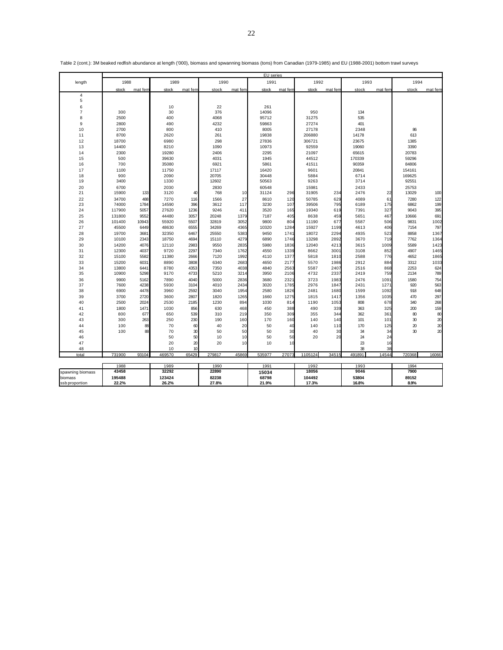|                  |              |              |              |              |              | EU series |              |              |         |              |              |         |             |         |
|------------------|--------------|--------------|--------------|--------------|--------------|-----------|--------------|--------------|---------|--------------|--------------|---------|-------------|---------|
| length           | 1988         |              | 1989         |              | 1990         |           | 1991         |              | 1992    |              | 1993         |         | 1994        |         |
|                  | stock        | mat fem      | stock        | mat fem      | stock        | mat fem   | stock        | mat fem      | stock   | mat fem      | stock        | mat fem | stock       | mat fem |
| $\sqrt{4}$       |              |              |              |              |              |           |              |              |         |              |              |         |             |         |
| 5                |              |              |              |              |              |           |              |              |         |              |              |         |             |         |
| 6                |              |              | 10           |              | 22           |           | 261          |              |         |              |              |         |             |         |
| $\overline{7}$   | 300          |              | 30           |              | 376          |           | 14096        |              | 950     |              | 134          |         |             |         |
| 8                | 2500         |              | 400          |              | 4068         |           | 95712        |              | 31275   |              | 535          |         |             |         |
| 9                | 2800         |              | 490          |              | 4232         |           | 59863        |              | 27274   |              | 401          |         |             |         |
| 10               | 2700         |              | 800          |              | 410          |           | 8005         |              | 27178   |              | 2348         |         | 86          |         |
| 11               | 8700         |              | 2620         |              | 261          |           | 19838        |              | 206880  |              | 14178        |         | 613         |         |
| 12               | 18700        |              | 6980         |              | 298          |           | 27836        |              | 306721  |              | 23675        |         | 1385        |         |
| 13               | 14400        |              | 8210         |              | 1090         |           | 10973        |              | 92559   |              | 19060        |         | 3390        |         |
| 14               | 2300         |              | 19280        |              | 2406         |           | 2295         |              | 21097   |              | 65615        |         | 20783       |         |
| 15               | 500          |              | 39630        |              | 4031         |           | 1945         |              | 44512   |              | 170339       |         | 59296       |         |
| 16               | 700          |              | 35080        |              | 6921         |           | 5861         |              | 41511   |              | 90359        |         | 84806       |         |
| 17               | 1100         |              | 11750        |              | 17117        |           | 16420        |              | 9601    |              | 20841        |         | 154161      |         |
| 18               | 900          |              | 2090         |              | 20705        |           | 30448        |              | 5884    |              | 6714         |         | 169625      |         |
| 19               | 3400         |              | 1330         |              | 12602        |           | 50563        |              | 9263    |              | 3714         |         | 92551       |         |
| 20               | 6700         |              | 2030         |              | 2830         |           | 60548        |              | 15981   |              | 2433         |         | 25753       |         |
| 21               | 15900        | 133          | 3120         | 40           | 768          | 10        | 31124        | 296          | 31905   | 234          | 2476         | 22      | 13029       | 100     |
| 22               | 34700        | 488          | 7270         | 116          | 1566         | 27        | 8610         | 120          | 50785   | 629          | 4089         | 61      | 7280        | 122     |
| 23               | 74000        | 1784         | 14590        | 396          | 3612         | 117       | 3230         | 107          | 39506   | 795          | 6189         | 175     | 6862        | 199     |
| 24               | 117900       | 5057         | 27620        | 1236         | 9246         | 411       | 3520         | 165          | 19340   | 619          | 7391         | 327     | 9043        | 395     |
| 25               | 131800       | 9552         | 44480        | 3057         | 20248        | 1379      | 7187         | 405          | 8638    | 459          | 5651         | 467     | 10666       | 691     |
| 26               | 101400       | 10943        | 55920        | 5507         | 32819        | 3052      | 9800         | 804          | 11190   | 677          | 5587         | 506     | 9831        | 1002    |
| 27               | 45500        | 6449         | 48630        | 6555         | 34269        | 4365      | 10320        | 1284         | 15927   | 1199         | 4613         | 406     | 7154        | 797     |
| 28               | 19700        | 3681         | 32350        | 6467         | 25550        | 5383      | 9450         | 1741         | 18072   | 2294         | 4935         | 523     | 8858        | 1367    |
| 29               | 10100        | 2343         | 18750        | 4694         | 15110        | 4279      | 6890         | 1746         | 13298   | 2892         | 3670         | 719     | 7762        | 1364    |
| 30               | 14200        | 4076         | 12110        | 2983         | 9550         | 2835      | 5980         | 1836         | 12040   | 4213         | 3615         | 1009    | 5589        | 1423    |
| 31               | 12300        | 4037         | 9720         | 2297         | 7340         | 1762      | 4550         | 1339         | 8662    | 3001         | 3108         | 852     | 4907        | 1465    |
| 32               | 15100        | 5582         | 11380        | 2666         | 7120         | 1992      | 4110         | 1377         | 5818    | 1810         | 2588         | 776     | 4652        | 1865    |
| 33               | 15200        | 6031         | 8890         | 3808         | 6340         | 2683      | 4650         | 2177         | 5570    | 1986         | 2912         | 884     | 3312        | 1033    |
| 34               | 13800        | 6441         | 8780         | 4353         | 7350         | 4038      | 4840         | 2563         | 5587    | 2407         | 2516         | 868     | 2253        | 624     |
| 35               | 10900        | 5298         | 9170         | 4733         | 5210         | 3214      | 3950         | 2106         | 4732    | 2337         | 2419         | 759     | 2134        | 789     |
| 36               |              |              |              |              |              | 2836      |              |              | 3723    |              |              | 1091    |             | 754     |
| 37               | 9900<br>7600 | 5162<br>4238 | 7890<br>5930 | 4040<br>3104 | 5000<br>4010 | 2434      | 3680<br>3020 | 2321<br>1785 | 2976    | 1983<br>1847 | 2476<br>2431 | 1271    | 1580<br>920 | 563     |
| 38               | 6900         | 4478         | 3960         | 2592         | 3040         | 1954      | 2580         | 1826         | 2481    | 1680         | 1599         | 1092    | 918         | 648     |
|                  |              |              |              |              |              |           |              |              |         |              |              |         |             |         |
| 39               | 3700         | 2720         | 3600         | 2807         | 1820         | 1265      | 1660         | 1275         | 1815    | 1417         | 1356         | 1035    | 470         | 297     |
| 40               | 2500         | 2024         | 2530         | 2185         | 1230         | 894       | 1030         | 814          | 1190    | 1053         | 808          | 678     | 340         | 268     |
| 41               | 1800         | 1471         | 1030         | 856          | 630          | 468       | 450          | 388          | 490     | 339          | 363          | 325     | 200         | 159     |
| 42               | 800          | 677          | 650          | 539          | 310          | 219       | 350          | 309          | 355     | 344          | 362          | 361     | 80          | 80      |
| 43               | 300          | 263          | 250          | 230          | 190          | 160       | 170          | 160          | 140     | 140          | 101          | 101     | 30          | 20      |
| 44               | 100          | 88           | 70           | 60           | 40           | 20        | 50           | 40           | 140     | 110          | 170          | 125     | 20          | 20      |
| 45               | 100          | 88           | 70           | 30           | 50           | 50        | 50           | 30           | 40      | 30           | 34           | 34      | 30          | 20      |
| 46               |              |              | 50           | 50           | 10           | 10        | 50           | 50           | 20      | 20           | 24           | 24      |             |         |
| 47               |              |              | 20           | 20           | 20           | 10        | 10           | 10           |         |              | 23           | 16      |             |         |
| 48               |              |              | 10           | 10           |              |           |              |              |         |              | 38           | 38      |             |         |
| total            | 731900       | 93104        | 469570       | 65429        | 279817       | 45869     | 535977       | 2707         | 1105124 | 34515        | 491891       | 14544   | 720368      | 16066   |
|                  | 1988         |              | 1989         |              | 1990         |           | 1991         |              | 1992    |              | 1993         |         | 1994        |         |
| spawning biomass | 43458        |              | 32292        |              | 22890        |           | 15034        |              | 18056   |              | 9046         |         | 7900        |         |
| biomass          | 195488       |              | 123424       |              | 82238        |           | 68798        |              | 104492  |              | 53804        |         | 89152       |         |
| ssb proportion   | 22.2%        |              | 26.2%        |              | 27.8%        |           | 21.9%        |              | 17.3%   |              | 16.8%        |         | 8.9%        |         |

Table 2 (cont.): 3M beaked redfish abundance at length ('000), biomass and spwanning biomass (tons) from Canadian (1979-1985) and EU (1988-2001) bottom trawl surveys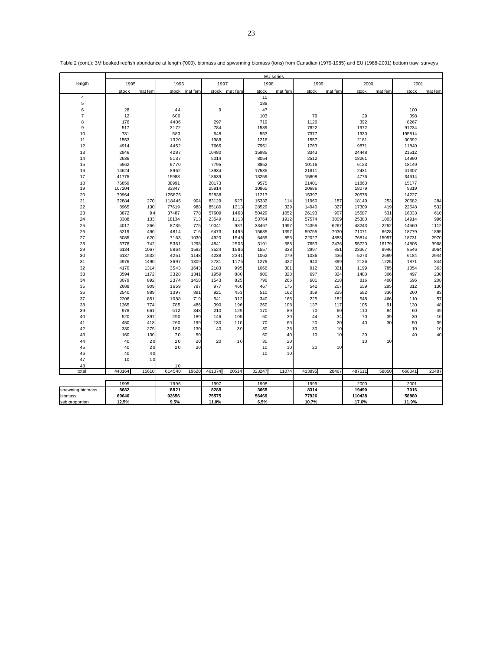|         |                  |              |             |              |               |              |               |              | EU series  |              |             |                |               |               |              |  |
|---------|------------------|--------------|-------------|--------------|---------------|--------------|---------------|--------------|------------|--------------|-------------|----------------|---------------|---------------|--------------|--|
|         | length           | 1995         |             | 1996         |               | 1997         |               | 1998         |            | 1999         |             | 2000           |               | 2001          |              |  |
|         |                  | stock        | mat fem     |              | stock mat fem |              | stock mat fem | stock        | mat fem    | stock        | mat fem     | stock          | mat fem       | stock         | mat fem      |  |
|         | $\sqrt{4}$       |              |             |              |               |              |               | 10           |            |              |             |                |               |               |              |  |
|         | 5                |              |             |              |               |              |               | 188          |            |              |             |                |               |               |              |  |
|         | 6                | 28           |             | 44           |               | 9            |               | 47           |            |              |             |                |               | 100           |              |  |
|         | $\overline{7}$   | 12           |             | 600          |               |              |               | 103          |            | 79           |             | 29             |               | 398           |              |  |
|         | 8                | 176          |             | 4406         |               | 297          |               | 719          |            | 1126         |             | 392            |               | 8267          |              |  |
|         | 9                | 517          |             | 3172         |               | 784          |               | 1589         |            | 7822         |             | 1972           |               | 91234         |              |  |
|         | 10               | 731          |             | 583          |               | 548          |               | 553          |            | 7377         |             | 1930           |               | 195814        |              |  |
|         | 11               | 1553         |             | 1320         |               | 1988         |               | 1216         |            | 1557         |             | 2181           |               | 30392         |              |  |
|         | 12               | 4914         |             | 4452         |               | 7666         |               | 7951         |            | 1763         |             | 9871           |               | 11840         |              |  |
|         | 13               | 2946         |             | 4287         |               | 10480        |               | 15985        |            | 3343         |             | 24448          |               | 21512         |              |  |
|         | 14               | 2636         |             | 5137         |               | 5014         |               | 8054         |            | 2512         |             | 18261          |               | 14990         |              |  |
|         | 15               | 5562         |             | 9770         |               | 7795         |               | 8852         |            | 10116        |             | 6123           |               | 18149         |              |  |
|         | 16               | 14624        |             | 8962         |               | 13934        |               | 17535        |            | 21811        |             | 2431           |               | 41307         |              |  |
|         | 17               | 41775        |             | 15988        |               | 18639        |               | 13259        |            | 15808        |             | 4776           |               | 34614         |              |  |
|         | 18               | 76859        |             | 38991        |               | 20173        |               | 9575         |            | 21401        |             | 11863          |               | 15177         |              |  |
|         | 19               | 107204       |             | 83847        |               | 25914        |               | 10865        |            | 20686        |             | 18079          |               | 9319          |              |  |
|         | 20               | 79964        |             | 125875       |               | 52838        |               | 11213        |            | 15397        |             | 20578          |               | 14227         |              |  |
|         | 21               | 32884        | 270         | 118446       | 904           | 83129        | 627           | 15332        | 114        | 11960        | 187         | 18149          | 253           | 20582         | 284          |  |
|         | 22               | 8965         | 130         | 77619        | 988           | 85180        | 1213          | 28529        | 329        | 14940        | 327         | 17309          | 419           | 22548         | 532          |  |
|         | 23               | 3872         | 94          | 37487        | 778           | 57609        | 1468          | 50429        | 1052       | 26193        | 907         | 15587          | 531           | 16033         | 610          |  |
|         | 24               | 3388         | 133         | 18134        | 713           | 23549        | 1113          | 53764        | 1912       | 57574        | 3009        | 25380          | 1003          | 14914         | 996          |  |
|         | 25               | 4017         | 266         | 8735         | 775           | 10041        | 937           | 33467        | 1997       | 74355        | 6267        | 48243          | 2252          | 14560         | 1112         |  |
|         | 26               | 5219         | 490         | 4814         | 716           | 6473         | 1495          | 15685        | 1397       | 59755        | 7030        | 71071          | 6628          | 18779         | 1895         |  |
|         | 27               | 5085         | 620         | 7163         | 1030          | 4920         | 1548          | 6459         | 855        | 22027        | 4883        | 76814          | 15057         | 18731         | 2970         |  |
|         | 28<br>29         | 5776<br>6134 | 742<br>1067 | 5361<br>5864 | 1298<br>1582  | 4841<br>3524 | 2506<br>1586  | 3191<br>1557 | 588<br>338 | 7653<br>2997 | 2436<br>851 | 55720<br>23367 | 16179<br>8946 | 14805<br>8546 | 3968<br>3064 |  |
|         | 30               | 6137         | 1532        | 4251         | 1148          | 4238         | 2341          | 1062         | 279        | 1036         | 436         | 5273           | 2699          | 6184          | 2944         |  |
|         | 31               | 4976         | 1490        | 3697         | 1309          | 2731         | 1176          | 1279         | 422        | 940          | 399         | 2126           | 1225          | 1871          | 844          |  |
|         | 32               | 4170         | 1314        | 3543         | 1643          | 2183         | 995           | 1066         | 301        | 912          | 321         | 1199           | 785           | 1054          | 363          |  |
|         | 33               | 3594         | 1172        | 3328         | 1341          | 1959         | 880           | 900          | 328        | 697          | 324         | 1480           | 306           | 497           | 230          |  |
|         | 34               | 3079         | 892         | 2374         | 1458          | 1543         | 825           | 796          | 266        | 601          | 218         | 816            | 408           | 596           | 208          |  |
|         | 35               | 2688         | 909         | 1659         | 787           | 977          | 460           | 467          | 175        | 542          | 207         | 559            | 295           | 312           | 130          |  |
|         | 36               | 2540         | 889         | 1397         | 891           | 921          | 453           | 510          | 162        | 359          | 225         | 582            | 336           | 260           | 83           |  |
|         | 37               | 2206         | 851         | 1088         | 719           | 541          | 312           | 340          | 165        | 225          | 182         | 548            | 466           | 110           | 57           |  |
|         | 38               | 1365         | 774         | 785          | 486           | 390          | 196           | 260          | 108        | 137          | 117         | 105            | 91            | 130           | 48           |  |
|         | 39               | 978          | 661         | 512          | 348           | 210          | 129           | 170          | 89         | 70           | 60          | 110            | 94            | 60            | 49           |  |
|         | 40               | 520          | 397         | 290          | 189           | 146          | 105           | 60           | 30         | 44           | 34          | 70             | 39            | 30            | 10           |  |
|         | 41               | 450          | 418         | 260          | 199           | 130          | 110           | 70           | 60         | 20           | 20          | 40             | 30            | 50            | 39           |  |
|         | 42               | 330          | 279         | 180          | 130           | 40           | 30            | 30           | 26         | 30           | 10          |                |               | 10            | 10           |  |
|         | 43               | 160          | 130         | 70           | 50            |              |               | 60           | 40         | 10           | 10          | 20             |               | 40            | 40           |  |
|         | 44               | 40           | 20          | 20           | 20            | 20           | 10            | 30           | 20         |              |             | 10             | 10            |               |              |  |
|         | 45               | 40           | 20          | 20           | 20            |              |               | 10           | 10         | 20           | 10          |                |               |               |              |  |
|         | 46               | 40           | 40          |              |               |              |               | 10           | 10         |              |             |                |               |               |              |  |
|         | 47               | 10           | 10          |              |               |              |               |              |            |              |             |                |               |               |              |  |
|         | 48               | 448164       | 15610       | 10<br>614540 | 19520         |              | 20514         | 323247       | 11074      | 413895       | 28467       | 487511         |               |               | 20487        |  |
|         | total            |              |             |              |               | 461374       |               |              |            |              |             |                | 58050         | 668041        |              |  |
|         |                  | 1995         |             | 1996         |               | 1997         |               | 1998         |            | 1999         |             | 2000           |               | 2001          |              |  |
|         | spawning biomass | 8682         |             | 8821         |               | 8288         |               | 3665         |            | 8314         |             | 19490          |               | 7016          |              |  |
| biomass |                  | 69646        |             | 92656        |               | 75575        |               | 56469        |            | 77926        |             | 110438         |               | 58880         |              |  |
|         | ssb proportion   | 12.5%        |             | 9.5%         |               | 11.0%        |               | 6.5%         |            | 10.7%        |             | 17.6%          |               | 11.9%         |              |  |

Table 2 (cont.): 3M beaked redfish abundance at length ('000), biomass and spwanning biomass (tons) from Canadian (1979-1985) and EU (1988-2001) bottom trawl surveys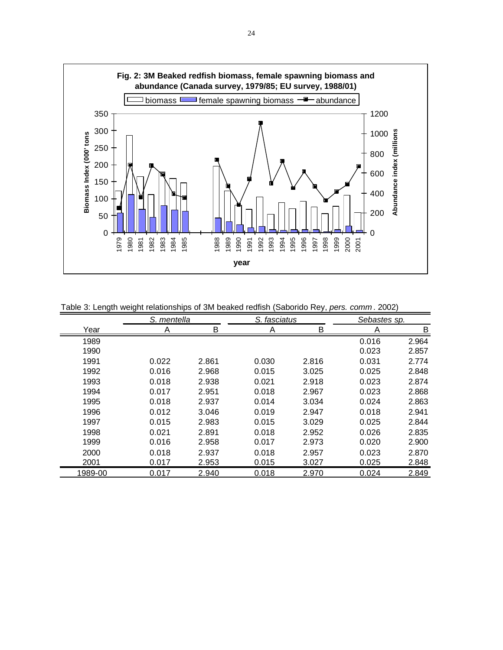

Table 3: Length weight relationships of 3M beaked redfish (Saborido Rey, *pers. comm* . 2002)

|         | S. mentella |       | S. fasciatus |       | Sebastes sp. |       |
|---------|-------------|-------|--------------|-------|--------------|-------|
| Year    | Α           | Β     | Α            | B     | Α            | B     |
| 1989    |             |       |              |       | 0.016        | 2.964 |
| 1990    |             |       |              |       | 0.023        | 2.857 |
| 1991    | 0.022       | 2.861 | 0.030        | 2.816 | 0.031        | 2.774 |
| 1992    | 0.016       | 2.968 | 0.015        | 3.025 | 0.025        | 2.848 |
| 1993    | 0.018       | 2.938 | 0.021        | 2.918 | 0.023        | 2.874 |
| 1994    | 0.017       | 2.951 | 0.018        | 2.967 | 0.023        | 2.868 |
| 1995    | 0.018       | 2.937 | 0.014        | 3.034 | 0.024        | 2.863 |
| 1996    | 0.012       | 3.046 | 0.019        | 2.947 | 0.018        | 2.941 |
| 1997    | 0.015       | 2.983 | 0.015        | 3.029 | 0.025        | 2.844 |
| 1998    | 0.021       | 2.891 | 0.018        | 2.952 | 0.026        | 2.835 |
| 1999    | 0.016       | 2.958 | 0.017        | 2.973 | 0.020        | 2.900 |
| 2000    | 0.018       | 2.937 | 0.018        | 2.957 | 0.023        | 2.870 |
| 2001    | 0.017       | 2.953 | 0.015        | 3.027 | 0.025        | 2.848 |
| 1989-00 | 0.017       | 2.940 | 0.018        | 2.970 | 0.024        | 2.849 |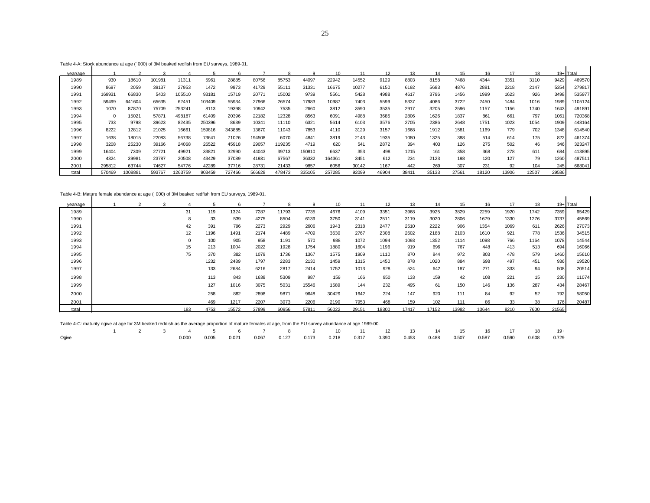Table 4-A: Stock abundance at age (' 000) of 3M beaked redfish from EU surveys, 1989-01.

| Table 4-A: Stock abundance at age (' 000) of 3M beaked redfish from EU surveys, 1989-01. |        |        |        |         |        |        |        |        |        |        |       |       |       |       |       |       |       |       |           |         |
|------------------------------------------------------------------------------------------|--------|--------|--------|---------|--------|--------|--------|--------|--------|--------|-------|-------|-------|-------|-------|-------|-------|-------|-----------|---------|
| vear/age                                                                                 |        |        |        |         |        |        |        |        |        | 10     | 11    | 12    | 13    | 14    | 15    | 16    |       | 18    | 19+ Total |         |
| 1989                                                                                     | 930    | 18610  | 101981 | 11311   | 5961   | 28885  | 80756  | 85753  | 44097  | 22942  | 14552 | 9129  | 8803  | 8158  | 7468  | 4344  | 3351  | 3110  | 9429      | 469570  |
| 1990                                                                                     | 8697   | 2059   | 39137  | 27953   | 1472   | 9873   | 41729  | 55111  | 31331  | 16675  | 10277 | 6150  | 6192  | 5683  | 4876  | 2881  | 2218  | 2147  | 5354      | 279817  |
| 1991                                                                                     | 169931 | 66830  | 5403   | 105510  | 93181  | 15719  | 20771  | 15002  | 9739   | 5561   | 5428  | 4988  | 4617  | 3796  | 1456  | 1999  | 1623  | 926   | 3498      | 535977  |
| 1992                                                                                     | 59499  | 641604 | 65635  | 62451   | 103409 | 55934  | 27966  | 26574  | 17983  | 10987  | 7403  | 5599  | 5337  | 4086  | 3722  | 2450  | 1484  | 1016  | 1989      | 1105124 |
| 1993                                                                                     | 1070   | 87870  | 75709  | 253241  | 8113   | 19398  | 10942  | 7535   | 2660   | 3812   | 3590  | 3535  | 2917  | 3205  | 2596  | 1157  | 1156  | 1740  | 1643      | 491891  |
| 1994                                                                                     |        | 15021  | 57871  | 498187  | 61409  | 20396  | 22182  | 12328  | 8563   | 6091   | 4988  | 3685  | 2806  | 1626  | 1837  | 861   | 661   | 797   | 1061      | 720368  |
| 1995                                                                                     | 733    | 9798   | 39623  | 82435   | 250396 | 8639   | 10341  | 11110  | 6321   | 5614   | 6103  | 3576  | 2705  | 2386  | 2648  | 1751  | 1023  | 1054  | 1909      | 448164  |
| 1996                                                                                     | 8222   | 12812  | 21025  | 16661   | 159816 | 343885 | 13670  | 11043  | 7853   | 4110   | 3129  | 3157  | 1668  | 1912  | 1581  | 1169  | 779   | 702   | 1348      | 614540  |
| 1997                                                                                     | 1638   | 18015  | 22083  | 56738   | 73641  | 71026  | 194508 | 6070   | 4841   | 3819   | 2143  | 1935  | 1080  | 1325  | 388   | 514   | 614   | 175   | 822       | 461374  |
| 1998                                                                                     | 3208   | 25230  | 39166  | 24068   | 26522  | 45918  | 29057  | 19235  | 4719   | 620    | 541   | 2872  | 394   | 403   | 126   | 275   | 502   | 46    | 346       | 323247  |
| 1999                                                                                     | 16404  | 7309   | 27721  | 49921   | 33821  | 32990  | 44043  | 39713  | 150810 | 6637   | 353   | 498   | 1215  | 161   | 358   | 368   | 278   | 611   | 684       | 413895  |
| 2000                                                                                     | 4324   | 39981  | 23787  | 20508   | 43429  | 37089  | 41931  | 67567  | 36332  | 164361 | 3451  | 612   | 234   | 2123  | 198   | 120   | 127   | 79    | 1260      | 487511  |
| 2001                                                                                     | 295812 | 63744  | 74627  | 54776   | 42289  | 37716  | 28731  | 21433  | 9857   | 6056   | 30142 | 1167  | 442   | 269   | 307   | 231   | 92    | 104   | 245       | 668041  |
| total                                                                                    | 570469 | 008881 | 593767 | 1263759 | 903459 | 727466 | 566628 | 478473 | 335105 | 257285 | 92099 | 46904 | 38411 | 35133 | 27561 | 18120 | 13906 | 12507 | 29586     |         |

Table 4-B: Mature female abundance at age (' 000) of 3M beaked redfish from EU surveys, 1989-01.

| Table 4-B: Mature female abundance at age (' 000) of 3M beaked redfish from EU surveys, 1989-01. |  |             |      |       |       |       |       |       |       |       |       |       |       |       |      |      |       |           |
|--------------------------------------------------------------------------------------------------|--|-------------|------|-------|-------|-------|-------|-------|-------|-------|-------|-------|-------|-------|------|------|-------|-----------|
| vear/age                                                                                         |  |             |      | 6     |       | 8     |       |       | 11    | 12    | 13    | 14    | 15    | 16    | 17   | 18   |       | 19+ Total |
| 1989                                                                                             |  | 31          | 119  | 1324  | 7287  | 11793 | 7735  | 4676  | 4109  | 3351  | 3968  | 3925  | 3829  | 2259  | 1920 | 1742 | 7359  | 65429     |
| 1990                                                                                             |  | 8           | 33   | 539   | 4275  | 8504  | 6139  | 3750  | 3141  | 2511  | 3119  | 3020  | 2806  | 1679  | 1330 | 1276 | 3737  | 45869     |
| 1991                                                                                             |  | 42          | 391  | 796   | 2273  | 2929  | 2606  | 1943  | 2318  | 2477  | 2510  | 2222  | 906   | 1354  | 1069 | 611  | 2626  | 27073     |
| 1992                                                                                             |  | 12          | 1196 | 1491  | 2174  | 4489  | 4709  | 3630  | 2767  | 2308  | 2602  | 2188  | 2103  | 1610  | 921  | 778  | 1536  | 34515     |
| 1993                                                                                             |  | $\mathbf 0$ | 100  | 905   | 958   | 1191  | 570   | 988   | 1072  | 1094  | 1093  | 1352  | 1114  | 1098  | 766  | 1164 | 1078  | 14544     |
| 1994                                                                                             |  | 15          | 213  | 1004  | 2022  | 1928  | 1754  | 1880  | 1604  | 1196  | 919   | 696   | 767   | 448   | 413  | 513  | 694   | 16066     |
| 1995                                                                                             |  | 75          | 370  | 382   | 1079  | 1736  | 1367  | 1575  | 1909  | 1110  | 870   | 844   | 972   | 803   | 478  | 579  | 1460  | 15610     |
| 1996                                                                                             |  |             | 1232 | 2489  | 1797  | 2283  | 2130  | 1459  | 1315  | 1450  | 878   | 1020  | 884   | 698   | 497  | 451  | 936   | 19520     |
| 1997                                                                                             |  |             | 133  | 2684  | 6216  | 2817  | 2414  | 1752  | 1013  | 928   | 524   | 642   | 187   | 271   | 333  | 94   | 508   | 20514     |
| 1998                                                                                             |  |             | 113  | 843   | 1638  | 5309  | 987   | 159   | 166   | 950   | 133   | 159   | 42    | 108   | 221  | 15   | 230   | 11074     |
| 1999                                                                                             |  |             | 127  | 1016  | 3075  | 5031  | 15546 | 1589  | 144   | 232   | 495   | 61    | 150   | 146   | 136  | 287  | 434   | 28467     |
| 2000                                                                                             |  |             | 258  | 882   | 2898  | 9871  | 9648  | 30429 | 1642  | 224   | 147   | 920   | 111   | 84    | 92   | 52   | 792   | 58050     |
| 2001                                                                                             |  |             | 469  | 1217  | 2207  | 3073  | 2206  | 2190  | 7953  | 468   | 159   | 102   | 111   | 86    | 33   | 38   | 176   | 20487     |
| total                                                                                            |  | 183         | 4753 | 15572 | 37899 | 60956 | 57811 | 56022 | 29151 | 18300 | 17417 | 17152 | 13982 | 10644 | 8210 | 7600 | 21565 |           |

Table 4-C: maturity ogive at age for 3M beaked reddish as the average proportion of mature females at age, from the EU survey abundance at age 1989-00.

|       |  |  |  | $1$ $2$ $3$ $4$ $5$ $6$ $7$ $8$ $9$ $10$ $11$ $12$ $13$ $14$ $15$ $16$ $17$ $18$ $19+$                                          |  |  |  |  |  |  |
|-------|--|--|--|---------------------------------------------------------------------------------------------------------------------------------|--|--|--|--|--|--|
| Ogive |  |  |  | $0.000$ $0.005$ $0.021$ $0.067$ $0.127$ $0.173$ $0.218$ $0.317$ $0.390$ $0.453$ $0.488$ $0.507$ $0.587$ $0.590$ $0.608$ $0.729$ |  |  |  |  |  |  |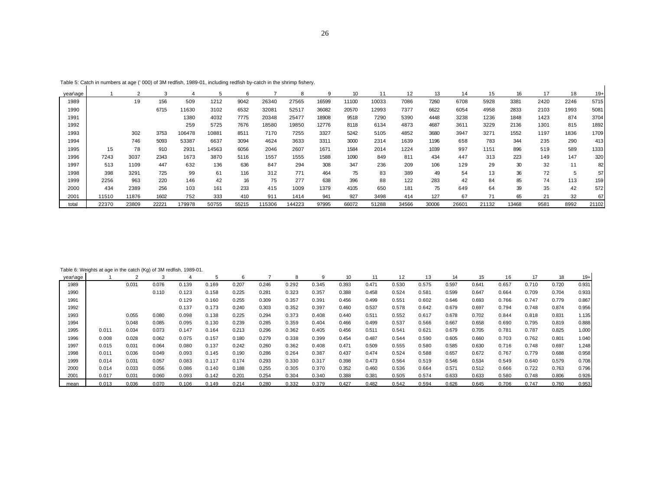| ٠<br>٦        |  |
|---------------|--|
| ۰.<br>۰.<br>w |  |

|          | $1$ able 5. Oaten in Hambers at age ( $000$ ) or shriftedilari, 1909-01, including reditariby-caten in the shimip hanciy. |                |       |        |       |       |        |        |       |       |       |       |       |       |       |       |      |      |       |
|----------|---------------------------------------------------------------------------------------------------------------------------|----------------|-------|--------|-------|-------|--------|--------|-------|-------|-------|-------|-------|-------|-------|-------|------|------|-------|
| year\age |                                                                                                                           | $\overline{2}$ | 3     | 4      |       |       |        | 8      | 9     | 10    | 11    | 12    | 13    | 14    | 15    | 16    | 17   | 18   | $19+$ |
| 1989     |                                                                                                                           | 19             | 156   | 509    | 1212  | 9042  | 26340  | 27565  | 16599 | 11100 | 10033 | 7086  | 7260  | 6708  | 5928  | 3381  | 2420 | 2246 | 5715  |
| 1990     |                                                                                                                           |                | 6715  | 11630  | 3102  | 6532  | 32081  | 52517  | 36082 | 20570 | 12993 | 7377  | 6622  | 6054  | 4958  | 2833  | 2103 | 1993 | 5081  |
| 1991     |                                                                                                                           |                |       | 1380   | 4032  | 7775  | 20348  | 25477  | 18908 | 9518  | 7290  | 5390  | 4448  | 3238  | 1236  | 1848  | 1423 | 874  | 3704  |
| 1992     |                                                                                                                           |                |       | 259    | 5725  | 7676  | 18580  | 19850  | 12776 | 8118  | 6134  | 4873  | 4687  | 3611  | 3229  | 2136  | 1301 | 815  | 1892  |
| 1993     |                                                                                                                           | 302            | 3753  | 106478 | 10881 | 8511  | 7170   | 7255   | 3327  | 5242  | 5105  | 4852  | 3680  | 3947  | 3271  | 1552  | 1197 | 1836 | 1709  |
| 1994     |                                                                                                                           | 746            | 5093  | 53387  | 6637  | 3094  | 4624   | 3633   | 3311  | 3000  | 2314  | 1639  | 1196  | 658   | 783   | 344   | 235  | 290  | 413   |
| 1995     | 15                                                                                                                        | 78             | 910   | 2931   | 14563 | 6056  | 2046   | 2607   | 1671  | 1584  | 2014  | 1224  | 1039  | 997   | 1151  | 896   | 519  | 589  | 1333  |
| 1996     | 7243                                                                                                                      | 3037           | 2343  | 1673   | 3870  | 5116  | 1557   | 1555   | 1588  | 1090  | 849   | 811   | 434   | 447   | 313   | 223   | 149  | 147  | 320   |
| 1997     | 513                                                                                                                       | 1109           | 447   | 632    | 136   | 636   | 847    | 294    | 308   | 347   | 236   | 209   | 106   | 129   | 29    | 30    | 32   | 11   | 82    |
| 1998     | 398                                                                                                                       | 3291           | 725   | 99     | 61    | 116   | 312    | 771    | 464   | 75    | 83    | 389   | 49    | 54    | 13    | 36    | 72   | 5    | 57    |
| 1999     | 2256                                                                                                                      | 963            | 220   | 146    | 42    | 16    | 75     | 277    | 638   | 396   | 88    | 122   | 283   | 42    | 84    | 85    | 74   | 113  | 159   |
| 2000     | 434                                                                                                                       | 2389           | 256   | 103    | 161   | 233   | 415    | 1009   | 1379  | 4105  | 650   | 181   | 75    | 649   | 64    | 39    | 35   | 42   | 572   |
| 2001     | 11510                                                                                                                     | 11876          | 1602  | 752    | 333   | 410   | 911    | 1414   | 941   | 927   | 3498  | 414   | 127   | 67    | 71    | 65    | 21   | 32   | 67    |
| total    | 22370                                                                                                                     | 23809          | 22221 | 179978 | 50755 | 55215 | 115306 | 144223 | 97995 | 66072 | 51288 | 34566 | 30006 | 26601 | 21132 | 13468 | 9581 | 8992 | 21102 |

## Table 6: Weights at age in the catch (Kg) of 3M redfish, 1989-01.

| year\age |       |       |       |       |       |       |       | 8     |       | 10    |       | 12    | 13    | 14    | 15    | 16    |       | 18    | $19+$ |
|----------|-------|-------|-------|-------|-------|-------|-------|-------|-------|-------|-------|-------|-------|-------|-------|-------|-------|-------|-------|
| 1989     |       | 0.031 | 0.076 | 0.139 | 0.169 | 0.207 | 0.246 | 0.292 | 0.345 | 0.393 | 0.471 | 0.530 | 0.575 | 0.597 | 0.641 | 0.657 | 0.710 | 0.720 | 0.93' |
| 1990     |       |       | 0.110 | 0.123 | 0.158 | 0.225 | 0.281 | 0.323 | 0.357 | 0.388 | 0.458 | 0.524 | 0.581 | 0.599 | 0.647 | 0.664 | 0.709 | 0.704 | 0.933 |
| 1991     |       |       |       | 0.129 | 0.160 | 0.255 | 0.309 | 0.357 | 0.391 | 0.456 | 0.499 | 0.551 | 0.602 | 0.646 | 0.693 | 0.766 | 0.747 | 0.779 | 0.867 |
| 1992     |       |       |       | 0.137 | 0.173 | 0.240 | 0.303 | 0.352 | 0.397 | 0.460 | 0.537 | 0.578 | 0.642 | 0.679 | 0.697 | 0.794 | 0.748 | 0.874 | 0.956 |
| 1993     |       | 0.055 | 0.080 | 0.098 | 0.138 | 0.225 | 0.294 | 0.373 | 0.408 | 0.440 | 0.511 | 0.552 | 0.617 | 0.678 | 0.702 | 0.844 | 0.818 | 0.831 | 1.135 |
| 1994     |       | 0.048 | 0.085 | 0.095 | 0.130 | 0.239 | 0.285 | 0.359 | 0.404 | 0.466 | 0.499 | 0.537 | 0.566 | 0.667 | 0.658 | 0.690 | 0.795 | 0.819 | 0.888 |
| 1995     | 0.011 | 0.034 | 0.073 | 0.147 | 0.164 | 0.213 | 0.296 | 0.362 | 0.405 | 0.456 | 0.511 | 0.541 | 0.621 | 0.679 | 0.705 | 0.781 | 0.787 | 0.825 | 1.000 |
| 1996     | 0.008 | 0.028 | 0.062 | 0.075 | 0.157 | 0.180 | 0.279 | 0.338 | 0.399 | 0.454 | 0.487 | 0.544 | 0.590 | 0.605 | 0.660 | 0.703 | 0.762 | 0.801 | 1.040 |
| 1997     | 0.015 | 0.031 | 0.064 | 0.080 | 0.137 | 0.242 | 0.260 | 0.362 | 0.408 | 0.471 | 0.509 | 0.555 | 0.580 | 0.585 | 0.630 | 0.716 | 0.748 | 0.697 | 1.248 |
| 1998     | 0.011 | 0.036 | 0.049 | 0.093 | 0.145 | 0.190 | 0.286 | 0.264 | 0.387 | 0.437 | 0.474 | 0.524 | 0.588 | 0.657 | 0.672 | 0.767 | 0.779 | 0.688 | 0.958 |
| 1999     | 0.014 | 0.031 | 0.057 | 0.083 | 0.117 | 0.174 | 0.293 | 0.330 | 0.317 | 0.398 | 0.473 | 0.564 | 0.519 | 0.546 | 0.534 | 0.549 | 0.640 | 0.579 | 0.708 |
| 2000     | 0.014 | 0.033 | 0.056 | 0.086 | 0.140 | 0.188 | 0.255 | 0.305 | 0.370 | 0.352 | 0.460 | 0.536 | 0.664 | 0.571 | 0.512 | 0.666 | 0.722 | 0.763 | 0.796 |
| 2001     | 0.017 | 0.031 | 0.060 | 0.093 | 0.142 | 0.201 | 0.254 | 0.304 | 0.340 | 0.388 | 0.381 | 0.505 | 0.574 | 0.633 | 0.633 | 0.580 | 0.748 | 0.806 | 0.926 |
| mean     | 0.013 | 0.036 | 0.070 | 0.106 | 0.149 | 0.214 | 0.280 | 0.332 | 0.379 | 0.427 | 0.482 | 0.542 | 0.594 | 0.626 | 0.645 | 0.706 | 0.747 | 0.760 | 0.953 |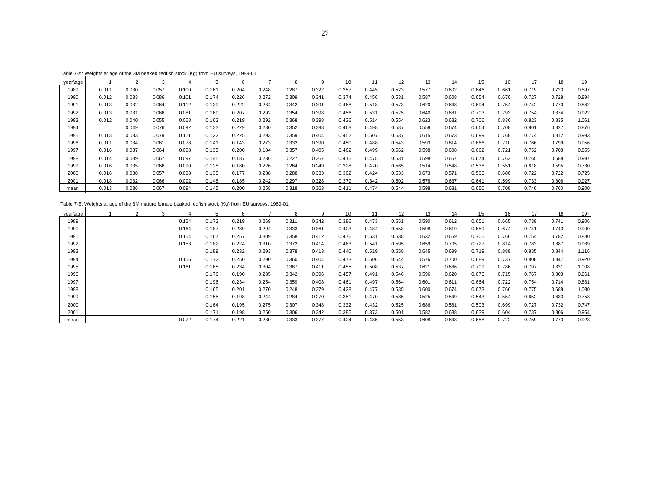| Table 7-A: Weights at age of the 3M beaked redfish stock (Kg) from EU surveys, 1989-01. |  |  |
|-----------------------------------------------------------------------------------------|--|--|
|                                                                                         |  |  |

|          | Table $t$ -A. Weights at age of the 3M beaked fedilsh stock (Kg) from EO surveys, 1969-01. |       |       |       |       |       |       |       |       |       |       |                   |       |       |       |       |       |       |       |
|----------|--------------------------------------------------------------------------------------------|-------|-------|-------|-------|-------|-------|-------|-------|-------|-------|-------------------|-------|-------|-------|-------|-------|-------|-------|
| year\age |                                                                                            |       |       |       |       |       |       |       | 9     | 10    |       | $12 \overline{ }$ | 13    | 14    | 15    | 16    | 17    |       | -19   |
| 1989     | 0.011                                                                                      | 0.030 | 0.057 | 0.100 | 0.161 | 0.204 | 0.248 | 0.287 | 0.322 | 0.357 | 0.445 | 0.523             | 0.577 | 0.602 | 0.646 | 0.661 | 0.719 | 0.723 | 0.897 |
| 1990     | 0.012                                                                                      | 0.033 | 0.086 | 0.101 | 0.174 | 0.226 | 0.272 | 0.309 | 0.341 | 0.374 | 0.456 | 0.531             | 0.587 | 0.608 | 0.654 | 0.670 | 0.727 | 0.728 | 0.894 |
| 1991     | 0.013                                                                                      | 0.032 | 0.064 | 0.112 | 0.139 | 0.222 | 0.284 | 0.342 | 0.391 | 0.468 | 0.518 | 0.573             | 0.620 | 0.648 | 0.694 | 0.754 | 0.742 | 0.770 | 0.862 |
| 1992     | 0.013                                                                                      | 0.031 | 0.066 | 0.081 | 0.169 | 0.207 | 0.292 | 0.354 | 0.398 | 0.456 | 0.531 | 0.575             | 0.640 | 0.681 | 0.703 | 0.793 | 0.754 | 0.874 | 0.922 |
| 1993     | 0.012                                                                                      | 0.040 | 0.055 | 0.068 | 0.162 | 0.219 | 0.292 | 0.368 | 0.398 | 0.436 | 0.514 | 0.554             | 0.623 | 0.682 | 0.706 | 0.830 | 0.823 | 0.835 | 1.061 |
| 1994     |                                                                                            | 0.049 | 0.076 | 0.092 | 0.133 | 0.229 | 0.280 | 0.352 | 0.398 | 0.468 | 0.498 | 0.537             | 0.558 | 0.674 | 0.664 | 0.708 | 0.801 | 0.827 | 0.876 |
| 1995     | 0.013                                                                                      | 0.033 | 0.079 | 0.111 | 0.122 | 0.225 | 0.293 | 0.359 | 0.404 | 0.452 | 0.507 | 0.537             | 0.615 | 0.673 | 0.699 | 0.768 | 0.774 | 0.812 | 0.993 |
| 1996     | 0.011                                                                                      | 0.034 | 0.061 | 0.078 | 0.141 | 0.143 | 0.273 | 0.332 | 0.390 | 0.450 | 0.488 | 0.543             | 0.593 | 0.614 | 0.666 | 0.710 | 0.766 | 0.799 | 0.956 |
| 1997     | 0.016                                                                                      | 0.037 | 0.064 | 0.098 | 0.135 | 0.200 | 0.184 | 0.357 | 0.405 | 0.462 | 0.499 | 0.562             | 0.598 | 0.608 | 0.662 | 0.721 | 0.752 | 0.708 | 0.855 |
| 1998     | 0.014                                                                                      | 0.039 | 0.067 | 0.097 | 0.145 | 0.187 | 0.236 | 0.227 | 0.367 | 0.415 | 0.475 | 0.531             | 0.598 | 0.657 | 0.674 | 0.762 | 0.765 | 0.688 | 0.997 |
| 1999     | 0.016                                                                                      | 0.035 | 0.066 | 0.090 | 0.125 | 0.180 | 0.226 | 0.264 | 0.249 | 0.328 | 0.470 | 0.565             | 0.514 | 0.548 | 0.538 | 0.551 | 0.618 | 0.595 | 0.730 |
| 2000     | 0.016                                                                                      | 0.038 | 0.057 | 0.098 | 0.135 | 0.177 | 0.238 | 0.288 | 0.333 | 0.302 | 0.424 | 0.533             | 0.673 | 0.571 | 0.506 | 0.680 | 0.722 | 0.722 | 0.725 |
| 2001     | 0.018                                                                                      | 0.032 | 0.066 | 0.092 | 0.148 | 0.185 | 0.242 | 0.297 | 0.328 | 0.379 | 0.342 | 0.502             | 0.578 | 0.637 | 0.641 | 0.599 | 0.733 | 0.806 | 0.927 |
| mean     | 0.013                                                                                      | 0.036 | 0.067 | 0.094 | 0.145 | 0.200 | 0.258 | 0.318 | 0.363 | 0.411 | 0.474 | 0.544             | 0.598 | 0.631 | 0.650 | 0.708 | 0.746 | 0.760 | 0.900 |

Table 7-B: Weights at age of the 3M mature female beaked redfish stock (Kg) from EU surveys, 1989-01.

|          | Table 7-D. Weights at age of the 3M mature lemate beaked redistribution (Kg) from EO Surveys, 1969-01. |   |       |       |       |       |       |       |       |       |       |                  |       |       |       |       |       |       |
|----------|--------------------------------------------------------------------------------------------------------|---|-------|-------|-------|-------|-------|-------|-------|-------|-------|------------------|-------|-------|-------|-------|-------|-------|
| vear\age |                                                                                                        | 3 | 4     | 5     | 6     |       | 8     | 9     | 10    | 11    | 12    | 13 <sup>13</sup> | 14    | 15    | 16    | 17    | 18    | $19+$ |
| 1989     |                                                                                                        |   | 0.154 | 0.172 | 0.219 | 0.269 | 0.311 | 0.342 | 0.386 | 0.473 | 0.551 | 0.590            | 0.612 | 0.651 | 0.665 | 0.739 | 0.741 | 0.906 |
| 1990     |                                                                                                        |   | 0.164 | 0.187 | 0.239 | 0.294 | 0.333 | 0.361 | 0.403 | 0.484 | 0.558 | 0.598            | 0.619 | 0.659 | 0.674 | 0.741 | 0.743 | 0.900 |
| 1991     |                                                                                                        |   | 0.154 | 0.167 | 0.257 | 0.309 | 0.358 | 0.412 | 0.476 | 0.531 | 0.588 | 0.632            | 0.659 | 0.705 | 0.766 | 0.754 | 0.782 | 0.880 |
| 1992     |                                                                                                        |   | 0.153 | 0.182 | 0.224 | 0.310 | 0.372 | 0.414 | 0.463 | 0.541 | 0.595 | 0.659            | 0.705 | 0.727 | 0.814 | 0.783 | 0.887 | 0.939 |
| 1993     |                                                                                                        |   |       | 0.189 | 0.232 | 0.293 | 0.378 | 0.413 | 0.440 | 0.519 | 0.558 | 0.645            | 0.699 | 0.719 | 0.889 | 0.835 | 0.844 | 1.116 |
| 1994     |                                                                                                        |   | 0.155 | 0.172 | 0.250 | 0.290 | 0.360 | 0.404 | 0.473 | 0.506 | 0.544 | 0.576            | 0.700 | 0.689 | 0.737 | 0.808 | 0.847 | 0.920 |
| 1995     |                                                                                                        |   | 0.161 | 0.165 | 0.234 | 0.304 | 0.367 | 0.411 | 0.455 | 0.508 | 0.537 | 0.621            | 0.686 | 0.709 | 0.786 | 0.797 | 0.831 | 1.008 |
| 1996     |                                                                                                        |   |       | 0.176 | 0.190 | 0.285 | 0.342 | 0.396 | 0.457 | 0.491 | 0.546 | 0.596            | 0.620 | 0.675 | 0.715 | 0.767 | 0.803 | 0.961 |
| 1997     |                                                                                                        |   |       | 0.196 | 0.234 | 0.254 | 0.359 | 0.408 | 0.461 | 0.497 | 0.564 | 0.601            | 0.611 | 0.664 | 0.722 | 0.754 | 0.714 | 0.881 |
| 1998     |                                                                                                        |   |       | 0.165 | 0.201 | 0.270 | 0.248 | 0.379 | 0.428 | 0.477 | 0.535 | 0.600            | 0.674 | 0.673 | 0.766 | 0.775 | 0.688 | 1.030 |
| 1999     |                                                                                                        |   |       | 0.155 | 0.198 | 0.244 | 0.284 | 0.270 | 0.351 | 0.470 | 0.585 | 0.525            | 0.549 | 0.543 | 0.554 | 0.652 | 0.633 | 0.758 |
| 2000     |                                                                                                        |   |       | 0.164 | 0.195 | 0.275 | 0.307 | 0.348 | 0.332 | 0.432 | 0.525 | 0.686            | 0.581 | 0.503 | 0.699 | 0.727 | 0.732 | 0.747 |
| 2001     |                                                                                                        |   |       | 0.171 | 0.198 | 0.250 | 0.306 | 0.342 | 0.385 | 0.373 | 0.501 | 0.582            | 0.638 | 0.639 | 0.604 | 0.737 | 0.806 | 0.954 |
| mean     |                                                                                                        |   | 0.072 | 0.174 | 0.221 | 0.280 | 0.333 | 0.377 | 0.424 | 0.485 | 0.553 | 0.608            | 0.643 | 0.658 | 0.722 | 0.759 | 0.773 | 0.923 |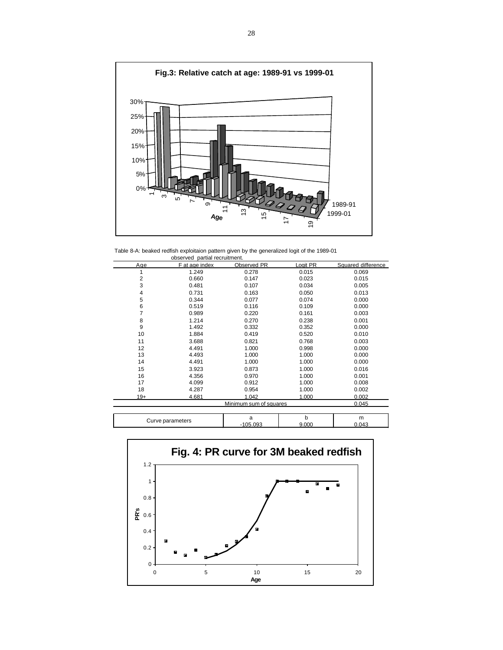

Table 8-A: beaked redfish exploitaion pattern given by the generalized logit of the 1989-01 observed partial recruitment.

|                | UUSEIVEU PAILIAI IEUI UILIIIEIII. |                        |          |                    |
|----------------|-----------------------------------|------------------------|----------|--------------------|
| Age            | F at age index                    | Observed PR            | Logit PR | Squared difference |
| 1              | 1.249                             | 0.278                  | 0.015    | 0.069              |
| $\overline{2}$ | 0.660                             | 0.147                  | 0.023    | 0.015              |
| 3              | 0.481                             | 0.107                  | 0.034    | 0.005              |
| $\overline{4}$ | 0.731                             | 0.163                  | 0.050    | 0.013              |
| 5              | 0.344                             | 0.077                  | 0.074    | 0.000              |
| 6              | 0.519                             | 0.116                  | 0.109    | 0.000              |
| $\overline{7}$ | 0.989                             | 0.220                  | 0.161    | 0.003              |
| 8              | 1.214                             | 0.270                  | 0.238    | 0.001              |
| 9              | 1.492                             | 0.332                  | 0.352    | 0.000              |
| 10             | 1.884                             | 0.419                  | 0.520    | 0.010              |
| 11             | 3.688                             | 0.821                  | 0.768    | 0.003              |
| 12             | 4.491                             | 1.000                  | 0.998    | 0.000              |
| 13             | 4.493                             | 1.000                  | 1.000    | 0.000              |
| 14             | 4.491                             | 1.000                  | 1.000    | 0.000              |
| 15             | 3.923                             | 0.873                  | 1.000    | 0.016              |
| 16             | 4.356                             | 0.970                  | 1.000    | 0.001              |
| 17             | 4.099                             | 0.912                  | 1.000    | 0.008              |
| 18             | 4.287                             | 0.954                  | 1.000    | 0.002              |
| $19+$          | 4.681                             | 1.042                  | 1.000    | 0.002              |
|                |                                   | Minimum sum of squares |          | 0.045              |
|                |                                   |                        |          |                    |
|                |                                   | $\mathbf{a}$           | h        | m                  |

| rameters<br>$\mathbf{r}$ | $\sim 00^{\circ}$ | $\sim$<br>.000 | -<br>ш<br>$104^\circ$ |
|--------------------------|-------------------|----------------|-----------------------|
|                          |                   |                |                       |

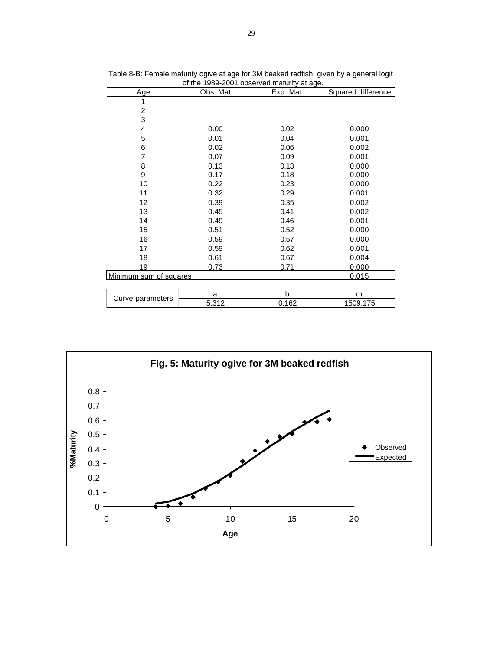|                        | OF the TS03-200 FODServed maturity at age. |           |                    |  |  |  |  |  |  |  |  |  |  |
|------------------------|--------------------------------------------|-----------|--------------------|--|--|--|--|--|--|--|--|--|--|
| Age                    | Obs. Mat                                   | Exp. Mat. | Squared difference |  |  |  |  |  |  |  |  |  |  |
| 1                      |                                            |           |                    |  |  |  |  |  |  |  |  |  |  |
| $\overline{2}$         |                                            |           |                    |  |  |  |  |  |  |  |  |  |  |
| 3                      |                                            |           |                    |  |  |  |  |  |  |  |  |  |  |
| 4                      | 0.00                                       | 0.02      | 0.000              |  |  |  |  |  |  |  |  |  |  |
| 5                      | 0.01                                       | 0.04      | 0.001              |  |  |  |  |  |  |  |  |  |  |
| 6                      | 0.02                                       | 0.06      | 0.002              |  |  |  |  |  |  |  |  |  |  |
| 7                      | 0.07                                       | 0.09      | 0.001              |  |  |  |  |  |  |  |  |  |  |
| 8                      | 0.13                                       | 0.13      | 0.000              |  |  |  |  |  |  |  |  |  |  |
| 9                      | 0.17                                       | 0.18      | 0.000              |  |  |  |  |  |  |  |  |  |  |
| 10                     | 0.22                                       | 0.23      | 0.000              |  |  |  |  |  |  |  |  |  |  |
| 11                     | 0.32                                       | 0.29      | 0.001              |  |  |  |  |  |  |  |  |  |  |
| 12                     | 0.39                                       | 0.35      | 0.002              |  |  |  |  |  |  |  |  |  |  |
| 13                     | 0.45                                       | 0.41      | 0.002              |  |  |  |  |  |  |  |  |  |  |
| 14                     | 0.49                                       | 0.46      | 0.001              |  |  |  |  |  |  |  |  |  |  |
| 15                     | 0.51                                       | 0.52      | 0.000              |  |  |  |  |  |  |  |  |  |  |
| 16                     | 0.59                                       | 0.57      | 0.000              |  |  |  |  |  |  |  |  |  |  |
| 17                     | 0.59                                       | 0.62      | 0.001              |  |  |  |  |  |  |  |  |  |  |
| 18                     | 0.61                                       | 0.67      | 0.004              |  |  |  |  |  |  |  |  |  |  |
| 19                     | 0.73                                       | 0.71      | <u>0.000</u>       |  |  |  |  |  |  |  |  |  |  |
| Minimum sum of squares |                                            |           | 0.015              |  |  |  |  |  |  |  |  |  |  |
|                        |                                            |           |                    |  |  |  |  |  |  |  |  |  |  |
| Curve parameters       | a                                          | b         | m                  |  |  |  |  |  |  |  |  |  |  |
|                        | 5.312                                      | 0.162     | 1509.175           |  |  |  |  |  |  |  |  |  |  |

Table 8-B: Female maturity ogive at age for 3M beaked redfish given by a general logit of the 1989-2001 observed maturity at age.

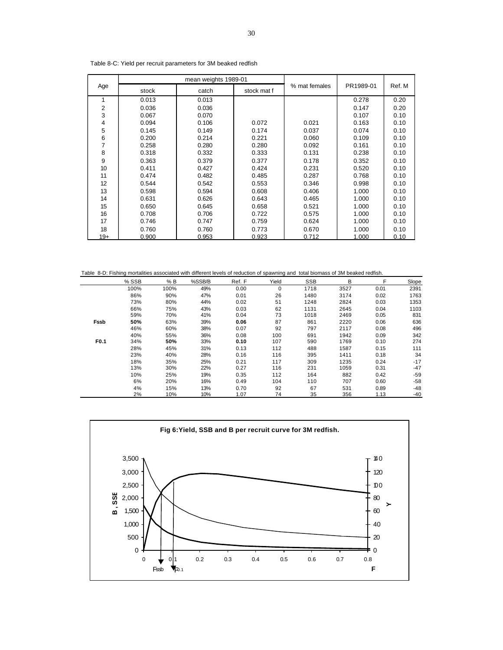|       |       | mean weights 1989-01 |             |               |           |        |
|-------|-------|----------------------|-------------|---------------|-----------|--------|
| Age   | stock | catch                | stock mat f | % mat females | PR1989-01 | Ref. M |
| 1     | 0.013 | 0.013                |             |               | 0.278     | 0.20   |
| 2     | 0.036 | 0.036                |             |               | 0.147     | 0.20   |
| 3     | 0.067 | 0.070                |             |               | 0.107     | 0.10   |
| 4     | 0.094 | 0.106                | 0.072       | 0.021         | 0.163     | 0.10   |
| 5     | 0.145 | 0.149                | 0.174       | 0.037         | 0.074     | 0.10   |
| 6     | 0.200 | 0.214                | 0.221       | 0.060         | 0.109     | 0.10   |
| 7     | 0.258 | 0.280                | 0.280       | 0.092         | 0.161     | 0.10   |
| 8     | 0.318 | 0.332                | 0.333       | 0.131         | 0.238     | 0.10   |
| 9     | 0.363 | 0.379                | 0.377       | 0.178         | 0.352     | 0.10   |
| 10    | 0.411 | 0.427                | 0.424       | 0.231         | 0.520     | 0.10   |
| 11    | 0.474 | 0.482                | 0.485       | 0.287         | 0.768     | 0.10   |
| 12    | 0.544 | 0.542                | 0.553       | 0.346         | 0.998     | 0.10   |
| 13    | 0.598 | 0.594                | 0.608       | 0.406         | 1.000     | 0.10   |
| 14    | 0.631 | 0.626                | 0.643       | 0.465         | 1.000     | 0.10   |
| 15    | 0.650 | 0.645                | 0.658       | 0.521         | 1.000     | 0.10   |
| 16    | 0.708 | 0.706                | 0.722       | 0.575         | 1.000     | 0.10   |
| 17    | 0.746 | 0.747                | 0.759       | 0.624         | 1.000     | 0.10   |
| 18    | 0.760 | 0.760                | 0.773       | 0.670         | 1.000     | 0.10   |
| $19+$ | 0.900 | 0.953                | 0.923       | 0.712         | 1.000     | 0.10   |

Table 8-C: Yield per recruit parameters for 3M beaked redfish

|      | Table 8-D: Fishing mortalities associated with different levels of reduction of spawning and total biomass of 3M beaked redfish. |      |        |        |       |            |      |      |       |
|------|----------------------------------------------------------------------------------------------------------------------------------|------|--------|--------|-------|------------|------|------|-------|
|      | % SSB                                                                                                                            | % B  | %SSB/B | Ref. F | Yield | <b>SSB</b> | B    | F    | Slope |
|      | 100%                                                                                                                             | 100% | 49%    | 0.00   | 0     | 1718       | 3527 | 0.01 | 2391  |
|      | 86%                                                                                                                              | 90%  | 47%    | 0.01   | 26    | 1480       | 3174 | 0.02 | 1763  |
|      | 73%                                                                                                                              | 80%  | 44%    | 0.02   | 51    | 1248       | 2824 | 0.03 | 1353  |
|      | 66%                                                                                                                              | 75%  | 43%    | 0.03   | 62    | 1131       | 2645 | 0.04 | 1103  |
|      | 59%                                                                                                                              | 70%  | 41%    | 0.04   | 73    | 1018       | 2469 | 0.05 | 831   |
| Fssb | 50%                                                                                                                              | 63%  | 39%    | 0.06   | 87    | 861        | 2220 | 0.06 | 636   |
|      | 46%                                                                                                                              | 60%  | 38%    | 0.07   | 92    | 797        | 2117 | 0.08 | 496   |
|      | 40%                                                                                                                              | 55%  | 36%    | 0.08   | 100   | 691        | 1942 | 0.09 | 342   |
| F0.1 | 34%                                                                                                                              | 50%  | 33%    | 0.10   | 107   | 590        | 1769 | 0.10 | 274   |
|      | 28%                                                                                                                              | 45%  | 31%    | 0.13   | 112   | 488        | 1587 | 0.15 | 111   |
|      | 23%                                                                                                                              | 40%  | 28%    | 0.16   | 116   | 395        | 1411 | 0.18 | 34    |
|      | 18%                                                                                                                              | 35%  | 25%    | 0.21   | 117   | 309        | 1235 | 0.24 | $-17$ |
|      | 13%                                                                                                                              | 30%  | 22%    | 0.27   | 116   | 231        | 1059 | 0.31 | $-47$ |
|      | 10%                                                                                                                              | 25%  | 19%    | 0.35   | 112   | 164        | 882  | 0.42 | $-59$ |
|      | 6%                                                                                                                               | 20%  | 16%    | 0.49   | 104   | 110        | 707  | 0.60 | $-58$ |
|      | 4%                                                                                                                               | 15%  | 13%    | 0.70   | 92    | 67         | 531  | 0.89 | $-48$ |
|      | 2%                                                                                                                               | 10%  | 10%    | 1.07   | 74    | 35         | 356  | 1.13 | $-40$ |

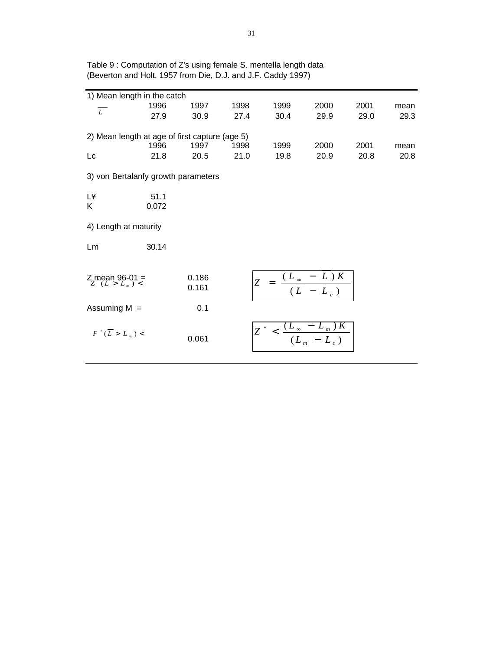| 1) Mean length in the catch                    |       |       |      |                                                        |                                             |      |      |
|------------------------------------------------|-------|-------|------|--------------------------------------------------------|---------------------------------------------|------|------|
| $\overline{L}$                                 | 1996  | 1997  | 1998 | 1999                                                   | 2000                                        | 2001 | mean |
|                                                | 27.9  | 30.9  | 27.4 | 30.4                                                   | 29.9                                        | 29.0 | 29.3 |
|                                                |       |       |      |                                                        |                                             |      |      |
| 2) Mean length at age of first capture (age 5) |       |       |      |                                                        |                                             |      |      |
|                                                | 1996  | 1997  | 1998 | 1999                                                   | 2000                                        | 2001 | mean |
| Lc                                             | 21.8  | 20.5  | 21.0 | 19.8                                                   | 20.9                                        | 20.8 | 20.8 |
| 3) von Bertalanfy growth parameters            |       |       |      |                                                        |                                             |      |      |
| L¥                                             | 51.1  |       |      |                                                        |                                             |      |      |
| K                                              | 0.072 |       |      |                                                        |                                             |      |      |
|                                                |       |       |      |                                                        |                                             |      |      |
| 4) Length at maturity                          |       |       |      |                                                        |                                             |      |      |
| Lm                                             | 30.14 |       |      |                                                        |                                             |      |      |
|                                                |       |       |      |                                                        |                                             |      |      |
|                                                |       | 0.186 |      |                                                        |                                             |      |      |
| $Z$ mean 96-01 =                               |       | 0.161 |      | $Z = \frac{(L_{\infty} - L)K}{(\overline{L} - L_{c})}$ |                                             |      |      |
|                                                |       |       |      |                                                        |                                             |      |      |
| Assuming $M =$                                 |       | 0.1   |      |                                                        |                                             |      |      |
|                                                |       |       |      |                                                        |                                             |      |      |
| $F^*(\overline{L} > L_m)$ <                    |       |       |      | $Z^* < \frac{1}{2}$                                    | $\frac{(L_{\infty}-L_{m})K}{(L_{m}-L_{c})}$ |      |      |
|                                                |       | 0.061 |      |                                                        |                                             |      |      |
|                                                |       |       |      |                                                        |                                             |      |      |

Table 9 : Computation of Z's using female S. mentella length data (Beverton and Holt, 1957 from Die, D.J. and J.F. Caddy 1997)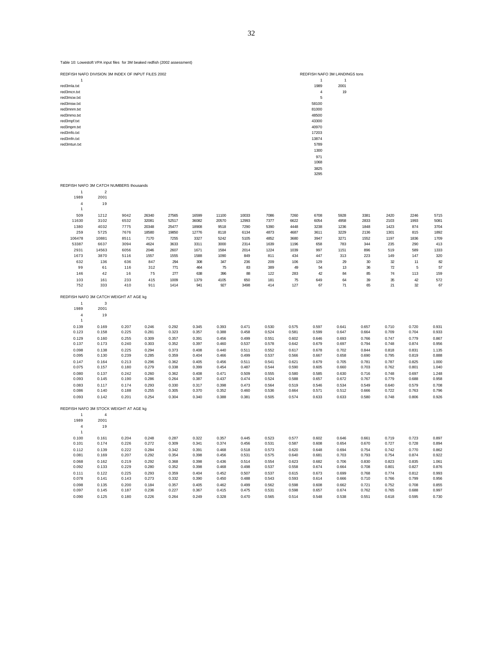| REDFISH NAFO DIVISION 3M INDEX OF INPUT FILES 2002 |                |                |                |                |                |                |                |                |                |                 | REDFISH NAFO 3M LANDINGS tons |                |                |                |                |
|----------------------------------------------------|----------------|----------------|----------------|----------------|----------------|----------------|----------------|----------------|----------------|-----------------|-------------------------------|----------------|----------------|----------------|----------------|
|                                                    |                |                |                |                |                |                |                |                |                | $\mathbf{1}$    | $\mathbf{1}$                  |                |                |                |                |
| red3mla.txt                                        |                |                |                |                |                |                |                |                |                | 1989            | 2001                          |                |                |                |                |
| red3mcn.txt<br>red3mcw.txt                         |                |                |                |                |                |                |                |                |                | $\sqrt{4}$<br>5 | 19                            |                |                |                |                |
| red3msw.txt                                        |                |                |                |                |                |                |                |                |                | 58100           |                               |                |                |                |                |
| red3mnm.txt                                        |                |                |                |                |                |                |                |                |                | 81000           |                               |                |                |                |                |
| red3mmo.txt                                        |                |                |                |                |                |                |                |                |                | 48500           |                               |                |                |                |                |
| red3mpf.txt                                        |                |                |                |                |                |                |                |                |                | 43300           |                               |                |                |                |                |
| red3mpm.txt                                        |                |                |                |                |                |                |                |                |                | 40970           |                               |                |                |                |                |
| red3mfo.txt                                        |                |                |                |                |                |                |                |                |                | 17203           |                               |                |                |                |                |
| red3mfn.txt                                        |                |                |                |                |                |                |                |                |                | 13874           |                               |                |                |                |                |
| red3mtun.txt                                       |                |                |                |                |                |                |                |                |                | 5789            |                               |                |                |                |                |
|                                                    |                |                |                |                |                |                |                |                |                | 1300            |                               |                |                |                |                |
|                                                    |                |                |                |                |                |                |                |                |                | 971             |                               |                |                |                |                |
|                                                    |                |                |                |                |                |                |                |                |                | 1068            |                               |                |                |                |                |
|                                                    |                |                |                |                |                |                |                |                |                | 3825<br>3295    |                               |                |                |                |                |
|                                                    |                |                |                |                |                |                |                |                |                |                 |                               |                |                |                |                |
| REDFISH NAFO 3M CATCH NUMBERS thousands            |                |                |                |                |                |                |                |                |                |                 |                               |                |                |                |                |
| $\mathbf{1}$                                       | $\sqrt{2}$     |                |                |                |                |                |                |                |                |                 |                               |                |                |                |                |
| 1989                                               | 2001           |                |                |                |                |                |                |                |                |                 |                               |                |                |                |                |
| $\sqrt{4}$<br>$\mathbf{1}$                         | 19             |                |                |                |                |                |                |                |                |                 |                               |                |                |                |                |
| 509                                                | 1212           | 9042           | 26340          | 27565          | 16599          | 11100          | 10033          | 7086           | 7260           | 6708            | 5928                          | 3381           | 2420           | 2246           | 5715           |
| 11630                                              | 3102           | 6532           | 32081          | 52517          | 36082          | 20570          | 12993          | 7377           | 6622           | 6054            | 4958                          | 2833           | 2103           | 1993           | 5081           |
| 1380                                               | 4032           | 7775           | 20348          | 25477          | 18908          | 9518           | 7290           | 5390           | 4448           | 3238            | 1236                          | 1848           | 1423           | 874            | 3704           |
| 259                                                | 5725           | 7676           | 18580          | 19850          | 12776          | 8118           | 6134           | 4873           | 4687           | 3611            | 3229                          | 2136           | 1301           | 815            | 1892           |
| 106478                                             | 10881          | 8511           | 7170           | 7255           | 3327           | 5242           | 5105           | 4852           | 3680           | 3947            | 3271                          | 1552           | 1197           | 1836           | 1709           |
| 53387                                              | 6637           | 3094           | 4624           | 3633           | 3311           | 3000           | 2314           | 1639           | 1196           | 658             | 783                           | 344            | 235            | 290            | 413            |
| 2931                                               | 14563          | 6056           | 2046           | 2607           | 1671           | 1584           | 2014           | 1224           | 1039           | 997             | 1151                          | 896            | 519            | 589            | 1333           |
| 1673                                               | 3870           | 5116           | 1557           | 1555           | 1588           | 1090           | 849            | 811            | 434            | 447             | 313                           | 223            | 149            | 147            | 320            |
| 632                                                | 136            | 636            | 847            | 294            | 308            | 347            | 236            | 209            | 106            | 129             | 29                            | 30             | 32             | 11             | 82             |
| 99                                                 | 61             | 116            | 312            | 771            | 464            | 75             | 83             | 389            | 49             | 54              | 13                            | 36             | $\mathbf{72}$  | 5              | 57             |
| 146                                                | 42             | 16             | 75             | 277            | 638            | 396            | 88             | 122            | 283            | 42              | 84                            | 85             | 74             | 113            | 159            |
| 103<br>752                                         | 161<br>333     | 233<br>410     | 415<br>911     | 1009<br>1414   | 1379<br>941    | 4105<br>927    | 650<br>3498    | 181<br>414     | 75<br>127      | 649<br>67       | 64<br>71                      | 39<br>65       | 35<br>21       | 42<br>32       | 572<br>67      |
|                                                    |                |                |                |                |                |                |                |                |                |                 |                               |                |                |                |                |
| REDFISH NAFO 3M CATCH WEIGHT AT AGE kg             |                |                |                |                |                |                |                |                |                |                 |                               |                |                |                |                |
| $\mathbf{1}$                                       | 3              |                |                |                |                |                |                |                |                |                 |                               |                |                |                |                |
| 1989                                               | 2001           |                |                |                |                |                |                |                |                |                 |                               |                |                |                |                |
| $\overline{4}$                                     | 19             |                |                |                |                |                |                |                |                |                 |                               |                |                |                |                |
| -1                                                 |                |                |                |                |                |                |                |                |                |                 |                               |                |                |                |                |
| 0.139<br>0.123                                     | 0.169<br>0.158 | 0.207<br>0.225 | 0.246<br>0.281 | 0.292<br>0.323 | 0.345<br>0.357 | 0.393<br>0.388 | 0.471<br>0.458 | 0.530<br>0.524 | 0.575<br>0.581 | 0.597<br>0.599  | 0.641<br>0.647                | 0.657<br>0.664 | 0.710<br>0.709 | 0.720<br>0.704 | 0.931<br>0.933 |
| 0.129                                              | 0.160          | 0.255          | 0.309          | 0.357          | 0.391          | 0.456          | 0.499          | 0.551          | 0.602          | 0.646           | 0.693                         | 0.766          | 0.747          | 0.779          | 0.867          |
| 0.137                                              | 0.173          | 0.240          | 0.303          | 0.352          | 0.397          | 0.460          | 0.537          | 0.578          | 0.642          | 0.679           | 0.697                         | 0.794          | 0.748          | 0.874          | 0.956          |
| 0.098                                              | 0.138          | 0.225          | 0.294          | 0.373          | 0.408          | 0.440          | 0.511          | 0.552          | 0.617          | 0.678           | 0.702                         | 0.844          | 0.818          | 0.831          | 1.135          |
| 0.095                                              | 0.130          | 0.239          | 0.285          | 0.359          | 0.404          | 0.466          | 0.499          | 0.537          | 0.566          | 0.667           | 0.658                         | 0.690          | 0.795          | 0.819          | 0.888          |
| 0.147                                              | 0.164          | 0.213          | 0.296          | 0.362          | 0.405          | 0.456          | 0.511          | 0.541          | 0.621          | 0.679           | 0.705                         | 0.781          | 0.787          | 0.825          | 1.000          |
| 0.075                                              | 0.157          | 0.180          | 0.279          | 0.338          | 0.399          | 0.454          | 0.487          | 0.544          | 0.590          | 0.605           | 0.660                         | 0.703          | 0.762          | 0.801          | 1.040          |
| 0.080                                              | 0.137          | 0.242          | 0.260          | 0.362          | 0.408          | 0.471          | 0.509          | 0.555          | 0.580          | 0.585           | 0.630                         | 0.716          | 0.748          | 0.697          | 1.248          |
| 0.093                                              | 0.145          | 0.190          | 0.286          | 0.264          | 0.387          | 0.437          | 0.474          | 0.524          | 0.588          | 0.657           | 0.672                         | 0.767          | 0.779          | 0.688          | 0.958          |
| 0.083                                              | 0.117          | 0.174          | 0.293          | 0.330          | 0.317          | 0.398          | 0.473          | 0.564          | 0.519          | 0.546           | 0.534                         | 0.549          | 0.640          | 0.579          | 0.708          |
| 0.086                                              | 0.140          | 0.188          | 0.255          | 0.305          | 0.370          | 0.352          | 0.460          | 0.536          | 0.664          | 0.571           | 0.512                         | 0.666          | 0.722          | 0.763          | 0.796          |
| 0.093                                              | 0.142          | 0.201          | 0.254          | 0.304          | 0.340          | 0.388          | 0.381          | 0.505          | 0.574          | 0.633           | 0.633                         | 0.580          | 0.748          | 0.806          | 0.926          |
| REDFISH NAFO 3M STOCK WEIGHT AT AGE kg             |                |                |                |                |                |                |                |                |                |                 |                               |                |                |                |                |
| $\mathbf{1}$                                       | $\overline{4}$ |                |                |                |                |                |                |                |                |                 |                               |                |                |                |                |
| 1989<br>$\overline{4}$                             | 2001<br>19     |                |                |                |                |                |                |                |                |                 |                               |                |                |                |                |
| $\mathbf{1}$                                       |                |                |                |                |                |                |                |                |                |                 |                               |                |                |                |                |
| 0.100                                              | 0.161          | 0.204          | 0.248          | 0.287          | 0.322          | 0.357          | 0.445          | 0.523          | 0.577          | 0.602           | 0.646                         | 0.661          | 0.719          | 0.723          | 0.897          |
| 0.101                                              | 0.174          | 0.226          | 0.272          | 0.309          | 0.341          | 0.374          | 0.456          | 0.531          | 0.587          | 0.608           | 0.654                         | 0.670          | 0.727          | 0.728          | 0.894          |
| 0.112                                              | 0.139          | 0.222          | 0.284          | 0.342          | 0.391          | 0.468          | 0.518          | 0.573          | 0.620          | 0.648           | 0.694                         | 0.754          | 0.742          | 0.770          | 0.862          |
| 0.081                                              | 0.169          | 0.207          | 0.292          | 0.354          | 0.398          | 0.456          | 0.531          | 0.575          | 0.640          | 0.681           | 0.703                         | 0.793          | 0.754          | 0.874          | 0.922          |
| 0.068                                              | 0.162          | 0.219          | 0.292          | 0.368          | 0.398          | 0.436          | 0.514          | 0.554          | 0.623          | 0.682           | 0.706                         | 0.830          | 0.823          | 0.835          | 1.061          |
| 0.092                                              | 0.133          | 0.229          | 0.280          | 0.352          | 0.398          | 0.468          | 0.498          | 0.537          | 0.558          | 0.674           | 0.664                         | 0.708          | 0.801          | 0.827          | 0.876          |
| 0.111<br>0.078                                     | 0.122<br>0.141 | 0.225<br>0.143 | 0.293<br>0.273 | 0.359<br>0.332 | 0.404<br>0.390 | 0.452<br>0.450 | 0.507<br>0.488 | 0.537<br>0.543 | 0.615<br>0.593 | 0.673<br>0.614  | 0.699<br>0.666                | 0.768<br>0.710 | 0.774<br>0.766 | 0.812<br>0.799 | 0.993<br>0.956 |
| 0.098                                              | 0.135          | 0.200          | 0.184          | 0.357          | 0.405          | 0.462          | 0.499          | 0.562          | 0.598          | 0.608           | 0.662                         | 0.721          | 0.752          | 0.708          | 0.855          |
| 0.097                                              | 0.145          | 0.187          | 0.236          | 0.227          | 0.367          | 0.415          | 0.475          | 0.531          | 0.598          | 0.657           | 0.674                         | 0.762          | 0.765          | 0.688          | 0.997          |
| 0.090                                              | 0.125          | 0.180          | 0.226          | 0.264          | 0.249          | 0.328          | 0.470          | 0.565          | 0.514          | 0.548           | 0.538                         | 0.551          | 0.618          | 0.595          | 0.730          |

Table 10: Lowestoft VPA input files for 3M beaked redfish (2002 assessment)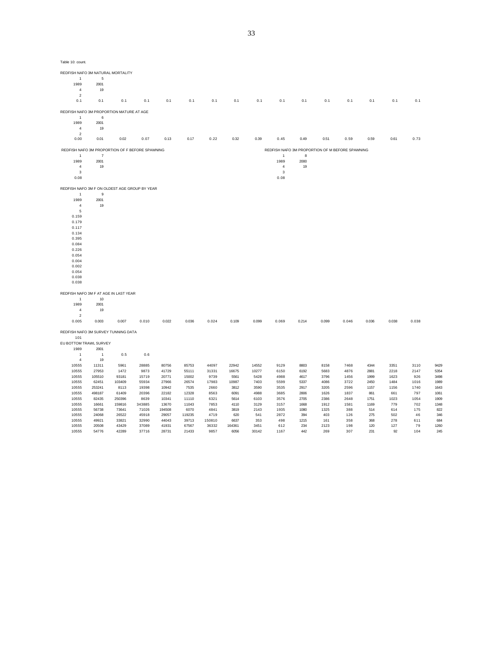| Table 10: count. |  |  |  |
|------------------|--|--|--|
|------------------|--|--|--|

0.395 0.084 0.226 0.054 0.004

REDFISH NAFO 3M NATURAL MORTALITY 1 5 1989 4 19

 $\begin{array}{c} 4 \\ 2 \\ 0.1 \end{array}$ 0.1 0.1 0.1 0.1 0.1 0.1 0.1 0.1 0.1 0.1 0.1 0.1 0.1 0.1 0.1 0.1 REDFISH NAFO 3M PROPORTION MATURE AT AGE<br>1 6 1 6 1989 2001  $\begin{array}{ccc} 4 & & 19 \\ 2 & & \end{array}$ 2 0.00 0.01 0.02 0.07 0.13 0.17 0.22 0.32 0.39 0.45 0.49 0.51 0.59 0.59 0.61 0.73 REDFISH NAFO 3M PROPORTION OF F BEFORE SPAWNING<br>
1
7
1
8
<br>
1989
2001
2001<br>
2001
2002 1  $7$  1 8 1989 2001 1989 2000 4 19 4 19  $3$ 0.08 0.08 REDFISH NAFO 3M F ON OLDEST AGE GROUP BY YEAR 1 9 1989 2001 19  $\begin{array}{c} 4 \\ 5 \end{array}$ 0.159 0.179 0.117 0.134

| 0.002                                 |                |        |        |        |        |        |        |       |       |       |       |       |       |       |       |      |
|---------------------------------------|----------------|--------|--------|--------|--------|--------|--------|-------|-------|-------|-------|-------|-------|-------|-------|------|
| 0.054                                 |                |        |        |        |        |        |        |       |       |       |       |       |       |       |       |      |
| 0.038                                 |                |        |        |        |        |        |        |       |       |       |       |       |       |       |       |      |
| 0.038                                 |                |        |        |        |        |        |        |       |       |       |       |       |       |       |       |      |
|                                       |                |        |        |        |        |        |        |       |       |       |       |       |       |       |       |      |
| REDFISH NAFO 3M F AT AGE IN LAST YEAR |                |        |        |        |        |        |        |       |       |       |       |       |       |       |       |      |
|                                       | 10             |        |        |        |        |        |        |       |       |       |       |       |       |       |       |      |
| 1989                                  | 2001           |        |        |        |        |        |        |       |       |       |       |       |       |       |       |      |
| $\overline{4}$                        | 19             |        |        |        |        |        |        |       |       |       |       |       |       |       |       |      |
| $\overline{2}$                        |                |        |        |        |        |        |        |       |       |       |       |       |       |       |       |      |
| 0.005                                 | 0.003          | 0.007  | 0.010  | 0.022  | 0.036  | 0.024  | 0.109  | 0.099 | 0.069 | 0.214 | 0.099 | 0.046 | 0.036 | 0.038 | 0.038 |      |
| REDFISH NAFO 3M SURVEY TUNNING DATA   |                |        |        |        |        |        |        |       |       |       |       |       |       |       |       |      |
| 101                                   |                |        |        |        |        |        |        |       |       |       |       |       |       |       |       |      |
| EU BOTTOM TRAWL SURVEY                |                |        |        |        |        |        |        |       |       |       |       |       |       |       |       |      |
| 1989                                  | 2001           |        |        |        |        |        |        |       |       |       |       |       |       |       |       |      |
|                                       | $\overline{1}$ | 0.5    | 0.6    |        |        |        |        |       |       |       |       |       |       |       |       |      |
| $\overline{4}$                        | 19             |        |        |        |        |        |        |       |       |       |       |       |       |       |       |      |
| 10555                                 | 11311          | 5961   | 28885  | 80756  | 85753  | 44097  | 22942  | 14552 | 9129  | 8803  | 8158  | 7468  | 4344  | 3351  | 3110  | 9429 |
| 10555                                 | 27953          | 1472   | 9873   | 41729  | 55111  | 31331  | 16675  | 10277 | 6150  | 6192  | 5683  | 4876  | 2881  | 2218  | 2147  | 5354 |
| 10555                                 | 105510         | 93181  | 15719  | 20771  | 15002  | 9739   | 5561   | 5428  | 4988  | 4617  | 3796  | 1456  | 1999  | 1623  | 926   | 3498 |
| 10555                                 | 62451          | 103409 | 55934  | 27966  | 26574  | 17983  | 10987  | 7403  | 5599  | 5337  | 4086  | 3722  | 2450  | 1484  | 1016  | 1989 |
| 10555                                 | 253241         | 8113   | 19398  | 10942  | 7535   | 2660   | 3812   | 3590  | 3535  | 2917  | 3205  | 2596  | 1157  | 1156  | 1740  | 1643 |
| 10555                                 | 498187         | 61409  | 20396  | 22182  | 12328  | 8563   | 6091   | 4988  | 3685  | 2806  | 1626  | 1837  | 861   | 661   | 797   | 1061 |
| 10555                                 | 82435          | 250396 | 8639   | 10341  | 11110  | 6321   | 5614   | 6103  | 3576  | 2705  | 2386  | 2648  | 1751  | 1023  | 1054  | 1909 |
| 10555                                 | 16661          | 159816 | 343885 | 13670  | 11043  | 7853   | 4110   | 3129  | 3157  | 1668  | 1912  | 1581  | 1169  | 779   | 702   | 1348 |
| 10555                                 | 56738          | 73641  | 71026  | 194508 | 6070   | 4841   | 3819   | 2143  | 1935  | 1080  | 1325  | 388   | 514   | 614   | 175   | 822  |
| 10555                                 | 24068          | 26522  | 45918  | 29057  | 119235 | 4719   | 620    | 541   | 2872  | 394   | 403   | 126   | 275   | 502   | 46    | 346  |
| 10555                                 | 49921          | 33821  | 32990  | 44043  | 39713  | 150810 | 6637   | 353   | 498   | 1215  | 161   | 358   | 368   | 278   | 611   | 684  |
| 10555                                 | 20508          | 43429  | 37089  | 41931  | 67567  | 36332  | 164361 | 3451  | 612   | 234   | 2123  | 198   | 120   | 127   | 79    | 1260 |
| 10555                                 | 54776          | 42289  | 37716  | 28731  | 21433  | 9857   | 6056   | 30142 | 1167  | 442   | 269   | 307   | 231   | 92    | 104   | 245  |
|                                       |                |        |        |        |        |        |        |       |       |       |       |       |       |       |       |      |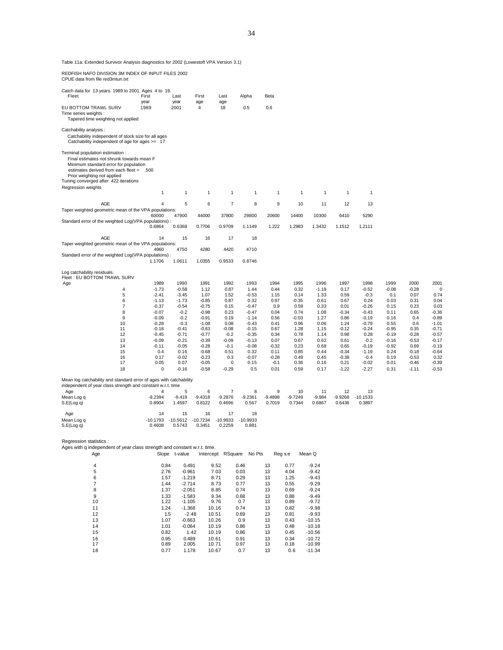Table 11a: Extended Survivor Analysis diagnostics for 2002 (Lowestoft VPA Version 3.1)

REDFISH NAFO DIVISION 3M INDEX OF INPUT FILES 2002 CPUE data from file red3mtun.txt

| Catch data for 13 years. 1989 to 2001. Ages 4 to 19.<br>Fleet                                                                                                                                                                              | First<br>year       | Last<br>year         | First<br>age         | Last<br>age          | Alpha              | Beta                |                     |                    |                     |                      |                 |                 |                    |
|--------------------------------------------------------------------------------------------------------------------------------------------------------------------------------------------------------------------------------------------|---------------------|----------------------|----------------------|----------------------|--------------------|---------------------|---------------------|--------------------|---------------------|----------------------|-----------------|-----------------|--------------------|
| EU BOTTOM TRAWL SURV<br>Time series weights :<br>Tapered time weighting not applied                                                                                                                                                        | 1989                | 2001                 | $\overline{4}$       | 18                   | 0.5                | 0.6                 |                     |                    |                     |                      |                 |                 |                    |
| Catchability analysis :<br>Catchability independent of stock size for all ages<br>Catchability independent of age for ages >= 17                                                                                                           |                     |                      |                      |                      |                    |                     |                     |                    |                     |                      |                 |                 |                    |
| Terminal population estimation :<br>Final estimates not shrunk towards mean F<br>Minimum standard error for population<br>estimates derived from each fleet = .500<br>Prior weighting not applied<br>Tuning converged after 422 iterations |                     |                      |                      |                      |                    |                     |                     |                    |                     |                      |                 |                 |                    |
| Regression weights                                                                                                                                                                                                                         | 1                   | $\mathbf{1}$         | $\mathbf{1}$         | $\mathbf{1}$         | $\mathbf{1}$       | $\mathbf{1}$        | $\mathbf{1}$        | $\mathbf{1}$       | $\mathbf{1}$        | $\mathbf{1}$         |                 |                 |                    |
|                                                                                                                                                                                                                                            |                     |                      |                      |                      |                    |                     |                     |                    |                     |                      |                 |                 |                    |
| <b>AGE</b><br>Taper weighted geometric mean of the VPA populations:                                                                                                                                                                        | $\overline{4}$      | 5                    | 6                    | $\overline{7}$       | 8                  | 9                   | 10                  | 11                 | 12                  | 13                   |                 |                 |                    |
|                                                                                                                                                                                                                                            | 60000               | 47900                | 44000                | 37800                | 29800              | 20600               | 14400               | 10300              | 6410                | 5290                 |                 |                 |                    |
| Standard error of the weighted Log(VPA populations) :                                                                                                                                                                                      |                     |                      |                      |                      |                    |                     |                     |                    |                     |                      |                 |                 |                    |
|                                                                                                                                                                                                                                            | 0.6864              | 0.6368               | 0.7706               | 0.9709               | 1.1149             | 1.222               | 1.2983              | 1.3432             | 1.1512              | 1.2111               |                 |                 |                    |
| <b>AGE</b>                                                                                                                                                                                                                                 | 14                  | 15                   | 16                   | 17                   | 18                 |                     |                     |                    |                     |                      |                 |                 |                    |
| Taper weighted geometric mean of the VPA populations:                                                                                                                                                                                      |                     |                      |                      |                      |                    |                     |                     |                    |                     |                      |                 |                 |                    |
| Standard error of the weighted Log(VPA populations) :                                                                                                                                                                                      | 4960                | 4750                 | 4280                 | 4420                 | 4710               |                     |                     |                    |                     |                      |                 |                 |                    |
|                                                                                                                                                                                                                                            | 1.1706              | 1.0611               | 1.0355               | 0.9533               | 0.8746             |                     |                     |                    |                     |                      |                 |                 |                    |
| Log catchability residuals.<br>Fleet: EU BOTTOM TRAWL SURV                                                                                                                                                                                 |                     |                      |                      |                      |                    |                     |                     |                    |                     |                      |                 |                 |                    |
| Age                                                                                                                                                                                                                                        | 1989                | 1990                 | 1991                 | 1992                 | 1993               | 1994                | 1995                | 1996               | 1997                | 1998                 | 1999            | 2000            | 2001               |
| 4<br>5                                                                                                                                                                                                                                     | $-1.73$<br>$-2.41$  | $-0.58$<br>$-3.45$   | 1.12<br>1.07         | 0.87<br>1.52         | 1.44<br>$-0.53$    | 0.44<br>1.15        | 0.32<br>0.14        | $-1.19$<br>1.33    | 0.17<br>0.59        | $-0.52$<br>$-0.3$    | $-0.08$<br>0.1  | $-0.28$<br>0.07 | 0<br>0.74          |
| 6                                                                                                                                                                                                                                          | $-1.13$             | $-1.73$              | $-0.85$              | 0.87                 | 0.32               | 0.97                | $-0.35$             | 0.61               | 0.67                | 0.24                 | 0.03            | 0.31            | 0.04               |
| 7                                                                                                                                                                                                                                          | $-0.37$             | $-0.54$              | $-0.75$              | 0.15                 | $-0.47$            | 0.9                 | 0.59                | 0.33               | 0.01                | $-0.26$              | 0.15            | 0.23            | 0.03               |
| 8                                                                                                                                                                                                                                          | $-0.07$             | $-0.2$               | $-0.98$              | 0.23                 | $-0.47$            | 0.04                | 0.74                | 1.08               | $-0.34$             | $-0.43$              | 0.11            | 0.65            | $-0.36$            |
| 9<br>10                                                                                                                                                                                                                                    | $-0.09$<br>$-0.28$  | $-0.2$<br>$-0.3$     | $-0.91$<br>$-1.08$   | 0.19<br>0.08         | $-1.14$<br>$-0.43$ | 0.56<br>0.41        | $-0.03$<br>0.96     | 1.27<br>0.06       | 0.86<br>1.24        | $-0.19$<br>$-0.79$   | 0.16<br>0.55    | 0.4<br>0.6      | $-0.89$<br>$-1.01$ |
| 11                                                                                                                                                                                                                                         | $-0.18$             | $-0.41$              | $-0.63$              | $-0.08$              | $-0.15$            | 0.67                | 1.28                | 1.15               | $-0.12$             | $-0.24$              | $-0.95$         | 0.35            | $-0.71$            |
| 12                                                                                                                                                                                                                                         | $-0.45$             | $-0.71$              | $-0.77$              | $-0.2$               | $-0.35$            | 0.34                | 0.78                | 1.14               | 0.98                | 0.28                 | $-0.19$         | $-0.28$         | $-0.57$            |
| 13                                                                                                                                                                                                                                         | $-0.09$             | $-0.21$              | $-0.39$              | $-0.09$              | $-0.13$            | 0.07                | 0.67                | 0.62               | 0.61                | $-0.2$               | $-0.16$         | $-0.53$         | $-0.17$            |
| 14<br>15                                                                                                                                                                                                                                   | $-0.11$<br>0.4      | $-0.05$<br>0.16      | $-0.28$<br>$-0.68$   | $-0.1$<br>0.51       | $-0.08$<br>0.32    | $-0.32$<br>0.11     | 0.23<br>0.85        | 0.68<br>0.44       | 0.65<br>$-0.34$     | $-0.19$<br>$-1.19$   | $-0.92$<br>0.24 | 0.69<br>$-0.18$ | $-0.19$<br>$-0.64$ |
| 16                                                                                                                                                                                                                                         | 0.17                | $-0.02$              | $-0.23$              | 0.3                  | $-0.07$            | $-0.28$             | 0.49                | 0.45               | $-0.38$             | $-0.4$               | 0.19            | $-0.53$         | 0.32               |
| 17                                                                                                                                                                                                                                         | 0.05                | 0.07                 | $-0.05$              | 0                    | 0.15               | $-0.1$              | 0.36                | 0.16               | 0.21                | $-0.02$              | 0.01            | -0.46           | $-0.39$            |
| 18                                                                                                                                                                                                                                         | $\mathbf 0$         | $-0.16$              | $-0.58$              | $-0.29$              | 0.5                | 0.01                | 0.59                | 0.17               | $-1.22$             | $-2.27$              | 0.31            | $-1.11$         | $-0.53$            |
| Mean log catchability and standard error of ages with catchability<br>independent of year class strength and constant w.r.t. time                                                                                                          |                     |                      |                      |                      |                    |                     |                     |                    |                     |                      |                 |                 |                    |
| Age                                                                                                                                                                                                                                        | 4                   | 5                    | 6                    | $\overline{7}$       | 8                  | 9                   | 10                  | 11                 | 12                  | 13                   |                 |                 |                    |
| Mean Log q<br>S.E(Log q)                                                                                                                                                                                                                   | $-9.2394$<br>0.8904 | $-9.419$<br>1.4597   | $-9.4318$<br>0.8122  | $-9.2876$<br>0.4696  | $-9.2361$<br>0.567 | $-9.4898$<br>0.7019 | $-9.7249$<br>0.7344 | $-9.984$<br>0.6867 | $-9.9268$<br>0.6436 | $-10.1533$<br>0.3897 |                 |                 |                    |
|                                                                                                                                                                                                                                            |                     |                      |                      |                      |                    |                     |                     |                    |                     |                      |                 |                 |                    |
| Age                                                                                                                                                                                                                                        | 14<br>$-10.1793$    | 15                   | 16                   | 17                   | 18<br>$-10.9933$   |                     |                     |                    |                     |                      |                 |                 |                    |
| Mean Log q<br>S.E(Log q)                                                                                                                                                                                                                   | 0.4608              | $-10.5612$<br>0.5743 | $-10.7234$<br>0.3451 | $-10.9933$<br>0.2259 | 0.881              |                     |                     |                    |                     |                      |                 |                 |                    |
|                                                                                                                                                                                                                                            |                     |                      |                      |                      |                    |                     |                     |                    |                     |                      |                 |                 |                    |
| Regression statistics :                                                                                                                                                                                                                    |                     |                      |                      |                      |                    |                     |                     |                    |                     |                      |                 |                 |                    |
| Ages with q independent of year class strength and constant w.r.t. time.<br>Age                                                                                                                                                            |                     | Slope t-value        |                      | Intercept RSquare    | No Pts             |                     | Reg s.e             | Mean Q             |                     |                      |                 |                 |                    |
|                                                                                                                                                                                                                                            |                     |                      |                      |                      |                    |                     |                     |                    |                     |                      |                 |                 |                    |
| 4                                                                                                                                                                                                                                          | 0.84                | 0.491                |                      | 9.52                 | 0.46               | 13                  | 0.77                | $-9.24$            |                     |                      |                 |                 |                    |
| 5                                                                                                                                                                                                                                          | 2.76                | $-0.961$             |                      | 7.03                 | 0.03               | 13                  | 4.04                | $-9.42$            |                     |                      |                 |                 |                    |
| 6<br>7                                                                                                                                                                                                                                     | 1.57<br>4A          | $-1.219$<br>2714     |                      | 8.71<br>0.72         | 0.29<br>0.77       | 13<br>12            | 1.25<br>0E          | $-9.43$<br>0.20    |                     |                      |                 |                 |                    |

| 5  | 2.76 | $-0.961$ | 7.03  | 0.03 | 13 | 4.04 | -9.42    |
|----|------|----------|-------|------|----|------|----------|
| 6  | 1.57 | $-1.219$ | 8.71  | 0.29 | 13 | 1.25 | $-9.43$  |
|    | 1.44 | $-2.714$ | 8.73  | 0.77 | 13 | 0.55 | $-9.29$  |
| 8  | 1.37 | $-2.051$ | 8.85  | 0.74 | 13 | 0.69 | $-9.24$  |
| 9  | 1.33 | $-1.583$ | 9.34  | 0.68 | 13 | 0.88 | $-9.49$  |
| 10 | 1.22 | $-1.105$ | 9.76  | 0.7  | 13 | 0.89 | $-9.72$  |
| 11 | 1.24 | $-1.368$ | 10.16 | 0.74 | 13 | 0.82 | $-9.98$  |
| 12 | 1.5  | $-2.48$  | 10.51 | 0.69 | 13 | 0.81 | $-9.93$  |
| 13 | 1.07 | $-0.663$ | 10.26 | 0.9  | 13 | 0.43 | $-10.15$ |
| 14 | 1.01 | $-0.064$ | 10.19 | 0.86 | 13 | 0.48 | $-10.18$ |
| 15 | 0.82 | 1.42     | 10.19 | 0.86 | 13 | 0.45 | $-10.56$ |
| 16 | 0.95 | 0.489    | 10.61 | 0.91 | 13 | 0.34 | $-10.72$ |
| 17 | 0.89 | 2.005    | 10.71 | 0.97 | 13 | 0.18 | $-10.99$ |
| 18 | 0.77 | 1.178    | 10.67 | 0.7  | 13 | 0.6  | $-11.34$ |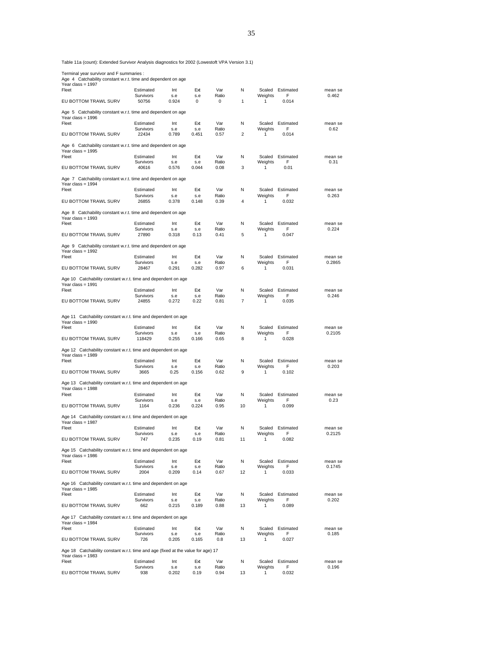Table 11a (count): Extended Survivor Analysis diagnostics for 2002 (Lowestoft VPA Version 3.1)

Terminal year survivor and F summaries : Age 4 Catchability constant w.r.t. time and dependent on age

| Age 4 Catchability constant will the and dependent on age<br>Year class = 1997       |                        |            |            |              |    |                   |                |                   |
|--------------------------------------------------------------------------------------|------------------------|------------|------------|--------------|----|-------------------|----------------|-------------------|
| Fleet                                                                                | Estimated              | Int        | Ext        | Var          | N  | Scaled            | Estimated      | mean se           |
|                                                                                      | Survivors              | s.e        | s.e        | Ratio        |    | Weights           | F              | 0.462             |
| EU BOTTOM TRAWL SURV                                                                 | 50756                  | 0.924      | 0          | 0            | 1  | 1                 | 0.014          |                   |
| Age 5 Catchability constant w.r.t. time and dependent on age<br>Year class = $1996$  |                        |            |            |              |    |                   |                |                   |
| Fleet                                                                                | Estimated              | Int        | Ext        | Var          | N  | Scaled            | Estimated      | mean se           |
|                                                                                      | Survivors              | s.e        | s.e        | Ratio        |    | Weights           | F              | 0.62              |
| EU BOTTOM TRAWL SURV                                                                 | 22434                  | 0.789      | 0.451      | 0.57         | 2  | 1                 | 0.014          |                   |
| Age 6 Catchability constant w.r.t. time and dependent on age                         |                        |            |            |              |    |                   |                |                   |
| Year class = 1995                                                                    |                        |            |            |              |    |                   |                |                   |
| Fleet                                                                                | Estimated<br>Survivors | Int<br>s.e | Ext<br>s.e | Var<br>Ratio | Ν  | Scaled<br>Weights | Estimated<br>F | mean se<br>0.31   |
| EU BOTTOM TRAWL SURV                                                                 | 40616                  | 0.576      | 0.044      | 0.08         | 3  | 1                 | 0.01           |                   |
| Age 7 Catchability constant w.r.t. time and dependent on age                         |                        |            |            |              |    |                   |                |                   |
| Year class = $1994$                                                                  |                        |            |            |              |    |                   |                |                   |
| Fleet                                                                                | Estimated              | Int        | Ext        | Var          | N  | Scaled            | Estimated      | mean se           |
|                                                                                      | Survivors              | s.e        | s.e        | Ratio        |    | Weights           | F              | 0.263             |
| EU BOTTOM TRAWL SURV                                                                 | 26855                  | 0.378      | 0.148      | 0.39         | 4  | 1                 | 0.032          |                   |
| Age 8 Catchability constant w.r.t. time and dependent on age<br>Year class = $1993$  |                        |            |            |              |    |                   |                |                   |
| Fleet                                                                                | Estimated              | Int        | Ext        | Var          | Ν  | Scaled            | Estimated      | mean se           |
|                                                                                      | Survivors              | s.e        | s.e        | Ratio        |    | Weights           | F              | 0.224             |
| EU BOTTOM TRAWL SURV                                                                 | 27890                  | 0.318      | 0.13       | 0.41         | 5  | 1                 | 0.047          |                   |
| Age 9 Catchability constant w.r.t. time and dependent on age<br>Year class = $1992$  |                        |            |            |              |    |                   |                |                   |
| Fleet                                                                                | Estimated              | Int        | Ext        | Var          | N  | Scaled            | Estimated      | mean se           |
|                                                                                      | Survivors              | s.e        | s.e        | Ratio        |    | Weights           | F              | 0.2865            |
| EU BOTTOM TRAWL SURV                                                                 | 28467                  | 0.291      | 0.282      | 0.97         | 6  | 1                 | 0.031          |                   |
| Age 10 Catchability constant w.r.t. time and dependent on age                        |                        |            |            |              |    |                   |                |                   |
| Year class = $1991$<br>Fleet                                                         | Estimated              | Int        | Ext        | Var          | N  | Scaled            | Estimated      | mean se           |
|                                                                                      | Survivors              | s.e        | s.e        | Ratio        |    | Weights           | F              | 0.246             |
| EU BOTTOM TRAWL SURV                                                                 | 24855                  | 0.272      | 0.22       | 0.81         | 7  | 1                 | 0.035          |                   |
| Age 11 Catchability constant w.r.t. time and dependent on age                        |                        |            |            |              |    |                   |                |                   |
| Year class = $1990$                                                                  |                        |            |            |              |    |                   |                |                   |
| Fleet                                                                                | Estimated              | Int        | Ext        | Var          | Ν  | Scaled            | Estimated      | mean se           |
|                                                                                      | Survivors              | s.e        | s.e        | Ratio        |    | Weights           | F              | 0.2105            |
| EU BOTTOM TRAWL SURV                                                                 | 118429                 | 0.255      | 0.166      | 0.65         | 8  | 1                 | 0.028          |                   |
| Age 12 Catchability constant w.r.t. time and dependent on age                        |                        |            |            |              |    |                   |                |                   |
| Year class = $1989$                                                                  |                        |            |            |              |    |                   |                |                   |
| Fleet                                                                                | Estimated<br>Survivors | Int<br>s.e | Ext<br>s.e | Var<br>Ratio | Ν  | Scaled<br>Weights | Estimated<br>F | mean se<br>0.203  |
| EU BOTTOM TRAWL SURV                                                                 | 3665                   | 0.25       | 0.156      | 0.62         | 9  | 1                 | 0.102          |                   |
|                                                                                      |                        |            |            |              |    |                   |                |                   |
| Age 13 Catchability constant w.r.t. time and dependent on age<br>Year class = 1988   |                        |            |            |              |    |                   |                |                   |
| Fleet                                                                                | Estimated              | Int        | Ext        | Var          | N  | Scaled            | Estimated      | mean se           |
|                                                                                      | Survivors              | s.e        | s.e        | Ratio        |    | Weights           | F              | 0.23              |
| EU BOTTOM TRAWL SURV                                                                 | 1164                   | 0.236      | 0.224      | 0.95         | 10 | 1                 | 0.099          |                   |
| Age 14 Catchability constant w.r.t. time and dependent on age                        |                        |            |            |              |    |                   |                |                   |
| Year class = $1987$                                                                  |                        |            |            |              |    |                   |                |                   |
| Fleet                                                                                | Estimated<br>Survivors | Int<br>s.e | Ext<br>s.e | Var<br>Ratio | N  | Scaled<br>Weights | Estimated<br>F | mean se<br>0.2125 |
| EU BOTTOM TRAWL SURV                                                                 | 747                    | 0.235      | 0.19       | 0.81         | 11 | 1                 | 0.082          |                   |
| Age 15 Catchability constant w.r.t. time and dependent on age                        |                        |            |            |              |    |                   |                |                   |
| Year class = $1986$                                                                  |                        |            |            |              |    |                   |                |                   |
| Fleet                                                                                | Estimated              | Int        | Ext        | Var          | N  | Scaled            | Estimated      | mean se           |
|                                                                                      | Survivors              | s.e        | s.e        | Ratio        |    | Weights           | F              | 0.1745            |
| EU BOTTOM TRAWL SURV                                                                 | 2004                   | 0.209      | 0.14       | 0.67         | 12 | 1                 | 0.033          |                   |
| Age 16 Catchability constant w.r.t. time and dependent on age                        |                        |            |            |              |    |                   |                |                   |
| Year class = $1985$<br>Fleet                                                         |                        |            |            |              |    |                   |                |                   |
|                                                                                      | Estimated<br>Survivors | Int<br>s.e | Ext<br>s.e | Var<br>Ratio | Ν  | Scaled<br>Weights | Estimated<br>F | mean se<br>0.202  |
| EU BOTTOM TRAWL SURV                                                                 | 662                    | 0.215      | 0.189      | 0.88         | 13 | 1                 | 0.089          |                   |
|                                                                                      |                        |            |            |              |    |                   |                |                   |
| Age 17 Catchability constant w.r.t. time and dependent on age<br>Year class = $1984$ |                        |            |            |              |    |                   |                |                   |
| Fleet                                                                                | Estimated              | Int        | Ext        | Var          | Ν  | Scaled            | Estimated      | mean se           |
|                                                                                      | Survivors              | s.e        | s.e        | Ratio        |    | Weights           | F              | 0.185             |
| EU BOTTOM TRAWL SURV                                                                 | 726                    | 0.205      | 0.165      | 0.8          | 13 | 1                 | 0.027          |                   |
| Age 18 Catchability constant w.r.t. time and age (fixed at the value for age) 17     |                        |            |            |              |    |                   |                |                   |
| Year class = 1983                                                                    |                        |            |            |              |    |                   |                |                   |
| Fleet                                                                                | Estimated<br>Survivors | Int<br>s.e | Ext<br>s.e | Var<br>Ratio | Ν  | Scaled<br>Weights | Estimated<br>F | mean se<br>0.196  |
| EU BOTTOM TRAWL SURV                                                                 | 938                    | 0.202      | 0.19       | 0.94         | 13 | 1                 | 0.032          |                   |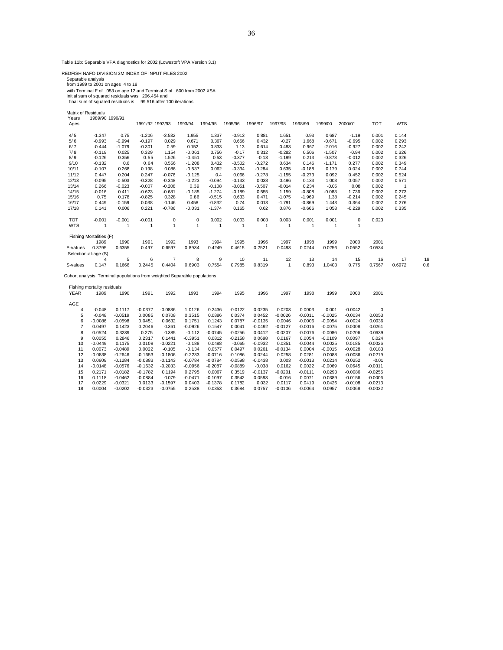Table 11b: Separable VPA diagnostics for 2002 (Lowestoft VPA Version 3.1)

REDFISH NAFO DIVISION 3M INDEX OF INPUT FILES 2002

Separable analysis<br>from 1989 to 2001 on ages 4 to 18<br>with Terminal F of .053 on age 12 and Terminal S of .600 from 2002 XSA<br>Initial sum of squared residuals was 206.454 and<br>final sum of squared residuals is 99.516 after 10

| Matrix of Residuals |                         |              |                 |                |                |          |          |                |              |              |              |          |            |            |     |
|---------------------|-------------------------|--------------|-----------------|----------------|----------------|----------|----------|----------------|--------------|--------------|--------------|----------|------------|------------|-----|
| Years<br>Ages       | 1989/90 1990/91         |              | 1991/92 1992/93 |                | 1993/94        | 1994/95  | 1995/96  | 1996/97        | 1997/98      | 1998/99      | 1999/00      | 2000/01  | <b>TOT</b> | <b>WTS</b> |     |
| 4/5                 | $-1.347$                | 0.75         | $-1.206$        | $-3.532$       | 1.955          | 1.337    | $-0.913$ | 0.881          | 1.651        | 0.93         | 0.687        | $-1.19$  | 0.001      | 0.144      |     |
| 5/6                 | $-0.993$                | $-0.994$     | $-0.197$        | 0.029          | 0.671          | 0.367    | 0.656    | 0.432          | $-0.27$      | 1.668        | $-0.671$     | $-0.695$ | 0.002      | 0.293      |     |
| 6/7                 | $-0.444$                | $-1.079$     | $-0.301$        | 0.59           | 0.152          | 0.833    | 1.13     | 0.614          | 0.483        | 0.967        | $-2.016$     | $-0.927$ | 0.002      | 0.242      |     |
| 7/8                 | $-0.119$                | 0.025        | 0.329           | 1.154          | $-0.061$       | 0.756    | $-0.17$  | 0.312          | $-0.282$     | 0.506        | $-1.507$     | $-0.94$  | 0.002      | 0.326      |     |
| 8/9                 | $-0.126$                | 0.356        | 0.55            | 1.526          | $-0.451$       | 0.53     | $-0.377$ | $-0.13$        | $-1.199$     | 0.213        | $-0.878$     | $-0.012$ | 0.002      | 0.326      |     |
| 9/10                | $-0.132$                | 0.6          | 0.64            | 0.556          | $-1.208$       | 0.432    | $-0.502$ | $-0.272$       | 0.634        | 0.146        | $-1.171$     | 0.277    | 0.002      | 0.349      |     |
| 10/11               | $-0.107$                | 0.268        | 0.198           | 0.086          | $-0.537$       | 0.062    | $-0.334$ | $-0.284$       | 0.635        | $-0.188$     | 0.179        | 0.024    | 0.002      | 0.744      |     |
| 11/12               | 0.447                   | 0.204        | 0.247           | $-0.076$       | $-0.125$       | 0.4      | 0.066    | $-0.278$       | $-1.155$     | $-0.273$     | 0.092        | 0.452    | 0.002      | 0.524      |     |
| 12/13               | $-0.095$                | $-0.503$     | $-0.328$        | $-0.348$       | $-0.223$       | $-0.094$ | $-0.133$ | 0.038          | 0.496        | 0.133        | 1.003        | 0.057    | 0.002      | 0.571      |     |
| 13/14               | 0.266                   | $-0.023$     | $-0.007$        | $-0.208$       | 0.39           | $-0.108$ | $-0.051$ | $-0.507$       | $-0.014$     | 0.234        | $-0.05$      | 0.08     | 0.002      |            |     |
| 14/15               | $-0.016$                | 0.411        | $-0.623$        | $-0.681$       | $-0.185$       | $-1.274$ | $-0.189$ | 0.555          | 1.159        | $-0.808$     | $-0.083$     | 1.736    | 0.002      | 0.273      |     |
| 15/16               | 0.75                    | 0.178        | $-0.825$        | 0.328          | 0.86           | $-0.515$ | 0.633    | 0.471          | $-1.075$     | $-1.969$     | 1.38         | $-0.214$ | 0.002      | 0.245      |     |
| 16/17               | 0.449                   | $-0.159$     | 0.038           | 0.146          | 0.458          | $-0.832$ | 0.74     | 0.013          | $-1.791$     | $-0.869$     | 1.443        | 0.364    | 0.002      | 0.276      |     |
| 17/18               | 0.141                   | 0.006        | 0.221           | $-0.786$       | $-0.031$       | $-1.374$ | 0.165    | 0.62           | 0.876        | $-0.666$     | 1.058        | $-0.229$ | 0.002      | 0.335      |     |
| <b>TOT</b>          | $-0.001$                | $-0.001$     | $-0.001$        | 0              | $\mathbf 0$    | 0.002    | 0.003    | 0.003          | 0.003        | 0.001        | 0.001        | 0        | 0.023      |            |     |
| <b>WTS</b>          |                         | $\mathbf{1}$ | 1               | 1              | $\overline{1}$ |          | 1        | $\overline{1}$ | $\mathbf{1}$ | $\mathbf{1}$ | $\mathbf{1}$ | 1        |            |            |     |
|                     | Fishing Mortalities (F) |              |                 |                |                |          |          |                |              |              |              |          |            |            |     |
|                     | 1989                    | 1990         | 1991            | 1992           | 1993           | 1994     | 1995     | 1996           | 1997         | 1998         | 1999         | 2000     | 2001       |            |     |
| F-values            | 0.3795                  | 0.6355       | 0.497           | 0.6597         | 0.8934         | 0.4249   | 0.4615   | 0.2521         | 0.0493       | 0.0244       | 0.0256       | 0.0552   | 0.0534     |            |     |
|                     | Selection-at-age (S)    |              |                 |                |                |          |          |                |              |              |              |          |            |            |     |
|                     | 4                       | 5            | 6               | $\overline{7}$ | 8              | 9        | 10       | 11             | 12           | 13           | 14           | 15       | 16         | 17         | 18  |
| S-values            | 0.147                   | 0.1666       | 0.2445          | 0.4404         | 0.6903         | 0.7554   | 0.7985   | 0.8319         | 1            | 0.893        | 1.0403       | 0.775    | 0.7567     | 0.6972     | 0.6 |
|                     |                         |              |                 |                |                |          |          |                |              |              |              |          |            |            |     |

Cohort analysis Terminal populations from weighted Separable populations

|      | Fishing mortality residuals |           |           |           |           |           |           |           |           |           |           |           |           |
|------|-----------------------------|-----------|-----------|-----------|-----------|-----------|-----------|-----------|-----------|-----------|-----------|-----------|-----------|
| YEAR | 1989                        | 1990      | 1991      | 1992      | 1993      | 1994      | 1995      | 1996      | 1997      | 1998      | 1999      | 2000      | 2001      |
| AGE  |                             |           |           |           |           |           |           |           |           |           |           |           |           |
| 4    | $-0.048$                    | 0.1117    | $-0.0377$ | $-0.0886$ | 1.0126    | 0.2436    | $-0.0122$ | 0.0235    | 0.0203    | 0.0003    | 0.001     | $-0.0042$ | 0         |
| 5    | $-0.048$                    | $-0.0519$ | 0.0085    | 0.0708    | 0.3515    | 0.0886    | 0.0374    | 0.0452    | $-0.0026$ | $-0.0011$ | $-0.0025$ | $-0.0034$ | 0.0053    |
| 6    | $-0.0086$                   | $-0.0598$ | 0.0451    | 0.0632    | 0.1751    | 0.1243    | 0.0787    | $-0.0135$ | 0.0046    | $-0.0006$ | $-0.0054$ | $-0.0024$ | 0.0036    |
|      | 0.0497                      | 0.1423    | 0.2046    | 0.361     | $-0.0926$ | 0.1547    | 0.0041    | $-0.0492$ | $-0.0127$ | $-0.0016$ | $-0.0075$ | 0.0008    | 0.0261    |
| 8    | 0.0524                      | 0.3239    | 0.275     | 0.385     | $-0.112$  | $-0.0745$ | $-0.0256$ | 0.0412    | $-0.0207$ | $-0.0076$ | $-0.0086$ | 0.0206    | 0.0639    |
| 9    | 0.0055                      | 0.2846    | 0.2317    | 0.1441    | $-0.3951$ | 0.0812    | $-0.2158$ | 0.0698    | 0.0167    | 0.0054    | $-0.0109$ | 0.0097    | 0.024     |
| 10   | $-0.0449$                   | 0.1175    | 0.0108    | $-0.0221$ | $-0.188$  | 0.0488    | $-0.065$  | $-0.0932$ | 0.0351    | $-0.0044$ | 0.0025    | 0.0185    | $-0.0026$ |
| 11   | 0.0073                      | $-0.0489$ | 0.0022    | $-0.105$  | $-0.134$  | 0.0577    | 0.0497    | 0.0261    | $-0.0134$ | 0.0004    | $-0.0015$ | $-0.0028$ | 0.0183    |
| 12   | $-0.0838$                   | $-0.2646$ | $-0.1653$ | $-0.1806$ | $-0.2233$ | $-0.0716$ | $-0.1086$ | 0.0244    | 0.0258    | 0.0281    | 0.0088    | $-0.0086$ | $-0.0219$ |
| 13   | 0.0609                      | $-0.1284$ | $-0.0883$ | $-0.1143$ | $-0.0784$ | $-0.0784$ | $-0.0598$ | $-0.0438$ | 0.003     | $-0.0013$ | 0.0214    | $-0.0252$ | $-0.01$   |
| 14   | $-0.0148$                   | $-0.0576$ | $-0.1632$ | $-0.2033$ | $-0.0956$ | $-0.2087$ | $-0.0889$ | $-0.038$  | 0.0162    | 0.0022    | $-0.0069$ | 0.0645    | $-0.0311$ |
| 15   | 0.2171                      | $-0.0182$ | $-0.1782$ | 0.1194    | 0.2795    | 0.0067    | 0.3519    | $-0.0137$ | $-0.0201$ | $-0.0111$ | 0.0293    | $-0.0086$ | $-0.0256$ |
| 16   | 0.1118                      | $-0.0462$ | $-0.0884$ | 0.079     | $-0.0471$ | $-0.1097$ | 0.3542    | 0.0593    | $-0.016$  | 0.0071    | 0.0389    | $-0.0156$ | $-0.0006$ |
| 17   | 0.0229                      | $-0.0321$ | 0.0133    | $-0.1597$ | 0.0403    | $-0.1378$ | 0.1782    | 0.032     | 0.0117    | 0.0419    | 0.0426    | $-0.0108$ | $-0.0213$ |
| 18   | 0.0004                      | $-0.0202$ | $-0.0323$ | $-0.0755$ | 0.2538    | 0.0353    | 0.3684    | 0.0757    | $-0.0106$ | $-0.0064$ | 0.0957    | 0.0068    | $-0.0032$ |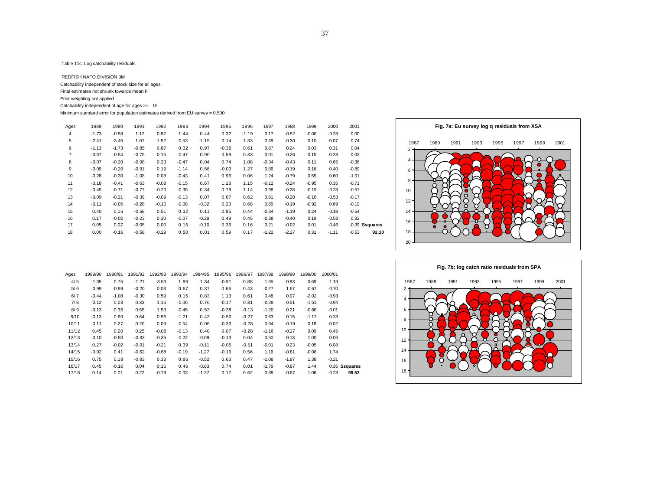Table 11c: Log catchability residuals.

 REDFISH NAFO DIVISION 3M Catchability independent of stock size for all ages Final estimates not shrunk towards mean F Prior weighting not applied Catchability independent of age for ages >= 16 Minimum standard error for population estimates derived from EU survey = 0.500

| Ages           | 1989    | 1990    | 1991    | 1992    | 1993    | 1994    | 1995    | 1996    | 1997    | 1998    | 1999    | 2000    | 2001             |       |
|----------------|---------|---------|---------|---------|---------|---------|---------|---------|---------|---------|---------|---------|------------------|-------|
| 4              | $-1.73$ | $-0.58$ | 1.12    | 0.87    | 1.44    | 0.44    | 0.32    | $-1.19$ | 0.17    | $-0.52$ | $-0.08$ | $-0.28$ | 0.00             |       |
| 5              | $-2.41$ | $-3.45$ | 1.07    | 1.52    | $-0.53$ | 1.15    | 0.14    | 1.33    | 0.59    | $-0.30$ | 0.10    | 0.07    | 0.74             |       |
| 6              | $-1.13$ | $-1.73$ | $-0.85$ | 0.87    | 0.32    | 0.97    | $-0.35$ | 0.61    | 0.67    | 0.24    | 0.03    | 0.31    | 0.04             |       |
| $\overline{7}$ | $-0.37$ | $-0.54$ | $-0.75$ | 0.15    | $-0.47$ | 0.90    | 0.59    | 0.33    | 0.01    | $-0.26$ | 0.15    | 0.23    | 0.03             |       |
| 8              | $-0.07$ | $-0.20$ | $-0.98$ | 0.23    | $-0.47$ | 0.04    | 0.74    | 1.08    | $-0.34$ | $-0.43$ | 0.11    | 0.65    | $-0.36$          |       |
| 9              | $-0.09$ | $-0.20$ | $-0.91$ | 0.19    | $-1.14$ | 0.56    | $-0.03$ | 1.27    | 0.86    | $-0.19$ | 0.16    | 0.40    | $-0.89$          |       |
| 10             | $-0.28$ | $-0.30$ | $-1.08$ | 0.08    | $-0.43$ | 0.41    | 0.96    | 0.06    | 1.24    | $-0.79$ | 0.55    | 0.60    | $-1.01$          |       |
| 11             | $-0.18$ | $-0.41$ | $-0.63$ | $-0.08$ | $-0.15$ | 0.67    | 1.28    | 1.15    | $-0.12$ | $-0.24$ | $-0.95$ | 0.35    | $-0.71$          |       |
| 12             | $-0.45$ | $-0.71$ | $-0.77$ | $-0.20$ | $-0.35$ | 0.34    | 0.78    | 1.14    | 0.98    | 0.28    | $-0.19$ | $-0.28$ | $-0.57$          |       |
| 13             | $-0.09$ | $-0.21$ | $-0.39$ | $-0.09$ | $-0.13$ | 0.07    | 0.67    | 0.62    | 0.61    | $-0.20$ | $-0.16$ | $-0.53$ | $-0.17$          |       |
| 14             | $-0.11$ | $-0.05$ | $-0.28$ | $-0.10$ | $-0.08$ | $-0.32$ | 0.23    | 0.68    | 0.65    | $-0.19$ | $-0.92$ | 0.69    | $-0.19$          |       |
| 15             | 0.40    | 0.16    | $-0.68$ | 0.51    | 0.32    | 0.11    | 0.85    | 0.44    | $-0.34$ | $-1.19$ | 0.24    | $-0.18$ | $-0.64$          |       |
| 16             | 0.17    | $-0.02$ | $-0.23$ | 0.30    | $-0.07$ | $-0.28$ | 0.49    | 0.45    | $-0.38$ | $-0.40$ | 0.19    | $-0.53$ | 0.32             |       |
| 17             | 0.05    | 0.07    | $-0.05$ | 0.00    | 0.15    | $-0.10$ | 0.36    | 0.16    | 0.21    | $-0.02$ | 0.01    | $-0.46$ | $-0.39$ Ssquares |       |
| 18             | 0.00    | $-0.16$ | $-0.58$ | $-0.29$ | 0.50    | 0.01    | 0.59    | 0.17    | $-1.22$ | $-2.27$ | 0.31    | $-1.11$ | $-0.53$          | 92.10 |





|               | 2000/01 | 1999/00 | 1998/99 | 1997/98 | 1996/97 | 1995/96 | 1994/95 | 1993/94 | 1992/93 | 1991/92 | 1990/91 | 1989/90 | Ages  |
|---------------|---------|---------|---------|---------|---------|---------|---------|---------|---------|---------|---------|---------|-------|
|               | $-1.19$ | 0.69    | 0.93    | 1.65    | 0.88    | $-0.91$ | 1.34    | 1.96    | $-3.53$ | $-1.21$ | 0.75    | $-1.35$ | 4/5   |
|               | $-0.70$ | $-0.67$ | 1.67    | $-0.27$ | 0.43    | 0.66    | 0.37    | 0.67    | 0.03    | $-0.20$ | $-0.99$ | $-0.99$ | 5/6   |
|               | $-0.93$ | $-2.02$ | 0.97    | 0.48    | 0.61    | 1.13    | 0.83    | 0.15    | 0.59    | $-0.30$ | $-1.08$ | $-0.44$ | 6/7   |
|               | $-0.94$ | $-1.51$ | 0.51    | $-0.28$ | 0.31    | $-0.17$ | 0.76    | $-0.06$ | 1.15    | 0.33    | 0.03    | $-0.12$ | 7/8   |
|               | $-0.01$ | $-0.88$ | 0.21    | $-1.20$ | $-0.13$ | $-0.38$ | 0.53    | $-0.45$ | 1.53    | 0.55    | 0.36    | $-0.13$ | 8/9   |
|               | 0.28    | $-1.17$ | 0.15    | 0.63    | $-0.27$ | $-0.50$ | 0.43    | $-1.21$ | 0.56    | 0.64    | 0.60    | $-0.13$ | 9/10  |
|               | 0.02    | 0.18    | $-0.19$ | 0.64    | $-0.28$ | $-0.33$ | 0.06    | $-0.54$ | 0.09    | 0.20    | 0.27    | $-0.11$ | 10/11 |
|               | 0.45    | 0.09    | $-0.27$ | $-1.16$ | $-0.28$ | 0.07    | 0.40    | $-0.13$ | $-0.08$ | 0.25    | 0.20    | 0.45    | 11/12 |
|               | 0.06    | 1.00    | 0.13    | 0.50    | 0.04    | $-0.13$ | $-0.09$ | $-0.22$ | $-0.35$ | $-0.33$ | $-0.50$ | $-0.10$ | 12/13 |
|               | 0.08    | $-0.05$ | 0.23    | $-0.01$ | $-0.51$ | $-0.05$ | $-0.11$ | 0.39    | $-0.21$ | $-0.01$ | $-0.02$ | 0.27    | 13/14 |
|               | 1.74    | $-0.08$ | $-0.81$ | 1.16    | 0.56    | $-0.19$ | $-1.27$ | $-0.19$ | $-0.68$ | $-0.62$ | 0.41    | $-0.02$ | 14/15 |
|               | $-0.21$ | 1.38    | $-1.97$ | $-1.08$ | 0.47    | 0.63    | $-0.52$ | 0.86    | 0.33    | $-0.83$ | 0.18    | 0.75    | 15/16 |
| 0.36 Ssquares |         | 1.44    | $-0.87$ | $-1.79$ | 0.01    | 0.74    | $-0.83$ | 0.46    | 0.15    | 0.04    | $-0.16$ | 0.45    | 16/17 |
| 99.52         | $-0.23$ | 1.06    | $-0.67$ | 0.88    | 0.62    | 0.17    | $-1.37$ | $-0.03$ | $-0.79$ | 0.22    | 0.01    | 0.14    | 17/18 |
|               |         |         |         |         |         |         |         |         |         |         |         |         |       |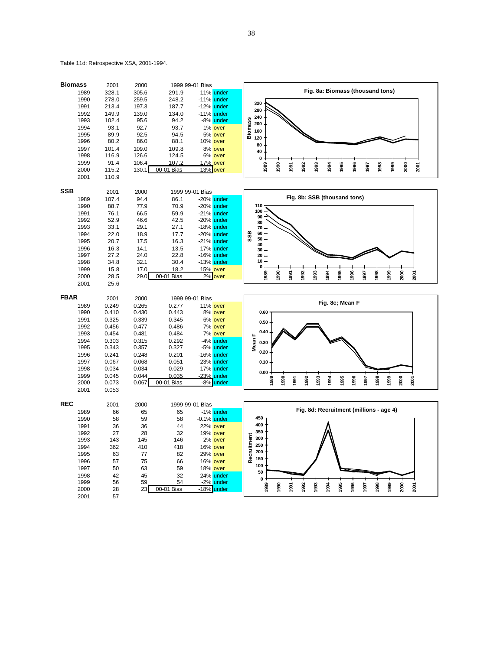Table 11d: Retrospective XSA, 2001-1994.

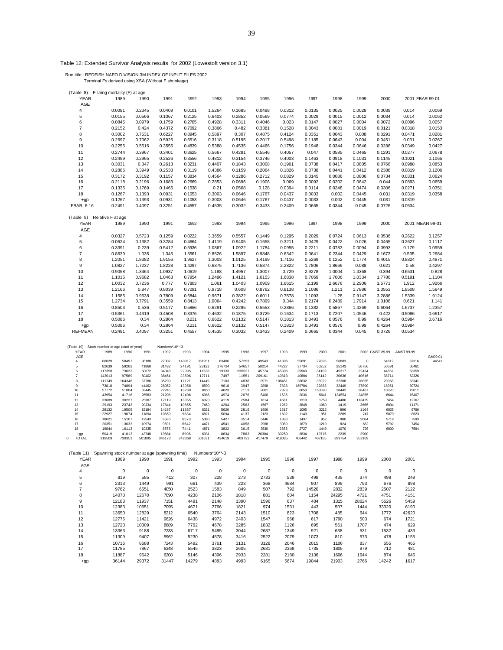Table 12: Extended Survivor Analysis results for 2002 (Lowestoft version 3.1)

Run title : REDFISH NAFO DIVISION 3M INDEX OF INPUT FILES 2002

Terminal Fs derived using XSA (Without F shrinkage)

|                          | Fishing mortality (F) at age                 |                |                |                |                              |              |              |              |                              |               |              |                 |               |                 |
|--------------------------|----------------------------------------------|----------------|----------------|----------------|------------------------------|--------------|--------------|--------------|------------------------------|---------------|--------------|-----------------|---------------|-----------------|
| (Table 8)<br><b>YEAR</b> | 1989                                         | 1990           | 1991           | 1992           | 1993                         | 1994         | 1995         | 1996         | 1997                         | 1998          | 1999         | 2000            |               | 2001 FBAR 99-01 |
| AGE                      |                                              |                |                |                |                              |              |              |              |                              |               |              |                 |               |                 |
|                          |                                              | 0.2345         | 0.0409         | 0.0101         |                              | 0.1685       | 0.0498       | 0.0312       |                              | 0.0025        | 0.0028       | 0.0039          | 0.014         | 0.0069          |
| 4                        | 0.0081                                       |                |                |                | 1.5264                       |              |              |              | 0.0135                       |               |              |                 |               |                 |
| 5                        | 0.0155                                       | 0.0566         | 0.1067         | 0.2125         | 0.6403                       | 0.2852       | 0.0569       | 0.0774       | 0.0029                       | 0.0015        | 0.0012       | 0.0034          | 0.014         | 0.0062          |
| 6                        | 0.0845                                       | 0.0979         | 0.1759         | 0.2705         | 0.4928                       | 0.3311       | 0.4046       | 0.023        | 0.0147                       | 0.0027        | 0.0004       | 0.0072          | 0.0096        | 0.0057          |
| 7                        | 0.2152                                       | 0.424          | 0.4372         | 0.7092         | 0.3866                       | 0.482        | 0.3381       | 0.1528       | 0.0043                       | 0.0081        | 0.0019       | 0.0121          | 0.0318        | 0.0153          |
| 8                        | 0.3002                                       | 0.7531         | 0.6227         | 0.8945         | 0.5897                       | 0.307        | 0.4875       | 0.4124       | 0.0351                       | 0.0043        | 0.008        | 0.0291          | 0.0471        | 0.0281          |
| 9                        | 0.2697                                       | 0.7062         | 0.5925         | 0.6516         | 0.3118                       | 0.5195       | 0.2017       | 0.5498       | 0.1185                       | 0.0643        | 0.004        | 0.0451          | 0.031         | 0.0267          |
| 10                       | 0.2256                                       | 0.5516         | 0.3555         | 0.4839         | 0.5388                       | 0.4535       | 0.4466       | 0.1756       | 0.1948                       | 0.0344        | 0.0646       | 0.0286          | 0.0349        | 0.0427          |
| 11                       | 0.2744                                       | 0.3967         | 0.3401         | 0.3625         | 0.5667                       | 0.4281       | 0.5546       | 0.4057       | 0.047                        | 0.0585        | 0.0465       | 0.1291          | 0.0277        | 0.0678          |
| 12                       | 0.2499                                       | 0.2965         | 0.2526         | 0.3556         | 0.4812                       | 0.3154       | 0.3746       | 0.4003       | 0.1463                       | 0.0918        | 0.1031       | 0.1145          | 0.1021        | 0.1065          |
| 13                       | 0.3031                                       | 0.347          | 0.2613         | 0.3231         | 0.4407                       | 0.1843       | 0.3008       | 0.1961       | 0.0738                       | 0.0417        | 0.0805       | 0.0766          | 0.0988        | 0.0853          |
| 14                       | 0.2886                                       | 0.3949         | 0.2538         | 0.3119         | 0.4386                       | 0.1159       | 0.2064       | 0.1826       | 0.0738                       | 0.0441        | 0.0412       | 0.2388          | 0.0819        | 0.1206          |
|                          |                                              |                |                |                |                              |              |              | 0.0829       |                              |               |              |                 |               |                 |
| 15                       | 0.3172                                       | 0.3192         | 0.1157         | 0.3834         | 0.4564                       | 0.1286       | 0.2712       |              | 0.0145                       | 0.0086        | 0.0806       | 0.0734          | 0.0331        | 0.0624          |
| 16                       | 0.2118                                       | 0.2196         | 0.1683         | 0.2669         | 0.2853                       | 0.0696       | 0.1906       | 0.069        | 0.0092                       | 0.0202        | 0.0642       | 0.044           | 0.0893        | 0.0659          |
| 17                       | 0.1335                                       | 0.1769         | 0.1465         | 0.1538         | 0.21                         | 0.0568       | 0.128        | 0.0394       | 0.0114                       | 0.0248        | 0.0474       | 0.0306          | 0.0271        | 0.0351          |
| 18                       | 0.1267                                       | 0.1393         | 0.0931         | 0.1053         | 0.3003                       | 0.0646       | 0.1767       | 0.0437       | 0.0033                       | 0.002         | 0.0445       | 0.031           | 0.0319        | 0.0358          |
| $+gp$                    | 0.1267                                       | 0.1393         | 0.0931         | 0.1053         | 0.3003                       | 0.0646       | 0.1767       | 0.0437       | 0.0033                       | 0.002         | 0.0445       | 0.031           | 0.0319        |                 |
| FBAR 6-16                | 0.2491                                       | 0.4097         | 0.3251         | 0.4557         | 0.4535                       | 0.3032       | 0.3433       | 0.2409       | 0.0665                       | 0.0344        | 0.045        | 0.0726          | 0.0534        |                 |
|                          |                                              |                |                |                |                              |              |              |              |                              |               |              |                 |               |                 |
| (Table 9)                | Relative F at age                            |                |                |                |                              |              |              |              |                              |               |              |                 |               |                 |
| <b>YEAR</b>              | 1989                                         | 1990           | 1991           | 1992           | 1993                         | 1994         | 1995         | 1996         | 1997                         | 1998          | 1999         | 2000            |               | 2001 MEAN 99-01 |
| AGE                      |                                              |                |                |                |                              |              |              |              |                              |               |              |                 |               |                 |
| 4                        | 0.0327                                       | 0.5723         | 0.1259         | 0.0222         | 3.3659                       | 0.5557       | 0.1449       | 0.1295       | 0.2029                       | 0.0724        | 0.0613       | 0.0536          | 0.2622        | 0.1257          |
| 5                        | 0.0624                                       | 0.1382         | 0.3284         | 0.4664         | 1.4119                       | 0.9405       | 0.1658       | 0.3211       | 0.0429                       | 0.0422        | 0.026        | 0.0465          | 0.2627        | 0.1117          |
|                          |                                              |                |                |                |                              |              |              |              |                              |               |              |                 |               |                 |
| 6                        | 0.3391                                       | 0.239          | 0.5412         | 0.5936         | 1.0867                       | 1.0922       | 1.1784       | 0.0955       | 0.2211                       | 0.0783        | 0.0094       | 0.0993          | 0.179         | 0.0959          |
| 7                        | 0.8639                                       | 1.035          | 1.345          | 1.5561         | 0.8526                       | 1.5897       | 0.9848       | 0.6342       | 0.0641                       | 0.2344        | 0.0429       | 0.1673          | 0.595         | 0.2684          |
| 8                        | 1.2051                                       | 1.8382         | 1.9156         | 1.9627         | 1.3003                       | 1.0125       | 1.4199       | 1.7116       | 0.5269                       | 0.1252        | 0.1774       | 0.4015          | 0.8824        | 0.4871          |
| 9                        | 1.0827                                       | 1.7237         | 1.8228         | 1.4297         | 0.6875                       | 1.7136       | 0.5874       | 2.2822       | 1.7806                       | 1.8669        | 0.088        | 0.621           | 0.58          | 0.4297          |
| 10                       | 0.9058                                       | 1.3464         | 1.0937         | 1.0619         | 1.188                        | 1.4957       | 1.3007       | 0.729        | 2.9278                       | 1.0004        | 1.4368       | 0.394           | 0.6531        | 0.828           |
| 11                       | 1.1015                                       | 0.9682         | 1.0463         | 0.7954         | 1.2496                       | 1.4121       | 1.6153       | 1.6838       | 0.7069                       | 1.7006        | 1.0334       | 1.7786          | 0.5191        | 1.1104          |
| 12                       | 1.0032                                       | 0.7236         | 0.777          | 0.7803         | 1.061                        | 1.0403       | 1.0909       | 1.6615       | 2.199                        | 2.6676        | 2.2906       | 1.5771          | 1.912         | 1.9266          |
| 13                       | 1.2166                                       | 0.847          | 0.8039         | 0.7091         | 0.9718                       | 0.608        | 0.8762       | 0.8138       | 1.1086                       | 1.211         | 1.7886       | 1.0553          | 1.8508        | 1.5649          |
| 14                       | 1.1585                                       | 0.9638         | 0.7809         | 0.6844         | 0.9671                       | 0.3822       | 0.6011       | 0.7578       | 1.1093                       | 1.28          | 0.9147       | 3.2886          | 1.5339        | 1.9124          |
| 15                       | 1.2734                                       | 0.7791         | 0.3559         | 0.8413         | 1.0064                       | 0.4242       | 0.7899       | 0.344        | 0.2174                       | 0.2489        | 1.7914       | 1.0108          | 0.621         | 1.141           |
|                          |                                              |                |                |                |                              |              |              |              |                              |               |              |                 |               |                 |
| 16                       | 0.8503                                       | 0.536          | 0.5177         | 0.5856         | 0.6291                       | 0.2295       | 0.5553       | 0.2866       | 0.1382                       | 0.5867        | 1.4269       | 0.6064          | 1.6737        | 1.2357          |
| 17                       | 0.5361                                       | 0.4319         | 0.4508         | 0.3376         | 0.4632                       | 0.1875       | 0.3729       | 0.1634       | 0.1713                       | 0.7207        | 1.0546       | 0.422           | 0.5086        | 0.6617          |
| 18                       | 0.5086                                       | 0.34           | 0.2864         | 0.231          | 0.6622                       | 0.2132       | 0.5147       | 0.1813       | 0.0493                       | 0.0576        | 0.99         | 0.4264          | 0.5984        | 0.6716          |
| $+qp$                    | 0.5086                                       | 0.34           | 0.2864         | 0.231          | 0.6622                       | 0.2132       | 0.5147       | 0.1813       | 0.0493                       | 0.0576        | 0.99         | 0.4264          | 0.5984        |                 |
| <b>REFMEAN</b>           | 0.2491                                       | 0.4097         | 0.3251         | 0.4557         | 0.4535                       | 0.3032       | 0.3433       | 0.2409       | 0.0665                       | 0.0344        | 0.045        | 0.0726          | 0.0534        |                 |
|                          |                                              |                |                |                |                              |              |              |              |                              |               |              |                 |               |                 |
|                          |                                              |                |                |                |                              |              |              |              |                              |               |              |                 |               |                 |
| (Table 10)               | Stock number at age (start of year)          |                | Numbers*10**-3 |                |                              |              |              |              |                              |               |              |                 |               |                 |
| YEAR<br>AGE              | 1989<br>1990                                 | 1991           | 1992           | 1993           | 1994<br>1995                 | 1996         | 1997         | 1998         | 2000<br>1999                 | 2001          |              | 2002 GMST 89-99 | AMST 89-99    | GM99-01         |
| 4                        | 66029<br>58497                               | 36188          | 27007          | 143017         | 361951<br>63486              | 57253        | 49543        | 41806        | 55691<br>27895               | 56883         | 0            | 64612           | 87316         | 44541           |
| 5                        | 82639<br>59262                               | 41868          | 31432          | 24191          | 28122<br>276724              | 54657        | 50214        | 44227        | 37734<br>50252               | 25143         | 50756        | 50591           | 66461         |                 |
| 6                        | 117358<br>73622                              |                |                |                |                              |              |              |              |                              |               |              |                 |               |                 |
| $\overline{7}$           |                                              | 50672          | 34048          | 22995          | 11538<br>19133               | 236537       | 45774        | 45306        | 39960<br>34103               | 45317         | 22434        | 44867           | 63359         |                 |
| 8                        | 143013<br>97589                              | 60402          | 38454          | 23506          | 12711<br>7497                | 11551        | 209161       | 40813        | 40884<br>36142               | 30636         | 40616        | 38714           | 62326         |                 |
| 9                        | 111749<br>104348                             | 57786          | 35299          | 17121          | 14449<br>7103                | 4838         | 8971         | 188451       | 36632<br>36922               | 32308         | 26855        | 29068           | 53341         |                 |
|                          | 73818<br>74894                               | 44462          | 28052          | 13058          | 8590<br>9618                 | 3947         | 2898         | 7838         | 169784<br>32883              | 32449         | 27890        | 18951           | 39724         |                 |
| 10                       | 57772<br>51004                               | 33445          | 22245          | 13230          | 4623<br>8650                 | 7113         | 2061         | 2329         | 6650<br>153020               | 28442         | 28467        | 10920           | 19011         |                 |
| 11                       | 43954<br>41716                               | 26583          | 21208          | 12406          | 6985<br>4974                 | 2676         | 5400         | 1535         | 2036<br>5641                 | 134554        | 24855        | 8644            | 15407         |                 |
| 12                       | 33689<br>30227                               | 25387<br>20334 | 17119          | 13355          | 6370<br>4119                 | 2584         | 1614         | 4661         | 1310<br>1759                 | 4486          | 118429       | 7454<br>6894    | 12767         |                 |
| 13<br>14                 | 29193<br>23743<br>28132<br>19509             | 15184          | 17844<br>14167 | 10855<br>11687 | 7469<br>4204<br>6321<br>5620 | 2563<br>2816 | 1567<br>1906 | 1262<br>1317 | 3848<br>1069<br>1095<br>3212 | 1419<br>896   | 3665<br>1164 | 6025            | 11171<br>9796 |                 |
| 15                       | 22927<br>19074                               | 11894          | 10659          | 9384           | 6821<br>5094                 | 4137         | 2123         | 1602         | 1140<br>951                  | 2289          | 747          | 5879            | 8623          |                 |
| 16                       | 18621<br>15107                               | 12543          | 9586           | 6573           | 5380<br>5427                 | 3514         | 3446         | 1893         | 1437<br>952                  | 800           | 2004         | 5718            | 7593          |                 |
| 17                       | 20351<br>13633                               | 10974          | 9591           | 6642           | 4471<br>4541                 | 4058         | 2968         | 3089         | 1679<br>1219                 | 824           | 662          | 5792            | 7454          |                 |
| 18                       | 19844<br>16113                               | 10335          | 8576           | 7441           | 4871<br>3822                 | 3615         | 3530         | 2655         | 2727<br>1449                 | 1070          | 726          | 6000            | 7594          |                 |
| $+gp$<br>$^{\circ}$      | 50419<br>41013                               | 43748          | 19884          | 6906           | 8634<br>6931                 | 7863         | 26304        | 30250        | 3834<br>19715<br>406442      | 2239          | 2900         |                 |               |                 |
| <b>TOTAL</b>             | 919509<br>739351                             | 501805         | 345173         | 342368         | 434619<br>501631             | 409723       | 417479       | 419035       | 407185                       | 399754        | 352169       |                 |               |                 |
|                          |                                              |                |                |                |                              |              |              |              |                              |               |              |                 |               |                 |
| (Table 11)               | Spawning stock number at age (spawning time) |                |                |                | Numbers*10**-3               |              |              |              |                              |               |              |                 |               |                 |
| <b>YEAR</b>              | 1989                                         | 1990           | 1991           | 1992           | 1993                         | 1994         | 1995         | 1996         | 1997                         | 1998          | 1999         | 2000            | 2001          |                 |
|                          |                                              |                |                |                |                              |              |              |              |                              |               |              |                 |               |                 |
| AGE                      |                                              | $\mathsf 0$    |                | $\mathbf 0$    | $\mathbf 0$                  |              | $\mathbf 0$  | $\mathbf 0$  |                              | $\mathbf 0$   |              | $\mathbf 0$     | $\mathbf 0$   |                 |
| 4                        | $\pmb{0}$                                    |                | $\pmb{0}$      |                | 228                          | $\pmb{0}$    |              |              | $\pmb{0}$                    |               | 0<br>374     |                 |               |                 |
| 5                        | 819                                          | 585            | 412            | 307            |                              | 273          | 2733         | 539          | 498                          | 439           |              | 498             | 249           |                 |
| 6                        | 2313                                         | 1449           | 991            | 661            | 439                          | 223          | 368          | 4684         | 907                          | 899           | 793          | 676             | 898           |                 |
| 7                        | 9762                                         | 6551           | 4050           | 2523           | 1583                         | 849          | 507          | 792          | 14520                        | 2832          | 2839         | 2507            | 2122          |                 |
| 8                        | 14070                                        | 12670          | 7090           | 4238           | 2106                         | 1818         | 881          | 604          | 1154                         | 24295         | 4721         | 4751            | 4151          |                 |
| 9                        | 12183                                        | 11937          | 7151           | 4491           | 2148                         | 1390         | 1596         | 637          | 484                          | 1315          | 28624        | 5526            | 5459          |                 |
| 10                       | 12383                                        | 10651          | 7095           | 4671           | 2766                         | 1821         | 974          | 1531         | 443                          | 507           | 1444         | 33320           | 6190          |                 |
| 11                       | 13650                                        | 12829          | 8212           | 6540           | 3764                         | 2143         | 1510         | 823          | 1708                         | 485           | 644          | 1772            | 42620         |                 |
| 12                       | 12776                                        | 11421          | 9626           | 6438           | 4972                         | 2403         | 1547         | 968          | 617                          | 1790          | 503          | 674             | 1721          |                 |
| 13                       | 12720                                        | 10309          | 8889           | 7762           | 4678                         | 3285         | 1832         | 1126         | 695                          | 561           | 1707         | 474             | 629           |                 |
| 14                       | 13363                                        | 9188           | 7233           | 6717           | 5485                         | 3044         | 2687         | 1349         | 921                          | 638           | 531          | 1532            | 433           |                 |
|                          |                                              |                |                |                |                              |              |              |              |                              |               |              |                 |               |                 |
| 15                       | 11309                                        | 9407           | 5962           | 5230           | 4578                         | 3416         | 2522         | 2079         | 1073                         | 810           | 573          | 478             | 1155          |                 |
| 16                       | 10716                                        | 8688           | 7243           | 5492           | 3761                         | 3131         | 3128         | 2046         | 2015                         | 1106          | 837          | 555             | 465           |                 |
| 17                       | 11785                                        | 7867           | 6348           | 5545           | 3823                         | 2605         | 2631         | 2368         | 1735                         | 1805          | 979          | 712             | 481           |                 |
| 18<br>$+qp$              | 11887<br>36144                               | 9642<br>29372  | 6208<br>31447  | 5146<br>14279  | 4396<br>4883                 | 2933<br>4993 | 2281<br>6165 | 2180<br>5674 | 2136<br>19044                | 1606<br>21903 | 1644<br>2766 | 874<br>14242    | 646<br>1617   |                 |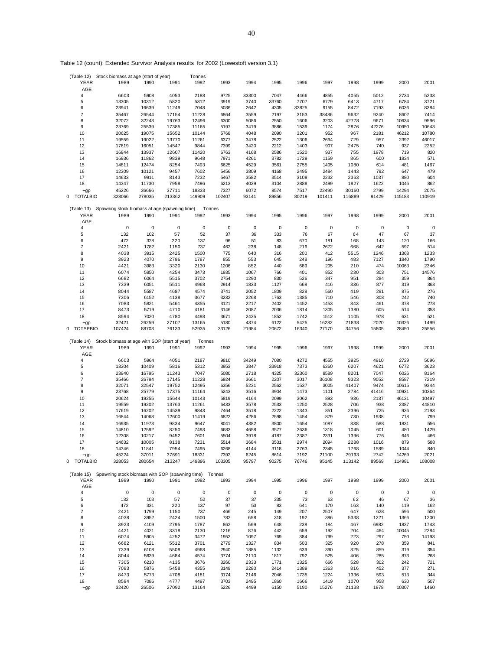| (Table 12)               | Stock biomass at age (start of year)                              |               |               | Tonnes        |              |              |              |              |               |               |             |              |             |
|--------------------------|-------------------------------------------------------------------|---------------|---------------|---------------|--------------|--------------|--------------|--------------|---------------|---------------|-------------|--------------|-------------|
| <b>YEAR</b>              | 1989                                                              | 1990          | 1991          | 1992          | 1993         | 1994         | 1995         | 1996         | 1997          | 1998          | 1999        | 2000         | 2001        |
| AGE                      |                                                                   |               |               |               |              |              |              |              |               |               |             |              |             |
| $\overline{\mathbf{4}}$  | 6603                                                              | 5908          | 4053          | 2188          | 9725         | 33300        | 7047         | 4466         | 4855          | 4055          | 5012        | 2734         | 5233        |
| 5                        | 13305                                                             | 10312         | 5820          | 5312          | 3919         | 3740         | 33760        | 7707         | 6779          | 6413          | 4717        | 6784         | 3721        |
| 6                        | 23941                                                             | 16639         | 11249         | 7048          | 5036         | 2642         | 4305         | 33825        | 9155          | 8472          | 7193        | 6036         | 8384        |
| $\overline{7}$           |                                                                   |               |               |               |              |              |              |              |               |               |             |              |             |
|                          | 35467                                                             | 26544         | 17154         | 11228         | 6864         | 3559         | 2197         | 3153         | 38486         | 9632          | 9240        | 8602         | 7414        |
| 8                        | 32072                                                             | 32243         | 19763         | 12496         | 6300         | 5086         | 2550         | 1606         | 3203          | 42778         | 9671        | 10634        | 9596        |
| 9                        | 23769                                                             | 25539         | 17385         | 11165         | 5197         | 3419         | 3886         | 1539         | 1174          | 2876          | 42276       | 10950        | 10643       |
| 10                       | 20625                                                             | 19075         | 15652         | 10144         | 5768         | 4048         | 2090         | 3201         | 952           | 967           | 2181        | 46212        | 10780       |
| 11                       | 19559                                                             | 19022         | 13770         | 11261         | 6377         | 3478         | 2522         | 1306         | 2694          | 729           | 957         | 2392         | 46017       |
| 12                       | 17619                                                             | 16051         | 14547         | 9844          | 7399         | 3420         | 2212         | 1403         | 907           | 2475          | 740         | 937          | 2252        |
| 13                       | 16844                                                             | 13937         | 12607         | 11420         | 6763         | 4168         | 2586         | 1520         | 937           | 755           | 1978        | 719          | 820         |
| 14                       | 16936                                                             | 11862         | 9839          | 9648          | 7971         | 4261         | 3782         | 1729         | 1159          | 865           | 600         | 1834         | 571         |
| 15                       | 14811                                                             | 12474         | 8254          | 7493          | 6625         | 4529         | 3561         | 2755         | 1405          | 1080          | 614         | 481          | 1467        |
|                          |                                                                   |               |               |               |              |              |              |              |               |               |             |              |             |
| 16                       | 12309                                                             | 10121         | 9457          | 7602          | 5456         | 3809         | 4168         | 2495         | 2484          | 1443          | 792         | 647          | 479         |
| 17                       | 14633                                                             | 9911          | 8143          | 7232          | 5467         | 3582         | 3514         | 3108         | 2232          | 2363          | 1037        | 880          | 604         |
| 18                       | 14347                                                             | 11730         | 7958          | 7496          | 6213         | 4029         | 3104         | 2888         | 2499          | 1827          | 1622        | 1046         | 862         |
| +gp                      | 45226                                                             | 36666         | 37711         | 18333         | 7327         | 6072         | 8574         | 7517         | 22490         | 30160         | 2799        | 14294        | 2075        |
| <b>TOTALBIO</b><br>0     | 328066                                                            | 278035        | 213362        | 149909        | 102407       | 93141        | 89856        | 80219        | 101411        | 116889        | 91429       | 115183       | 110919      |
|                          |                                                                   |               |               |               |              |              |              |              |               |               |             |              |             |
| (Table 13)               | Spawning stock biomass at age (spawning time)                     |               |               |               | Tonnes       |              |              |              |               |               |             |              |             |
| <b>YEAR</b>              | 1989                                                              | 1990          | 1991          | 1992          | 1993         | 1994         | 1995         | 1996         | 1997          | 1998          | 1999        | 2000         | 2001        |
| AGE                      |                                                                   |               |               |               |              |              |              |              |               |               |             |              |             |
| $\overline{\mathbf{4}}$  | $\mathbf 0$                                                       | $\mathbf 0$   | $\mathsf 0$   | $\mathbf 0$   | $\mathbf 0$  | $\mathbf 0$  | $\mathbf 0$  | 0            | $\mathbf 0$   | $\mathbf 0$   | 0           | $\mathbf 0$  | $\mathbf 0$ |
|                          |                                                                   |               |               |               |              |              |              |              |               |               |             |              |             |
| 5                        | 132                                                               | 102           | 57            | 52            | 37           | 36           | 333          | 76           | 67            | 64            | 47          | 67           | 37          |
| 6                        | 472                                                               | 328           | 220           | 137           | 96           | 51           | 83           | 670          | 181           | 168           | 143         | 120          | 166         |
| $\overline{7}$           | 2421                                                              | 1782          | 1150          | 737           | 462          | 238          | 148          | 216          | 2672          | 668           | 642         | 597          | 514         |
| 8                        | 4038                                                              | 3915          | 2425          | 1500          | 775          | 640          | 316          | 200          | 412           | 5515          | 1246        | 1368         | 1233        |
| 9                        | 3923                                                              | 4070          | 2796          | 1787          | 855          | 553          | 645          | 248          | 196           | 483           | 7127        | 1840         | 1790        |
| 10                       | 4421                                                              | 3983          | 3320          | 2130          | 1206         | 852          | 440          | 689          | 205           | 210           | 474         | 10063        | 2346        |
| 11                       | 6074                                                              | 5850          | 4254          | 3473          | 1935         | 1067         | 766          | 401          | 852           | 230           | 303         | 751          | 14576       |
|                          | 6682                                                              | 6064          | 5515          | 3702          | 2754         |              | 830          | 526          | 347           | 951           | 284         | 359          | 864         |
| 12                       |                                                                   |               |               |               |              | 1290         |              |              |               |               |             |              |             |
| 13                       | 7339                                                              | 6051          | 5511          | 4968          | 2914         | 1833         | 1127         | 668          | 416           | 336           | 877         | 319          | 363         |
| 14                       | 8044                                                              | 5587          | 4687          | 4574          | 3741         | 2052         | 1809         | 828          | 560           | 419           | 291         | 875          | 276         |
| 15                       | 7306                                                              | 6152          | 4138          | 3677          | 3232         | 2268         | 1763         | 1385         | 710           | 546           | 308         | 242          | 740         |
| 16                       | 7083                                                              | 5821          | 5461          | 4355          | 3121         | 2217         | 2402         | 1452         | 1453          | 843           | 461         | 378          | 278         |
| 17                       | 8473                                                              | 5719          | 4710          | 4181          | 3146         | 2087         | 2036         | 1814         | 1305          | 1380          | 605         | 514          | 353         |
| 18                       | 8594                                                              | 7020          | 4780          | 4498          | 3671         | 2425         | 1852         | 1742         | 1512          | 1105          | 978         | 631          | 521         |
| +gp                      | 32421                                                             | 26259         | 27107         | 13165         | 5180         | 4374         | 6122         | 5425         | 16282         | 21838         | 2020        | 10326        | 1499        |
| 0 TOTSPBIO               | 107424                                                            | 88703         | 76133         | 52935         | 33126        | 21984        | 20672        | 16340        | 27170         | 34756         | 15805       | 28450        | 25556       |
|                          |                                                                   |               |               |               |              |              |              |              |               |               |             |              |             |
|                          | Stock biomass at age with SOP (start of year)                     |               |               | Tonnes        |              |              |              |              |               |               |             |              |             |
| (Table 14)               |                                                                   |               |               |               |              |              |              |              |               |               |             |              |             |
| <b>YEAR</b>              | 1989                                                              | 1990          | 1991          | 1992          | 1993         | 1994         | 1995         | 1996         | 1997          | 1998          | 1999        | 2000         | 2001        |
| AGE                      |                                                                   |               |               |               |              |              |              |              |               |               |             |              |             |
|                          |                                                                   |               |               |               | 9810         | 34249        | 7080         | 4272         | 4555          | 3925          | 4910        | 2729         |             |
| 4                        | 6603                                                              | 5964          | 4051          | 2187          |              |              |              |              |               |               |             |              | 5096        |
| 5                        | 13304                                                             | 10409         | 5816          | 5312          | 3953         | 3847         | 33918        | 7373         | 6360          | 6207          | 4621        | 6772         | 3623        |
| 6                        |                                                                   |               | 11243         | 7047          | 5080         | 2718         |              | 32360        | 8589          |               | 7047        | 6026         |             |
|                          | 23940                                                             | 16795         |               |               |              |              | 4325         |              |               | 8201          |             |              | 8164        |
| $\overline{7}$           | 35466                                                             | 26794         | 17145         | 11228         | 6924         | 3661         | 2207         | 3017         | 36108         | 9323          | 9052        | 8587         | 7219        |
| 8                        | 32071                                                             | 32547         | 19752         | 12495         | 6356         | 5231         | 2562         | 1537         | 3005          | 41407         | 9474        | 10615        | 9344        |
| 9                        | 23768                                                             | 25779         | 17375         | 11164         | 5243         | 3516         | 3904         | 1473         | 1101          | 2784          | 41416       | 10931        | 10364       |
| 10                       | 20624                                                             | 19255         | 15644         | 10143         | 5819         | 4164         | 2099         | 3062         | 893           | 936           | 2137        | 46131        | 10497       |
| 11                       | 19559                                                             | 19202         | 13763         | 11261         | 6433         | 3578         | 2533         | 1250         | 2528          | 706           | 938         | 2387         | 44810       |
| 12                       | 17619                                                             | 16202         | 14539         | 9843          | 7464         | 3518         | 2222         | 1343         | 851           | 2396          | 725         | 936          | 2193        |
| 13                       | 16844                                                             | 14068         | 12600         | 11419         | 6822         | 4286         | 2598         | 1454         | 879           | 730           | 1938        | 718          | 799         |
| 14                       | 16935                                                             | 11973         | 9834          | 9647          | 8041         | 4382         | 3800         | 1654         | 1087          | 838           | 588         | 1831         | 556         |
| 15                       | 14810                                                             | 12592         | 8250          | 7493          | 6683         | 4658         | 3577         | 2636         | 1318          | 1045          | 601         | 480          | 1429        |
| 16                       | 12308                                                             | 10217         | 9452          | 7601          | 5504         | 3918         | 4187         | 2387         | 2331          | 1396          | 776         | 646          | 466         |
| 17                       | 14632                                                             | 10005         | 8138          | 7231          | 5514         | 3684         | 3531         | 2974         | 2094          | 2288          | 1016        | 879          | 588         |
|                          |                                                                   |               |               |               |              |              |              |              |               |               |             |              |             |
| 18                       | 14346                                                             | 11841         | 7954          | 7495          | 6268         | 4144         | 3118         | 2763         | 2345          | 1768          | 1589        | 1044         | 840         |
| +gp                      | 45224                                                             | 37011         | 37691         | 18331         | 7392         | 6245         | 8614         | 7192         | 21100         | 29193         | 2742        | 14269        | 2021        |
| <b>TOTALBIO</b><br>0     | 328053                                                            | 280654        | 213247        | 149896        | 103305       | 95797        | 90275        | 76746        | 95145         | 113142        | 89569       | 114981       | 108008      |
|                          |                                                                   |               |               |               |              |              |              |              |               |               |             |              |             |
|                          | (Table 15) Spawning stock biomass with SOP (spawning time) Tonnes |               |               |               |              |              |              |              |               |               |             |              |             |
| YEAR                     | 1989                                                              | 1990          | 1991          | 1992          | 1993         | 1994         | 1995         | 1996         | 1997          | 1998          | 1999        | 2000         | 2001        |
| AGE                      |                                                                   |               |               |               |              |              |              |              |               |               |             |              |             |
| 4                        | $\pmb{0}$                                                         | 0             | $\,0\,$       | 0             | 0            | 0            | 0            | 0            | 0             | 0             | 0           | 0            | 0           |
| 5                        | 132                                                               | 103           | 57            | 52            | 37           | 37           | 335          | 73           | 63            | 62            | 46          | 67           | 36          |
|                          |                                                                   |               |               |               |              |              |              |              |               |               |             |              |             |
| 6                        | 472                                                               | 331           | 220           | 137           | 97           | 53           | 83           | 641          | 170           | 163           | 140         | 119          | 162         |
| $\overline{\mathcal{I}}$ | 2421                                                              | 1799          | 1150          | 737           | 466          | 245          | 149          | 207          | 2507          | 647           | 628         | 596          | 500         |
| 8                        | 4038                                                              | 3952          | 2424          | 1500          | 782          | 658          | 318          | 192          | 386           | 5338          | 1221        | 1366         | 1200        |
| 9                        | 3923                                                              | 4109          | 2795          | 1787          | 862          | 569          | 648          | 238          | 184           | 467           | 6982        | 1837         | 1743        |
| 10                       | 4421                                                              | 4021          | 3318          | 2130          | 1216         | 876          | 442          | 659          | 192           | 204           | 464         | 10045        | 2284        |
| 11                       | 6074                                                              | 5905          | 4252          | 3472          | 1952         | 1097         | 769          | 384          | 799           | 223           | 297         | 750          | 14193       |
| 12                       | 6682                                                              | 6121          | 5512          | 3701          | 2779         | 1327         | 834          | 503          | 325           | 920           | 278         | 359          | 841         |
|                          |                                                                   |               |               |               |              |              |              |              |               |               |             |              |             |
| 13                       | 7339                                                              | 6108          | 5508          | 4968          | 2940         | 1885         | 1132         | 639          | 390           | 325           | 859         | 319          | 354         |
| 14                       | 8044                                                              | 5639          | 4684          | 4574          | 3774         | 2110         | 1817         | 792          | 525           | 406           | 285         | 873          | 268         |
| 15                       | 7305                                                              | 6210          | 4135          | 3676          | 3260         | 2333         | 1771         | 1325         | 666           | 528           | 302         | 242          | 721         |
| 16                       | 7083                                                              | 5876          | 5458          | 4355          | 3149         | 2280         | 2414         | 1389         | 1363          | 816           | 452         | 377          | 271         |
| 17                       | 8473                                                              | 5773          | 4708          | 4181          | 3174         | 2146         | 2046         | 1735         | 1224          | 1336          | 593         | 513          | 344         |
| 18<br>$+qp$              | 8594<br>32420                                                     | 7086<br>26506 | 4777<br>27092 | 4497<br>13164 | 3703<br>5226 | 2495<br>4499 | 1860<br>6150 | 1666<br>5190 | 1419<br>15276 | 1070<br>21138 | 958<br>1978 | 630<br>10307 | 507<br>1460 |

Table 12 (count): Extended Survivor Analysis results for 2002 (Lowestoft version 3.1)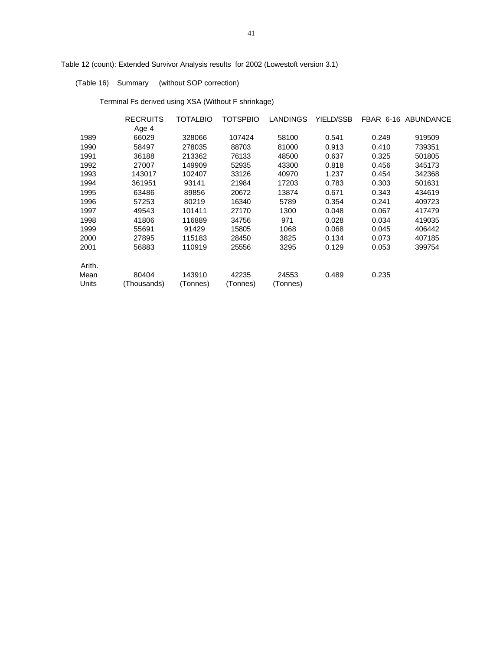Table 12 (count): Extended Survivor Analysis results for 2002 (Lowestoft version 3.1)

(Table 16) Summary (without SOP correction)

Terminal Fs derived using XSA (Without F shrinkage)

|               | <b>RECRUITS</b>      | TOTALBIO           | TOTSPBIO          | <b>LANDINGS</b>   | <b>YIELD/SSB</b> |       | FBAR 6-16 ABUNDANCE |
|---------------|----------------------|--------------------|-------------------|-------------------|------------------|-------|---------------------|
|               | Age 4                |                    |                   |                   |                  |       |                     |
| 1989          | 66029                | 328066             | 107424            | 58100             | 0.541            | 0.249 | 919509              |
| 1990          | 58497                | 278035             | 88703             | 81000             | 0.913            | 0.410 | 739351              |
| 1991          | 36188                | 213362             | 76133             | 48500             | 0.637            | 0.325 | 501805              |
| 1992          | 27007                | 149909             | 52935             | 43300             | 0.818            | 0.456 | 345173              |
| 1993          | 143017               | 102407             | 33126             | 40970             | 1.237            | 0.454 | 342368              |
| 1994          | 361951               | 93141              | 21984             | 17203             | 0.783            | 0.303 | 501631              |
| 1995          | 63486                | 89856              | 20672             | 13874             | 0.671            | 0.343 | 434619              |
| 1996          | 57253                | 80219              | 16340             | 5789              | 0.354            | 0.241 | 409723              |
| 1997          | 49543                | 101411             | 27170             | 1300              | 0.048            | 0.067 | 417479              |
| 1998          | 41806                | 116889             | 34756             | 971               | 0.028            | 0.034 | 419035              |
| 1999          | 55691                | 91429              | 15805             | 1068              | 0.068            | 0.045 | 406442              |
| 2000          | 27895                | 115183             | 28450             | 3825              | 0.134            | 0.073 | 407185              |
| 2001          | 56883                | 110919             | 25556             | 3295              | 0.129            | 0.053 | 399754              |
| Arith.        |                      |                    |                   |                   |                  |       |                     |
| Mean<br>Units | 80404<br>(Thousands) | 143910<br>(Tonnes) | 42235<br>(Tonnes) | 24553<br>(Tonnes) | 0.489            | 0.235 |                     |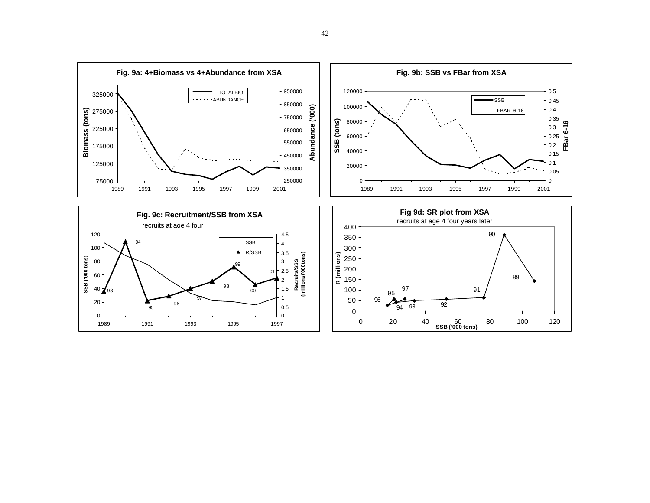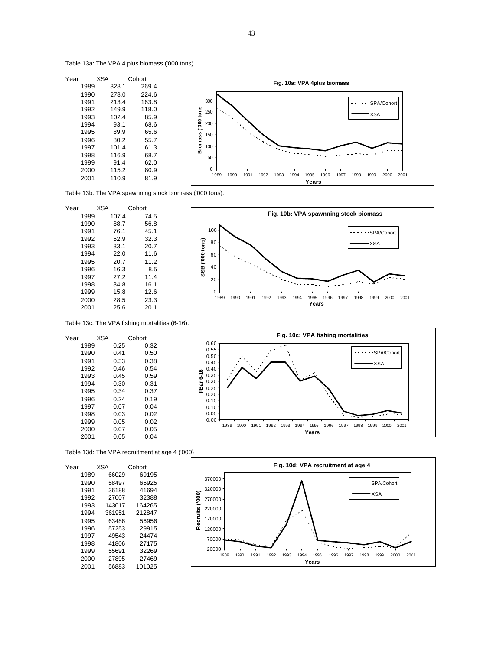Table 13a: The VPA 4 plus biomass ('000 tons).



Table 13b: The VPA spawnning stock biomass ('000 tons).

| Year |      | <b>XSA</b> | Cohort |
|------|------|------------|--------|
|      | 1989 | 107.4      | 74.5   |
|      | 1990 | 88.7       | 56.8   |
|      | 1991 | 76.1       | 45.1   |
|      | 1992 | 52.9       | 32.3   |
|      | 1993 | 33.1       | 20.7   |
|      | 1994 | 22.0       | 11.6   |
|      | 1995 | 20.7       | 11.2   |
|      | 1996 | 16.3       | 8.5    |
|      | 1997 | 27.2       | 11.4   |
|      | 1998 | 34.8       | 16.1   |
|      | 1999 | 15.8       | 12.6   |
|      | 2000 | 28.5       | 23.3   |
|      | 2001 | 25.6       | 20.1   |
|      |      |            |        |



Table 13c: The VPA fishing mortalities (6-16).

|      | <b>XSA</b> |      | Cohort |
|------|------------|------|--------|
| 1989 |            | 0.25 | 0.32   |
| 1990 |            | 0.41 | 0.50   |
| 1991 |            | 0.33 | 0.38   |
| 1992 |            | 0.46 | 0.54   |
| 1993 |            | 0.45 | 0.59   |
| 1994 |            | 0.30 | 0.31   |
| 1995 |            | 0.34 | 0.37   |
| 1996 |            | 0.24 | 0.19   |
| 1997 |            | 0.07 | 0.04   |
| 1998 |            | 0.03 | 0.02   |
| 1999 |            | 0.05 | 0.02   |
| 2000 |            | 0.07 | 0.05   |
| 2001 |            | 0.05 | 0.04   |
|      |            |      |        |



Table 13d: The VPA recruitment at age 4 ('000)

| Year |      | <b>XSA</b> | Cohort |
|------|------|------------|--------|
|      | 1989 | 66029      | 69195  |
|      | 1990 | 58497      | 65925  |
|      | 1991 | 36188      | 41694  |
|      | 1992 | 27007      | 32388  |
|      | 1993 | 143017     | 164265 |
|      | 1994 | 361951     | 212847 |
|      | 1995 | 63486      | 56956  |
|      | 1996 | 57253      | 29915  |
|      | 1997 | 49543      | 24474  |
|      | 1998 | 41806      | 27175  |
|      | 1999 | 55691      | 32269  |
|      | 2000 | 27895      | 27469  |
|      | 2001 | 56883      | 101025 |

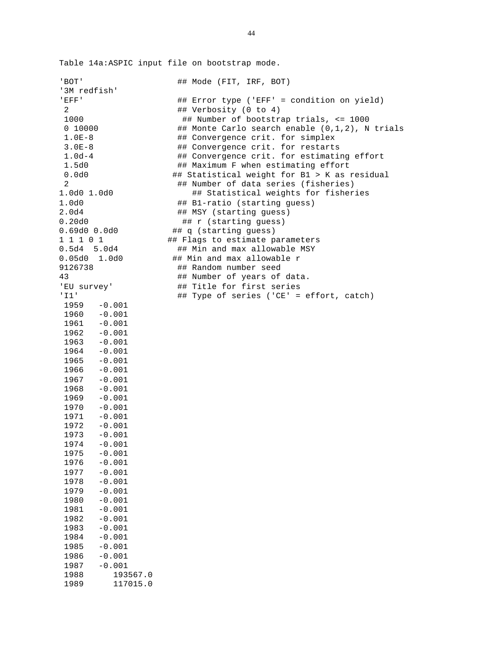Table 14a:ASPIC input file on bootstrap mode.

| ' BOT'           | ## Mode (FIT, IRF, BOT)                        |
|------------------|------------------------------------------------|
| '3M redfish'     |                                                |
| 'EFF'            | ## Error type ('EFF' = condition on yield)     |
| 2                | ## Verbosity (0 to 4)                          |
| 1000             | ## Number of bootstrap trials, <= 1000         |
|                  |                                                |
| 0 10000          | ## Monte Carlo search enable (0,1,2), N trials |
| $1.0E-8$         | ## Convergence crit. for simplex               |
| $3.0E-8$         | ## Convergence crit. for restarts              |
| $1.0d-4$         | ## Convergence crit. for estimating effort     |
| 1.5d0            | ## Maximum F when estimating effort            |
| 0.0d0            | ## Statistical weight for B1 > K as residual   |
| 2                | ## Number of data series (fisheries)           |
| 1.0d0 1.0d0      | ## Statistical weights for fisheries           |
| 1.0d0            | ## B1-ratio (starting guess)                   |
| 2.0d4            | ## MSY (starting guess)                        |
| 0.20d0           | ## r (starting guess)                          |
| 0.69d00.0d0      | ## q (starting guess)                          |
|                  |                                                |
| 1 1 1 0 1        | ## Flags to estimate parameters                |
| $0.5d4$ 5.0d4    | ## Min and max allowable MSY                   |
| 0.05d0 1.0d0     | ## Min and max allowable r                     |
| 9126738          | ## Random number seed                          |
| 43               | ## Number of years of data.                    |
| 'EU survey'      | ## Title for first series                      |
| 'II'             | ## Type of series ('CE' = effort, catch)       |
| $1959 - 0.001$   |                                                |
| $-0.001$<br>1960 |                                                |
| $1961 - 0.001$   |                                                |
| $1962 - 0.001$   |                                                |
| $1963 - 0.001$   |                                                |
| $1964 - 0.001$   |                                                |
| $1965 - 0.001$   |                                                |
| $1966 - 0.001$   |                                                |
|                  |                                                |
| $1967 - 0.001$   |                                                |
| $-0.001$<br>1968 |                                                |
| $-0.001$<br>1969 |                                                |
| $-0.001$<br>1970 |                                                |
| $1971 - 0.001$   |                                                |
| $1972 - 0.001$   |                                                |
| 1973 - 0.001     |                                                |
| 1974<br>$-0.001$ |                                                |
| $-0.001$<br>1975 |                                                |
| 1976<br>$-0.001$ |                                                |
| 1977<br>$-0.001$ |                                                |
| 1978<br>$-0.001$ |                                                |
| 1979<br>$-0.001$ |                                                |
| 1980<br>$-0.001$ |                                                |
| $-0.001$<br>1981 |                                                |
| 1982<br>$-0.001$ |                                                |
| 1983<br>$-0.001$ |                                                |
| 1984<br>$-0.001$ |                                                |
|                  |                                                |
| $-0.001$<br>1985 |                                                |
| $-0.001$<br>1986 |                                                |
| $-0.001$<br>1987 |                                                |
| 1988<br>193567.0 |                                                |
| 1989<br>117015.0 |                                                |
|                  |                                                |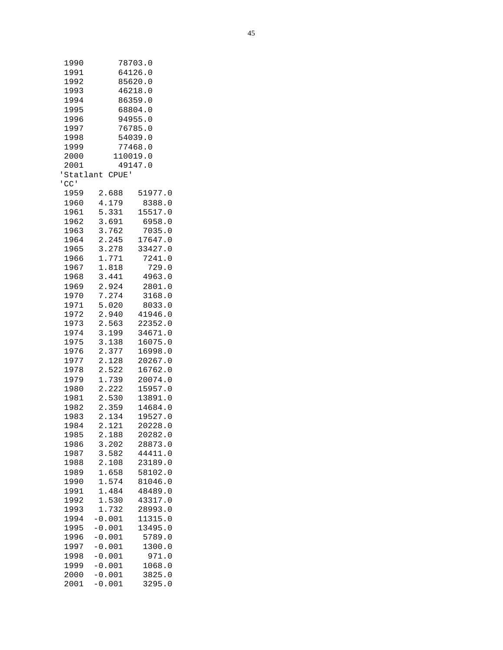| 1990<br>1991 | 78703.0<br>64126.0                   |  |
|--------------|--------------------------------------|--|
| 1992         | 85620.0                              |  |
| 1993         | 46218.0                              |  |
| 1994         | 86359.0                              |  |
| 1995         | 68804.0                              |  |
| 1996         | 94955.0                              |  |
| 1997         | 76785.0                              |  |
| 1998         | 54039.0                              |  |
| 1999         | 77468.0                              |  |
| 2000<br>2001 | 110019.0<br>49147.0                  |  |
|              | 'Statlant CPUE'                      |  |
| $'$ CC $'$   |                                      |  |
| 1959         | 2.688<br>51977.0                     |  |
| 1960         | 4.179<br>8388.0                      |  |
| 1961         | 5.331<br>15517.0                     |  |
| 1962         | 3.691<br>6958.0                      |  |
| 1963         | 3.762<br>7035.0                      |  |
| 1964         | 2.245<br>17647.0                     |  |
| 1965         | 3.278<br>33427.0                     |  |
| 1966         | 1.771<br>7241.0                      |  |
| 1967         | 1.818<br>729.0                       |  |
| 1968         | 3.441<br>4963.0                      |  |
| 1969         | 2.924<br>2801.0                      |  |
| 1970         | 7.274<br>3168.0                      |  |
| 1971<br>1972 | 5.020<br>8033.0<br>2.940<br>41946.0  |  |
| 1973         | 2.563<br>22352.0                     |  |
| 1974         | 3.199<br>34671.0                     |  |
| 1975         | 3.138<br>16075.0                     |  |
| 1976         | 2.377<br>16998.0                     |  |
| 1977         | 2.128<br>20267.0                     |  |
| 1978         | 2.522<br>16762.0                     |  |
| 1979         | 1.739<br>20074.0                     |  |
| 1980         | 2.222<br>15957.0                     |  |
| 1981         | 2.530<br>13891.0                     |  |
| 1982         | 2.359<br>14684.0                     |  |
| 1983         | 2.134<br>19527.0                     |  |
| 1984         | 2.121<br>20228.0                     |  |
| 1985<br>1986 | 2.188<br>20282.0<br>3.202<br>28873.0 |  |
| 1987         | 3.582<br>44411.0                     |  |
| 1988         | 2.108<br>23189.0                     |  |
| 1989         | 1.658<br>58102.0                     |  |
| 1990         | 1.574<br>81046.0                     |  |
| 1991         | 1.484<br>48489.0                     |  |
| 1992         | 1.530<br>43317.0                     |  |
| 1993         | 1.732<br>28993.0                     |  |
| 1994         | $-0.001$<br>11315.0                  |  |
| 1995         | $-0.001$<br>13495.0                  |  |
| 1996         | $-0.001$<br>5789.0                   |  |
| 1997         | $-0.001$<br>1300.0                   |  |
| 1998         | $-0.001$<br>971.0                    |  |
| 1999         | $-0.001$<br>1068.0                   |  |
| 2000         | $-0.001$<br>3825.0                   |  |
| 2001         | $-0.001$<br>3295.0                   |  |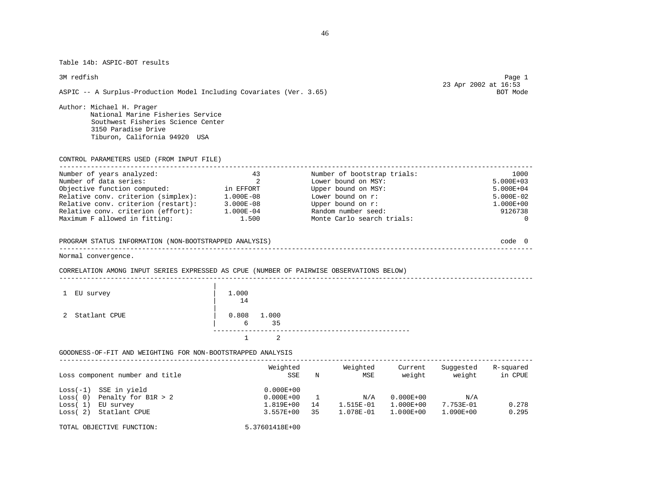Table 14b: ASPIC-BOT results

ASPIC -- A Surplus-Production Model Including Covariates (Ver. 3.65)

Author: Michael H. Prager National Marine Fisheries Service Southwest Fisheries Science Center 3150 Paradise Drive Tiburon, California 94920 USA

CONTROL PARAMETERS USED (FROM INPUT FILE)

| Number of years analyzed:           | 43            | Number of bootstrap trials: | 1000          |
|-------------------------------------|---------------|-----------------------------|---------------|
| Number of data series:              |               | Lower bound on MSY:         | 5.000E+03     |
| Objective function computed:        | in EFFORT     | Upper bound on MSY:         | 5.000E+04     |
| Relative conv. criterion (simplex): | $1.000E - 08$ | Lower bound on $r$ :        | $5.000E-02$   |
| Relative conv. criterion (restart): | $3.000E - 08$ | Upper bound on r:           | $1.000E + 00$ |
| Relative conv. criterion (effort):  | $1.000E - 04$ | Random number seed:         | 9126738       |
| Maximum F allowed in fitting:       | 1.500         | Monte Carlo search trials:  | $\Omega$      |

#### PROGRAM STATUS INFORMATION (NON-BOOTSTRAPPED ANALYSIS) code 0 ------------------------------------------------------------------------------------------------------------------------

------------------------------------------------------------------------------------------------------------------------

Normal convergence.

#### CORRELATION AMONG INPUT SERIES EXPRESSED AS CPUE (NUMBER OF PAIRWISE OBSERVATIONS BELOW)

| 1 EU survey     | 1.000<br>14             |  |
|-----------------|-------------------------|--|
| 2 Statlant CPUE | $0.808$ $1.000$<br>6 35 |  |
|                 |                         |  |

#### GOODNESS-OF-FIT AND WEIGHTING FOR NON-BOOTSTRAPPED ANALYSIS

| Loss component number and title                                                                                    | Weighted<br>SSE                                              | N        | Weighted<br>MSE                   | Current<br>weight                               | Suggested<br>weight           | R-squared<br>in CPUE |
|--------------------------------------------------------------------------------------------------------------------|--------------------------------------------------------------|----------|-----------------------------------|-------------------------------------------------|-------------------------------|----------------------|
| SSE in yield<br>$Loss(-1)$<br>Penalty for B1R $> 2$<br>Loss(0)<br>Loss(1)<br>EU survey<br>Statlant CPUE<br>Loss(2) | $0.000E + 00$<br>$0.000E + 00$<br>1.819E+00<br>$3.557E + 00$ | 14<br>35 | N/A<br>$1.515E - 01$<br>1.078E-01 | $0.000E + 00$<br>$1.000E + 00$<br>$1.000E + 00$ | N/A<br>7.753E-01<br>1.090E+00 | 0.278<br>0.295       |
| TOTAL OBJECTIVE FUNCTION:                                                                                          | 5.37601418E+00                                               |          |                                   |                                                 |                               |                      |

# 3M redfish Page 1 23 Apr 2002 at 16:53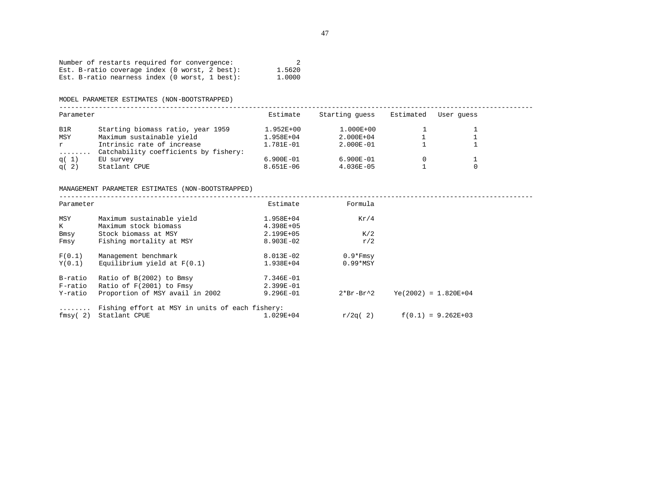|  |  |  | Number of restarts required for convergence:     |  |        |
|--|--|--|--------------------------------------------------|--|--------|
|  |  |  | Est. B-ratio coverage index $(0$ worst, 2 best): |  | 1.5620 |
|  |  |  | Est. B-ratio nearness index (0 worst, 1 best):   |  | 1.0000 |

MODEL PARAMETER ESTIMATES (NON-BOOTSTRAPPED)

------------------------------------------------------------------------------------------------------------------------

| Parameter |                                       | Estimate      | Starting quess | Estimated | User quess |  |
|-----------|---------------------------------------|---------------|----------------|-----------|------------|--|
| B1R       | Starting biomass ratio, year 1959     | $1.952E + 00$ | $1.000E + 00$  |           |            |  |
| MSY       | Maximum sustainable yield             | 1.958E+04     | 2.000E+04      |           |            |  |
| r         | Intrinsic rate of increase            | 1.781E-01     | $2.000E - 01$  |           |            |  |
| .         | Catchability coefficients by fishery: |               |                |           |            |  |
| q( 1)     | EU survey                             | $6.900E - 01$ | $6.900E - 01$  |           |            |  |
| q(2)      | Statlant CPUE                         | $8.651E - 06$ | $4.036E - 05$  |           |            |  |

#### MANAGEMENT PARAMETER ESTIMATES (NON-BOOTSTRAPPED)

------------------------------------------------------------------------------------------------------------------------ Estimate **Formula** 

| raramctcr |                                                 | <b>DO LINGUE</b> | r or mata   |                        |  |
|-----------|-------------------------------------------------|------------------|-------------|------------------------|--|
| MSY       | Maximum sustainable yield                       | 1.958E+04        | Kr/4        |                        |  |
| K         | Maximum stock biomass                           | $4.398E + 05$    |             |                        |  |
| Bmsy      | Stock biomass at MSY                            | 2.199E+05        | K/2         |                        |  |
| Fmsy      | Fishing mortality at MSY                        | $8.903E - 02$    | r/2         |                        |  |
| F(0.1)    | Management benchmark                            | 8.013E-02        | $0.9*Fmsy$  |                        |  |
| Y(0,1)    | Equilibrium yield at $F(0,1)$                   | 1.938E+04        | $0.99*$ MSY |                        |  |
| B-ratio   | Ratio of B(2002) to Bmsy                        | 7.346E-01        |             |                        |  |
| F-ratio   | Ratio of F(2001) to Fmsy                        | 2.399E-01        |             |                        |  |
| Y-ratio   | Proportion of MSY avail in 2002                 | $9.296E - 01$    | $2*Br-Br^2$ | $Ye(2002) = 1.820E+04$ |  |
| .         | Fishing effort at MSY in units of each fishery: |                  |             |                        |  |
| fmsy(2)   | Statlant CPUE                                   | $1.029E + 04$    | r/2q(2)     | $f(0.1) = 9.262E+03$   |  |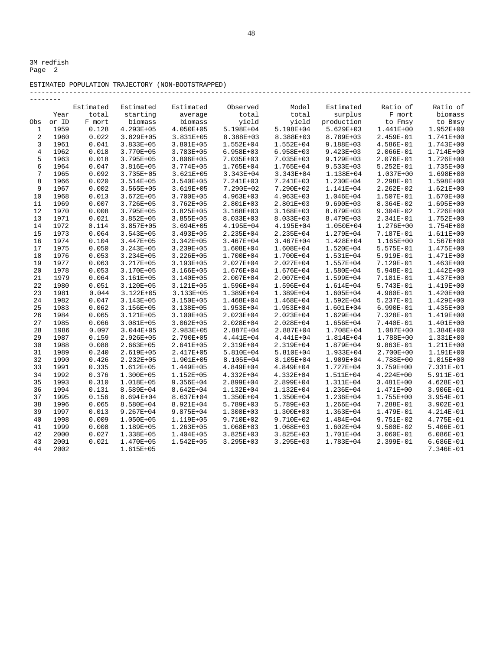#### ESTIMATED POPULATION TRAJECTORY (NON-BOOTSTRAPPED)

|                |       | Estimated | Estimated     | Estimated     | Observed      | Model         | Estimated     | Ratio of      | Ratio of      |
|----------------|-------|-----------|---------------|---------------|---------------|---------------|---------------|---------------|---------------|
|                | Year  | total     | starting      | average       | total         | total         | surplus       | F mort        | biomass       |
| Obs            | or ID | F mort    | biomass       | biomass       | yield         | yield         | production    | to Fmsy       | to Bmsy       |
| $\mathbf{1}$   | 1959  | 0.128     | 4.293E+05     | 4.050E+05     | 5.198E+04     | 5.198E+04     | 5.629E+03     | 1.441E+00     | 1.952E+00     |
| $\overline{a}$ | 1960  | 0.022     | 3.829E+05     | 3.831E+05     | 8.388E+03     | 8.388E+03     | 8.789E+03     | 2.459E-01     | 1.741E+00     |
| 3              | 1961  | 0.041     | 3.833E+05     | 3.801E+05     | $1.552E + 04$ | $1.552E + 04$ | 9.188E+03     | 4.586E-01     | 1.743E+00     |
| $\overline{4}$ | 1962  | 0.018     | 3.770E+05     | 3.783E+05     | $6.958E + 03$ | $6.958E + 03$ | 9.423E+03     | $2.066E-01$   | $1.714E+00$   |
| 5              | 1963  | 0.018     | 3.795E+05     | $3.806E + 05$ | 7.035E+03     | 7.035E+03     | 9.129E+03     | $2.076E - 01$ | 1.726E+00     |
| 6              | 1964  | 0.047     | 3.816E+05     | 3.774E+05     | 1.765E+04     | 1.765E+04     | 9.533E+03     | $5.252E-01$   | 1.735E+00     |
| $\overline{7}$ | 1965  | 0.092     | $3.735E + 05$ | 3.621E+05     | 3.343E+04     | 3.343E+04     | 1.138E+04     | 1.037E+00     | 1.698E+00     |
| 8              | 1966  | 0.020     | 3.514E+05     | 3.540E+05     | 7.241E+03     | 7.241E+03     | 1.230E+04     | 2.298E-01     | 1.598E+00     |
| 9              | 1967  | 0.002     | 3.565E+05     | 3.619E+05     | 7.290E+02     | 7.290E+02     | 1.141E+04     | $2.262E-02$   | 1.621E+00     |
| 10             | 1968  | 0.013     | 3.672E+05     | 3.700E+05     | 4.963E+03     | 4.963E+03     | 1.046E+04     | 1.507E-01     | 1.670E+00     |
| 11             | 1969  | 0.007     | 3.726E+05     | $3.762E + 05$ | 2.801E+03     | 2.801E+03     | 9.690E+03     | 8.364E-02     | 1.695E+00     |
| 12             | 1970  | 0.008     | 3.795E+05     | 3.825E+05     | 3.168E+03     | 3.168E+03     | 8.879E+03     | $9.304E - 02$ | 1.726E+00     |
| 13             | 1971  | 0.021     | $3.852E + 05$ | 3.855E+05     | 8.033E+03     | 8.033E+03     | 8.479E+03     | 2.341E-01     | 1.752E+00     |
| 14             | 1972  | 0.114     | 3.857E+05     | 3.694E+05     | 4.195E+04     | 4.195E+04     | 1.050E+04     | 1.276E+00     | 1.754E+00     |
| 15             | 1973  | 0.064     | 3.543E+05     | 3.493E+05     | 2.235E+04     | 2.235E+04     | 1.279E+04     | 7.187E-01     | 1.611E+00     |
| 16             | 1974  | 0.104     | 3.447E+05     | $3.342E + 05$ | $3.467E + 04$ | $3.467E + 04$ | 1.428E+04     | 1.165E+00     | 1.567E+00     |
| 17             | 1975  | 0.050     | 3.243E+05     | 3.239E+05     | 1.608E+04     | 1.608E+04     | 1.520E+04     | 5.575E-01     | 1.475E+00     |
| 18             | 1976  | 0.053     | 3.234E+05     | 3.226E+05     | 1.700E+04     | 1.700E+04     | 1.531E+04     | 5.919E-01     | 1.471E+00     |
| 19             | 1977  | 0.063     | 3.217E+05     | 3.193E+05     | 2.027E+04     | 2.027E+04     | 1.557E+04     | 7.129E-01     | 1.463E+00     |
| 20             | 1978  | 0.053     | 3.170E+05     | 3.166E+05     | 1.676E+04     | 1.676E+04     | 1.580E+04     | 5.948E-01     | $1.442E + 00$ |
| 21             | 1979  | 0.064     | 3.161E+05     | 3.140E+05     | 2.007E+04     | 2.007E+04     | 1.599E+04     | 7.181E-01     | 1.437E+00     |
| 22             | 1980  | 0.051     | 3.120E+05     | 3.121E+05     | 1.596E+04     | 1.596E+04     | 1.614E+04     | 5.743E-01     | 1.419E+00     |
| 23             | 1981  | 0.044     | 3.122E+05     | 3.133E+05     | 1.389E+04     | 1.389E+04     | 1.605E+04     | 4.980E-01     | 1.420E+00     |
| 24             | 1982  | 0.047     | 3.143E+05     | 3.150E+05     | 1.468E+04     | 1.468E+04     | 1.592E+04     | 5.237E-01     | 1.429E+00     |
| 25             | 1983  | 0.062     | 3.156E+05     | 3.138E+05     | 1.953E+04     | 1.953E+04     | 1.601E+04     | $6.990E-01$   | 1.435E+00     |
| 26             | 1984  | 0.065     | 3.121E+05     | 3.100E+05     | 2.023E+04     | 2.023E+04     | 1.629E+04     | 7.328E-01     | 1.419E+00     |
| 27             | 1985  | 0.066     | 3.081E+05     | $3.062E + 05$ | 2.028E+04     | 2.028E+04     | 1.656E+04     | 7.440E-01     | 1.401E+00     |
| 28             | 1986  | 0.097     | 3.044E+05     | 2.983E+05     | 2.887E+04     | 2.887E+04     | 1.708E+04     | 1.087E+00     | 1.384E+00     |
| 29             | 1987  | 0.159     | 2.926E+05     | 2.790E+05     | 4.441E+04     | 4.441E+04     | 1.814E+04     | 1.788E+00     | 1.331E+00     |
| 30             | 1988  | 0.088     | 2.663E+05     | 2.641E+05     | 2.319E+04     | 2.319E+04     | 1.879E+04     | $9.863E-01$   | 1.211E+00     |
| 31             | 1989  | 0.240     | 2.619E+05     | 2.417E+05     | 5.810E+04     | 5.810E+04     | 1.933E+04     | 2.700E+00     | 1.191E+00     |
| 32             | 1990  | 0.426     | 2.232E+05     | 1.901E+05     | 8.105E+04     | 8.105E+04     | 1.909E+04     | 4.788E+00     | 1.015E+00     |
| 33             | 1991  | 0.335     | 1.612E+05     | 1.449E+05     | 4.849E+04     | 4.849E+04     | 1.727E+04     | 3.759E+00     | 7.331E-01     |
| 34             | 1992  | 0.376     | 1.300E+05     | 1.152E+05     | 4.332E+04     | 4.332E+04     | 1.511E+04     | 4.224E+00     | 5.911E-01     |
| 35             | 1993  | 0.310     | 1.018E+05     | 9.356E+04     | 2.899E+04     | 2.899E+04     | 1.311E+04     | 3.481E+00     | $4.628E - 01$ |
| 36             | 1994  | 0.131     | 8.589E+04     | 8.642E+04     | 1.132E+04     | 1.132E+04     | 1.236E+04     | 1.471E+00     | $3.906E - 01$ |
| 37             | 1995  | 0.156     | 8.694E+04     | 8.637E+04     | 1.350E+04     | 1.350E+04     | 1.236E+04     | 1.755E+00     | 3.954E-01     |
| 38             | 1996  | 0.065     | 8.580E+04     | 8.921E+04     | 5.789E+03     | 5.789E+03     | 1.266E+04     | 7.288E-01     | $3.902E - 01$ |
| 39             | 1997  | 0.013     | 9.267E+04     | 9.875E+04     | 1.300E+03     | 1.300E+03     | 1.363E+04     | 1.479E-01     | $4.214E-01$   |
| 40             | 1998  | 0.009     | 1.050E+05     | 1.119E+05     | 9.710E+02     | 9.710E+02     | 1.484E+04     | 9.751E-02     | 4.775E-01     |
| 41             | 1999  | 0.008     | 1.189E+05     | 1.263E+05     | 1.068E+03     | 1.068E+03     | $1.602E + 04$ | $9.500E - 02$ | $5.406E - 01$ |
| 42             | 2000  | 0.027     | 1.338E+05     | 1.404E+05     | 3.825E+03     | 3.825E+03     | 1.701E+04     | 3.060E-01     | $6.086E - 01$ |
| 43             | 2001  | 0.021     | 1.470E+05     | 1.542E+05     | 3.295E+03     | 3.295E+03     | 1.783E+04     | $2.399E-01$   | $6.686E - 01$ |
| 44             | 2002  |           | 1.615E+05     |               |               |               |               |               | 7.346E-01     |
|                |       |           |               |               |               |               |               |               |               |

----------------------------------------------------------------------------------------------------------------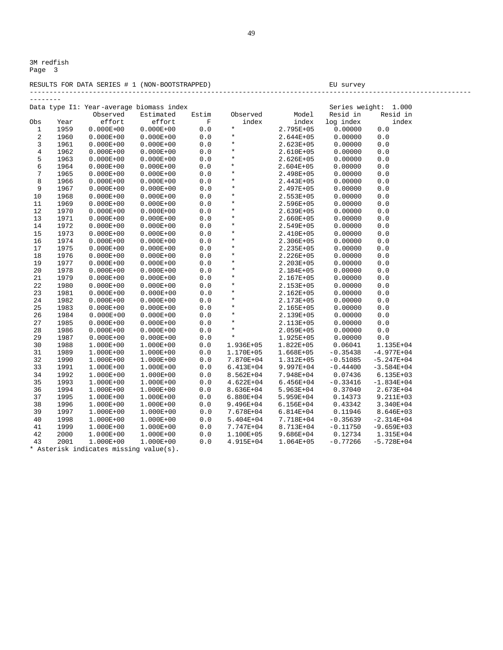#### RESULTS FOR DATA SERIES # 1 (NON-BOOTSTRAPPED) BU survey ----------------------------------------------------------------------------------------------------------------

| --------       |      |                                          |               |             |               |               |                |                |
|----------------|------|------------------------------------------|---------------|-------------|---------------|---------------|----------------|----------------|
|                |      | Data type I1: Year-average biomass index |               |             |               |               | Series weight: | 1.000          |
|                |      | Observed                                 | Estimated     | Estim       | Observed      | Model         | Resid in       | Resid in       |
| Obs            | Year | effort                                   | effort        | $\mathbb F$ | index         | index         | log index      | index          |
| $\mathbf 1$    | 1959 | $0.000E + 00$                            | $0.000E + 00$ | 0.0         | $\star$       | 2.795E+05     | 0.00000        | 0.0            |
| $\sqrt{2}$     | 1960 | $0.000E + 00$                            | $0.000E + 00$ | $0.0$       | $\star$       | 2.644E+05     | 0.00000        | $0.0$          |
| 3              | 1961 | $0.000E + 00$                            | $0.000E + 00$ | 0.0         | $\star$       | 2.623E+05     | 0.00000        | $0.0$          |
| $\overline{4}$ | 1962 | $0.000E + 00$                            | $0.000E + 00$ | 0.0         | $\star$       | 2.610E+05     | 0.00000        | 0.0            |
| 5              | 1963 | $0.000E + 00$                            | $0.000E + 00$ | 0.0         | $\star$       | 2.626E+05     | 0.00000        | 0.0            |
| 6              | 1964 | $0.000E + 00$                            | $0.000E + 00$ | $0.0$       | $\star$       | $2.604E + 05$ | 0.00000        | $0.0$          |
| $\overline{7}$ | 1965 | $0.000E + 00$                            | $0.000E + 00$ | 0.0         | $\star$       | 2.498E+05     | 0.00000        | 0.0            |
| 8              | 1966 | $0.000E + 00$                            | $0.000E + 00$ | $0.0$       | $\star$       | 2.443E+05     | 0.00000        | 0.0            |
| 9              | 1967 | $0.000E + 00$                            | $0.000E + 00$ | 0.0         | $\star$       | 2.497E+05     | 0.00000        | $0.0$          |
| 10             | 1968 | $0.000E + 00$                            | $0.000E + 00$ | 0.0         | $\star$       | $2.553E + 05$ | 0.00000        | 0.0            |
| 11             | 1969 | $0.000E + 00$                            | $0.000E + 00$ | $0.0$       | $\star$       | 2.596E+05     | 0.00000        | $0.0$          |
| 12             | 1970 | $0.000E + 00$                            | $0.000E + 00$ | $0.0$       | $\star$       | 2.639E+05     | 0.00000        | $0.0$          |
| 13             | 1971 | $0.000E + 00$                            | $0.000E + 00$ | 0.0         | $\star$       | $2.660E + 05$ | 0.00000        | 0.0            |
| 14             | 1972 | $0.000E + 00$                            | $0.000E + 00$ | 0.0         | $\star$       | 2.549E+05     | 0.00000        | $0.0$          |
| 15             | 1973 | $0.000E + 00$                            | $0.000E + 00$ | 0.0         | $\star$       | 2.410E+05     | 0.00000        | 0.0            |
| 16             | 1974 | $0.000E + 00$                            | $0.000E + 00$ | 0.0         | $\star$       | 2.306E+05     | 0.00000        | 0.0            |
| 17             | 1975 | $0.000E + 00$                            | $0.000E + 00$ | $0.0$       | $\star$       | 2.235E+05     | 0.00000        | $0.0$          |
| 18             | 1976 | $0.000E + 00$                            | $0.000E + 00$ | $0.0$       | $\star$       | 2.226E+05     | 0.00000        | $0.0$          |
| 19             | 1977 | $0.000E + 00$                            | $0.000E + 00$ | 0.0         | $\star$       | 2.203E+05     | 0.00000        | $0.0$          |
| 20             | 1978 | $0.000E + 00$                            | $0.000E + 00$ | $0.0$       | $\star$       | 2.184E+05     | 0.00000        | 0.0            |
| 21             | 1979 | $0.000E + 00$                            | $0.000E + 00$ | 0.0         | $\star$       | 2.167E+05     | 0.00000        | $0.0$          |
| 22             | 1980 | $0.000E + 00$                            | $0.000E + 00$ | $0.0$       | $\star$       | 2.153E+05     | 0.00000        | 0.0            |
| 23             | 1981 | $0.000E + 00$                            | $0.000E + 00$ | 0.0         | $\star$       | $2.162E + 05$ | 0.00000        | 0.0            |
| 24             | 1982 | $0.000E + 00$                            | $0.000E + 00$ | 0.0         | $\star$       | 2.173E+05     | 0.00000        | $0.0$          |
| 25             | 1983 | $0.000E + 00$                            | $0.000E + 00$ | 0.0         | $\star$       | 2.165E+05     | 0.00000        | $0.0$          |
| 26             | 1984 | $0.000E + 00$                            | $0.000E + 00$ | 0.0         | $\star$       | 2.139E+05     | 0.00000        | 0.0            |
| 27             | 1985 | $0.000E + 00$                            | $0.000E + 00$ | $0.0$       | $\star$       | 2.113E+05     | 0.00000        | $0.0$          |
| 28             | 1986 | $0.000E + 00$                            | $0.000E + 00$ | 0.0         | $\star$       | 2.059E+05     | 0.00000        | $0.0$          |
| 29             | 1987 | $0.000E + 00$                            | $0.000E + 00$ | 0.0         | $\star$       | 1.925E+05     | 0.00000        | $0.0$          |
| 30             | 1988 | 1.000E+00                                | 1.000E+00     | $0.0$       | 1.936E+05     | 1.822E+05     | 0.06041        | 1.135E+04      |
| 31             | 1989 | 1.000E+00                                | 1.000E+00     | $0.0$       | 1.170E+05     | 1.668E+05     | $-0.35438$     | $-4.977E+04$   |
| 32             | 1990 | 1.000E+00                                | 1.000E+00     | 0.0         | 7.870E+04     | 1.312E+05     | $-0.51085$     | $-5.247E+04$   |
| 33             | 1991 | 1.000E+00                                | 1.000E+00     | $0.0$       | 6.413E+04     | 9.997E+04     | $-0.44400$     | $-3.584E+04$   |
| 34             | 1992 | 1.000E+00                                | 1.000E+00     | $0.0$       | 8.562E+04     | 7.948E+04     | 0.07436        | 6.135E+03      |
| 35             | 1993 | $1.000E + 00$                            | $1.000E + 00$ | $0.0$       | 4.622E+04     | $6.456E+04$   | $-0.33416$     | $-1.834E+04$   |
| 36             | 1994 | 1.000E+00                                | 1.000E+00     | $0.0$       | 8.636E+04     | 5.963E+04     | 0.37040        | 2.673E+04      |
| 37             | 1995 | 1.000E+00                                | 1.000E+00     | 0.0         | $6.880E + 04$ | 5.959E+04     | 0.14373        | 9.211E+03      |
| 38             | 1996 | 1.000E+00                                | 1.000E+00     | $0.0$       | 9.496E+04     | $6.156E + 04$ | 0.43342        | 3.340E+04      |
| 39             | 1997 | 1.000E+00                                | 1.000E+00     | $0.0$       | 7.678E+04     | 6.814E+04     | 0.11946        | 8.646E+03      |
| 40             | 1998 | 1.000E+00                                | 1.000E+00     | $0.0$       | 5.404E+04     | 7.718E+04     | $-0.35639$     | $-2.314E+04$   |
| 41             | 1999 | 1.000E+00                                | 1.000E+00     | 0.0         | 7.747E+04     | 8.713E+04     | $-0.11750$     | $-9.659E+03$   |
| 42             | 2000 | 1.000E+00                                | 1.000E+00     | 0.0         | 1.100E+05     | 9.686E+04     | 0.12734        | 1.315E+04      |
| 43             | 2001 | 1.000E+00                                | 1.000E+00     | 0.0         | 4.915E+04     | 1.064E+05     | $-0.77266$     | $-5.728E + 04$ |

\* Asterisk indicates missing value(s).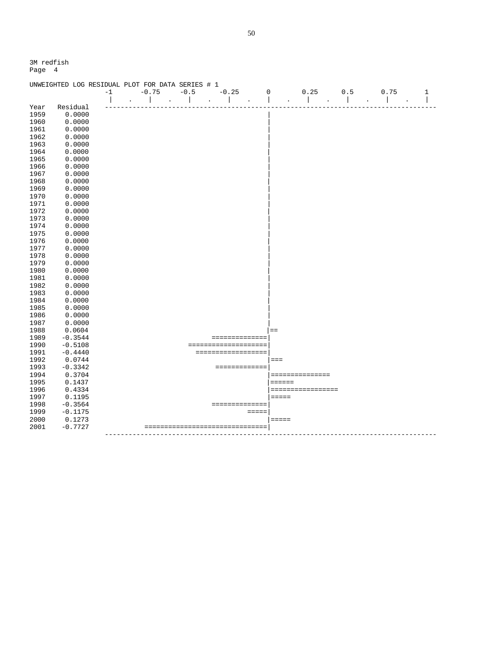|      | UNWEIGHTED LOG RESIDUAL PLOT FOR DATA SERIES # 1 |      |                          |        |  |         |                      |             |                   |      |   |
|------|--------------------------------------------------|------|--------------------------|--------|--|---------|----------------------|-------------|-------------------|------|---|
|      |                                                  | $-1$ | $-0.75$                  | $-0.5$ |  | $-0.25$ |                      | $\mathbf 0$ | 0.25<br>0.5       | 0.75 | 1 |
|      |                                                  |      |                          |        |  |         |                      |             |                   |      |   |
| Year | Residual                                         |      |                          |        |  |         |                      |             |                   |      |   |
| 1959 | 0.0000                                           |      |                          |        |  |         |                      |             |                   |      |   |
| 1960 | 0.0000                                           |      |                          |        |  |         |                      |             |                   |      |   |
| 1961 | 0.0000                                           |      |                          |        |  |         |                      |             |                   |      |   |
| 1962 | 0.0000                                           |      |                          |        |  |         |                      |             |                   |      |   |
| 1963 | 0.0000                                           |      |                          |        |  |         |                      |             |                   |      |   |
| 1964 | 0.0000                                           |      |                          |        |  |         |                      |             |                   |      |   |
| 1965 | 0.0000                                           |      |                          |        |  |         |                      |             |                   |      |   |
| 1966 | 0.0000                                           |      |                          |        |  |         |                      |             |                   |      |   |
| 1967 | 0.0000                                           |      |                          |        |  |         |                      |             |                   |      |   |
| 1968 | 0.0000                                           |      |                          |        |  |         |                      |             |                   |      |   |
| 1969 | 0.0000                                           |      |                          |        |  |         |                      |             |                   |      |   |
| 1970 | 0.0000                                           |      |                          |        |  |         |                      |             |                   |      |   |
| 1971 | 0.0000                                           |      |                          |        |  |         |                      |             |                   |      |   |
| 1972 | 0.0000                                           |      |                          |        |  |         |                      |             |                   |      |   |
| 1973 | 0.0000                                           |      |                          |        |  |         |                      |             |                   |      |   |
| 1974 | 0.0000                                           |      |                          |        |  |         |                      |             |                   |      |   |
| 1975 | 0.0000                                           |      |                          |        |  |         |                      |             |                   |      |   |
| 1976 | 0.0000                                           |      |                          |        |  |         |                      |             |                   |      |   |
| 1977 | 0.0000                                           |      |                          |        |  |         |                      |             |                   |      |   |
| 1978 | 0.0000                                           |      |                          |        |  |         |                      |             |                   |      |   |
| 1979 | 0.0000                                           |      |                          |        |  |         |                      |             |                   |      |   |
| 1980 | 0.0000                                           |      |                          |        |  |         |                      |             |                   |      |   |
| 1981 | 0.0000                                           |      |                          |        |  |         |                      |             |                   |      |   |
| 1982 | 0.0000                                           |      |                          |        |  |         |                      |             |                   |      |   |
| 1983 | 0.0000                                           |      |                          |        |  |         |                      |             |                   |      |   |
| 1984 | 0.0000                                           |      |                          |        |  |         |                      |             |                   |      |   |
| 1985 | 0.0000                                           |      |                          |        |  |         |                      |             |                   |      |   |
| 1986 | 0.0000                                           |      |                          |        |  |         |                      |             |                   |      |   |
| 1987 | 0.0000                                           |      |                          |        |  |         |                      |             |                   |      |   |
| 1988 | 0.0604                                           |      |                          |        |  |         |                      |             | $=$               |      |   |
| 1989 | $-0.3544$                                        |      |                          |        |  |         | ==============       |             |                   |      |   |
| 1990 | $-0.5108$                                        |      |                          |        |  |         | ==================== |             |                   |      |   |
| 1991 | $-0.4440$                                        |      |                          |        |  |         | ==================   |             |                   |      |   |
| 1992 | 0.0744                                           |      |                          |        |  |         |                      |             | $===$             |      |   |
| 1993 | $-0.3342$                                        |      |                          |        |  |         | =============        |             |                   |      |   |
| 1994 | 0.3704                                           |      |                          |        |  |         |                      |             | ===============   |      |   |
| 1995 | 0.1437                                           |      |                          |        |  |         |                      |             | $= = = = = = =$   |      |   |
| 1996 | 0.4334                                           |      |                          |        |  |         |                      |             | ================= |      |   |
| 1997 | 0.1195                                           |      |                          |        |  |         |                      |             | $=====$           |      |   |
| 1998 | $-0.3564$                                        |      |                          |        |  |         | ==============       |             |                   |      |   |
| 1999 | $-0.1175$                                        |      |                          |        |  |         | $=$ $=$ $=$ $=$      |             |                   |      |   |
| 2000 | 0.1273                                           |      |                          |        |  |         |                      |             | $=$ $=$ $=$ $=$   |      |   |
| 2001 | $-0.7727$                                        |      | ======================== |        |  |         | ========             |             |                   |      |   |
|      |                                                  |      |                          |        |  |         |                      |             |                   |      |   |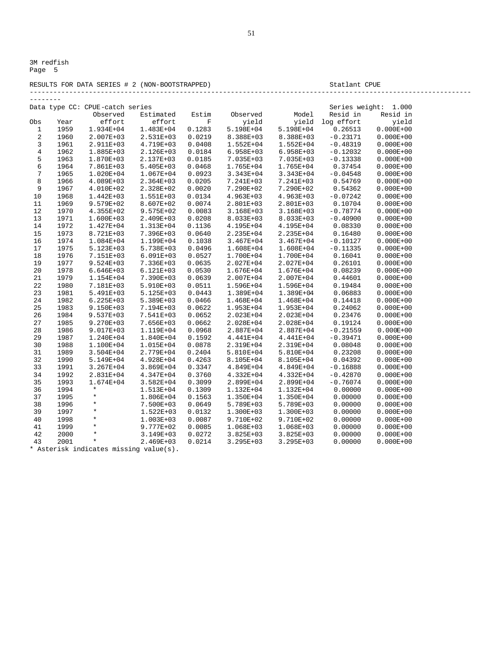#### RESULTS FOR DATA SERIES # 2 (NON-BOOTSTRAPPED) Statlant CPUE ----------------------------------------------------------------------------------------------------------------

| Data type CC: CPUE-catch series<br>Series weight:<br>1.000<br>Resid in<br>Estimated<br>Estim<br>Observed<br>Model<br>Resid in<br>Observed<br>effort<br>log effort<br>yield<br>effort<br>yield<br>yield<br>Obs<br>F<br>Year<br>1959<br>1.934E+04<br>1.483E+04<br>0.1283<br>5.198E+04<br>5.198E+04<br>0.26513<br>$0.000E + 00$<br>1<br>$0.000E + 00$<br>$\overline{a}$<br>1960<br>2.007E+03<br>2.531E+03<br>0.0219<br>8.388E+03<br>8.388E+03<br>$-0.23171$<br>3<br>$0.000E + 00$<br>1961<br>2.911E+03<br>4.719E+03<br>0.0408<br>1.552E+04<br>1.552E+04<br>$-0.48319$<br>$\bf 4$<br>$0.000E + 00$<br>1962<br>1.885E+03<br>2.126E+03<br>0.0184<br>$6.958E + 03$<br>$6.958E + 03$<br>$-0.12032$<br>5<br>1963<br>1.870E+03<br>2.137E+03<br>0.0185<br>7.035E+03<br>7.035E+03<br>$-0.13338$<br>$0.000E + 00$<br>6<br>1964<br>7.861E+03<br>$5.405E + 03$<br>0.0468<br>1.765E+04<br>0.37454<br>$0.000E + 00$<br>1.765E+04<br>7<br>1965<br>1.067E+04<br>0.0923<br>$-0.04548$<br>$0.000E + 00$<br>1.020E+04<br>3.343E+04<br>3.343E+04<br>8<br>1966<br>4.089E+03<br>2.364E+03<br>0.0205<br>7.241E+03<br>7.241E+03<br>0.54769<br>$0.000E + 00$<br>9<br>1967<br>0.0020<br>0.54362<br>$0.000E + 00$<br>4.010E+02<br>2.328E+02<br>7.290E+02<br>7.290E+02<br>10<br>1968<br>1.442E+03<br>1.551E+03<br>0.0134<br>4.963E+03<br>4.963E+03<br>$-0.07242$<br>$0.000E + 00$<br>1969<br>9.579E+02<br>8.607E+02<br>0.0074<br>2.801E+03<br>2.801E+03<br>0.10704<br>$0.000E + 00$<br>11<br>1970<br>$9.575E + 02$<br>0.0083<br>$-0.78774$<br>$0.000E + 00$<br>12<br>4.355E+02<br>3.168E+03<br>3.168E+03<br>13<br>1971<br>1.600E+03<br>2.409E+03<br>0.0208<br>8.033E+03<br>$-0.40900$<br>$0.000E + 00$<br>8.033E+03<br>14<br>1972<br>1.427E+04<br>0.1136<br>0.08330<br>$0.000E + 00$<br>1.313E+04<br>4.195E+04<br>4.195E+04<br>15<br>1973<br>0.16480<br>$0.000E + 00$<br>8.721E+03<br>7.396E+03<br>0.0640<br>2.235E+04<br>2.235E+04<br>1974<br>1.199E+04<br>$0.000E + 00$<br>16<br>1.084E+04<br>0.1038<br>$3.467E + 04$<br>$3.467E + 04$<br>$-0.10127$<br>17<br>1975<br>$0.000E + 00$<br>5.123E+03<br>5.738E+03<br>0.0496<br>1.608E+04<br>1.608E+04<br>$-0.11335$<br>18<br>1976<br>7.151E+03<br>$6.091E + 03$<br>0.0527<br>1.700E+04<br>1.700E+04<br>0.16041<br>$0.000E + 00$<br>19<br>1977<br>9.524E+03<br>7.336E+03<br>0.0635<br>2.027E+04<br>2.027E+04<br>0.26101<br>$0.000E + 00$<br>20<br>1978<br>0.08239<br>6.646E+03<br>6.121E+03<br>0.0530<br>1.676E+04<br>1.676E+04<br>$0.000E + 00$<br>21<br>1979<br>1.154E+04<br>7.390E+03<br>0.0639<br>2.007E+04<br>2.007E+04<br>0.44601<br>$0.000E + 00$<br>22<br>1980<br>0.0511<br>0.19484<br>$0.000E + 00$<br>7.181E+03<br>5.910E+03<br>1.596E+04<br>1.596E+04<br>23<br>1981<br>5.491E+03<br>5.125E+03<br>0.0443<br>1.389E+04<br>1.389E+04<br>0.06883<br>$0.000E + 00$<br>24<br>1982<br>$6.225E + 03$<br>5.389E+03<br>0.0466<br>0.14418<br>$0.000E + 00$<br>1.468E+04<br>1.468E+04<br>25<br>0.24062<br>1983<br>9.150E+03<br>7.194E+03<br>0.0622<br>1.953E+04<br>1.953E+04<br>$0.000E + 00$<br>0.23476<br>$0.000E + 00$<br>26<br>1984<br>9.537E+03<br>7.541E+03<br>0.0652<br>2.023E+04<br>2.023E+04<br>27<br>1985<br>9.270E+03<br>7.656E+03<br>0.0662<br>2.028E+04<br>2.028E+04<br>0.19124<br>$0.000E + 00$<br>28<br>1986<br>9.017E+03<br>1.119E+04<br>0.0968<br>2.887E+04<br>2.887E+04<br>$-0.21559$<br>$0.000E + 00$<br>29<br>1987<br>$-0.39471$<br>$0.000E + 00$<br>1.240E+04<br>1.840E+04<br>0.1592<br>4.441E+04<br>4.441E+04<br>30<br>1988<br>1.100E+04<br>1.015E+04<br>0.0878<br>2.319E+04<br>2.319E+04<br>0.08048<br>$0.000E + 00$<br>0.23208<br>31<br>1989<br>3.504E+04<br>2.779E+04<br>0.2404<br>5.810E+04<br>5.810E+04<br>$0.000E + 00$<br>32<br>1990<br>$0.000E + 00$<br>5.149E+04<br>4.928E+04<br>0.4263<br>8.105E+04<br>8.105E+04<br>0.04392<br>33<br>1991<br>3.267E+04<br>3.869E+04<br>0.3347<br>4.849E+04<br>4.849E+04<br>$-0.16888$<br>$0.000E + 00$<br>34<br>1992<br>0.3760<br>$0.000E + 00$<br>2.831E+04<br>4.347E+04<br>4.332E+04<br>4.332E+04<br>$-0.42870$<br>$-0.76074$<br>35<br>1993<br>1.674E+04<br>$3.582E + 04$<br>0.3099<br>2.899E+04<br>2.899E+04<br>$0.000E + 00$<br>$\star$<br>0.00000<br>36<br>1994<br>1.513E+04<br>0.1309<br>1.132E+04<br>1.132E+04<br>$0.000E + 00$<br>37<br>1995<br>$^{\star}$<br>0.00000<br>$0.000E + 00$<br>1.806E+04<br>0.1563<br>1.350E+04<br>1.350E+04<br>*<br>0.00000<br>$0.000E + 00$<br>38<br>1996<br>7.500E+03<br>0.0649<br>5.789E+03<br>5.789E+03<br>1997<br>$^\star$<br>0.00000<br>39<br>1.522E+03<br>0.0132<br>1.300E+03<br>1.300E+03<br>$0.000E + 00$<br>*<br>40<br>1998<br>1.003E+03<br>0.0087<br>9.710E+02<br>9.710E+02<br>0.00000<br>$0.000E + 00$<br>1999<br>$\star$<br>9.777E+02<br>0.0085<br>0.00000<br>$0.000E + 00$<br>41<br>1.068E+03<br>1.068E+03<br>2000<br>$\star$<br>0.00000<br>42<br>3.149E+03<br>0.0272<br>3.825E+03<br>3.825E+03<br>$0.000E + 00$<br>$\star$<br>0.00000<br>43<br>2001<br>2.469E+03<br>0.0214<br>3.295E+03<br>3.295E+03<br>$0.000E + 00$ | -------- |  |  |  |  |
|-------------------------------------------------------------------------------------------------------------------------------------------------------------------------------------------------------------------------------------------------------------------------------------------------------------------------------------------------------------------------------------------------------------------------------------------------------------------------------------------------------------------------------------------------------------------------------------------------------------------------------------------------------------------------------------------------------------------------------------------------------------------------------------------------------------------------------------------------------------------------------------------------------------------------------------------------------------------------------------------------------------------------------------------------------------------------------------------------------------------------------------------------------------------------------------------------------------------------------------------------------------------------------------------------------------------------------------------------------------------------------------------------------------------------------------------------------------------------------------------------------------------------------------------------------------------------------------------------------------------------------------------------------------------------------------------------------------------------------------------------------------------------------------------------------------------------------------------------------------------------------------------------------------------------------------------------------------------------------------------------------------------------------------------------------------------------------------------------------------------------------------------------------------------------------------------------------------------------------------------------------------------------------------------------------------------------------------------------------------------------------------------------------------------------------------------------------------------------------------------------------------------------------------------------------------------------------------------------------------------------------------------------------------------------------------------------------------------------------------------------------------------------------------------------------------------------------------------------------------------------------------------------------------------------------------------------------------------------------------------------------------------------------------------------------------------------------------------------------------------------------------------------------------------------------------------------------------------------------------------------------------------------------------------------------------------------------------------------------------------------------------------------------------------------------------------------------------------------------------------------------------------------------------------------------------------------------------------------------------------------------------------------------------------------------------------------------------------------------------------------------------------------------------------------------------------------------------------------------------------------------------------------------------------------------------------------------------------------------------------------------------------------------------------------------------------------------------------------------------------------------------------------------------------------------------------------------------------------------------------------------------------------------------------------------------------------------------------------------------------------------------------------------------------------------------------------------------------------------------------------------------------------------------------------------------------------------------------------------------------------------------------------------------------------------------------------------------------------------------------------------------------------------------------------------------------------------------------------------------------------------------------------------------------------------------------------------|----------|--|--|--|--|
|                                                                                                                                                                                                                                                                                                                                                                                                                                                                                                                                                                                                                                                                                                                                                                                                                                                                                                                                                                                                                                                                                                                                                                                                                                                                                                                                                                                                                                                                                                                                                                                                                                                                                                                                                                                                                                                                                                                                                                                                                                                                                                                                                                                                                                                                                                                                                                                                                                                                                                                                                                                                                                                                                                                                                                                                                                                                                                                                                                                                                                                                                                                                                                                                                                                                                                                                                                                                                                                                                                                                                                                                                                                                                                                                                                                                                                                                                                                                                                                                                                                                                                                                                                                                                                                                                                                                                                                                                                                                                                                                                                                                                                                                                                                                                                                                                                                                                                                                                       |          |  |  |  |  |
|                                                                                                                                                                                                                                                                                                                                                                                                                                                                                                                                                                                                                                                                                                                                                                                                                                                                                                                                                                                                                                                                                                                                                                                                                                                                                                                                                                                                                                                                                                                                                                                                                                                                                                                                                                                                                                                                                                                                                                                                                                                                                                                                                                                                                                                                                                                                                                                                                                                                                                                                                                                                                                                                                                                                                                                                                                                                                                                                                                                                                                                                                                                                                                                                                                                                                                                                                                                                                                                                                                                                                                                                                                                                                                                                                                                                                                                                                                                                                                                                                                                                                                                                                                                                                                                                                                                                                                                                                                                                                                                                                                                                                                                                                                                                                                                                                                                                                                                                                       |          |  |  |  |  |
|                                                                                                                                                                                                                                                                                                                                                                                                                                                                                                                                                                                                                                                                                                                                                                                                                                                                                                                                                                                                                                                                                                                                                                                                                                                                                                                                                                                                                                                                                                                                                                                                                                                                                                                                                                                                                                                                                                                                                                                                                                                                                                                                                                                                                                                                                                                                                                                                                                                                                                                                                                                                                                                                                                                                                                                                                                                                                                                                                                                                                                                                                                                                                                                                                                                                                                                                                                                                                                                                                                                                                                                                                                                                                                                                                                                                                                                                                                                                                                                                                                                                                                                                                                                                                                                                                                                                                                                                                                                                                                                                                                                                                                                                                                                                                                                                                                                                                                                                                       |          |  |  |  |  |
|                                                                                                                                                                                                                                                                                                                                                                                                                                                                                                                                                                                                                                                                                                                                                                                                                                                                                                                                                                                                                                                                                                                                                                                                                                                                                                                                                                                                                                                                                                                                                                                                                                                                                                                                                                                                                                                                                                                                                                                                                                                                                                                                                                                                                                                                                                                                                                                                                                                                                                                                                                                                                                                                                                                                                                                                                                                                                                                                                                                                                                                                                                                                                                                                                                                                                                                                                                                                                                                                                                                                                                                                                                                                                                                                                                                                                                                                                                                                                                                                                                                                                                                                                                                                                                                                                                                                                                                                                                                                                                                                                                                                                                                                                                                                                                                                                                                                                                                                                       |          |  |  |  |  |
|                                                                                                                                                                                                                                                                                                                                                                                                                                                                                                                                                                                                                                                                                                                                                                                                                                                                                                                                                                                                                                                                                                                                                                                                                                                                                                                                                                                                                                                                                                                                                                                                                                                                                                                                                                                                                                                                                                                                                                                                                                                                                                                                                                                                                                                                                                                                                                                                                                                                                                                                                                                                                                                                                                                                                                                                                                                                                                                                                                                                                                                                                                                                                                                                                                                                                                                                                                                                                                                                                                                                                                                                                                                                                                                                                                                                                                                                                                                                                                                                                                                                                                                                                                                                                                                                                                                                                                                                                                                                                                                                                                                                                                                                                                                                                                                                                                                                                                                                                       |          |  |  |  |  |
|                                                                                                                                                                                                                                                                                                                                                                                                                                                                                                                                                                                                                                                                                                                                                                                                                                                                                                                                                                                                                                                                                                                                                                                                                                                                                                                                                                                                                                                                                                                                                                                                                                                                                                                                                                                                                                                                                                                                                                                                                                                                                                                                                                                                                                                                                                                                                                                                                                                                                                                                                                                                                                                                                                                                                                                                                                                                                                                                                                                                                                                                                                                                                                                                                                                                                                                                                                                                                                                                                                                                                                                                                                                                                                                                                                                                                                                                                                                                                                                                                                                                                                                                                                                                                                                                                                                                                                                                                                                                                                                                                                                                                                                                                                                                                                                                                                                                                                                                                       |          |  |  |  |  |
|                                                                                                                                                                                                                                                                                                                                                                                                                                                                                                                                                                                                                                                                                                                                                                                                                                                                                                                                                                                                                                                                                                                                                                                                                                                                                                                                                                                                                                                                                                                                                                                                                                                                                                                                                                                                                                                                                                                                                                                                                                                                                                                                                                                                                                                                                                                                                                                                                                                                                                                                                                                                                                                                                                                                                                                                                                                                                                                                                                                                                                                                                                                                                                                                                                                                                                                                                                                                                                                                                                                                                                                                                                                                                                                                                                                                                                                                                                                                                                                                                                                                                                                                                                                                                                                                                                                                                                                                                                                                                                                                                                                                                                                                                                                                                                                                                                                                                                                                                       |          |  |  |  |  |
|                                                                                                                                                                                                                                                                                                                                                                                                                                                                                                                                                                                                                                                                                                                                                                                                                                                                                                                                                                                                                                                                                                                                                                                                                                                                                                                                                                                                                                                                                                                                                                                                                                                                                                                                                                                                                                                                                                                                                                                                                                                                                                                                                                                                                                                                                                                                                                                                                                                                                                                                                                                                                                                                                                                                                                                                                                                                                                                                                                                                                                                                                                                                                                                                                                                                                                                                                                                                                                                                                                                                                                                                                                                                                                                                                                                                                                                                                                                                                                                                                                                                                                                                                                                                                                                                                                                                                                                                                                                                                                                                                                                                                                                                                                                                                                                                                                                                                                                                                       |          |  |  |  |  |
|                                                                                                                                                                                                                                                                                                                                                                                                                                                                                                                                                                                                                                                                                                                                                                                                                                                                                                                                                                                                                                                                                                                                                                                                                                                                                                                                                                                                                                                                                                                                                                                                                                                                                                                                                                                                                                                                                                                                                                                                                                                                                                                                                                                                                                                                                                                                                                                                                                                                                                                                                                                                                                                                                                                                                                                                                                                                                                                                                                                                                                                                                                                                                                                                                                                                                                                                                                                                                                                                                                                                                                                                                                                                                                                                                                                                                                                                                                                                                                                                                                                                                                                                                                                                                                                                                                                                                                                                                                                                                                                                                                                                                                                                                                                                                                                                                                                                                                                                                       |          |  |  |  |  |
|                                                                                                                                                                                                                                                                                                                                                                                                                                                                                                                                                                                                                                                                                                                                                                                                                                                                                                                                                                                                                                                                                                                                                                                                                                                                                                                                                                                                                                                                                                                                                                                                                                                                                                                                                                                                                                                                                                                                                                                                                                                                                                                                                                                                                                                                                                                                                                                                                                                                                                                                                                                                                                                                                                                                                                                                                                                                                                                                                                                                                                                                                                                                                                                                                                                                                                                                                                                                                                                                                                                                                                                                                                                                                                                                                                                                                                                                                                                                                                                                                                                                                                                                                                                                                                                                                                                                                                                                                                                                                                                                                                                                                                                                                                                                                                                                                                                                                                                                                       |          |  |  |  |  |
|                                                                                                                                                                                                                                                                                                                                                                                                                                                                                                                                                                                                                                                                                                                                                                                                                                                                                                                                                                                                                                                                                                                                                                                                                                                                                                                                                                                                                                                                                                                                                                                                                                                                                                                                                                                                                                                                                                                                                                                                                                                                                                                                                                                                                                                                                                                                                                                                                                                                                                                                                                                                                                                                                                                                                                                                                                                                                                                                                                                                                                                                                                                                                                                                                                                                                                                                                                                                                                                                                                                                                                                                                                                                                                                                                                                                                                                                                                                                                                                                                                                                                                                                                                                                                                                                                                                                                                                                                                                                                                                                                                                                                                                                                                                                                                                                                                                                                                                                                       |          |  |  |  |  |
|                                                                                                                                                                                                                                                                                                                                                                                                                                                                                                                                                                                                                                                                                                                                                                                                                                                                                                                                                                                                                                                                                                                                                                                                                                                                                                                                                                                                                                                                                                                                                                                                                                                                                                                                                                                                                                                                                                                                                                                                                                                                                                                                                                                                                                                                                                                                                                                                                                                                                                                                                                                                                                                                                                                                                                                                                                                                                                                                                                                                                                                                                                                                                                                                                                                                                                                                                                                                                                                                                                                                                                                                                                                                                                                                                                                                                                                                                                                                                                                                                                                                                                                                                                                                                                                                                                                                                                                                                                                                                                                                                                                                                                                                                                                                                                                                                                                                                                                                                       |          |  |  |  |  |
|                                                                                                                                                                                                                                                                                                                                                                                                                                                                                                                                                                                                                                                                                                                                                                                                                                                                                                                                                                                                                                                                                                                                                                                                                                                                                                                                                                                                                                                                                                                                                                                                                                                                                                                                                                                                                                                                                                                                                                                                                                                                                                                                                                                                                                                                                                                                                                                                                                                                                                                                                                                                                                                                                                                                                                                                                                                                                                                                                                                                                                                                                                                                                                                                                                                                                                                                                                                                                                                                                                                                                                                                                                                                                                                                                                                                                                                                                                                                                                                                                                                                                                                                                                                                                                                                                                                                                                                                                                                                                                                                                                                                                                                                                                                                                                                                                                                                                                                                                       |          |  |  |  |  |
|                                                                                                                                                                                                                                                                                                                                                                                                                                                                                                                                                                                                                                                                                                                                                                                                                                                                                                                                                                                                                                                                                                                                                                                                                                                                                                                                                                                                                                                                                                                                                                                                                                                                                                                                                                                                                                                                                                                                                                                                                                                                                                                                                                                                                                                                                                                                                                                                                                                                                                                                                                                                                                                                                                                                                                                                                                                                                                                                                                                                                                                                                                                                                                                                                                                                                                                                                                                                                                                                                                                                                                                                                                                                                                                                                                                                                                                                                                                                                                                                                                                                                                                                                                                                                                                                                                                                                                                                                                                                                                                                                                                                                                                                                                                                                                                                                                                                                                                                                       |          |  |  |  |  |
|                                                                                                                                                                                                                                                                                                                                                                                                                                                                                                                                                                                                                                                                                                                                                                                                                                                                                                                                                                                                                                                                                                                                                                                                                                                                                                                                                                                                                                                                                                                                                                                                                                                                                                                                                                                                                                                                                                                                                                                                                                                                                                                                                                                                                                                                                                                                                                                                                                                                                                                                                                                                                                                                                                                                                                                                                                                                                                                                                                                                                                                                                                                                                                                                                                                                                                                                                                                                                                                                                                                                                                                                                                                                                                                                                                                                                                                                                                                                                                                                                                                                                                                                                                                                                                                                                                                                                                                                                                                                                                                                                                                                                                                                                                                                                                                                                                                                                                                                                       |          |  |  |  |  |
|                                                                                                                                                                                                                                                                                                                                                                                                                                                                                                                                                                                                                                                                                                                                                                                                                                                                                                                                                                                                                                                                                                                                                                                                                                                                                                                                                                                                                                                                                                                                                                                                                                                                                                                                                                                                                                                                                                                                                                                                                                                                                                                                                                                                                                                                                                                                                                                                                                                                                                                                                                                                                                                                                                                                                                                                                                                                                                                                                                                                                                                                                                                                                                                                                                                                                                                                                                                                                                                                                                                                                                                                                                                                                                                                                                                                                                                                                                                                                                                                                                                                                                                                                                                                                                                                                                                                                                                                                                                                                                                                                                                                                                                                                                                                                                                                                                                                                                                                                       |          |  |  |  |  |
|                                                                                                                                                                                                                                                                                                                                                                                                                                                                                                                                                                                                                                                                                                                                                                                                                                                                                                                                                                                                                                                                                                                                                                                                                                                                                                                                                                                                                                                                                                                                                                                                                                                                                                                                                                                                                                                                                                                                                                                                                                                                                                                                                                                                                                                                                                                                                                                                                                                                                                                                                                                                                                                                                                                                                                                                                                                                                                                                                                                                                                                                                                                                                                                                                                                                                                                                                                                                                                                                                                                                                                                                                                                                                                                                                                                                                                                                                                                                                                                                                                                                                                                                                                                                                                                                                                                                                                                                                                                                                                                                                                                                                                                                                                                                                                                                                                                                                                                                                       |          |  |  |  |  |
|                                                                                                                                                                                                                                                                                                                                                                                                                                                                                                                                                                                                                                                                                                                                                                                                                                                                                                                                                                                                                                                                                                                                                                                                                                                                                                                                                                                                                                                                                                                                                                                                                                                                                                                                                                                                                                                                                                                                                                                                                                                                                                                                                                                                                                                                                                                                                                                                                                                                                                                                                                                                                                                                                                                                                                                                                                                                                                                                                                                                                                                                                                                                                                                                                                                                                                                                                                                                                                                                                                                                                                                                                                                                                                                                                                                                                                                                                                                                                                                                                                                                                                                                                                                                                                                                                                                                                                                                                                                                                                                                                                                                                                                                                                                                                                                                                                                                                                                                                       |          |  |  |  |  |
|                                                                                                                                                                                                                                                                                                                                                                                                                                                                                                                                                                                                                                                                                                                                                                                                                                                                                                                                                                                                                                                                                                                                                                                                                                                                                                                                                                                                                                                                                                                                                                                                                                                                                                                                                                                                                                                                                                                                                                                                                                                                                                                                                                                                                                                                                                                                                                                                                                                                                                                                                                                                                                                                                                                                                                                                                                                                                                                                                                                                                                                                                                                                                                                                                                                                                                                                                                                                                                                                                                                                                                                                                                                                                                                                                                                                                                                                                                                                                                                                                                                                                                                                                                                                                                                                                                                                                                                                                                                                                                                                                                                                                                                                                                                                                                                                                                                                                                                                                       |          |  |  |  |  |
|                                                                                                                                                                                                                                                                                                                                                                                                                                                                                                                                                                                                                                                                                                                                                                                                                                                                                                                                                                                                                                                                                                                                                                                                                                                                                                                                                                                                                                                                                                                                                                                                                                                                                                                                                                                                                                                                                                                                                                                                                                                                                                                                                                                                                                                                                                                                                                                                                                                                                                                                                                                                                                                                                                                                                                                                                                                                                                                                                                                                                                                                                                                                                                                                                                                                                                                                                                                                                                                                                                                                                                                                                                                                                                                                                                                                                                                                                                                                                                                                                                                                                                                                                                                                                                                                                                                                                                                                                                                                                                                                                                                                                                                                                                                                                                                                                                                                                                                                                       |          |  |  |  |  |
|                                                                                                                                                                                                                                                                                                                                                                                                                                                                                                                                                                                                                                                                                                                                                                                                                                                                                                                                                                                                                                                                                                                                                                                                                                                                                                                                                                                                                                                                                                                                                                                                                                                                                                                                                                                                                                                                                                                                                                                                                                                                                                                                                                                                                                                                                                                                                                                                                                                                                                                                                                                                                                                                                                                                                                                                                                                                                                                                                                                                                                                                                                                                                                                                                                                                                                                                                                                                                                                                                                                                                                                                                                                                                                                                                                                                                                                                                                                                                                                                                                                                                                                                                                                                                                                                                                                                                                                                                                                                                                                                                                                                                                                                                                                                                                                                                                                                                                                                                       |          |  |  |  |  |
|                                                                                                                                                                                                                                                                                                                                                                                                                                                                                                                                                                                                                                                                                                                                                                                                                                                                                                                                                                                                                                                                                                                                                                                                                                                                                                                                                                                                                                                                                                                                                                                                                                                                                                                                                                                                                                                                                                                                                                                                                                                                                                                                                                                                                                                                                                                                                                                                                                                                                                                                                                                                                                                                                                                                                                                                                                                                                                                                                                                                                                                                                                                                                                                                                                                                                                                                                                                                                                                                                                                                                                                                                                                                                                                                                                                                                                                                                                                                                                                                                                                                                                                                                                                                                                                                                                                                                                                                                                                                                                                                                                                                                                                                                                                                                                                                                                                                                                                                                       |          |  |  |  |  |
|                                                                                                                                                                                                                                                                                                                                                                                                                                                                                                                                                                                                                                                                                                                                                                                                                                                                                                                                                                                                                                                                                                                                                                                                                                                                                                                                                                                                                                                                                                                                                                                                                                                                                                                                                                                                                                                                                                                                                                                                                                                                                                                                                                                                                                                                                                                                                                                                                                                                                                                                                                                                                                                                                                                                                                                                                                                                                                                                                                                                                                                                                                                                                                                                                                                                                                                                                                                                                                                                                                                                                                                                                                                                                                                                                                                                                                                                                                                                                                                                                                                                                                                                                                                                                                                                                                                                                                                                                                                                                                                                                                                                                                                                                                                                                                                                                                                                                                                                                       |          |  |  |  |  |
|                                                                                                                                                                                                                                                                                                                                                                                                                                                                                                                                                                                                                                                                                                                                                                                                                                                                                                                                                                                                                                                                                                                                                                                                                                                                                                                                                                                                                                                                                                                                                                                                                                                                                                                                                                                                                                                                                                                                                                                                                                                                                                                                                                                                                                                                                                                                                                                                                                                                                                                                                                                                                                                                                                                                                                                                                                                                                                                                                                                                                                                                                                                                                                                                                                                                                                                                                                                                                                                                                                                                                                                                                                                                                                                                                                                                                                                                                                                                                                                                                                                                                                                                                                                                                                                                                                                                                                                                                                                                                                                                                                                                                                                                                                                                                                                                                                                                                                                                                       |          |  |  |  |  |
|                                                                                                                                                                                                                                                                                                                                                                                                                                                                                                                                                                                                                                                                                                                                                                                                                                                                                                                                                                                                                                                                                                                                                                                                                                                                                                                                                                                                                                                                                                                                                                                                                                                                                                                                                                                                                                                                                                                                                                                                                                                                                                                                                                                                                                                                                                                                                                                                                                                                                                                                                                                                                                                                                                                                                                                                                                                                                                                                                                                                                                                                                                                                                                                                                                                                                                                                                                                                                                                                                                                                                                                                                                                                                                                                                                                                                                                                                                                                                                                                                                                                                                                                                                                                                                                                                                                                                                                                                                                                                                                                                                                                                                                                                                                                                                                                                                                                                                                                                       |          |  |  |  |  |
|                                                                                                                                                                                                                                                                                                                                                                                                                                                                                                                                                                                                                                                                                                                                                                                                                                                                                                                                                                                                                                                                                                                                                                                                                                                                                                                                                                                                                                                                                                                                                                                                                                                                                                                                                                                                                                                                                                                                                                                                                                                                                                                                                                                                                                                                                                                                                                                                                                                                                                                                                                                                                                                                                                                                                                                                                                                                                                                                                                                                                                                                                                                                                                                                                                                                                                                                                                                                                                                                                                                                                                                                                                                                                                                                                                                                                                                                                                                                                                                                                                                                                                                                                                                                                                                                                                                                                                                                                                                                                                                                                                                                                                                                                                                                                                                                                                                                                                                                                       |          |  |  |  |  |
|                                                                                                                                                                                                                                                                                                                                                                                                                                                                                                                                                                                                                                                                                                                                                                                                                                                                                                                                                                                                                                                                                                                                                                                                                                                                                                                                                                                                                                                                                                                                                                                                                                                                                                                                                                                                                                                                                                                                                                                                                                                                                                                                                                                                                                                                                                                                                                                                                                                                                                                                                                                                                                                                                                                                                                                                                                                                                                                                                                                                                                                                                                                                                                                                                                                                                                                                                                                                                                                                                                                                                                                                                                                                                                                                                                                                                                                                                                                                                                                                                                                                                                                                                                                                                                                                                                                                                                                                                                                                                                                                                                                                                                                                                                                                                                                                                                                                                                                                                       |          |  |  |  |  |
|                                                                                                                                                                                                                                                                                                                                                                                                                                                                                                                                                                                                                                                                                                                                                                                                                                                                                                                                                                                                                                                                                                                                                                                                                                                                                                                                                                                                                                                                                                                                                                                                                                                                                                                                                                                                                                                                                                                                                                                                                                                                                                                                                                                                                                                                                                                                                                                                                                                                                                                                                                                                                                                                                                                                                                                                                                                                                                                                                                                                                                                                                                                                                                                                                                                                                                                                                                                                                                                                                                                                                                                                                                                                                                                                                                                                                                                                                                                                                                                                                                                                                                                                                                                                                                                                                                                                                                                                                                                                                                                                                                                                                                                                                                                                                                                                                                                                                                                                                       |          |  |  |  |  |
|                                                                                                                                                                                                                                                                                                                                                                                                                                                                                                                                                                                                                                                                                                                                                                                                                                                                                                                                                                                                                                                                                                                                                                                                                                                                                                                                                                                                                                                                                                                                                                                                                                                                                                                                                                                                                                                                                                                                                                                                                                                                                                                                                                                                                                                                                                                                                                                                                                                                                                                                                                                                                                                                                                                                                                                                                                                                                                                                                                                                                                                                                                                                                                                                                                                                                                                                                                                                                                                                                                                                                                                                                                                                                                                                                                                                                                                                                                                                                                                                                                                                                                                                                                                                                                                                                                                                                                                                                                                                                                                                                                                                                                                                                                                                                                                                                                                                                                                                                       |          |  |  |  |  |
|                                                                                                                                                                                                                                                                                                                                                                                                                                                                                                                                                                                                                                                                                                                                                                                                                                                                                                                                                                                                                                                                                                                                                                                                                                                                                                                                                                                                                                                                                                                                                                                                                                                                                                                                                                                                                                                                                                                                                                                                                                                                                                                                                                                                                                                                                                                                                                                                                                                                                                                                                                                                                                                                                                                                                                                                                                                                                                                                                                                                                                                                                                                                                                                                                                                                                                                                                                                                                                                                                                                                                                                                                                                                                                                                                                                                                                                                                                                                                                                                                                                                                                                                                                                                                                                                                                                                                                                                                                                                                                                                                                                                                                                                                                                                                                                                                                                                                                                                                       |          |  |  |  |  |
|                                                                                                                                                                                                                                                                                                                                                                                                                                                                                                                                                                                                                                                                                                                                                                                                                                                                                                                                                                                                                                                                                                                                                                                                                                                                                                                                                                                                                                                                                                                                                                                                                                                                                                                                                                                                                                                                                                                                                                                                                                                                                                                                                                                                                                                                                                                                                                                                                                                                                                                                                                                                                                                                                                                                                                                                                                                                                                                                                                                                                                                                                                                                                                                                                                                                                                                                                                                                                                                                                                                                                                                                                                                                                                                                                                                                                                                                                                                                                                                                                                                                                                                                                                                                                                                                                                                                                                                                                                                                                                                                                                                                                                                                                                                                                                                                                                                                                                                                                       |          |  |  |  |  |
|                                                                                                                                                                                                                                                                                                                                                                                                                                                                                                                                                                                                                                                                                                                                                                                                                                                                                                                                                                                                                                                                                                                                                                                                                                                                                                                                                                                                                                                                                                                                                                                                                                                                                                                                                                                                                                                                                                                                                                                                                                                                                                                                                                                                                                                                                                                                                                                                                                                                                                                                                                                                                                                                                                                                                                                                                                                                                                                                                                                                                                                                                                                                                                                                                                                                                                                                                                                                                                                                                                                                                                                                                                                                                                                                                                                                                                                                                                                                                                                                                                                                                                                                                                                                                                                                                                                                                                                                                                                                                                                                                                                                                                                                                                                                                                                                                                                                                                                                                       |          |  |  |  |  |
|                                                                                                                                                                                                                                                                                                                                                                                                                                                                                                                                                                                                                                                                                                                                                                                                                                                                                                                                                                                                                                                                                                                                                                                                                                                                                                                                                                                                                                                                                                                                                                                                                                                                                                                                                                                                                                                                                                                                                                                                                                                                                                                                                                                                                                                                                                                                                                                                                                                                                                                                                                                                                                                                                                                                                                                                                                                                                                                                                                                                                                                                                                                                                                                                                                                                                                                                                                                                                                                                                                                                                                                                                                                                                                                                                                                                                                                                                                                                                                                                                                                                                                                                                                                                                                                                                                                                                                                                                                                                                                                                                                                                                                                                                                                                                                                                                                                                                                                                                       |          |  |  |  |  |
|                                                                                                                                                                                                                                                                                                                                                                                                                                                                                                                                                                                                                                                                                                                                                                                                                                                                                                                                                                                                                                                                                                                                                                                                                                                                                                                                                                                                                                                                                                                                                                                                                                                                                                                                                                                                                                                                                                                                                                                                                                                                                                                                                                                                                                                                                                                                                                                                                                                                                                                                                                                                                                                                                                                                                                                                                                                                                                                                                                                                                                                                                                                                                                                                                                                                                                                                                                                                                                                                                                                                                                                                                                                                                                                                                                                                                                                                                                                                                                                                                                                                                                                                                                                                                                                                                                                                                                                                                                                                                                                                                                                                                                                                                                                                                                                                                                                                                                                                                       |          |  |  |  |  |
|                                                                                                                                                                                                                                                                                                                                                                                                                                                                                                                                                                                                                                                                                                                                                                                                                                                                                                                                                                                                                                                                                                                                                                                                                                                                                                                                                                                                                                                                                                                                                                                                                                                                                                                                                                                                                                                                                                                                                                                                                                                                                                                                                                                                                                                                                                                                                                                                                                                                                                                                                                                                                                                                                                                                                                                                                                                                                                                                                                                                                                                                                                                                                                                                                                                                                                                                                                                                                                                                                                                                                                                                                                                                                                                                                                                                                                                                                                                                                                                                                                                                                                                                                                                                                                                                                                                                                                                                                                                                                                                                                                                                                                                                                                                                                                                                                                                                                                                                                       |          |  |  |  |  |
|                                                                                                                                                                                                                                                                                                                                                                                                                                                                                                                                                                                                                                                                                                                                                                                                                                                                                                                                                                                                                                                                                                                                                                                                                                                                                                                                                                                                                                                                                                                                                                                                                                                                                                                                                                                                                                                                                                                                                                                                                                                                                                                                                                                                                                                                                                                                                                                                                                                                                                                                                                                                                                                                                                                                                                                                                                                                                                                                                                                                                                                                                                                                                                                                                                                                                                                                                                                                                                                                                                                                                                                                                                                                                                                                                                                                                                                                                                                                                                                                                                                                                                                                                                                                                                                                                                                                                                                                                                                                                                                                                                                                                                                                                                                                                                                                                                                                                                                                                       |          |  |  |  |  |
|                                                                                                                                                                                                                                                                                                                                                                                                                                                                                                                                                                                                                                                                                                                                                                                                                                                                                                                                                                                                                                                                                                                                                                                                                                                                                                                                                                                                                                                                                                                                                                                                                                                                                                                                                                                                                                                                                                                                                                                                                                                                                                                                                                                                                                                                                                                                                                                                                                                                                                                                                                                                                                                                                                                                                                                                                                                                                                                                                                                                                                                                                                                                                                                                                                                                                                                                                                                                                                                                                                                                                                                                                                                                                                                                                                                                                                                                                                                                                                                                                                                                                                                                                                                                                                                                                                                                                                                                                                                                                                                                                                                                                                                                                                                                                                                                                                                                                                                                                       |          |  |  |  |  |
|                                                                                                                                                                                                                                                                                                                                                                                                                                                                                                                                                                                                                                                                                                                                                                                                                                                                                                                                                                                                                                                                                                                                                                                                                                                                                                                                                                                                                                                                                                                                                                                                                                                                                                                                                                                                                                                                                                                                                                                                                                                                                                                                                                                                                                                                                                                                                                                                                                                                                                                                                                                                                                                                                                                                                                                                                                                                                                                                                                                                                                                                                                                                                                                                                                                                                                                                                                                                                                                                                                                                                                                                                                                                                                                                                                                                                                                                                                                                                                                                                                                                                                                                                                                                                                                                                                                                                                                                                                                                                                                                                                                                                                                                                                                                                                                                                                                                                                                                                       |          |  |  |  |  |
|                                                                                                                                                                                                                                                                                                                                                                                                                                                                                                                                                                                                                                                                                                                                                                                                                                                                                                                                                                                                                                                                                                                                                                                                                                                                                                                                                                                                                                                                                                                                                                                                                                                                                                                                                                                                                                                                                                                                                                                                                                                                                                                                                                                                                                                                                                                                                                                                                                                                                                                                                                                                                                                                                                                                                                                                                                                                                                                                                                                                                                                                                                                                                                                                                                                                                                                                                                                                                                                                                                                                                                                                                                                                                                                                                                                                                                                                                                                                                                                                                                                                                                                                                                                                                                                                                                                                                                                                                                                                                                                                                                                                                                                                                                                                                                                                                                                                                                                                                       |          |  |  |  |  |
|                                                                                                                                                                                                                                                                                                                                                                                                                                                                                                                                                                                                                                                                                                                                                                                                                                                                                                                                                                                                                                                                                                                                                                                                                                                                                                                                                                                                                                                                                                                                                                                                                                                                                                                                                                                                                                                                                                                                                                                                                                                                                                                                                                                                                                                                                                                                                                                                                                                                                                                                                                                                                                                                                                                                                                                                                                                                                                                                                                                                                                                                                                                                                                                                                                                                                                                                                                                                                                                                                                                                                                                                                                                                                                                                                                                                                                                                                                                                                                                                                                                                                                                                                                                                                                                                                                                                                                                                                                                                                                                                                                                                                                                                                                                                                                                                                                                                                                                                                       |          |  |  |  |  |
|                                                                                                                                                                                                                                                                                                                                                                                                                                                                                                                                                                                                                                                                                                                                                                                                                                                                                                                                                                                                                                                                                                                                                                                                                                                                                                                                                                                                                                                                                                                                                                                                                                                                                                                                                                                                                                                                                                                                                                                                                                                                                                                                                                                                                                                                                                                                                                                                                                                                                                                                                                                                                                                                                                                                                                                                                                                                                                                                                                                                                                                                                                                                                                                                                                                                                                                                                                                                                                                                                                                                                                                                                                                                                                                                                                                                                                                                                                                                                                                                                                                                                                                                                                                                                                                                                                                                                                                                                                                                                                                                                                                                                                                                                                                                                                                                                                                                                                                                                       |          |  |  |  |  |
|                                                                                                                                                                                                                                                                                                                                                                                                                                                                                                                                                                                                                                                                                                                                                                                                                                                                                                                                                                                                                                                                                                                                                                                                                                                                                                                                                                                                                                                                                                                                                                                                                                                                                                                                                                                                                                                                                                                                                                                                                                                                                                                                                                                                                                                                                                                                                                                                                                                                                                                                                                                                                                                                                                                                                                                                                                                                                                                                                                                                                                                                                                                                                                                                                                                                                                                                                                                                                                                                                                                                                                                                                                                                                                                                                                                                                                                                                                                                                                                                                                                                                                                                                                                                                                                                                                                                                                                                                                                                                                                                                                                                                                                                                                                                                                                                                                                                                                                                                       |          |  |  |  |  |
|                                                                                                                                                                                                                                                                                                                                                                                                                                                                                                                                                                                                                                                                                                                                                                                                                                                                                                                                                                                                                                                                                                                                                                                                                                                                                                                                                                                                                                                                                                                                                                                                                                                                                                                                                                                                                                                                                                                                                                                                                                                                                                                                                                                                                                                                                                                                                                                                                                                                                                                                                                                                                                                                                                                                                                                                                                                                                                                                                                                                                                                                                                                                                                                                                                                                                                                                                                                                                                                                                                                                                                                                                                                                                                                                                                                                                                                                                                                                                                                                                                                                                                                                                                                                                                                                                                                                                                                                                                                                                                                                                                                                                                                                                                                                                                                                                                                                                                                                                       |          |  |  |  |  |
|                                                                                                                                                                                                                                                                                                                                                                                                                                                                                                                                                                                                                                                                                                                                                                                                                                                                                                                                                                                                                                                                                                                                                                                                                                                                                                                                                                                                                                                                                                                                                                                                                                                                                                                                                                                                                                                                                                                                                                                                                                                                                                                                                                                                                                                                                                                                                                                                                                                                                                                                                                                                                                                                                                                                                                                                                                                                                                                                                                                                                                                                                                                                                                                                                                                                                                                                                                                                                                                                                                                                                                                                                                                                                                                                                                                                                                                                                                                                                                                                                                                                                                                                                                                                                                                                                                                                                                                                                                                                                                                                                                                                                                                                                                                                                                                                                                                                                                                                                       |          |  |  |  |  |
|                                                                                                                                                                                                                                                                                                                                                                                                                                                                                                                                                                                                                                                                                                                                                                                                                                                                                                                                                                                                                                                                                                                                                                                                                                                                                                                                                                                                                                                                                                                                                                                                                                                                                                                                                                                                                                                                                                                                                                                                                                                                                                                                                                                                                                                                                                                                                                                                                                                                                                                                                                                                                                                                                                                                                                                                                                                                                                                                                                                                                                                                                                                                                                                                                                                                                                                                                                                                                                                                                                                                                                                                                                                                                                                                                                                                                                                                                                                                                                                                                                                                                                                                                                                                                                                                                                                                                                                                                                                                                                                                                                                                                                                                                                                                                                                                                                                                                                                                                       |          |  |  |  |  |
|                                                                                                                                                                                                                                                                                                                                                                                                                                                                                                                                                                                                                                                                                                                                                                                                                                                                                                                                                                                                                                                                                                                                                                                                                                                                                                                                                                                                                                                                                                                                                                                                                                                                                                                                                                                                                                                                                                                                                                                                                                                                                                                                                                                                                                                                                                                                                                                                                                                                                                                                                                                                                                                                                                                                                                                                                                                                                                                                                                                                                                                                                                                                                                                                                                                                                                                                                                                                                                                                                                                                                                                                                                                                                                                                                                                                                                                                                                                                                                                                                                                                                                                                                                                                                                                                                                                                                                                                                                                                                                                                                                                                                                                                                                                                                                                                                                                                                                                                                       |          |  |  |  |  |

\* Asterisk indicates missing value(s).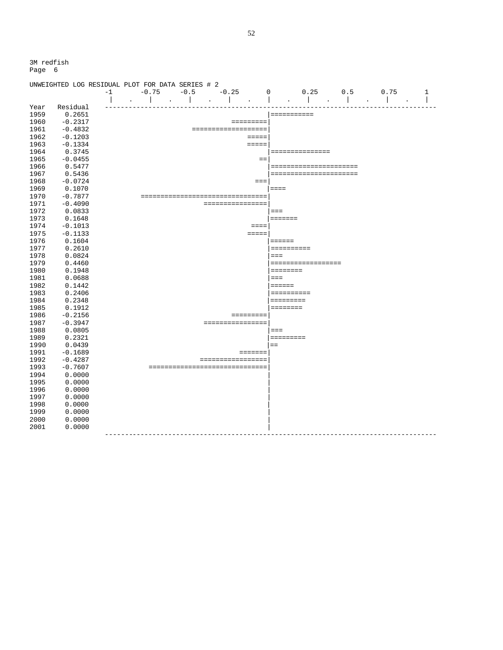|      | UNWEIGHTED LOG RESIDUAL PLOT FOR DATA SERIES # 2 |      |                          |                                   |           |                     |                     |                                                                                 |                  |      |   |
|------|--------------------------------------------------|------|--------------------------|-----------------------------------|-----------|---------------------|---------------------|---------------------------------------------------------------------------------|------------------|------|---|
|      |                                                  | $-1$ | $-0.75$                  | $-0.5$                            |           | $-0.25$             | $\Omega$            | 0.25                                                                            | 0.5              | 0.75 | 1 |
|      |                                                  |      |                          | $\ddot{\phantom{a}}$              | $\bullet$ |                     |                     |                                                                                 |                  |      |   |
| Year | Residual                                         |      |                          |                                   |           |                     |                     |                                                                                 |                  |      |   |
| 1959 | 0.2651                                           |      |                          |                                   |           |                     |                     | ===========                                                                     |                  |      |   |
| 1960 | $-0.2317$                                        |      |                          |                                   |           | $=$ = = = = = = = = |                     |                                                                                 |                  |      |   |
| 1961 | $-0.4832$                                        |      |                          |                                   |           | =================== |                     |                                                                                 |                  |      |   |
| 1962 | $-0.1203$                                        |      |                          |                                   |           |                     | $=$ $=$ $=$ $=$     |                                                                                 |                  |      |   |
| 1963 | $-0.1334$                                        |      |                          |                                   |           |                     | $=$ $=$ $=$ $=$     |                                                                                 |                  |      |   |
| 1964 | 0.3745                                           |      |                          |                                   |           |                     |                     | ===============                                                                 |                  |      |   |
| 1965 | $-0.0455$                                        |      |                          |                                   |           |                     | $=$                 |                                                                                 |                  |      |   |
| 1966 | 0.5477                                           |      |                          |                                   |           |                     |                     | ======================                                                          |                  |      |   |
| 1967 | 0.5436                                           |      |                          |                                   |           |                     |                     | ======================                                                          |                  |      |   |
| 1968 | $-0.0724$                                        |      |                          |                                   |           |                     | $===$               |                                                                                 |                  |      |   |
| 1969 | 0.1070                                           |      |                          |                                   |           |                     |                     | $=$ $=$ $=$                                                                     |                  |      |   |
| 1970 | $-0.7877$                                        |      |                          | ================================= |           |                     |                     |                                                                                 |                  |      |   |
| 1971 | $-0.4090$                                        |      |                          |                                   |           | ================    |                     |                                                                                 |                  |      |   |
| 1972 | 0.0833                                           |      |                          |                                   |           |                     |                     | $===$                                                                           |                  |      |   |
| 1973 | 0.1648                                           |      |                          |                                   |           |                     |                     | $=$ = = = = = =                                                                 |                  |      |   |
| 1974 | $-0.1013$                                        |      |                          |                                   |           |                     | $=$ $=$ $=$ $=$     |                                                                                 |                  |      |   |
| 1975 | $-0.1133$                                        |      |                          |                                   |           |                     | $=$ $=$ $=$ $=$ $=$ |                                                                                 |                  |      |   |
| 1976 | 0.1604                                           |      |                          |                                   |           |                     |                     | $=$ $=$ $=$ $=$ $=$                                                             |                  |      |   |
| 1977 | 0.2610                                           |      |                          |                                   |           |                     |                     |                                                                                 |                  |      |   |
| 1978 | 0.0824                                           |      |                          |                                   |           |                     |                     | $===$                                                                           |                  |      |   |
| 1979 | 0.4460                                           |      |                          |                                   |           |                     |                     | ===================                                                             |                  |      |   |
| 1980 | 0.1948                                           |      |                          |                                   |           |                     |                     | $=$ = = = = = = =                                                               |                  |      |   |
| 1981 | 0.0688                                           |      |                          |                                   |           |                     |                     | $== =$                                                                          |                  |      |   |
| 1982 | 0.1442                                           |      |                          |                                   |           |                     |                     | $=$ $=$ $=$ $=$ $=$                                                             |                  |      |   |
| 1983 | 0.2406                                           |      |                          |                                   |           |                     |                     | $\begin{array}{cccccccccc} = & = & = & = & = & = & = & = & = & = & \end{array}$ |                  |      |   |
| 1984 | 0.2348                                           |      |                          |                                   |           |                     |                     | =========                                                                       |                  |      |   |
| 1985 | 0.1912                                           |      |                          |                                   |           |                     |                     | ========                                                                        |                  |      |   |
| 1986 | $-0.2156$                                        |      |                          |                                   |           | $=$ = = = = = = = = |                     |                                                                                 |                  |      |   |
| 1987 | $-0.3947$                                        |      |                          |                                   |           | ================    |                     |                                                                                 |                  |      |   |
| 1988 | 0.0805                                           |      |                          |                                   |           |                     |                     | $===$                                                                           |                  |      |   |
| 1989 | 0.2321                                           |      |                          |                                   |           |                     |                     | =========                                                                       |                  |      |   |
| 1990 | 0.0439                                           |      |                          |                                   |           |                     |                     | $==$                                                                            |                  |      |   |
| 1991 | $-0.1689$                                        |      |                          |                                   |           | $=$ = = = = = =     |                     |                                                                                 |                  |      |   |
| 1992 | $-0.4287$                                        |      |                          |                                   |           | =================   |                     |                                                                                 |                  |      |   |
| 1993 | $-0.7607$                                        |      |                          | ================================  |           |                     |                     |                                                                                 |                  |      |   |
| 1994 | 0.0000                                           |      |                          |                                   |           |                     |                     |                                                                                 |                  |      |   |
| 1995 | 0.0000                                           |      |                          |                                   |           |                     |                     |                                                                                 |                  |      |   |
| 1996 | 0.0000                                           |      |                          |                                   |           |                     |                     |                                                                                 |                  |      |   |
| 1997 | 0.0000                                           |      |                          |                                   |           |                     |                     |                                                                                 |                  |      |   |
| 1998 | 0.0000                                           |      |                          |                                   |           |                     |                     |                                                                                 |                  |      |   |
| 1999 | 0.0000                                           |      |                          |                                   |           |                     |                     |                                                                                 |                  |      |   |
| 2000 | 0.0000                                           |      |                          |                                   |           |                     |                     |                                                                                 |                  |      |   |
| 2001 | 0.0000                                           |      |                          |                                   |           |                     |                     |                                                                                 |                  |      |   |
|      |                                                  |      | ------------------------ |                                   |           |                     |                     |                                                                                 | ---------------- |      |   |
|      |                                                  |      |                          |                                   |           |                     |                     |                                                                                 |                  |      |   |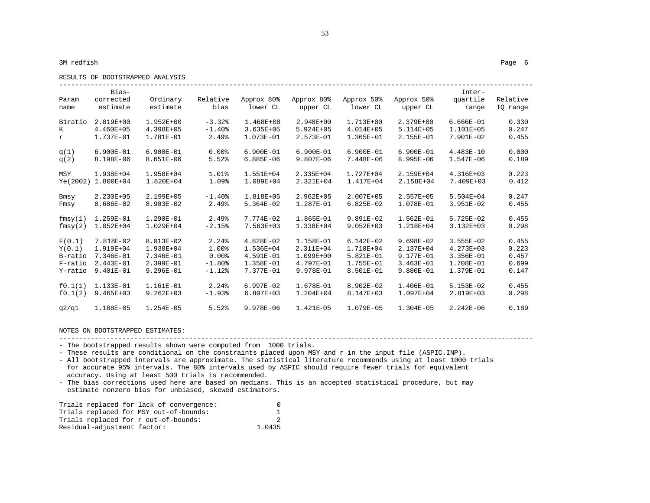RESULTS OF BOOTSTRAPPED ANALYSIS

| Param<br>name | Bias-<br>corrected<br>estimate | Ordinary<br>estimate | Relative<br>bias    | Approx 80%<br>lower CL | Approx 80%<br>upper CL | Approx 50%<br>lower CL | Approx 50%<br>upper CL | Inter-<br>quartile<br>range | Relative<br>IQ range |
|---------------|--------------------------------|----------------------|---------------------|------------------------|------------------------|------------------------|------------------------|-----------------------------|----------------------|
| Blratio       | 2.019E+00                      | $1.952E + 00$        | $-3.32%$            | 1.468E+00              | $2.940E + 00$          | 1.713E+00              | 2.379E+00              | $6.666E - 01$               | 0.330                |
| K             | 4.460E+05                      | 4.398E+05            | $-1.40%$            | $3.635E + 05$          | 5.924E+05              | 4.014E+05              | 5.114E+05              | 1.101E+05                   | 0.247                |
| r             | 1.737E-01                      | 1.781E-01            | 2.49%               | 1.073E-01              | 2.573E-01              | 1.365E-01              | $2.155E - 01$          | 7.901E-02                   | 0.455                |
| q(1)          | $6.900E-01$                    | $6.900E - 01$        | $0.00$ $8$          | $6.900E - 01$          | 6.900E-01              | $6.900E-01$            | $6.900E - 01$          | $4.483E - 10$               | 0.000                |
| q(2)          | 8.198E-06                      | 8.651E-06            | 5.52%               | $6.885E - 06$          | 9.807E-06              | 7.448E-06              | 8.995E-06              | 1.547E-06                   | 0.189                |
| MSY           | 1.938E+04                      | 1.958E+04            | $1.01$ <sup>8</sup> | 1.551E+04              | 2.335E+04              | 1.727E+04              | 2.159E+04              | 4.316E+03                   | 0.223                |
| Ye (2002)     | 1.800E+04                      | 1.820E+04            | 1.09%               | 1.089E+04              | 2.321E+04              | 1.417E+04              | 2.158E+04              | 7.409E+03                   | 0.412                |
| Bmsy          | 2.230E+05                      | 2.199E+05            | $-1.40%$            | 1.818E+05              | $2.962E + 05$          | 2.007E+05              | 2.557E+05              | 5.504E+04                   | 0.247                |
| Fmsy          | 8.686E-02                      | $8.903E - 02$        | 2.49%               | $5.364E - 02$          | 1.287E-01              | $6.825E-02$            | 1.078E-01              | $3.951E-02$                 | 0.455                |
| fmsy(1)       | 1.259E-01                      | $1.290E - 01$        | 2.49%               | 7.774E-02              | 1.865E-01              | $9.891E-02$            | $1.562E - 01$          | $5.725E - 02$               | 0.455                |
| fmsy(2)       | $1.052E + 04$                  | 1.029E+04            | $-2.15%$            | 7.563E+03              | 1.338E+04              | $9.052E + 03$          | 1.218E+04              | 3.132E+03                   | 0.298                |
| F(0.1)        | 7.818E-02                      | 8.013E-02            | 2.24%               | $4.828E-02$            | 1.158E-01              | $6.142E-02$            | $9.698E - 02$          | $3.555E - 02$               | 0.455                |
| Y(0.1)        | 1.919E+04                      | 1.938E+04            | 1.00%               | 1.536E+04              | 2.311E+04              | 1.710E+04              | 2.137E+04              | 4.273E+03                   | 0.223                |
| B-ratio       | 7.346E-01                      | 7.346E-01            | $0.00$ $8$          | $4.591E - 01$          | 1.099E+00              | $5.821E-01$            | 9.177E-01              | $3.356E - 01$               | 0.457                |
| F-ratio       | $2.443E-01$                    | $2.399E - 01$        | $-1.80%$            | 1.358E-01              | 4.797E-01              | 1.755E-01              | $3.463E - 01$          | 1.708E-01                   | 0.699                |
| Y-ratio       | $9.401E-01$                    | $9.296E - 01$        | $-1.12$ $%$         | 7.377E-01              | 9.978E-01              | 8.501E-01              | $9.880E - 01$          | 1.379E-01                   | 0.147                |
| f0.1(1)       | 1.133E-01                      | $1.161E-01$          | 2.24%               | $6.997E-02$            | 1.678E-01              | $8.902E - 02$          | $1.406E - 01$          | $5.153E-02$                 | 0.455                |
| f0.1(2)       | $9.465E + 03$                  | $9.262E + 03$        | $-1.93%$            | 6.807E+03              | $1.204E + 04$          | 8.147E+03              | 1.097E+04              | 2.819E+03                   | 0.298                |
| q2/q1         | 1.188E-05                      | $1.254E - 05$        | 5.52%               | 9.978E-06              | 1.421E-05              | 1.079E-05              | $1.304E - 05$          | $2.242E - 06$               | 0.189                |

53

------------------------------------------------------------------------------------------------------------------------

- The bootstrapped results shown were computed from 1000 trials.

- These results are conditional on the constraints placed upon MSY and r in the input file (ASPIC.INP).

- All bootstrapped intervals are approximate. The statistical literature recommends using at least 1000 trials for accurate 95% intervals. The 80% intervals used by ASPIC should require fewer trials for equivalent accuracy. Using at least 500 trials is recommended.

- The bias corrections used here are based on medians. This is an accepted statistical procedure, but may estimate nonzero bias for unbiased, skewed estimators.

| Trials replaced for lack of convergence: |        |
|------------------------------------------|--------|
| Trials replaced for MSY out-of-bounds:   |        |
| Trials replaced for r out-of-bounds:     |        |
| Residual-adjustment factor:              | 1.0435 |

------------------------------------------------------------------------------------------------------------------------

NOTES ON BOOTSTRAPPED ESTIMATES: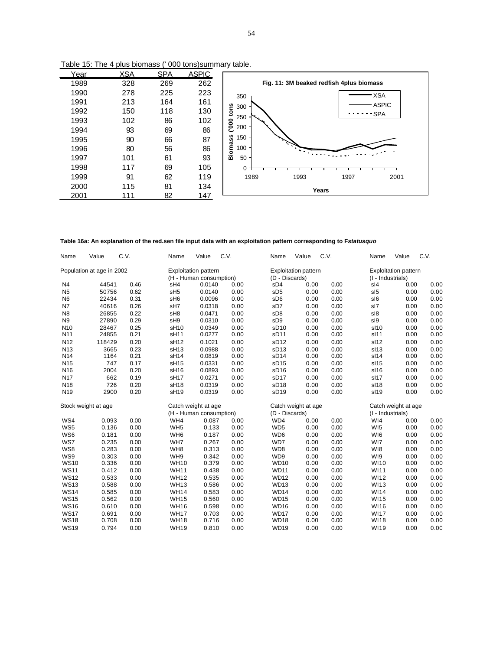| Year | <b>XSA</b> | <b>SPA</b> | <b>ASPIC</b> |                                          |
|------|------------|------------|--------------|------------------------------------------|
| 1989 | 328        | 269        | 262          | Fig. 11: 3M beaked redfish 4plus biomass |
| 1990 | 278        | 225        | 223          | <b>XSA</b><br>$350 -$                    |
| 1991 | 213        | 164        | 161          | <b>ASPIC</b><br>300                      |
| 1992 | 150        | 118        | 130          | tons<br>- SPA                            |
| 1993 | 102        | 86         | 102          | 250<br>000                               |
| 1994 | 93         | 69         | 86           | 200                                      |
| 1995 | 90         | 66         | 87           | <b>Biomass</b><br>150                    |
| 1996 | 80         | 56         | 86           | 100                                      |
| 1997 | 101        | 61         | 93           | 50                                       |
| 1998 | 117        | 69         | 105          | 0                                        |
| 1999 | 91         | 62         | 119          | 1989<br>1993<br>1997<br>2001             |
| 2000 | 115        | 81         | 134          | Years                                    |
| 2001 | 111        | 82         | 147          |                                          |

Table 15: The 4 plus biomass (' 000 tons)summary table.

**Table 16a: An explanation of the red.sen file input data with an exploitation pattern corresponding to F***statusquo*

| Name            | Value                     | C.V. | Name             | Value                                                  | C.V. | Name             | Value                       | C.V. | Name              | Value                       | C.V. |
|-----------------|---------------------------|------|------------------|--------------------------------------------------------|------|------------------|-----------------------------|------|-------------------|-----------------------------|------|
|                 | Population at age in 2002 |      |                  | <b>Exploitation pattern</b><br>(H - Human consumption) |      | (D - Discards)   | <b>Exploitation pattern</b> |      | (I - Industrials) | <b>Exploitation pattern</b> |      |
| N <sub>4</sub>  | 44541                     | 0.46 | sH4              | 0.0140                                                 | 0.00 | sD4              | 0.00                        | 0.00 | sl4               | 0.00                        | 0.00 |
| N <sub>5</sub>  | 50756                     | 0.62 | sH <sub>5</sub>  | 0.0140                                                 | 0.00 | sD <sub>5</sub>  | 0.00                        | 0.00 | sl <sub>5</sub>   | 0.00                        | 0.00 |
| N <sub>6</sub>  | 22434                     | 0.31 | sH <sub>6</sub>  | 0.0096                                                 | 0.00 | sD <sub>6</sub>  | 0.00                        | 0.00 | sl6               | 0.00                        | 0.00 |
| N7              | 40616                     | 0.26 | sH7              | 0.0318                                                 | 0.00 | sD7              | 0.00                        | 0.00 | sl7               | 0.00                        | 0.00 |
| N <sub>8</sub>  | 26855                     | 0.22 | sH <sub>8</sub>  | 0.0471                                                 | 0.00 | sD <sub>8</sub>  | 0.00                        | 0.00 | sl8               | 0.00                        | 0.00 |
| N <sub>9</sub>  | 27890                     | 0.29 | sH <sub>9</sub>  | 0.0310                                                 | 0.00 | sD <sub>9</sub>  | 0.00                        | 0.00 | sl9               | 0.00                        | 0.00 |
| N <sub>10</sub> | 28467                     | 0.25 | sH <sub>10</sub> | 0.0349                                                 | 0.00 | sD <sub>10</sub> | 0.00                        | 0.00 | sl10              | 0.00                        | 0.00 |
| N <sub>11</sub> | 24855                     | 0.21 | sH <sub>11</sub> | 0.0277                                                 | 0.00 | sD <sub>11</sub> | 0.00                        | 0.00 | sl11              | 0.00                        | 0.00 |
| N <sub>12</sub> | 118429                    | 0.20 | sH <sub>12</sub> | 0.1021                                                 | 0.00 | sD <sub>12</sub> | 0.00                        | 0.00 | sl12              | 0.00                        | 0.00 |
| N <sub>13</sub> | 3665                      | 0.23 | sH <sub>13</sub> | 0.0988                                                 | 0.00 | SD13             | 0.00                        | 0.00 | sl13              | 0.00                        | 0.00 |
| N14             | 1164                      | 0.21 | sH <sub>14</sub> | 0.0819                                                 | 0.00 | sD <sub>14</sub> | 0.00                        | 0.00 | sl14              | 0.00                        | 0.00 |
| N <sub>15</sub> | 747                       | 0.17 | sH <sub>15</sub> | 0.0331                                                 | 0.00 | SD15             | 0.00                        | 0.00 | sl15              | 0.00                        | 0.00 |
| N <sub>16</sub> | 2004                      | 0.20 | sH <sub>16</sub> | 0.0893                                                 | 0.00 | sD <sub>16</sub> | 0.00                        | 0.00 | sl16              | 0.00                        | 0.00 |
| <b>N17</b>      | 662                       | 0.19 | sH <sub>17</sub> | 0.0271                                                 | 0.00 | sD <sub>17</sub> | 0.00                        | 0.00 | sl17              | 0.00                        | 0.00 |
| N <sub>18</sub> | 726                       | 0.20 | sH <sub>18</sub> | 0.0319                                                 | 0.00 | sD <sub>18</sub> | 0.00                        | 0.00 | sl18              | 0.00                        | 0.00 |
| N <sub>19</sub> | 2900                      | 0.20 | sH <sub>19</sub> | 0.0319                                                 | 0.00 | sD <sub>19</sub> | 0.00                        | 0.00 | sl19              | 0.00                        | 0.00 |
|                 | Stock weight at age       |      |                  | Catch weight at age                                    |      |                  | Catch weight at age         |      |                   | Catch weight at age         |      |
|                 |                           |      |                  | (H - Human consumption)                                |      | (D - Discards)   |                             |      | (I - Industrials) |                             |      |
| WS4             | 0.093                     | 0.00 | WH4              | 0.087                                                  | 0.00 | WD4              | 0.00                        | 0.00 | WI4               | 0.00                        | 0.00 |
| WS5             | 0.136                     | 0.00 | WH <sub>5</sub>  | 0.133                                                  | 0.00 | WD <sub>5</sub>  | 0.00                        | 0.00 | WI <sub>5</sub>   | 0.00                        | 0.00 |
| WS6             | 0.181                     | 0.00 | WH <sub>6</sub>  | 0.187                                                  | 0.00 | WD6              | 0.00                        | 0.00 | WI6               | 0.00                        | 0.00 |
| WS7             | 0.235                     | 0.00 | WH7              | 0.267                                                  | 0.00 | WD7              | 0.00                        | 0.00 | WI7               | 0.00                        | 0.00 |
| WS8             | 0.283                     | 0.00 | WH <sub>8</sub>  | 0.313                                                  | 0.00 | WD8              | 0.00                        | 0.00 | WI8               | 0.00                        | 0.00 |
| WS9             | 0.303                     | 0.00 | WH <sub>9</sub>  | 0.342                                                  | 0.00 | WD9              | 0.00                        | 0.00 | WI9               | 0.00                        | 0.00 |
| <b>WS10</b>     | 0.336                     | 0.00 | <b>WH10</b>      | 0.379                                                  | 0.00 | <b>WD10</b>      | 0.00                        | 0.00 | <b>WI10</b>       | 0.00                        | 0.00 |
| <b>WS11</b>     | 0.412                     | 0.00 | <b>WH11</b>      | 0.438                                                  | 0.00 | <b>WD11</b>      | 0.00                        | 0.00 | WI11              | 0.00                        | 0.00 |
| <b>WS12</b>     | 0.533                     | 0.00 | <b>WH12</b>      | 0.535                                                  | 0.00 | <b>WD12</b>      | 0.00                        | 0.00 | <b>WI12</b>       | 0.00                        | 0.00 |
| <b>WS13</b>     | 0.588                     | 0.00 | <b>WH13</b>      | 0.586                                                  | 0.00 | <b>WD13</b>      | 0.00                        | 0.00 | WI13              | 0.00                        | 0.00 |
| <b>WS14</b>     | 0.585                     | 0.00 | <b>WH14</b>      | 0.583                                                  | 0.00 | <b>WD14</b>      | 0.00                        | 0.00 | WI14              | 0.00                        | 0.00 |
| <b>WS15</b>     | 0.562                     | 0.00 | <b>WH15</b>      | 0.560                                                  | 0.00 | <b>WD15</b>      | 0.00                        | 0.00 | <b>WI15</b>       | 0.00                        | 0.00 |
| <b>WS16</b>     | 0.610                     | 0.00 | <b>WH16</b>      | 0.598                                                  | 0.00 | <b>WD16</b>      | 0.00                        | 0.00 | WI16              | 0.00                        | 0.00 |
| <b>WS17</b>     | 0.691                     | 0.00 | <b>WH17</b>      | 0.703                                                  | 0.00 | <b>WD17</b>      | 0.00                        | 0.00 | <b>WI17</b>       | 0.00                        | 0.00 |
| <b>WS18</b>     | 0.708                     | 0.00 | <b>WH18</b>      | 0.716                                                  | 0.00 | WD <sub>18</sub> | 0.00                        | 0.00 | <b>WI18</b>       | 0.00                        | 0.00 |
| <b>WS19</b>     | 0.794                     | 0.00 | <b>WH19</b>      | 0.810                                                  | 0.00 | <b>WD19</b>      | 0.00                        | 0.00 | WI19              | 0.00                        | 0.00 |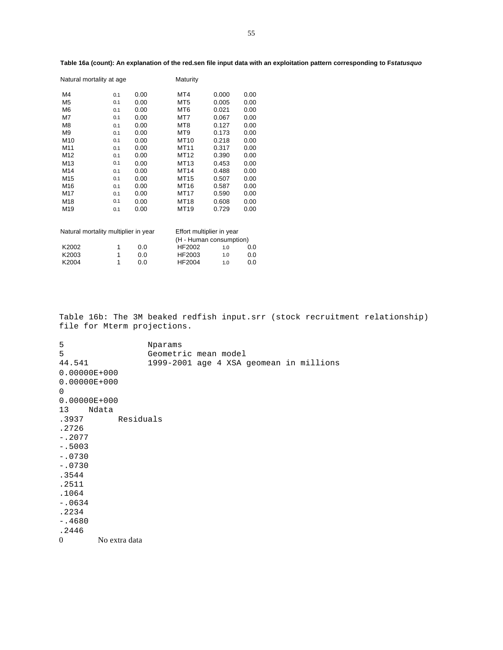| Natural mortality at age |     |      | Maturity        |       |      |
|--------------------------|-----|------|-----------------|-------|------|
| M4                       | 0.1 | 0.00 | MT4             | 0.000 | 0.00 |
| M <sub>5</sub>           | 0.1 | 0.00 | MT5             | 0.005 | 0.00 |
| M <sub>6</sub>           | 0.1 | 0.00 | MT <sub>6</sub> | 0.021 | 0.00 |
| M7                       | 0.1 | 0.00 | MT7             | 0.067 | 0.00 |
| M8                       | 0.1 | 0.00 | MT8             | 0.127 | 0.00 |
| M <sub>9</sub>           | 0.1 | 0.00 | MT9             | 0.173 | 0.00 |
| M <sub>10</sub>          | 0.1 | 0.00 | MT10            | 0.218 | 0.00 |
| M11                      | 0.1 | 0.00 | MT11            | 0.317 | 0.00 |
| M12                      | 0.1 | 0.00 | MT12            | 0.390 | 0.00 |
| M <sub>13</sub>          | 0.1 | 0.00 | MT13            | 0.453 | 0.00 |
| M14                      | 0.1 | 0.00 | MT14            | 0.488 | 0.00 |
| M15                      | 0.1 | 0.00 | MT15            | 0.507 | 0.00 |
| M <sub>16</sub>          | 0.1 | 0.00 | MT16            | 0.587 | 0.00 |
| M17                      | 0.1 | 0.00 | MT17            | 0.590 | 0.00 |
| M18                      | 0.1 | 0.00 | MT18            | 0.608 | 0.00 |
| M19                      | 0.1 | 0.00 | MT19            | 0.729 | 0.00 |
|                          |     |      |                 |       |      |
|                          |     |      |                 |       |      |

## **Table 16a (count): An explanation of the red.sen file input data with an exploitation pattern corresponding to F***statusquo*

| Natural mortality multiplier in year |     | Effort multiplier in year |     |     |  |  |  |  |
|--------------------------------------|-----|---------------------------|-----|-----|--|--|--|--|
|                                      |     | (H - Human consumption)   |     |     |  |  |  |  |
| K2002                                | 0.O | HF2002                    | 1.0 | 0.0 |  |  |  |  |
| K2003                                | 0.0 | HF2003                    | 1.0 | 0.0 |  |  |  |  |
| K2004                                | n n | HF2004                    | 1.0 | 0.0 |  |  |  |  |

Table 16b: The 3M beaked redfish input.srr (stock recruitment relationship) file for Mterm projections.

5 Nparams<br>5 Geometr: 5 Geometric mean model 44.541 1999-2001 age 4 XSA geomean in millions 0.00000E+000 0.00000E+000 0 0.00000E+000 13 Ndata Residuals .2726 -.2077 -.5003 -.0730 -.0730 .3544 .2511 .1064 -.0634 .2234 -.4680 .2446 0 No extra data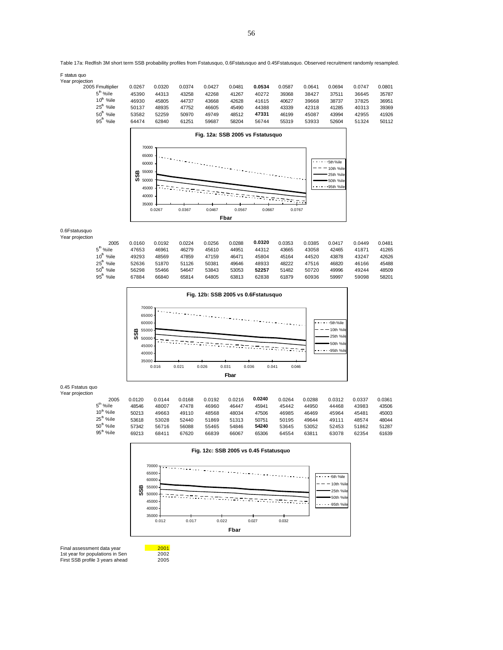56

#### Table 17a: Redfish 3M short term SSB probability profiles from Fstatusquo, 0.6Fstatusquo and 0.45Fstatusquo. Observed recruitment randomly resampled.

| F status quo |  |  |
|--------------|--|--|
|--------------|--|--|

F status quo Year projection 2005 Fmultiplier 0.0267 0.0320 0.0374 0.0427 0.0481 **0.0534** 0.0587 0.0641 0.0694 0.0747 0.0801  $5<sup>h</sup>$ %ile<br>10<sup>h</sup> %ile <sup>h</sup> %ile 45390 44313 43258 42268 41267 40272 39368 38427 37511 36645 35787 10th %ile 46930 45805 44737 43668 42628 41615 40627 39668 38737 37825 36951 25th %ile 50137 48935 47752 46605 45490 44388 43339 42318 41285 40313 39369 50th %ile 53582 52259 50970 49749 48512 **47331** 46199 45087 43994 42955 41926 95th %ile 64474 62840 61251 59687 58204 56744 55319 53933 52604 51324 50112

**Fig. 12a: SSB 2005 vs Fstatusquo**

 $- - -$  5th %ile  $-10th$  %ile 25th %ile 50th %ile 1.1.1.25th %ile

| 0.6Fstatusquo<br>Year projection |                     |        |        |        |        |        |        |        |        |        |        |        |
|----------------------------------|---------------------|--------|--------|--------|--------|--------|--------|--------|--------|--------|--------|--------|
|                                  | 2005                | 0.0160 | 0.0192 | 0.0224 | 0.0256 | 0.0288 | 0.0320 | 0.0353 | 0.0385 | 0.0417 | 0.0449 | 0.0481 |
|                                  | 5 <sup>h</sup> %ile | 47653  | 46961  | 46279  | 45610  | 44951  | 44312  | 43665  | 43058  | 42465  | 41871  | 41265  |
|                                  | %ile<br>10"         | 49293  | 48569  | 47859  | 47159  | 46471  | 45804  | 45164  | 44520  | 43878  | 43247  | 42626  |
|                                  | %ile<br>25"         | 52636  | 51870  | 51126  | 50381  | 49646  | 48933  | 48222  | 47516  | 46820  | 46166  | 45488  |
|                                  | %ile<br>50          | 56298  | 55466  | 54647  | 53843  | 53053  | 52257  | 51482  | 50720  | 49996  | 49244  | 48509  |
|                                  | %ile<br>95          | 67884  | 66840  | 65814  | 64805  | 63813  | 62838  | 61879  | 60936  | 59997  | 59098  | 58201  |

ar a T

a yay

0.0267 0.0367 0.0467 0.0567 0.0667 0.0767 **Fbar**

-

 $-7 - -$ 



0.45 Fstatus quo

Year projection

| 2005                  | 0.0120 | 0.0144 | 0.0168 | 0.0192 | 0.0216 | 0.0240 | 0.0264 | 0.0288 | 0.0312 | 0.0337 | 0.0361 |
|-----------------------|--------|--------|--------|--------|--------|--------|--------|--------|--------|--------|--------|
| 5 <sup>th</sup> %ile  | 48546  | 48007  | 47478  | 46960  | 46447  | 45941  | 45442  | 44950  | 44468  | 43983  | 43506  |
| 10 <sup>th</sup> %ile | 50213  | 49663  | 49110  | 48568  | 48034  | 47506  | 46985  | 46469  | 45964  | 45481  | 45003  |
| 25 <sup>th</sup> %ile | 53618  | 53028  | 52440  | 51869  | 51313  | 50751  | 50195  | 49644  | 49111  | 48574  | 48044  |
| 50 <sup>th</sup> %ile | 57342  | 56716  | 56088  | 55465  | 54846  | 54240  | 53645  | 53052  | 52453  | 51862  | 51287  |
| 95 <sup>th</sup> %ile | 69213  | 68411  | 67620  | 66839  | 66067  | 65306  | 64554  | 63811  | 63078  | 62354  | 61639  |
|                       |        |        |        |        |        |        |        |        |        |        |        |



Final assessment data year **2001**<br>1st year for populations in Sen 2002 1st year for populations in Sen 2002<br>First SSB profile 3 years ahead 2005 First SSB profile 3 years ahead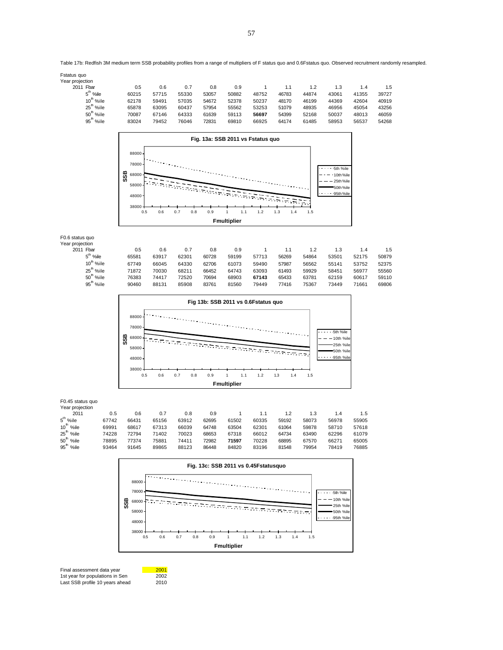Final assessment data year **2001**<br>1st year for populations in Sen 2002 1st year for populations in Sen 2002 Last SSB profile 10 years ahead 2010



| 18895<br>93464 | 77374<br>91645         | 75881<br>89865 | 74411<br>88123 | 72982<br>86448 | 71597<br>84820                       | 70228<br>83196 | 09992<br>81548 | <b>6/5/U</b><br>79954 | 00271<br>78419                      | <b>b</b> ou<br>768 |
|----------------|------------------------|----------------|----------------|----------------|--------------------------------------|----------------|----------------|-----------------------|-------------------------------------|--------------------|
|                |                        |                |                |                | Fig. 13c: SSB 2011 vs 0.45Fstatusquo |                |                |                       |                                     |                    |
|                | 88000-<br>78000        |                |                |                |                                      |                |                |                       | 5th %ile                            |                    |
|                | SSB<br>68000<br>58000- |                |                |                |                                      |                |                |                       | 10th %ile<br>25th %ile<br>50th %ile |                    |
|                | 48000-<br>38000<br>0.5 | 0.6            | 0.7<br>0.8     | 0.9            | 1.1<br>1                             | 1.2            | 1.3<br>1.4     | 1.5                   | 95th %ile                           |                    |
|                |                        |                |                |                | <b>Fmultiplier</b>                   |                |                |                       |                                     |                    |

| Year projection        |       |       |       |       |       |       |       |       |       |       |       |
|------------------------|-------|-------|-------|-------|-------|-------|-------|-------|-------|-------|-------|
| 2011                   | 0.5   | 0.6   | 0.7   | 0.8   | 0.9   |       | 1.1   | 1.2   | 1.3   | 1.4   | 1.5   |
| $5th$ %ile             | 67742 | 66431 | 65156 | 63912 | 62695 | 61502 | 60335 | 59192 | 58073 | 56978 | 55905 |
| $10h$ %ile             | 69991 | 68617 | 67313 | 66039 | 64748 | 63504 | 62301 | 61064 | 59878 | 58710 | 57618 |
| $25h$ %ile             | 74228 | 72794 | 71402 | 70023 | 68653 | 67318 | 66012 | 64734 | 63490 | 62296 | 61079 |
| $50h$ %ile             | 78895 | 77374 | 75881 | 74411 | 72982 | 71597 | 70228 | 68895 | 67570 | 66271 | 65005 |
| $95^{\mathrm{h}}$ %ile | 93464 | 91645 | 89865 | 88123 | 86448 | 84820 | 83196 | 81548 | 79954 | 78419 | 76885 |
|                        |       |       |       |       |       |       |       |       |       |       |       |
|                        |       |       |       |       |       |       |       |       |       |       |       |

|     |        |     |     |     |     |                    | Fig 13b: SSB 2011 vs 0.6Fstatus quo |     |     |     |     |                         |
|-----|--------|-----|-----|-----|-----|--------------------|-------------------------------------|-----|-----|-----|-----|-------------------------|
|     | 88000  |     |     |     |     |                    |                                     |     |     |     |     |                         |
|     | 78000- |     |     |     |     |                    |                                     |     |     |     |     | 5th %ile                |
| SSB | 68000  |     |     |     |     |                    |                                     |     |     |     |     | 10th %ile               |
|     | 58000- |     |     |     |     |                    |                                     |     |     |     |     | -25th %ile<br>50th %ile |
|     | 48000  |     |     |     |     |                    |                                     |     |     |     |     | 95th %ile<br>$\bullet$  |
|     | 38000  |     |     |     |     |                    |                                     |     |     |     |     |                         |
|     | 0.5    | 0.6 | 0.7 | 0.8 | 0.9 | 1                  | 1.1                                 | 1.2 | 1.3 | 1.4 | 1.5 |                         |
|     |        |     |     |     |     | <b>Fmultiplier</b> |                                     |     |     |     |     |                         |

| 2011 | Fbar                   | 0.5   | 0.6   | 0.7   | 0.8   | 0.9   |       | 1.1   | 1.2   | 1.3   | 1.4   | 1.5   |
|------|------------------------|-------|-------|-------|-------|-------|-------|-------|-------|-------|-------|-------|
|      | $5th$ %ile             | 65581 | 63917 | 62301 | 60728 | 59199 | 57713 | 56269 | 54864 | 53501 | 52175 | 50879 |
|      | $10h$ %ile             | 67749 | 66045 | 64330 | 62706 | 61073 | 59490 | 57987 | 56562 | 55141 | 53752 | 52375 |
|      | $25^{\mathrm{h}}$ %ile | 71872 | 70030 | 68211 | 66452 | 64743 | 63093 | 61493 | 59929 | 58451 | 56977 | 55560 |
|      | $50h$ %ile             | 76383 | 74417 | 72520 | 70694 | 68903 | 67143 | 65433 | 63781 | 62159 | 60617 | 59110 |
|      | $95^{\mathrm{h}}$ %ile | 90460 | 88131 | 85908 | 83761 | 81560 | 79449 | 77416 | 75367 | 73449 | 71661 | 69806 |
|      |                        |       |       |       |       |       |       |       |       |       |       |       |
|      |                        |       |       |       |       |       |       |       |       |       |       |       |

| 50 <sup>n</sup> %ile<br>95 <sup>th</sup> %ile | 70087<br>83024                          | 67146<br>79452 | 64333<br>76046 | 61639<br>72831 | 59113<br>69810                    | 56697<br>66925 | 54399<br>64174 | 52168<br>61485 | 50037<br>58953                                  | 48013<br>56537 | 46059<br>54268 |
|-----------------------------------------------|-----------------------------------------|----------------|----------------|----------------|-----------------------------------|----------------|----------------|----------------|-------------------------------------------------|----------------|----------------|
|                                               |                                         |                |                |                | Fig. 13a: SSB 2011 vs Fstatus quo |                |                |                |                                                 |                |                |
|                                               | 88000<br>78000<br>SSB<br>68000<br>58000 |                |                |                |                                   |                |                |                | 5th %ile<br>-10th%ile<br>25th %ile<br>S0th %ile |                |                |
|                                               | 48000-<br>38000-<br>0.5                 | 0.6            | 0.7<br>0.8     | 0.9            | 1.1<br>1<br><b>Fmultiplier</b>    | 1.2            | 1.3<br>1.4     | 1.5            | 95th %ile                                       |                |                |

| olaluo uuv      |       |       |       |       |       |       |       |       |       |       |       |
|-----------------|-------|-------|-------|-------|-------|-------|-------|-------|-------|-------|-------|
| Year projection |       |       |       |       |       |       |       |       |       |       |       |
| 2011 Fbar       | 0.5   | 0.6   | 0.7   | 0.8   | 0.9   |       | 1.1   | 1.2   |       | 1.4   | 1.5   |
| $5th$ %ile      | 60215 | 57715 | 55330 | 53057 | 50882 | 48752 | 46783 | 44874 | 43061 | 41355 | 39727 |
| 10" %ile        | 62178 | 59491 | 57035 | 54672 | 52378 | 50237 | 48170 | 46199 | 44369 | 42604 | 40919 |
| 25" %ile        | 65878 | 63095 | 60437 | 57954 | 55562 | 53253 | 51079 | 48935 | 46956 | 45054 | 43256 |
| $50n$ %ile      | 70087 | 67146 | 64333 | 61639 | 59113 | 56697 | 54399 | 52168 | 50037 | 48013 | 46059 |
| 95<br>مان%"     | 83024 | 79452 | 76046 | 72831 | 69810 | 66925 | 64174 | 61485 | 58953 | 56537 | 54268 |

Fstatus quo

F0.6 status quo Year projection

F0.45 status quo

Table 17b: Redfish 3M medium term SSB probability profiles from a range of multipliers of F status quo and 0.6Fstatus quo. Observed recruitment randomly resampled.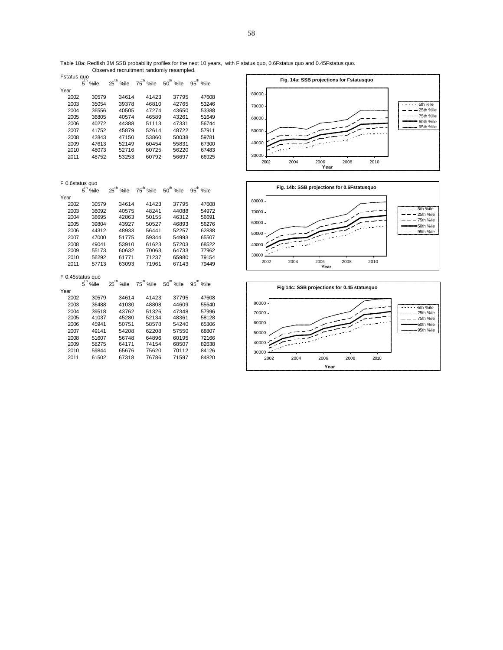Table 18a: Redfish 3M SSB probability profiles for the next 10 years, with F status quo, 0.6Fstatus quo and 0.45Fstatus quo. Observed recruitment randomly resampled.

| %ile  |
|-------|
|       |
| 47608 |
| 53246 |
| 53388 |
| 51649 |
| 56744 |
| 57911 |
| 59781 |
| 67300 |
| 67483 |
| 66925 |
|       |

F 0.6status quo

|                  | $5^{\text{th}}$<br>%ile | $25^{\text{th}}$<br>%ile | 75 <sup>th</sup> %ile | 50 <sup>th</sup> %ile | $95^{\text{th}}$ %ile   |  |  |
|------------------|-------------------------|--------------------------|-----------------------|-----------------------|-------------------------|--|--|
| Year             |                         |                          |                       |                       |                         |  |  |
| 2002             | 30579                   | 34614                    | 41423                 | 37795                 | 47608                   |  |  |
| 2003             | 36092                   | 40575                    | 48241                 | 44088                 | 54972                   |  |  |
| 2004             | 38695                   | 42863                    | 50155                 | 46312                 | 56691                   |  |  |
| 2005             | 39804                   | 43927                    | 50527                 | 46893                 | 56276                   |  |  |
| 2006             | 44312                   | 48933                    | 56441                 | 52257                 | 62838                   |  |  |
| 2007             | 47000                   | 51775                    | 59344                 | 54993                 | 65507                   |  |  |
| 2008             | 49041                   | 53910                    | 61623                 | 57203                 | 68522                   |  |  |
| 2009             | 55173                   | 60632                    | 70063                 | 64733                 | 77962                   |  |  |
| 2010             | 56292                   | 61771                    | 71237                 | 65980                 | 79154                   |  |  |
| 2011             | 57713                   | 63093                    | 71961                 | 67143                 | 79449                   |  |  |
| F 0.45status quo |                         |                          |                       |                       |                         |  |  |
|                  | %ile                    | $25^{\text{th}}$ %ile    | 75 <sup>th</sup> %ile | 50 <sup>th</sup> %ile | $95^{\mathrm{th}}$ %ile |  |  |







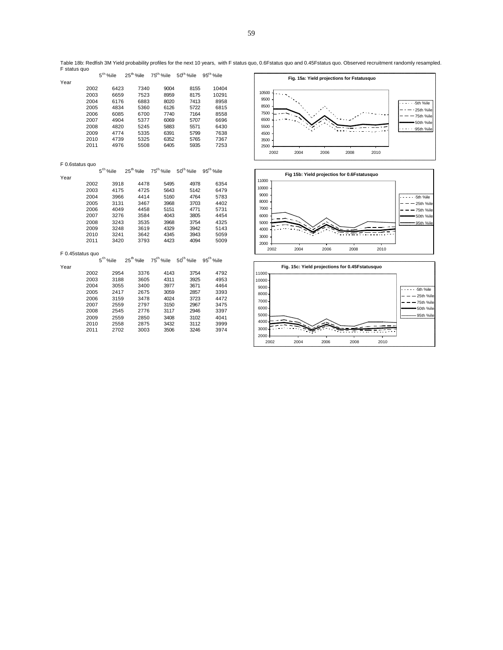|                  |      | $5th$ %ile | 25 <sup>th</sup> %ile    | 75 <sup>th</sup> %ile | 50 <sup>th</sup> %ile | 95 <sup>th</sup> %ile | Fig. 15a: Yield projections for Fstatusquo     |
|------------------|------|------------|--------------------------|-----------------------|-----------------------|-----------------------|------------------------------------------------|
| Year             |      |            |                          |                       |                       |                       |                                                |
|                  | 2002 | 6423       | 7340                     | 9004                  | 8155                  | 10404                 | 10500                                          |
|                  | 2003 | 6659       | 7523                     | 8959                  | 8175                  | 10291                 | 9500                                           |
|                  | 2004 | 6176       | 6883                     | 8020                  | 7413                  | 8958                  | 5th %ile<br>8500                               |
|                  | 2005 | 4834       | 5360                     | 6126                  | 5722                  | 6815                  | 25th %ile<br>7500                              |
|                  | 2006 | 6085       | 6700                     | 7740                  | 7164                  | 8558                  | - 75th %ile                                    |
|                  | 2007 | 4904       | 5377                     | 6069                  | 5707                  | 6696                  | 6500<br>50th %ile                              |
|                  | 2008 | 4820       | 5245                     | 5883                  | 5571                  | 6430                  | 5500<br>95th %ile                              |
|                  | 2009 | 4774       | 5335                     | 6391                  | 5799                  | 7638                  | 4500                                           |
|                  | 2010 | 4739       | 5325                     | 6352                  | 5765                  | 7367                  | 3500                                           |
|                  | 2011 | 4976       | 5508                     | 6405                  | 5935                  | 7253                  | 2500                                           |
|                  |      |            |                          |                       |                       |                       | 2002<br>2004<br>2006<br>2008<br>2010           |
| F 0.6status quo  |      |            |                          |                       |                       |                       |                                                |
|                  |      | $5th$ %ile | 25 <sup>th</sup> %ile    | 75 <sup>th</sup> %ile | 50 <sup>th</sup> %ile | 95 <sup>th</sup> %ile | Fig 15b: Yield projectios for 0.6Fstatusquo    |
| Year             |      |            |                          |                       |                       |                       | 11000                                          |
|                  | 2002 | 3918       | 4478                     | 5495                  | 4978                  | 6354                  | 10000                                          |
|                  | 2003 | 4175       | 4725                     | 5643                  | 5142                  | 6479                  | 9000                                           |
|                  | 2004 | 3966       | 4414                     | 5160                  | 4764                  | 5783                  | 5th %ile<br>8000                               |
|                  | 2005 | 3131       | 3467                     | 3968                  | 3703                  | 4402                  | 25th %ile<br>7000                              |
|                  | 2006 | 4049       | 4458                     | 5151                  | 4771                  | 5731                  | 75th %ile                                      |
|                  | 2007 | 3276       | 3584                     | 4043                  | 3805                  | 4454                  | 6000<br>50th %ile                              |
|                  | 2008 | 3243       | 3535                     | 3968                  | 3754                  | 4325                  | 5000<br>95th %ile                              |
|                  | 2009 | 3248       | 3619                     | 4329                  | 3942                  | 5143                  | 4000                                           |
|                  | 2010 | 3241       | 3642                     | 4345                  | 3943                  | 5059                  | 3000                                           |
|                  | 2011 | 3420       | 3793                     | 4423                  | 4094                  | 5009                  | 2000                                           |
| F 0.45status quo |      |            |                          |                       |                       |                       | 2004<br>2006<br>2010<br>2002<br>2008           |
|                  |      | $5th$ %ile | $25^{\text{th}}$<br>%ile | 75 <sup>th</sup> %ile | $50^{\text{th}}$ %ile | $95th$ %ile           |                                                |
| Year             |      |            |                          |                       |                       |                       | Fig. 15c: Yield projections for 0.45Fstatusquo |
|                  | 2002 | 2954       | 3376                     | 4143                  | 3754                  | 4792                  | 11000                                          |
|                  | 2003 | 3188       | 3605                     | 4311                  | 3925                  | 4953                  | 10000                                          |
|                  | 2004 | 3055       | 3400                     | 3977                  | 3671                  | 4464                  | 9000                                           |
|                  | 2005 | 2417       | 2675                     | 3059                  | 2857                  | 3393                  | 5th %ile<br>8000<br>- 25th %ile                |
|                  | 2006 | 3159       | 3478                     | 4024                  | 3723                  | 4472                  | 7000                                           |
|                  | 2007 | 2559       | 2797                     | 3150                  | 2967                  | 3475                  | - 75th %ile<br>6000                            |
|                  | 2008 | 2545       | 2776                     | 3117                  | 2946                  | 3397                  | 50th %ile<br>5000                              |
|                  | 2009 | 2559       | 2850                     | 3408                  | 3102                  | 4041                  | 95th %ile                                      |
|                  | 2010 | 2558       | 2875                     | 3432                  | 3112                  | 3999                  | 4000                                           |
|                  | 2011 | 2702       | 3003                     | 3506                  | 3246                  | 3974                  | 3000                                           |
|                  |      |            |                          |                       |                       |                       | 2000                                           |

 $\overline{\phantom{a}}$ 

2004 2006 2008 2010

Table 18b: Redfish 3M Yield probability profiles for the next 10 years, with F status quo, 0.6Fstatus quo and 0.45Fstatus quo. Observed recruitment randomly resampled. F status quo  $\Gamma$